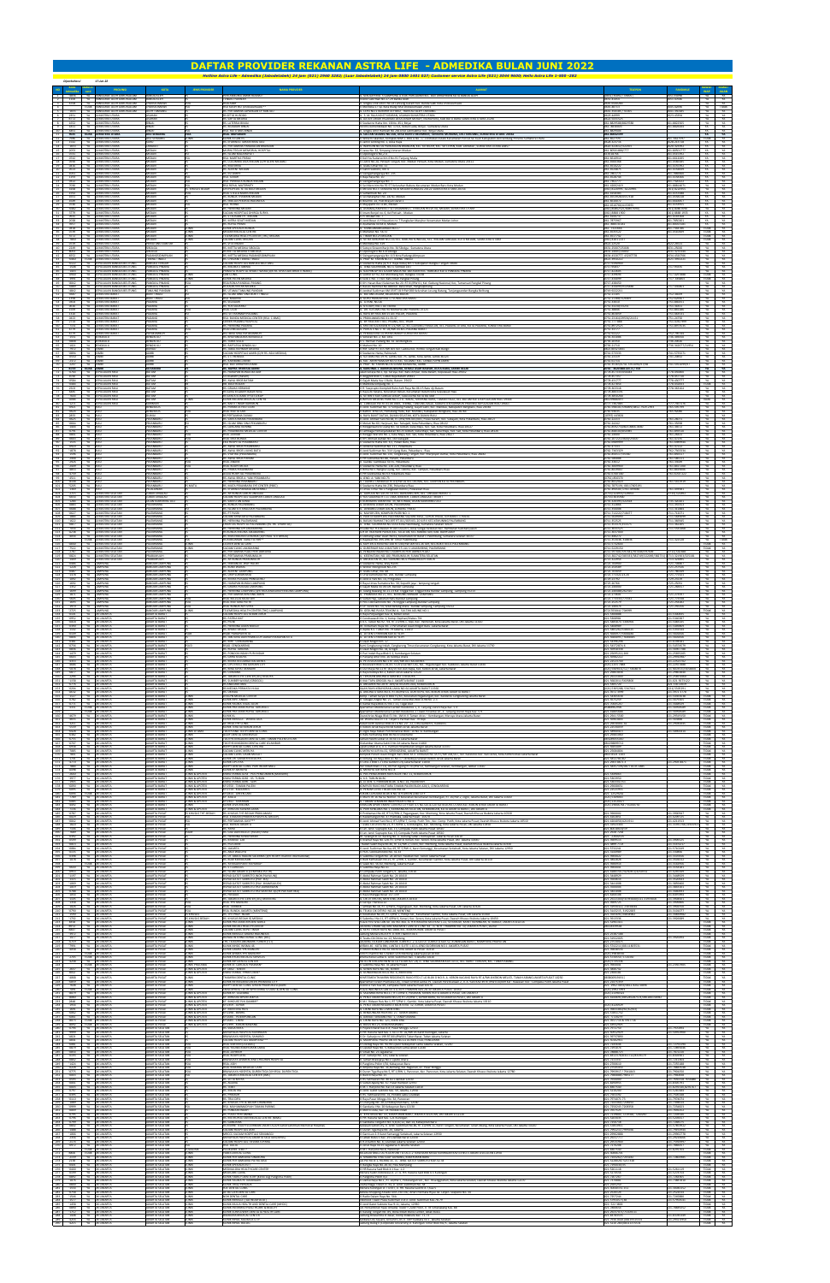| Diperbaharui                                                                                                                                                                                                                                                                                                                                                                                                         |                                     | 17-Jun-22                                                                                                                                                                                                                                                                                                                                                                                                                               |                                                                                       |                                                       |                                                                                                                        | Hotline Astra Life - Admedika (Jabodetabek) 24 jam (021) 2960 3282; (Luar Jabodetabek) 24 jam 0800 1401 027; Customer service Astra Life (021) 3044 9600; Hello Astra Life 1-500 -282                                                                                                                                                                                                                                             |                                                                                       |                                                          |                                                                            |
|----------------------------------------------------------------------------------------------------------------------------------------------------------------------------------------------------------------------------------------------------------------------------------------------------------------------------------------------------------------------------------------------------------------------|-------------------------------------|-----------------------------------------------------------------------------------------------------------------------------------------------------------------------------------------------------------------------------------------------------------------------------------------------------------------------------------------------------------------------------------------------------------------------------------------|---------------------------------------------------------------------------------------|-------------------------------------------------------|------------------------------------------------------------------------------------------------------------------------|-----------------------------------------------------------------------------------------------------------------------------------------------------------------------------------------------------------------------------------------------------------------------------------------------------------------------------------------------------------------------------------------------------------------------------------|---------------------------------------------------------------------------------------|----------------------------------------------------------|----------------------------------------------------------------------------|
| Kode<br>NO.                                                                                                                                                                                                                                                                                                                                                                                                          |                                     |                                                                                                                                                                                                                                                                                                                                                                                                                                         | <b>KOTA</b>                                                                           | <b>JENIS PROVIDER</b>                                 | <b>NAMA PROVIDER</b>                                                                                                   | <b>ALAMAT</b>                                                                                                                                                                                                                                                                                                                                                                                                                     | <b>TELEPON</b>                                                                        |                                                          |                                                                            |
|                                                                                                                                                                                                                                                                                                                                                                                                                      |                                     | $\begin{tabular}{c c c} \multicolumn{2}{c}{\textbf{1}} & \multicolumn{2}{c}{\textbf{48.5}} & \multicolumn{2}{c}{\textbf{58.5}} & \multicolumn{2}{c}{\textbf{58.5}} & \multicolumn{2}{c}{\textbf{58.5}} & \multicolumn{2}{c}{\textbf{58.5}} & \multicolumn{2}{c}{\textbf{58.5}} & \multicolumn{2}{c}{\textbf{68.5}} & \multicolumn{2}{c}{\textbf{68.5}} & \multicolumn{2}{c}{\textbf{68.5}} & \multicolumn{2}{c}{\textbf{68.5}} & \mult$ | <b>BANDA ACEH</b><br><b>BANDA ACEH</b><br>LHOKSEUMAWE                                 | <b>RSM</b>                                            | PERTAMEDIKA UMMI ROSNATI<br>TENGKU FAKINAH<br>RSIA ABBY                                                                | JL. SEKOLAH MO. 5 GAMPONG ATEUK PAHLAAWN KEC. BAITURRAHMAN KOTA BANDA ACEH<br>nan No 27-29 Banda Aceh<br>Il lend Sudi<br>Jl. Tengku Chik Ditiro No 28 Lancang Garam Kec. Banda Sakti Kota Lhokseumawe                                                                                                                                                                                                                             | (0651) 35092 / 35905<br>0651-41454<br>0645-6500284                                    | 065135098<br>0651-47646                                  | YA YA<br>YA YA<br>YA YA                                                    |
|                                                                                                                                                                                                                                                                                                                                                                                                                      |                                     |                                                                                                                                                                                                                                                                                                                                                                                                                                         | LHOKSEUMAWE<br>ACEH TAMIANG<br><b>NAHA74</b>                                          |                                                       | RSU KASIH IBU (Lhokseumawe)*<br>RS. PERTAMINA LAPANGAN EP RANTAL<br>RS SETIO HUSODO                                    | rdeka 17 Sp. Kuta Blang NAD Lhokseumawe 24351<br>JL. CEPU NO.1 KOMPERTA FIEKD, RANTAU ACEH TAMIANO<br>JL. S. M. RAJA NO 67 KISARAN, ASAHAN SUMATERA UTARA                                                                                                                                                                                                                                                                         | 0645-48713<br>0641-350185 / 311<br>0623-44999                                         | 1645-47696<br>0641-350185<br>0623-43394                  | YA TIDAK<br>YA YA<br>YA YA                                                 |
|                                                                                                                                                                                                                                                                                                                                                                                                                      |                                     |                                                                                                                                                                                                                                                                                                                                                                                                                                         | <b>ASAHAN</b><br>RINIAI                                                               |                                                       | RS. SAPTA MEDIKA<br>RS. LATERSIA BINJA                                                                                 | JL: DATUK UMAR PALANGKI DESATANAH MERAH, INDRAPURA, KAB BATU BARA SUMATERA UTARA 21265<br>I. Soekarno Hatta Km. 18 No. 451, Binjai                                                                                                                                                                                                                                                                                                | 0622-5431525<br>061-8829588/88                                                        | 061-8822565                                              | YA YA<br>$YA$ $YA$                                                         |
| 8 1652 YA SUMATERA UTARA<br>9 1811 YA SUMATERA UTARA<br>10 6461 YA SUMATERA UTARA<br>11 9025 TIDAK SUMATERA UTARA                                                                                                                                                                                                                                                                                                    |                                     |                                                                                                                                                                                                                                                                                                                                                                                                                                         | BINJAI<br>RINIAI<br><b>DELI SERDANG</b>                                               | <b>RSIA</b>                                           | RS. BIDADARI BINJAI<br>RSU, RATU MAS BINJA<br>RSIA. MAHARANI                                                           | Perintis kemerdekaan No. 174 A, Kebun Lada, Binjai - Sumatera Utara<br>Jl. Tengku Amir Hamzah No 281A Kel Jatimakmur Kec. Binjai Utara<br>JL. SULTAN SEDANG NO.100, DESA BUNTU BEDIMBAR, TANJUNG MORAWA, DELI SERDANG, SUMATERA UTARA 20362                                                                                                                                                                                       | 061-8830003<br>061-8829404<br>061-80042199                                            | 061-8826004                                              | YA YA<br>YA YA<br>YA YA                                                    |
| 12 7986 YA SUMATERA UTARA<br>13 1542 YA SUMATERA UTARA                                                                                                                                                                                                                                                                                                                                                               |                                     |                                                                                                                                                                                                                                                                                                                                                                                                                                         | <b>JELI SERDAN</b>                                                                    | <b>GLINIK</b>                                         | KLINIK ATLANTIS<br>RS. EFARINA ETAHAM BRASTAGI                                                                         | . Williem Iskandar, Komplek MMTC Blok A No. 17-18 Medan Estate Kecamatan Percut Sei tuan Kabupaten Deli Serdang Provinsi Sumatera Utara<br>l. Jamin Ginting No. 1, Desa Raya                                                                                                                                                                                                                                                      | 061-6627597<br>0628-323716                                                            | 061-6627597<br>0628-213718                               | <b>YA YA</b><br>TIDAK YA<br>YA YA<br>YA YA YA<br>YA YA YA                  |
| 14 1653 YA SUMATERA UTARA<br>15 2053 YA SUMATERA UTARA                                                                                                                                                                                                                                                                                                                                                               |                                     |                                                                                                                                                                                                                                                                                                                                                                                                                                         | LANGKAT<br>VEDAN<br>MEDAN                                                             |                                                       | RS. PERTAMINA PANGKALAN BRANDAN<br>MURNI TEGUH MEMORIAL HOSPITAL<br>RS. ISLAM MALAHAYATI                               | L. WAHIDIN NO.01 PANGKALAN BRANDAN, KEL. SEI BILAH, KEC. SEI LEPAN, KAB. LANGKAT, SUMATERA UTARA 2085<br>I. Jawa No. 32, Simpang Veteran Medan<br>I. Diponegoro No.2-4                                                                                                                                                                                                                                                            | 0620-322612/322<br>061-80501888/<br>614518766                                         | 0620-323392<br>061-8050177<br>061-4515392                |                                                                            |
| $\begin{tabular}{ccccc} 15 & 2013 & 74 & 5UMAFRA UIRRA \\ 16 & 0741 & 14 & 5UMAFRA UIRRA \\ 17 & 774 & 201MAFAR UIRAA \\ 18 & 9590 & 14 & 5UMAFRA UIRAA \\ 19 & 0416 & 14 & 5UMAFRA UIRAA \\ 20 & 0523 & 14 & 5UMAFRA UIRAA \\ 21 & 1051 & 14 & 5UMAFRA UIRAA \\ 22 & 1193 & 14 & 5UMAFRA UIRAA \\ 23 & 0322 & 14 & 5UMAFRA UIRAA \\ \end{tabular}$                                                                  |                                     |                                                                                                                                                                                                                                                                                                                                                                                                                                         | VEDAN<br>MEDAN                                                                        |                                                       | RSU. MARTHA FRISKA<br>RS. COLUMBIA ASIA MEDAN (D/H GLENI MEDAN)                                                        | II. Kol.Yos Sudarso Km.6 No.91 Tanjung Mulia<br>Jl. Listrik No.2A, Petisah Tengah, Kec. Medan Petisah, Kota Medan, Sumatera Utara 20112                                                                                                                                                                                                                                                                                           | 061-6610910<br>061-4566368                                                            | 061-6612005<br>061-4566585                               | - YA YA<br>- YA YA<br>- YA YA<br>- YA YA YA                                |
|                                                                                                                                                                                                                                                                                                                                                                                                                      |                                     |                                                                                                                                                                                                                                                                                                                                                                                                                                         | MEDAN<br>MEDAN<br>MEDAN                                                               |                                                       | RS. MATERNA<br>RS. ADVENT MEDAN<br>RS. ESTOMIHI                                                                        | I. Teuku Umar No. 11<br>I. Gatot Subroto, Km 4<br>Jl. Sisingamangaraja No. 235                                                                                                                                                                                                                                                                                                                                                    | 061-4514222<br>061-4524875<br>061-7861771                                             | 061-4155392<br>061-4154839<br>061-7866660                |                                                                            |
| 23 0322 YA SUMATERA UTARA                                                                                                                                                                                                                                                                                                                                                                                            |                                     |                                                                                                                                                                                                                                                                                                                                                                                                                                         | MEDAN<br>MEDAN                                                                        | RSU                                                   | RSU, SARAH<br>RSU. PERMATA BUNDA MEDAN                                                                                 | Jl. Baja Raya No. 10<br>Jl. Sisingamangaraja No. 7                                                                                                                                                                                                                                                                                                                                                                                | 061-4528744<br>061-7362777                                                            | 061-4158166<br>061-7320222                               | va va<br>va va<br>va va<br>va va                                           |
| $\begin{tabular}{cccc} 23 & 9322 & \text{YA} & \text{SUMATEA UTARA} \\ 24 & 7030 & \text{YA} & \text{SUMATEA UTARA} \\ 25 & 4168 & \text{VA} & \text{SUMATEA UTARA} \\ 26 & 1592 & \text{YA} & \text{SUMATEA UTARA} \\ 27 & 1651 & \text{YA} & \text{SUMATEA UTARA} \\ 28 & 1649 & \text{YA} & \text{SUMATEA UTARA} \\ 29 & 7642 & \text{YA} & \text{SUMATEA UTARA} \\ 20 & 7642 & \text{YA} & \text{SUMATEA UTARA}$ |                                     |                                                                                                                                                                                                                                                                                                                                                                                                                                         | MEDAN<br>MEDAN                                                                        | RS. KHUSUS BEDA<br>RSIA                               | RSU ROYAL MATERNITY<br>OPEDIC SETIA BUDI MEDAN<br>RSIA, STELLA MARIS MEDAN                                             | .<br>Jl. Sei Mencirim No 55-57 Kelurahan Babura Kecamatan Medan Baru Kota Medan<br>Jl. MESJID NO.3 TANJUNG REJO MEDAN SUNGGAL 20122 SUMATERA UTARA 2015<br>Jl. Samanhudi No. 20                                                                                                                                                                                                                                                   | 061-42002419<br>(061) 8220995;<br>061-4158383                                         | 061-88814071<br>(061) 822095<br>061-4157088              | YA YA<br>YA YA<br>YA YA                                                    |
|                                                                                                                                                                                                                                                                                                                                                                                                                      |                                     |                                                                                                                                                                                                                                                                                                                                                                                                                                         | MEDAN<br>MEDAN                                                                        |                                                       | RS. BUNDA THAMRIN MEDAN<br>RS. IMELDA PEKERJA INDONESIA                                                                | I. Sei Batanghari No. 28/30, Medar<br>Jl. Bilal No. 24, Pulo Brayan Darat 1                                                                                                                                                                                                                                                                                                                                                       | 061-4553928/45<br>061-6610072                                                         | 061-4558218<br>061-6618457                               | YA YA<br>YA YA                                                             |
|                                                                                                                                                                                                                                                                                                                                                                                                                      |                                     |                                                                                                                                                                                                                                                                                                                                                                                                                                         | MEDAN<br>MEDAN<br>VEDAN                                                               | RSU                                                   | RS. HERMINA MEDAN<br>JAM HOSPITALS DHIRGA SURYA                                                                        | I. Majapahit no 118A, Medan<br>JL ASRAMA/AMPERA II SEI SIKAMBING C-II MEDAN HELVETIA. MEDAN, SUMATERA UTARJ<br>Imam Bonjol no. 6, Kel Petisah - Meda                                                                                                                                                                                                                                                                              | 061-4510766/4<br>(061) 80862525/80867690<br>(061) 8888 1900                           | (061) 80867690<br>(061) 8888 1933                        | YA YA<br>YA YA<br>YA YA                                                    |
| 32 0925 YA SUMATERA UTARA<br>33 2028 YA SUMATERA UTARA                                                                                                                                                                                                                                                                                                                                                               |                                     |                                                                                                                                                                                                                                                                                                                                                                                                                                         | MEDAN<br>MEDAN                                                                        |                                                       | RS. ST ELISABETH - MEDAN<br>S. MITRA SEJATI MEDAN                                                                      | Il H Michah No. 7<br>l. Jend.Besar A.H Na<br>tion no.7 Pangkalan Masyhur Kecamatan Medan Joho                                                                                                                                                                                                                                                                                                                                     | 061-4144737<br>061-787596                                                             | 061-4143168<br>061-785026                                | YA YA<br>YA<br>YA                                                          |
| 34 3957 74 SUMATERA UTARA<br>35 0418 74 SUMATERA UTARA<br>36 0739 74 SUMATERA UTARA<br>37 5572 74 SUMATERA UTARA<br>38 7840 74 SUMATERA UTARA                                                                                                                                                                                                                                                                        |                                     |                                                                                                                                                                                                                                                                                                                                                                                                                                         | MEDAN<br>MEDAN<br>MEDAN                                                               | KLINIK<br>KLINIK                                      | RS. ROYAL PRIMA<br>KLINIK SPESIALIS BUNDA<br>MEDAN MEDICAL CENTRE                                                      | Jl. Ayahanda no 68 A, Medan<br>L. SISINGAMANGARAJA NO.17<br>Jl. Multatuli No. 56-57                                                                                                                                                                                                                                                                                                                                               | 061-888131182<br>061-7321666<br>061-4535522                                           | 061-80013181<br>061-7344786<br>061-4510609               | YA 1<br>YA<br><b>TIDAK</b><br>YA<br>TIDAK YA                               |
|                                                                                                                                                                                                                                                                                                                                                                                                                      |                                     |                                                                                                                                                                                                                                                                                                                                                                                                                                         | MEDAN<br>MEDAN                                                                        | <b>KLINIK</b><br>KLINIK                               | <b>ELEMEDIKA HEALTH CENTER (THC) MEDAN</b><br>SILOAM CLINIC MEDAN                                                      | TIMOR NO.25 MEDAI<br>L. SEI BATANGHARI NO.110 KEL. BABURA SUNGGAL, KEC. MEDAN SUNGGAL KOTA MEDAN, SUMATERA UTARA                                                                                                                                                                                                                                                                                                                  | 061-4517742<br>(061) 4201 2217                                                        |                                                          | TIDAK YA                                                                   |
| 39 0719 YA SUMATERA UTARA<br>40 2249 YA SUMATERA UTARA                                                                                                                                                                                                                                                                                                                                                               |                                     |                                                                                                                                                                                                                                                                                                                                                                                                                                         | <b>PEMATANG SIANTAR</b><br><b>IBOLGA</b><br><b>IBOLGA</b>                             |                                                       | RS. VITA INSANI<br>S. METTA MEDIKA SIBOLGA                                                                             | l. Merdeka No. 329<br>.<br>Sutoyo Siswomiharjo No. 34 Sibolga - Sumatera Utara                                                                                                                                                                                                                                                                                                                                                    | 0622-22520<br>0631-25007/2500                                                         | 0622-24521<br>0631-25006<br>631-3270144                  | YA YA<br>YA YA                                                             |
| 41 8063 YA SUMATERA UTARA<br>42 6552 YA SUMATERA UTARA<br>44 76460 TIDAK SUMATERA UTARA                                                                                                                                                                                                                                                                                                                              |                                     |                                                                                                                                                                                                                                                                                                                                                                                                                                         | ADANGSIDIMI<br><b>TEBING TINGGI</b>                                                   |                                                       | RS METTA MEDIKA II SIBOLGA<br>RS. METTA MEDIKA PADANGSIL<br>RS. CHEVANI TEBING TINGGI                                  | l. Diponegoro No 6-8 Sibolga<br>I. Sisingamangaraja No 113 Kota Padangsidimpua<br>L. PROF M. YAMIN NO.17 TEBING TINGG                                                                                                                                                                                                                                                                                                             | 0631-24001/24002<br>0634-4320777, 4320<br>0621-3950222<br>0717-9190900                | 34-4320706<br>0621-3950221                               |                                                                            |
|                                                                                                                                                                                                                                                                                                                                                                                                                      |                                     | 44 6122 YA KEPULAUAN BANGKA BELITUNG<br>45 1508 YA KEPULAUAN BANGKA BELITUNG                                                                                                                                                                                                                                                                                                                                                            | <b>BANGKA TENGAH</b><br>PANGKAL PINANG<br>ANGKAL PINAN                                |                                                       | DAM HOSPITALS BANGKA BELITUN<br>RS. MEDIKA STANNIA<br>.<br>PRIMAYA HOSPITAL BHAKTI WARA (d/h RS. KHATOLIK BHAKTI WARA) | . Soekarno Hatta (d/h Jl. Raya Koba) Km.5 Kabupaten Bangka Tengah 33684<br>L. JEND.SUDIRMAN, NO.3, SUNGAI LIAT<br>.<br>L. SOLIHIN GP KEL GAJAH MADA NO.180 ASAM KEC. RANGKUI KOTA PANGKAL PINANG                                                                                                                                                                                                                                  | 0717-95837<br>0717-422605                                                             | 717-93335                                                |                                                                            |
|                                                                                                                                                                                                                                                                                                                                                                                                                      |                                     | 1443 YA KEPULAUAN BANGKA BELITUNG<br>46 1443 YA KEPULAUAN BANGKA BELITUNG<br>48 13991 YA KEPULAUAN BANGKA BELITUNG                                                                                                                                                                                                                                                                                                                      | PANGKAL PINANG<br>PANGKAL PINANG                                                      | KLINIK<br>KLINIK                                      | <b>SUN CLINIC</b><br>KUNIK INTAN MEDIKA<br>RSIA RONA PANGKAL PINANG                                                    | Jl. Solihin GP 92, Kel Melintang Kec. Rangkui 33138<br>I. Giok 1 No. 77 Kel. Batu Intan Pangkal Pinang                                                                                                                                                                                                                                                                                                                            | 0717-439694<br>0717-434099<br>0717-438450                                             | 0717-4297888<br>0717-436863                              | TIDAK YA<br>TIDAK YA<br>YA I                                               |
|                                                                                                                                                                                                                                                                                                                                                                                                                      |                                     | 49<br>1921<br>1922 - TA KEPULAUAN BANGKA BELITUNG<br>1923 - 1942<br>1942 - TA KEPULAUAN BANGKA BELITUNG<br>1942 - 1942<br>1952 - 1943<br>1952 - TA SUMATERA BARAT<br>1953 - 1953<br>1952 - TA SUMATERA BARAT<br>1974 - SUMATERA BARAT                                                                                                                                                                                                   | PANGKAL PINANO<br>TANJUNG PANDAN                                                      |                                                       | RS. UTAMA TANJUNG PANDAN                                                                                               | Jl. KH. Hasan Basri Sulaiman No 20. RT 01/RW 01, Kel. Gedung Nasional, Kec, Tamansari Pangkal Pinang<br>Jl. Basuki Rachmat No.888 Kel. Batu Intan, Pangkalpinang<br>Jl. Jendral Sudirman KM 03 RT 019 RW 008 Kelurahan Lesung Batang, Tanjungpandan Bangka Belitung                                                                                                                                                               | 0719-9222211                                                                          | 717-436863                                               | YA<br>YA<br>YA YA                                                          |
|                                                                                                                                                                                                                                                                                                                                                                                                                      |                                     |                                                                                                                                                                                                                                                                                                                                                                                                                                         | <b>BUKITTINGGI</b><br><b>BUKITTINGGI</b><br>PADANG                                    | RSU                                                   | RS. ISLAM IBNU SINA BUKIT TINGG<br>RSU. MADINA<br><b>RS. SELAGURI</b>                                                  | I RATANG AGAM RELAKANG RAI OK<br>IL. GURU HAMZAH NO.17 SUMATERA BARAT<br>L. A.YANI, NO.26                                                                                                                                                                                                                                                                                                                                         | 0752-21105<br>0752-21388/ 62666<br>0751-33010                                         | 0752-34009<br>0752-626667<br>0751-840051                 | YA YA<br>YA YA<br>YA YA                                                    |
| 54 19304 YA SUMATERA BARAT<br>54 19304 YA SUMATERA BARAT<br>55 19616 YA SUMATERA BARAT<br>56 1569 YA SUMATERA BARAT                                                                                                                                                                                                                                                                                                  |                                     |                                                                                                                                                                                                                                                                                                                                                                                                                                         | PADANG<br>PADANG                                                                      | RSM                                                   | RS. YOS SUDARSO<br><b>RSIA CICIK</b>                                                                                   | JL. SITUJUH, NO.1 JATI BARU<br>JL. DR. SUTOMO NO.94 MARAPALAM PADANG 25125                                                                                                                                                                                                                                                                                                                                                        | 0751-33230/3323<br>0751-38846                                                         | 1751-31811<br>0751-841286                                | YA YA<br>YA YA                                                             |
| 58 0423 YA SUMATERA BARAT                                                                                                                                                                                                                                                                                                                                                                                            |                                     |                                                                                                                                                                                                                                                                                                                                                                                                                                         | PADANG<br>PADANG                                                                      |                                                       | RSI. SITI RAHMAH PADANG<br>RSU. BUNDA MEDICAL CENTER (RSU. C-BMC                                                       | IL. RAYA BY PASS KM 15 AIE PACAH, PADANG<br>L. PROKLAMASI NO.31-33-37                                                                                                                                                                                                                                                                                                                                                             | 0751-463059<br>0751-23164/29536/2115                                                  | 0751-463531<br>751-24750                                 | YA YA<br>YA YA<br>YA YA                                                    |
| 59 2714 YA SUMATERA BARAT<br>60 '7131 YA SUMATERA BARAT<br>61 6779 YA SUMATERA BARAT                                                                                                                                                                                                                                                                                                                                 |                                     |                                                                                                                                                                                                                                                                                                                                                                                                                                         | PADANG<br>PADANG<br>PADANG                                                            | <b>RSM</b>                                            | SEMEN PADANG HOSPITAL<br>RS. HERMINA PADANG<br>RSIA LENGGOGENI                                                         | JL. BY PASS KM 7 KEL. PISANG, KEC. PAUH<br>L. KHATIB SULAIMAN RT.01/RW.12, KEL.GUNUNG PANGILUN, KEC.PADANG UTARA, KOTA PADANG, SUMATERA BARAT<br>L. PURUS II NO.1 RT.03/RW.04.KEC.PADANG BARAT                                                                                                                                                                                                                                    | 0751-777 888<br>0751-8972525<br>0751-33777                                            | 1751-4782 999<br>0751-8973535                            | $YA$ $YA$<br>$YA$ $YA$                                                     |
| 62 6779 YA SUMATERA BARAT<br>63 '1551 YA BENGKULU<br>64 '0848 YA BENGKULU                                                                                                                                                                                                                                                                                                                                            |                                     |                                                                                                                                                                                                                                                                                                                                                                                                                                         | PAYAKUMBUH<br>BENGKULU<br>BENGKULU                                                    |                                                       | RSI. IBNU SINA PAYAKUMBUH<br>RS. BHAYANGKARA BENGKUL<br>RS. TIARA SELLA                                                | . PEMUDA NO.14 PAYAKUMBUH SUMATERA BARAT<br>I. Veteran No. 2, Kel. Jitra                                                                                                                                                                                                                                                                                                                                                          | 0752-92222<br>0736-341086                                                             | 752-796744<br>736-349050<br>0736-20626                   | $YA$ $YA$ $YA$                                                             |
|                                                                                                                                                                                                                                                                                                                                                                                                                      |                                     |                                                                                                                                                                                                                                                                                                                                                                                                                                         | BENGKULU<br><b>BUNGO</b>                                                              |                                                       | RS. RAFFLESIA BENGKULU<br>RS. JABAL RAHMAH MEDIKA                                                                      | Jl. S. Parman Padang No. 61 Jati Bengkulu<br>l. Mahoni No. 10<br>I. RM Taher RT 015 RW 005 Kel. Cadika Kec. Rimbo Tengah Kab Bungo                                                                                                                                                                                                                                                                                                | 0736-20350<br>0736-21710<br>082180320001                                              | 36-342677                                                | YA YA<br>YA YA                                                             |
|                                                                                                                                                                                                                                                                                                                                                                                                                      |                                     |                                                                                                                                                                                                                                                                                                                                                                                                                                         | <b>JAMBI</b><br><b>JAMBI</b>                                                          |                                                       | SILOAM HOSPITALS JAMBI (D/H RS. ASIA MEDIKA<br>RS. ST. THERESIA                                                        | I. Soekarno-Hatta, Palmerah<br>JL. SUTOMO NO.19 Ps. Jambi, Kec. Ps. Jambi, Kota Jambi. Jambi 36123                                                                                                                                                                                                                                                                                                                                | 0741-573333<br>0741-23119                                                             | 41-5733271<br>0741-20832                                 |                                                                            |
|                                                                                                                                                                                                                                                                                                                                                                                                                      |                                     |                                                                                                                                                                                                                                                                                                                                                                                                                                         | <b>IAMRI</b><br>KOTABARU                                                              |                                                       | RS. KAMBANG JAMBI<br>RSU, BAITURRAHIM JAMB<br>RS. RAPHA THERESIA JAMBI                                                 | L. KOL AMIR HAMZAH No.53 KEL. SELAMAT KEC. DANAU SIPIN JAMB<br>L. PROF. M. YAMIN NO.30 LEBAK BANDUNG. JAMBI<br>JL. KARDINAL J. DARMOJUWONO, KENALI ASAH BAWAH, KOTA BARU, JAMBI 36128                                                                                                                                                                                                                                             | 0741-61714<br>0741-35165/0741-5911096/97/98<br>0741 - 3620 888 ext. 0 / 703           | 0741-5911099/9                                           | YA YA<br>YA YA                                                             |
|                                                                                                                                                                                                                                                                                                                                                                                                                      |                                     |                                                                                                                                                                                                                                                                                                                                                                                                                                         | BATAM<br>BATAM                                                                        |                                                       | <b>RS. HARAPAN BUNDA BATAM</b><br>St.Elisabeth (Batam)                                                                 | Jalan Seraya No.1, Kp. Seraya, Kec. Batu Ampar, Kota Batam, Kepulauan Riau 29432<br>Jl. Anggrek blok II, Lubuk Baja Batam 29441                                                                                                                                                                                                                                                                                                   | 0778-457333/456444<br>0778-457357                                                     | 1778-456800<br>0778-457710                               | YA YA<br>YA YA                                                             |
|                                                                                                                                                                                                                                                                                                                                                                                                                      |                                     |                                                                                                                                                                                                                                                                                                                                                                                                                                         | BATAM<br><b>RATAM</b><br>BATAM                                                        |                                                       | RS. AWAL BROS BATAM<br>RS. GRAHA HERMINE                                                                               | Il. Galah Mada Kav.1 Baloi, Batam 29422<br>ahkota Simpang No. 1<br>Jl. R. Soeprapto Komplek Ruko Asih Raya No.06-15 Batu Aji-Batam                                                                                                                                                                                                                                                                                                | 0778-431777<br>0778-363318                                                            | 1778-430777<br>78-432833<br>0778-363164                  | YA YA<br><b>TIDAK</b><br>YA<br>YA YA                                       |
| $\begin{tabular}{c cccc} $73$ & 1010 & YA & KEPULALAM RIAU \\ $75$ & 7048 & YA & KEPULALAM RIAU \\ $75$ & 7048 & YA & KEPULALAM RIAU \\ $76$ & 2503 & YA & KEPULALAM RIAU \\ $77$ & 648 & YA & KEPULALAM RIAU \\ $78$ & 764 & YA & KEPULALAM RIAU \\ $80$ & 1271 & YA & KEPULALAM RIAU \\ $81$ & 70624 & YA & RIAU \\ \end{tabular}$                                                                                 |                                     |                                                                                                                                                                                                                                                                                                                                                                                                                                         | <b>RATAM</b><br>BATAM<br>RATAM                                                        |                                                       | RS Santa Elisabeth Batam Kota<br>RS SANTA ELISABETH SEI LEKOP                                                          | I. Raya Ali Kelana, Kelurahan Belian, Kecamatan Batam kota Kepulau<br>JL. SEI BINTI KAV.SUNGAI LEKOP, SAGULUNG KOTA BATAM                                                                                                                                                                                                                                                                                                         | 0778-480319<br>0778-3850268                                                           |                                                          | YA YA<br>YA YA                                                             |
|                                                                                                                                                                                                                                                                                                                                                                                                                      |                                     |                                                                                                                                                                                                                                                                                                                                                                                                                                         | KARIMUN<br>BENGKALIS                                                                  |                                                       | LINIK MEDENS MEDICAL CENTR<br>RS. BAKTI TIMAH KARIMUN<br>S. PERMATA HATI DURI                                          | OMPLEK MEDENS PARK NO.1-2 JL. BAKAL, SIMPANG KARA, TAMAN PALOI, KEC.BATAM KOTA KEPULAUAN RIAU 29444<br>JL. CANGGAI PUTRI TELUK UMA, TEBING, TANJUNG BALAI, KABUPATEN KARIMUN PROVINSI KEPULAUAN RIAU 29661<br>l. Jend. Sudirman No. 37 Simpang Padang, Gajah Sakti, Kec. Mandau, Kabupaten Bengkalis, Riau 28784                                                                                                                  | 081299880197<br>0777-7367085<br>0765-598101/5                                         | 777-7367176<br>0765-595799                               | TIDAK YA<br>YA YA<br>YA YA                                                 |
| 82 0624 YA RIAU<br>83 2833 YA RIAU                                                                                                                                                                                                                                                                                                                                                                                   |                                     |                                                                                                                                                                                                                                                                                                                                                                                                                                         | BENGKALIS<br><b>LAMUC</b>                                                             | <b>RSIA</b><br>RS                                     | RSIA. MUTIA SARI<br>RS PERTAMINA DUMA                                                                                  | Jl. Bathin. B No.1A, Pematang Pudu, Kec. Mandau, Kabupaten Bengkalis, Riau 28784<br>L. RAYA BUKIT DATUK, DUMAI SELATAN, KOTA DUMAI RIAL                                                                                                                                                                                                                                                                                           | 0765-93635<br>$(0765)$ 4436                                                           | 1765-92080                                               | YA YA<br>YA YA                                                             |
| 84 10625 YA RIAU<br>85 10664 YA RIAU<br>86 1444 YA RIAU<br>87 10791 YA RIAU<br>88 10841 YA RIAU                                                                                                                                                                                                                                                                                                                      |                                     |                                                                                                                                                                                                                                                                                                                                                                                                                                         | PEKANBARL<br>PEKANBARL<br>PEKANBARU                                                   |                                                       | RS. SANTA MARIA PEKANBARL<br>RS. ISLAM IBNU SINA PEKANBARU<br>RS. LANCANG KUNING                                       | Jl. Jend. Ahmad Yani No.68, RT./RW/RW.001/001, Pulau Karam, Kec. Sukajadi, Kota Pekanbaru, Riau 28127<br>Jl. Melati No.60, Harjosari, Kec. Sukajadi, Kota Pekanbaru, Riau 28122<br>Jl. Ronggowarsito Ujung No. SA Gobah, Suka Maju, Kec. Sail, Kota Pekanbaru, Riau 28127                                                                                                                                                         | 0761-22213<br>0761-24242<br>0761-859273 0823-8866-4660                                | 1761-26071<br>0761-35698<br>0761-34672                   | YA YA<br>$YA$ $YA$<br>$YA$ $YA$                                            |
|                                                                                                                                                                                                                                                                                                                                                                                                                      |                                     |                                                                                                                                                                                                                                                                                                                                                                                                                                         | PEKANBARL<br>PEKANBARU                                                                | RSM                                                   | RS. PEKANBARU MEDICAL CENTER<br>RSIA, ZAINAB                                                                           | . Lembaga Pemasyarakatan No.25 Gobah, Suka Maju, Sail, Suka Maju, Kec. Sail, Kota Pekanbaru, Riau 28126<br>Jl. Ronggo Warsito No.1, Suka Maju, Kec. Sail, Kota Pekanbaru, Riau 28127                                                                                                                                                                                                                                              | 0761-848100/85498<br>0761-24000                                                       | 761-859510<br>1761-26421                                 | $YA$ $YA$ $YA$                                                             |
| 89 '0663 YA RIAU<br>90 '1535 YA RIAU                                                                                                                                                                                                                                                                                                                                                                                 |                                     |                                                                                                                                                                                                                                                                                                                                                                                                                                         | PEKANBARU<br>PEKANBARU<br>PEKANBARU                                                   | <b>RSIA</b>                                           | RSIA, ERIA BUNDA<br>EKA HOSPITAL PEKANBARL<br>RS. AWAL BROS PEKANBARL                                                  | Jl. KH. Ahmad Dahlan No. 163 Sukajadi<br>I. Soekarno Hatta Km. 6,5, Pekan Baru, Riau                                                                                                                                                                                                                                                                                                                                              | 0761-20722/23600/2<br>0761-6989999                                                    | 0761-47235<br>0761-6989944                               | YA YA<br>YA YA                                                             |
| 93 1596 YA RIAU<br>94 2468 YA RIAU                                                                                                                                                                                                                                                                                                                                                                                   |                                     |                                                                                                                                                                                                                                                                                                                                                                                                                                         | PEKANBARU<br>PEKANBARU                                                                |                                                       | RS. AWAL BROS UJUNG BATL<br>RS. SYAFIRA (PEKANBARU)                                                                    | II. Jenderal Sudirman No. 117, Pekanbaru<br>II. Jend Sudirman No. 314 Ujung Batu, Pekanbaru - Riau<br>l. Jend. Sudirman No.134, Tengkerang Tengah, Kec. Marpoyan Damai, Kota Pekanbaru, Riau 28282                                                                                                                                                                                                                                | 0761-47333<br>0762-7363329<br>0761-856517/353<br>0761-586888                          | 0761-47222<br>0762-7363334<br>0761-856517<br>0761-586111 | YA YA<br>YA YA                                                             |
| 95 '2926 YA RIAU<br>96 '2409 YA RIAU                                                                                                                                                                                                                                                                                                                                                                                 |                                     |                                                                                                                                                                                                                                                                                                                                                                                                                                         | PEKANBARU<br>PEKANBARU<br>EKANBARL                                                    |                                                       | RS. AWAL BROS PANAM<br>RSIA ANDINI<br>SIA. BUDHI MULU                                                                  | . HR Subrantas No 88, Panam, Pekanbaru<br>i. Tuanku Tsambusai no 55, Pekanbaru<br>I. Tuanku Tsambusai no 55, Pekanbaru<br>II. Soekarno-Hatta No. 226-228, Pekanbaru, Riau                                                                                                                                                                                                                                                         | 0761-33612<br>0761-306990                                                             | 761 33649<br>61-8417200                                  | - YA YA<br>- YA YA<br>- YA YA<br>- YA YA                                   |
| 97 '4853 YA RIAU<br>98 '4739 YA RIAU                                                                                                                                                                                                                                                                                                                                                                                 |                                     |                                                                                                                                                                                                                                                                                                                                                                                                                                         | PEKANBARU<br>PEKANBARU                                                                | <b>RS</b>                                             | RS. PRIMA PEKANBARU<br>AULIA HOSPITAL PEKANBARU                                                                        | Jl. Bima No 1 Nangka Ujung, Kel. Delima, Kec. Tampan, Pekanbaru Riau<br>Jl. HR Soebrantas NO 63 Pekanbaru Riau                                                                                                                                                                                                                                                                                                                    | 0761-8419007<br>0761-6700 000                                                         | 0761-8419006<br>0761-6700 222                            | YA YA<br>YA YA                                                             |
| 99 4511 YA RIAU<br>100 8148 YA RIAU<br>101 '5205                                                                                                                                                                                                                                                                                                                                                                     | YA RIAU                             |                                                                                                                                                                                                                                                                                                                                                                                                                                         | PEKANBARU<br>PEKANBARU                                                                | RS MATA                                               | RS. AWAL BROS A. YANI PEKANBARU<br>RS. MATA PEKANBARU EYE CENTER (PBEC)                                                | JL. JEND. A. YANI NO.73<br>TUANKU TAMBUSAI RT.03/RW.02 KEL DELIMA, KEC.TAMPAN KOTA PEKANBARU<br>Jl. Soekarno Hatta No 236, Pekanbaru Riau                                                                                                                                                                                                                                                                                         | (0761) 856370<br>0761-7875191: 08117605191                                            | 761-5411919                                              | YA YA<br>YA YA<br>YA 1<br>YA                                               |
| 102<br>1369<br>103 2715                                                                                                                                                                                                                                                                                                                                                                                              | YA RIAU                             | YA SUMATERA SELATAN                                                                                                                                                                                                                                                                                                                                                                                                                     | PELALAWAN<br>LUBUK LINGGAL                                                            |                                                       | RS. EFARINA PANGKALAN KERINC<br>RS. AR BUNDA LUBUK LINGGAU<br>ILOAM HOSPITALS SILAMPARI LUBUK LINGGA                   | ntas Timur No 1 Pangkalan Kerinci, Pelalawan Ria<br>JL. GARUDA NO 245 RT 03 KEL BANDUNG KIRI, KEC, LINGGAU BARAT 1                                                                                                                                                                                                                                                                                                                | 0761-494500, 0761-493980<br>(0733) 324955/324963                                      | 0761-493981<br>(0733) 321892                             | YA<br>YA<br>YA  <br>YA                                                     |
| 104 '6654 YA SUMATERA SELATAN                                                                                                                                                                                                                                                                                                                                                                                        |                                     |                                                                                                                                                                                                                                                                                                                                                                                                                                         | UBUK LINGGAI                                                                          |                                                       |                                                                                                                        | I. YOS SUDARSO RT.11 TABA JEMEKEH, LUBUK LINGGAU TIMUR I                                                                                                                                                                                                                                                                                                                                                                          | (0733) 3035900                                                                        |                                                          | YA YA                                                                      |
| 105 1284 YA SUMATERA SELATAN                                                                                                                                                                                                                                                                                                                                                                                         |                                     |                                                                                                                                                                                                                                                                                                                                                                                                                                         | <b>JGAN KOMERING L</b><br><b>PALEMBANG</b>                                            |                                                       | RS. SANTO ANTONIO<br>RS. BUNDA PALEMBANG                                                                               | JI. KOMISARIS UMAR NO. 33, BATURAJA, OGAN KOMERING ULU                                                                                                                                                                                                                                                                                                                                                                            | 0735-320395/32241<br>0711-312866                                                      | 0735-320201<br>0711-355553                               | YA YA                                                                      |
| 107 0688 YA SUMATERA SELATAN<br>108 0627                                                                                                                                                                                                                                                                                                                                                                             |                                     | YA SUMATERA SELATAN                                                                                                                                                                                                                                                                                                                                                                                                                     | PALEMBANG<br>PALEMBANG                                                                |                                                       | RS. ISLAM SITI KHADUAH PALEMBANG<br>RS PT PIRRI                                                                        | JL. DEMANG LEBAR DAUN, PALEMBANG<br>IL. DEMANG LEBAR DAUN, LORONG PAKJO<br>L. MAYOR ZEN, KOMPLEK PUSRI NO. 1                                                                                                                                                                                                                                                                                                                      | 0711-356008<br>0711-712222/71847                                                      | 0711-311884<br>0711-712071                               | YA YA<br>YA YA<br>YA YA                                                    |
| 109 1884 YA SUMATERA SELATAN                                                                                                                                                                                                                                                                                                                                                                                         |                                     |                                                                                                                                                                                                                                                                                                                                                                                                                                         | PALEMBANG<br>PALEMBANG                                                                |                                                       | SILOAM SRIWIJAYA PALEMBANG<br>RS. HERMINA PALEMBANG                                                                    | JL. POM IX KOMPLEKS PALEMBANG SQUARE MALL, LOROK PAKJO, ILIR BARAT 1 90134<br>L. BASUKI RAHMAT NO.897 RT.011/003 KEL.20 ILIR II KEC.KEMUNING PALEMBANG                                                                                                                                                                                                                                                                            | 0711-5649090<br>0711-352525                                                           | 0711-5649099<br>0711-366945                              | YA YA                                                                      |
| 110 1622 YA SUMATERA SELATAN<br>111 10817 YA SUMATERA SELATAN<br>112 7034 YA SUMATERA SELATAN<br>113 'A238 YA SUMATERA SELATAN                                                                                                                                                                                                                                                                                       |                                     |                                                                                                                                                                                                                                                                                                                                                                                                                                         | PALEMBANG<br>PALEMBANG<br>PALEMBANG                                                   |                                                       | CHARITAS HOSPITAL PALEMBANG (RS. RK. CHARITAS)<br>HERMINA OPI JAKABARING<br>S BUNDA MEDIKA JAKABARII                   | L. JEND. SUDIRMAN NO.1054 Kota Palembang, Sumatera Selatan 30129<br>l.Gubernur H.A Bastari RT026 Dusun II, Desa Sungai Kedukan Kec. Rambutan Kab.Banyuas<br>L.H.M. NOERDIN PANDJI,KEL. SELATAN, KEC.RAMBUTAN, KAB. BANYUASIN                                                                                                                                                                                                      | 0711-353374,35337<br>0711-3031525<br>0711-303700                                      | 0711-362205<br>711-5541468                               | $\begin{array}{c cc}\n & YA & YA \\  & YA & YA\n\end{array}$               |
| 14 '4034 YA SUMATERA SELATAN                                                                                                                                                                                                                                                                                                                                                                                         |                                     | TIDAK SUMATERA SELATAN                                                                                                                                                                                                                                                                                                                                                                                                                  | PALEMBANG<br>LEMBANG<br>PALEMBANG                                                     |                                                       | RS. MUSI MEDIKA CENDIKIA (D/H RSIA, SITI MIRZA)<br>S KEBIDANAN TIARA FATRIN <sup>4</sup><br><b>CLOVER DENTAL CARE</b>  | l. Demang Lebar Daun No 62, Kecamatan Ilir Barat 1 Palembang, Sumatera Selatan 30137<br>. Rajawali No. 495-496 llir Timur Palembang<br>L. KAPTEN A.RIVAI NO.108 RT.030/RW.009 KEL.26 ILIR. KEC.BUKIT KECIL PALEMBANG                                                                                                                                                                                                              | 0711-446272<br>0711-353438, 31883<br>0711-5732644                                     | 11-322528                                                | YA YA<br>YA YA<br>YA YA<br>YA YA<br>YA TIDAK                               |
| 115<br>116 A840 YA SUMATERA SELATAN<br>117 7522 YA SUMATERA SELATAN                                                                                                                                                                                                                                                                                                                                                  |                                     |                                                                                                                                                                                                                                                                                                                                                                                                                                         | PALEMBANG                                                                             |                                                       | <b>DAM CLINIC JAKABARING</b><br>RS. PERTAMINA PLAJU PERTAMEDIKA                                                        | L. GUBERNUR HAJI A.BASTARI 15 ULU 1 JAKABARING, PALEMBANG<br>JL. PENGANTINGAN NO.1 KOMPLEK PERTAMINA PLAJU                                                                                                                                                                                                                                                                                                                        | 0711-5229150<br>0711-597401/597442/597446/597409                                      | (0711) 542388                                            | TIDAK YA<br><b>TIDAK</b><br>YA                                             |
| 117 7522 YA SUMATERA SELATAN<br>118 72787 YA SUMATERA SELATAN<br>119 7824 YA SUMATERA SELATAN<br>120 1449 YA SUMATERA SELATAN                                                                                                                                                                                                                                                                                        |                                     |                                                                                                                                                                                                                                                                                                                                                                                                                                         | RABUMULIH<br><b>RABUMULIH</b><br>MDAR LAMPUI                                          |                                                       | RS. PERTAMINA PRABUMULIH<br>RS. AR BUNDA PRABUMULIH                                                                    | L. KESEHATAN, NO.100, PRABUMULIH, SUMATERA SELATAN<br>L. ANGKATAN 45, KEL GUNUNG IBUL PRABUMULIH TIMUR                                                                                                                                                                                                                                                                                                                            | 0713-382742/383333/382749/322069/382731 0713-321903/325<br>0713-322954<br>0721-704900 | 1713-323895                                              | $\begin{array}{c c}\nYA & YA \\ YA & YA\n\end{array}$                      |
| 121 '0486 YA LAMPUNG<br>122 1228 YA LAMPUNG<br>123 10487 YA LAMPUNG                                                                                                                                                                                                                                                                                                                                                  |                                     |                                                                                                                                                                                                                                                                                                                                                                                                                                         | <b>BANDAR LAMPUNG</b><br>BANDAR LAMPUNG                                               |                                                       | RS. IMMANUEL WAY HALIN<br>RS. BUMI WARAS<br>RS. ADVENT LAMPUNG                                                         | I. Soekarno-Hatta, Way Halim<br>Jl. Wolter Monginsidi No.235<br>I. Teuku Umar, No. 48                                                                                                                                                                                                                                                                                                                                             | 0721-254589<br>0721-703459                                                            | 0721-257926<br>0721-786349                               | $YA$ $YA$<br>$YA$ $YA$<br>YA YA<br>YA YA                                   |
|                                                                                                                                                                                                                                                                                                                                                                                                                      |                                     |                                                                                                                                                                                                                                                                                                                                                                                                                                         | <b>BANDAR LAMPUNG</b><br>DAR LAMP<br>BANDAR LAMPUNG                                   |                                                       | RS. URIP SUMOHARIO<br>RS. MITRA HUSADA PRINGSEWU<br>RS. HARAPAN BUNDA LAMPUNG                                          | Il. Urip Sumoharjo No. 200, Bandar Lampung<br>I. Jend A Yani No. 14, Pringsewu<br>Jl. Raya Lintas Sumatera No. 30, Seputih jaya - lampung tengah                                                                                                                                                                                                                                                                                  | 0721-771322.23.24<br>0725-26766                                                       | 0721-771321<br>0725-25091                                | YA YA<br>YA YA<br>YA YA                                                    |
|                                                                                                                                                                                                                                                                                                                                                                                                                      |                                     |                                                                                                                                                                                                                                                                                                                                                                                                                                         | RANDAR LAMPLING<br>BANDAR LAMPUNG                                                     |                                                       | RS. GRAHA HUSADA LAMPUNG<br>RS. HERMINA LAMPUNG (d/h RSIA ANUGERAH MEDIKA LAMPUNG)                                     | Jl. Gajah Mada no 06 GH, Bandar Lampung<br>Jl. Tulang Bawang no.21-23 Kel. Enggal Kec. Enggal Kota Bandar Lampung, Lampung 35213                                                                                                                                                                                                                                                                                                  | 0721-240000<br>0721-240488/26231                                                      | 0721-268417                                              | YA YA<br>YA YA                                                             |
|                                                                                                                                                                                                                                                                                                                                                                                                                      |                                     |                                                                                                                                                                                                                                                                                                                                                                                                                                         | RANDAR LAMPLING<br>BANDAR LAMPUNG<br><b>SANDAR LAMPUNG</b>                            | <b>RSM</b>                                            | <b>RS PERTAMINA BINTANG AMIN</b><br>RSIA. BELLEZA KEDATON<br>RSIA MUTIARA PUTRI                                        | L. PRAMUKA NO 27, KEC. KEMILING BANDAR LAMPUNG<br>Jl. Sultan Haji, Labuhan Ratu Bandar Lampung<br>l. Hos Cokroa                                                                                                                                                                                                                                                                                                                   | 0721-273601<br>0721-773333/77333                                                      | 721-273597<br>0721-773338<br>0721-254282                 | YA YA<br>YA YA                                                             |
|                                                                                                                                                                                                                                                                                                                                                                                                                      |                                     |                                                                                                                                                                                                                                                                                                                                                                                                                                         | BANDAR LAMPUNG<br><b>SANDAR LAMPUN</b>                                                | <b>RSIA</b><br>KLINIK                                 | RSIA. BUNDA ASY-SYIFA<br>TELEMEDIKA HEALTH CENTER (THC) LAMPUN                                                         | oto No. 76 Enggal Lampung-Bandar Lampung<br>Jl. Dr. Susilo No. 54, teluk betung utara - bandar lampung, Lampung 35212<br>EX. GEDUNG PLASA TELKOM JL. SULTAN AGUNG NO.1                                                                                                                                                                                                                                                            | 0721-252579<br>0721-240474<br>0721703044/70                                           | 0721-256256                                              | YA YA<br>YA YA<br>TIDAK YA                                                 |
| 122 1942<br>124 1378 14 IAMARING 1212 1324 1425 1426<br>126 1692 14 IAMARING 1226 1426<br>125 1592 14 IAMARING 1227 1432 1434 1446<br>122 1590 14 IAMARING 1227 1432 1433 1434 1446<br>133 1590 14 IAMARING 1332 1590 1446 IAMARING 1333 1450<br>134 '0101 YA DKIJAKARTA<br>135 '0952 YA DKIJAKARTA<br>136 '0018 YA DKI JAKARTA                                                                                      |                                     |                                                                                                                                                                                                                                                                                                                                                                                                                                         | JAKARTA BARAT<br>JAKARTA BARAT<br><b>JAKARTA BARAT</b>                                |                                                       | SILOAM HOSPITALS KEBON JERUK<br>RS. PATRIA IKKT<br>RS. PELNI                                                           | Jl. Raya Periuangan Kay, 8. Kebun Jeruk<br>I. Cendrawasih No. 1, Komp. Dephan/Mabes TNI<br>Jl. K.S. Tubun No.92 - 94, RT.13/RW.1, Silpi, Kec. Palmerah, Kota Jakarta Barat, DKI Jakarta 11410                                                                                                                                                                                                                                     | 021-5300888<br>021-5308981<br>021-5485870, 530690                                     | 021-5300835<br>021-5346387<br>021-5483145                | YA YA<br>$YA$ $YA$<br>$YA$ $YA$                                            |
| 137 0390 YA DKIJAKARTA<br>138 '1102 YA DKIJAKARTA                                                                                                                                                                                                                                                                                                                                                                    |                                     |                                                                                                                                                                                                                                                                                                                                                                                                                                         | AKARTA BARAT<br>AKARTA BARA<br><b>JAKARTA BARAT</b>                                   | <b>RSAB</b>                                           | RS. HERMINA DAAN MOGOT<br>RS. BHAKTI MULIA<br>RSAR HARAPAN KITA                                                        | n. Kintamani Raya No. 2 Perumahan Daan Mogot Baru. Jakarta Barat<br>Jl. Alpda K.S. Tubun No. 79 Jakarta, 11410<br>L. LETJEN S PARMAN KAV 87 SLIPI                                                                                                                                                                                                                                                                                 | 021-5408989<br>021-5481262/548162<br>021-5606977/5668284                              | 21-5449869<br>021-5331544<br>021-5601816                 | $\begin{array}{cc}\nYA & YA \\ YA & YA\n\end{array}$                       |
| 139 '0109 YA DKI JAKARTA<br>140  0846  YA DKI JAKARTA                                                                                                                                                                                                                                                                                                                                                                |                                     |                                                                                                                                                                                                                                                                                                                                                                                                                                         | AKARTA BARA<br><b>AKARTA BARAT</b>                                                    |                                                       | RS. JANTUNG DAN PEMBULUH DARAH HARAPAN KITA<br>RS. MHT. CENGKARENG                                                     | L. LETJEN S PARMAN KAV.87 SLIPI<br>. Daan Mogot Km. 17                                                                                                                                                                                                                                                                                                                                                                            | 021-5684093 / 568408<br>021-54396298                                                  | 021-5601816                                              | $YA$ $YA$<br>$YA$ $YA$                                                     |
| 141 <sup>'</sup> 0381 YA DKIJAKARTA<br>142 '0736 YA DKIJAKARTA                                                                                                                                                                                                                                                                                                                                                       |                                     |                                                                                                                                                                                                                                                                                                                                                                                                                                         | AKARTA BARAT<br><b>AKARTA BARAT</b>                                                   | <b>RSUD</b>                                           | RSUD. CENGKARENG<br>RS. ROYAL TARUMA                                                                                   | Bumi Cengkareng Indah, Cengkareng Timur, Kecamatan Cengkareng, Kota Jakarta Barat, DKI Jakarta 11730                                                                                                                                                                                                                                                                                                                              | 021-54372874-6<br>021-56958338                                                        | 021-6194581<br>021-54374579<br>021-56967788              |                                                                            |
| 143 <sup>'</sup> 0836 YA DKIJAKARTA<br>144 '1479 YA DKIJAKARTA                                                                                                                                                                                                                                                                                                                                                       |                                     |                                                                                                                                                                                                                                                                                                                                                                                                                                         | AKARTA BARAT<br><b>AKARTA BARAT</b><br><b>IKARTA BARA</b>                             |                                                       | RS. PONDOK INDAH PURI INDAH<br>RS. GRHA KEDOYA<br>RS. MITRA KELUARGA KALIDERES                                         | Jl. Daan Mogot No. 34, Grogol<br>Jl. Puri Indah Raya Blok S-2, Kembangan Selatan<br>Jl. Panjang Arteri No. 26 Kedoya Utara<br>JL. PETA SELATAN NO.1 RT.007/RW.011 KALIDERES                                                                                                                                                                                                                                                       | 021-25695222,200<br>021-56982222<br>021-22523700                                      | 021-25695205<br>121-29910987<br>021-22523702             |                                                                            |
| 147 '4686 YA DKI JAKARTA<br>148 '5078 YA DKI JAKARTA                                                                                                                                                                                                                                                                                                                                                                 |                                     |                                                                                                                                                                                                                                                                                                                                                                                                                                         | <b>JAKARTA BARAT</b><br><b>JAKARTA BARAT</b><br><b>JAKARTA BARAT</b>                  | <b>RS</b>                                             | RS. CIPUTRA CITRA GARDEN CITY<br>RS. BINA SEHAT MANDIRI<br>RS. CENDANA                                                 | Jl. Boulevard Blok G-01/01 5 Citra Gerden City, KeL. Pegadungan Kec. Kalideres Jakarta Barat 11830<br>Jl. Duri Raya No 22 RT 002/07 Kel Duri Kepa, Kec. Kebon Jeruk, Jakarta Barat                                                                                                                                                                                                                                                | (021) 2255 7888<br>(021) 5669411/12 / 5658870<br>021-29863838                         | 021-22557888<br>0215603531/5658870<br>021-29863840       | YA YA<br>YA YA<br>YA YA<br>YA YA<br>YA YA YA<br>YA YA YA<br>YA YA<br>YA YA |
| 149 76877 YA DKIJAKARTA<br>150 7294 YA DKIJAKARTA<br>151 '1158 YA DKI JAKARTA                                                                                                                                                                                                                                                                                                                                        |                                     |                                                                                                                                                                                                                                                                                                                                                                                                                                         | JAKARTA BARAT                                                                         |                                                       | S. JAKARTA EYE CENTER (JEC) KEDOYA<br>RS. SUMBER WARAS (GROGOL)                                                        | Jl. Raya Kedoya No 2, Kebon Jeruk Jakarta 11520<br>JL. TERUSAN ARJUNA UTARA NO. 1 KEDOYA<br>JI. KIAI TAPA GROGOL No.1 JAKARTA BARAT 11440                                                                                                                                                                                                                                                                                         | 021-29221000<br>021-5682011/5605800                                                   | 021-2569 6060<br>021-021-5673122                         | YA YA<br>YA YA                                                             |
| 152 '6776 YA DKIJAKARTA<br>153 '0204 YA DKI JAKARTA<br>'A632 YA DKI JAKARTA                                                                                                                                                                                                                                                                                                                                          |                                     |                                                                                                                                                                                                                                                                                                                                                                                                                                         | AKARTA BARAT<br><b>JAKARTA BARAT</b><br>JAKARTA BARA                                  |                                                       | ANGGREK MAS<br>RS MEDIKA PERMATA HUAU<br>IS. UKRIDA                                                                    | L. ANGGREK NO.2B RT.009/02 KELAPA DUA, KEBON JERUK<br>JALAN RAYA KEBAYORAN LAMA NO.64 JAKARTA BARAT 11560                                                                                                                                                                                                                                                                                                                         | 021-5305720<br>(021) 5305288, 5347411<br>021-3972 3999                                | 021-53672019<br>(021) 5305291<br>021-3972 3778           | YA YA<br>YA YA<br>YA YA                                                    |
| 154<br>155 1127 YA DKI JAKARTA<br>156 0782                                                                                                                                                                                                                                                                                                                                                                           |                                     | YA DKI JAKARTA                                                                                                                                                                                                                                                                                                                                                                                                                          | JAKARTA BARAT<br><b>IAKARTA RARAT</b>                                                 | KLINIK<br>KLINIK                                      | JESSLYN MEDICAL CENTER<br>KUNIK MHT ANGKE                                                                              | L. ARJUNA UTARA NO.6, RT.06/RW.02, DURI KEPA, KEC.KEBON JERUK JAKARTA BARAT<br>Komp. Taman Surya III Blok F1/63, Kelurahan Pegadungan, kec. Kalideres Cengkareng Jakarta Barat<br>Jl. Tubagus Angke No. 27, Taman Duta Mas Blok D-98 No. 2-3                                                                                                                                                                                      | 021-54365638<br>021-5675259                                                           | 021-54365638<br>021-5679165                              | YA<br>YA<br>TIDAK<br>YA<br>YA<br>TIDAK                                     |
| 157 0771<br>158 '4331 TIDAK DKI JAKARTA<br>159                                                                                                                                                                                                                                                                                                                                                                       | YA DKI JAKARTA<br>TIDAK DKI JAKARTA |                                                                                                                                                                                                                                                                                                                                                                                                                                         | <b>JAKARTA BARAT</b><br><b>IAKARTA RARAT</b><br><b>JAKARTA BARAT</b>                  | KLINIK<br>KLINIK<br>KLINIK                            | KLINIK YADIKA TEGAL ALUR<br>KLINIK PRATAMA ROYAL TARUMA 1<br>KLINIK PRATAMA ROYAL TARUMA 2                             | Jl. Kamal Raya Blok A7 No.7-11, Tegal Alur<br>en Mediterania Garden Residence 1, Jl. Tanjung Duren Raya Kav. 5-9<br>Apartemen Mediterania Garden Residence 2 Tower HJ lantai GF, Jl. Tanjung Duren Raya Kav. 5-9                                                                                                                                                                                                                  | 021-70605247<br>85888962906<br>021-41805688                                           | 021-3448929<br>021-56958589<br>021-56958589              | TIDAK<br>YA<br>YA<br>TIDAK<br><b>TIDAK</b><br>YA                           |
| 160 '4679 YA DKI JAKARTA<br>161 '4655 YA DKI JAKARTA                                                                                                                                                                                                                                                                                                                                                                 |                                     |                                                                                                                                                                                                                                                                                                                                                                                                                                         | JAKARTA BARAT<br>JAKARTA BARAT                                                        | KLINIK<br>KLINIK                                      | KLINIK KL<br>KLINIK MIRACLE - WISMA ASIA                                                                               | irand Aries Niaga Blok E1 No. 1M-N Jl. Taman Aries - Kembangan, Meruya Utara-Jakarta Barat<br>5D. Wisma Asia Lt 7 Jl. Tetjen S Parman Kav. 79 Slipi                                                                                                                                                                                                                                                                               | 021-2941 5300<br>021-56963844                                                         | 021-29319150<br>021-563888                               | TIDAK YA<br>TIDAK YA                                                       |
| . 13211 YA DKIJAKARTA<br>15539 YA DKIJAKARTA<br>164 '6428 YA DKI JAKARTA                                                                                                                                                                                                                                                                                                                                             |                                     |                                                                                                                                                                                                                                                                                                                                                                                                                                         | JAKARTA BARAT<br>JAKARTA BARAT<br><b>JAKARTA BARAT</b>                                | <b>GLINIK</b><br>KLINIK<br>KLINIK UTAMA               | GETHEALTHY CLINIC<br>KLINIK TERATAI KEBON JERUJ<br>TOOTH AND TEETH DENTAL CLINI                                        | ukan Sixth Avenue Blok J01 A No. 20 - 22, Citra Garden 6, Kalideres<br>. Kebon Jeruk Raya No 68 Kebon Jeruk-Jakarta Barat<br>I. Joglo Raya Rukan Puri Botanical Blok I 10 No 51 Kembangan                                                                                                                                                                                                                                         | 021-29030041-42<br>021-22534039<br>021-58900413                                       | 21-29030045<br>021-58900414                              | TIDAK YA<br>TIDAK YA                                                       |
| 65 6382 YA DKI JAKARTA<br>166 '6755 YA DKI JAKARTA                                                                                                                                                                                                                                                                                                                                                                   |                                     |                                                                                                                                                                                                                                                                                                                                                                                                                                         | <b>KARTA BARAT</b><br><b>JAKARTA BARAT</b>                                            | <b>GLINIK</b><br>KLINIK                               | UDY DENTAL GREENVILLE<br>TOOTHS KINGDOM DENTAL CARE TAMAN PALEM LESTAR                                                 | I. Ratu Kemuning Blok Bk No.6 Greenville<br>Faman Palem Lestari A 34 no 11 Jakarta Barat                                                                                                                                                                                                                                                                                                                                          | 221-29401060<br>085289455010                                                          |                                                          | TIDAK YA<br>TIDAK YA                                                       |
| 167 6707 YA DKI JAKARTA<br>168 6938 YA DKI JAKARTA<br>169 7085 YA DKI JAKARTA                                                                                                                                                                                                                                                                                                                                        |                                     |                                                                                                                                                                                                                                                                                                                                                                                                                                         | AKARTA BARAT<br><b>JAKARTA BARAT</b><br>JAKARTA BARA                                  | KLINIK<br>KLINIK<br>KLINIK                            | TOOTHS KINGDOM DENTAL CARE JELAMBA<br>HAPPY DENTAL CLINIC CIPUTRA<br>SILOAM CLINIC MERUYA                              | I Jelambar Utama Sakti 2 No 2A Jakarta Barat 11460<br>Iputra Mall Lt 4, Jl. S. Parman Petamburan Grogol Jakarta Barat 11470<br>L.MERUYA ILIR No.32, SERENGSENG, JAKARTA BARAT                                                                                                                                                                                                                                                     | 081298899712<br>021-5605409<br>021-25684804                                           |                                                          | TIDAK YA<br>TIDAK YA                                                       |
| 170 7841 YA DKI JAKARTA<br>171 1701 YA DKI JAKARTA                                                                                                                                                                                                                                                                                                                                                                   |                                     |                                                                                                                                                                                                                                                                                                                                                                                                                                         | <b>JAKARTA BARAT</b><br>JAKARTA BARA                                                  | KLINIK<br><b>KLINIK</b>                               | SILOAM CLINIC DAAN MOGOT<br>KLINIK DR. SANDER B KEDOYA                                                                 | complek Perum Daan Mogot Baru Blok 3A Jl. Jlmbaran No.3A RT/RW 004/017, Kel. KaliDeres Kec. Kali Deres, Kota Administrasi Jakarta Barat<br>.Tomang Tol Raya Blok A1 No.17-18 Kedoya Selatan Kebon Jeruk Jakarta Barat                                                                                                                                                                                                             | 0813 8321 1103<br>021-5812781/82                                                      |                                                          | TIDAK YA<br>TIDAK YA<br>TIDAK YA<br>YA<br><b>TIDAK</b>                     |
| 172 4770 YA DKI JAKARTA<br>173 7884 YA DKIJAKARTA                                                                                                                                                                                                                                                                                                                                                                    |                                     |                                                                                                                                                                                                                                                                                                                                                                                                                                         | <b>JAKARTA BARAT</b><br>JAKARTA BARAT<br><b>JAKARTA BARAT</b>                         | KLINIK<br>KLINIK<br>KLINIK                            | KUNIK CIPUTRA<br>HAPPY DENTAL CLINIC PURLINDAH MALL<br>KLINIK KF.MERUYA                                                | Jl. Citra 2 Blok J 2 Citra Garden City Jakarta Barat 11830<br>uri Indah Mall LT LG, Jin Puri Agung RT 01/RW 02, Kembangan Selatan, Kembangan, Jakbar 11610<br>IL. MERUYA ILIR RAYA NO. 8                                                                                                                                                                                                                                          | 021-2903 8871-3<br>021-58357196/0877 8135 1885                                        | 121-2903 8871                                            | TIDAK YA<br>TIDAK YA<br>TIDAK YA                                           |
|                                                                                                                                                                                                                                                                                                                                                                                                                      |                                     |                                                                                                                                                                                                                                                                                                                                                                                                                                         | AKARTA RARA<br><b>JAKARTA BARAT</b><br><b>IAKARTA RARAT</b>                           | KLINIK & APOTER<br>KLINIK & APOTEK<br>KLINIK & APOTEK | KIMIA FARMA.0254 - POS PENGUMBEN (MANDIF<br>KIMIA FARMA.0282 - KS. TUBUN<br>KIMIA FARMA 0096 - SHPL                    | <b>UMBEN RAYA BLOK I NO. 11, KEBON JERUK</b><br>JL. K.S. TUBUN 84 BC                                                                                                                                                                                                                                                                                                                                                              | 021-5349063<br>021-5363950                                                            |                                                          | TIDAK YA<br>TIDAK YA                                                       |
| 174 1888 - YA DIGIAKARTA<br>174 1893 - YA DIGIAKARTA<br>175 12640 - YA DIGIAKARTA<br>176 1997 - YA DIGIAKARTA<br>177 1995 - YA DIGIAKARTA                                                                                                                                                                                                                                                                            |                                     |                                                                                                                                                                                                                                                                                                                                                                                                                                         | <b>JAKARTA BARAT</b><br><b>IAKARTA RARAT</b>                                          | KLINIK & APOTEK<br><b>CLINIK &amp; APOTEK</b>         | KF.0550 - TAMAN PALEM<br>KF.0714 - KALIDERES                                                                           | JL: LETJEN, S. PARMAN BLOK, G NO. 14, PALMERAH<br>KOMPLEK RUKO MUTIARA TAMAN PALEM BLOK A20/1, CENGKARENG<br>IL. PERUM CITRA 7 BLOK E01 NO.10                                                                                                                                                                                                                                                                                     | 021-5303347/5<br>021-29668651<br>021-22521955                                         |                                                          | TIDAK YA<br>TIDAK YA<br>TIDAK YA                                           |
| 179 6095 YA DKI JAKARTA<br>180 6094 TIDAK DKI JAKARTA<br>181 7789 YA DKIJAKARTA                                                                                                                                                                                                                                                                                                                                      |                                     |                                                                                                                                                                                                                                                                                                                                                                                                                                         | JAKARTA BARA<br><b>IAKARTA RARAT</b>                                                  | KLINIK & APOTEK<br><b>CLINIK &amp; APOTEK</b>         | KF.0814 - GREEN LAKE<br>KF. JOGLO                                                                                      | RUKAN CORDOBA BLOK B NO. 8-9 GREEN LAKE CITY<br>Jl. Murni Rt 16 Rw 02 Nomor 70 Kelurahan Kecamatan K<br>ibangan, RT.16/RW.2, Joglo, Jakarta Barat, DKI Jakarta 11640                                                                                                                                                                                                                                                              | 021-22529242<br>$(021)$ 5349063                                                       |                                                          | TIDAK YA<br>TIDAK YA                                                       |
| 182 '6085 YA DKI JAKARTA<br>183<br>'4492 YA DKI JAKARTA<br>184 7136 YA DKI JAKARTA                                                                                                                                                                                                                                                                                                                                   |                                     |                                                                                                                                                                                                                                                                                                                                                                                                                                         | <b>JAKARTA BARAT</b><br><b>IAKARTA RARAT</b><br><b>JAKARTA BARAT</b>                  | KLINIK & APOTEK<br>LINIK<br>KLINIK & APOTEK           | KF.0342 - SEMANAN<br>KLINIK VIVA MEDIKA<br>KF. INHOUSE KAWAN LAM                                                       | IL. TAMAN SEMANAN INDAH BLOK G NO.4<br>.<br>II.MACAN APARTEMENT CENTRO CITY KAV 4-5 No.S16 & S20 Kel KEDOYA UTARA Kec. KEBON JERUK JAKARTA BARAT<br>JL. PURI KENCANA NO.1, KEMBANGAN SELATAN, KEMBANGAN, KOTA JAKARTA BARAT, DKI JAKARTA                                                                                                                                                                                          | (021) 22524477<br>$(021)$ 29666764 / 5                                                |                                                          | TIDAK YA<br>TIDAK YA<br>TIDAK YA                                           |
| 185 '0787 YA DKI JAKARTA<br>186 '0029 YA DKI JAKARTA                                                                                                                                                                                                                                                                                                                                                                 |                                     |                                                                                                                                                                                                                                                                                                                                                                                                                                         | <b>JAKARTA PUSAT</b><br><b>JAKARTA PUSAT</b>                                          | RS KHUSUS THT-BEDAH<br><b>RSU</b>                     | RS. KHUSUS THT-BEDAH PROKLAMASI<br>RSU. EVASARI (PRIMAYA HOSPITAL GROUP)                                               | I. Proklamasi No.43, RT.11/RW.2, Pegangsaan, Kec. Menteng, Kota Jakarta Pusat, Daerah Khusus Ibukota Jakarta 1032<br>Jl. Rawamangun No. 47 Pramuka, Jakarta Pusat - 10570                                                                                                                                                                                                                                                         | 021-3900002<br>021-4202851                                                            | 021-3900947<br>021-4209725                               | YA YA<br>YA YA                                                             |
| 187 0042 YA DKIJAKARTA<br>188 1820 YA DKIJAKARTA                                                                                                                                                                                                                                                                                                                                                                     |                                     |                                                                                                                                                                                                                                                                                                                                                                                                                                         | JAKARTA PUSAT<br>JAKARTA PUSA<br><b>JAKARTA PUSAT</b>                                 |                                                       | RS. PERTAMINA JAYA**<br>RSU. BUNDA JAKARTA<br>RS. YARSI                                                                | Jend. Ahmad Yani No.2, RT.2/RW.7, Cemp. Putih Tim., Kec. Cemp. Putih, Kota Jakarta Pusat, Daerah Khusus Ibukota Jakarta 10510<br>l. Teuku Cik Ditiro No.21, RT.9/RW.2, Gondangdia, Kec. Menteng, Kota Jakarta Pusat, DKI Jakarta 10350<br>Jl. Let. Jend. Suprapto Kav. 13, Cempaka Putih Jakarta Pusat 10510                                                                                                                      | 021-4204056/4211911<br>021-31923344<br>021-80618618/19                                | 021-4211913<br>021-31931768,                             | $YA$ $YA$ $YA$                                                             |
| 189 7146 YA DKIJAKARTA<br>190 7689 YA DKIJAKARTA                                                                                                                                                                                                                                                                                                                                                                     |                                     |                                                                                                                                                                                                                                                                                                                                                                                                                                         | AKARTA PUSA<br>JAKARTA PUSAT                                                          |                                                       | RS. GIGI DAN MULUT (RSGM) YARSI<br>RS. HERMINA KEMAYORAN                                                               | Jl. Let. Jend. Suprapto Kav. 13, Cempaka Putih Jakarta Pusat 10510                                                                                                                                                                                                                                                                                                                                                                | 021-2928 7264<br>021 - 22602525                                                       |                                                          | YA YA<br>YA YA                                                             |
| 191 '0392 YA DKIJAKARTA<br>192 '0599 YA DKIJAKARTA<br>193 '0013 YA DKIJAKARTA<br>194 '0084 YA DKIJAKARTA                                                                                                                                                                                                                                                                                                             |                                     |                                                                                                                                                                                                                                                                                                                                                                                                                                         | JAKARTA PUSA<br>JAKARTA PUSAT<br><b>AKARTA PUSA</b>                                   |                                                       | RS. KRAMAT 128<br>RS. PGI CIKINI<br>RS. JAKARTA                                                                        | Jln. Selangit B-10. Kavling No. 4. Gunung Sahari. Kemayoran. Jakarta Pusat 10610<br>Jl. Kramat Raya No.128, RT.1/RW.8, Kenari, Kec. Senen, Kota Jakarta Pusat, DKI Jakarta 10430<br>l. Raden Saleh Raya No.40, RT.12/RW.2, Cikini, Kec. Menteng, Kota Jakarta Pusat, Daerah Khusus Ibukota Jakarta 10330<br>Jl. Jend. Sudirman No.Kav 49, RT.5/RW.4, Karet Semanggi, Kecamatan Setiabudi, Kota Jakarta Selatan, DKI Jakarta 12930 | 021-3909513<br>021-3899 7723<br>021-5732241                                           | 021-3909125<br>021-314 6217<br>021-5710249               |                                                                            |
| 195 '0135 YA DKIJAKARTA<br>196 '0398 YA DKIJAKARTA                                                                                                                                                                                                                                                                                                                                                                   |                                     |                                                                                                                                                                                                                                                                                                                                                                                                                                         | <b>AKARTA PUSAT</b><br>AKARTA PUSAT<br>JAKARTA PUSAT                                  |                                                       | RS. ABDI WALUYO<br>RS. Dr. ABDUL RADJAK SALEMBA (d/h RS MH Thamrin international<br>RS. BUDI KEMULIAAN                 | . HOS. Cokroaminoto No. 31-33<br>il. Hos. Consumino de 1923<br>Il. Salemba Tengah No. 24-28 Kel. Paseban Kec. Senen Jakarta Pusat                                                                                                                                                                                                                                                                                                 | 021-3144989<br>021-3904422                                                            | 021-330866<br>021-3107816<br>021-3501012                 | THE YA YA<br>YA YA YA<br>YA YA YA<br>YA YA YA<br>YA YA YA                  |
| 197 1078 YA DKI JAKARTA<br>198                                                                                                                                                                                                                                                                                                                                                                                       |                                     | TIDAK DKI JAKARTA                                                                                                                                                                                                                                                                                                                                                                                                                       | <b>JAKARTA PUSAT</b><br><b>JAKARTA PUSAT</b>                                          |                                                       | RS. YAYASAN PANTI RAHARJA*<br>RS. ST.CAROLUS                                                                           | Jl. Budi Kemuliaan No.25, RT.2/RW.3, Gambir, Kecamatan Gambir, Kota Jakarta Pusat, DKI Jakarta 10110<br>Jl. Sawo No. 56-60, Menteng, Jakarta Pusat<br>Jl. Salemba Raya No.41                                                                                                                                                                                                                                                      | 021-3842828<br>021-3906914<br>021-3904441                                             | 021-3142956<br>021-3154181                               | YA YA<br>YA YA<br>YA YA                                                    |
| 199 70600 YA DKIJAKARTA<br>200 7953 YA DKIJAKARTA<br>201 '1197 YA DKI JAKARTA                                                                                                                                                                                                                                                                                                                                        |                                     |                                                                                                                                                                                                                                                                                                                                                                                                                                         | <b>JAKARTA PUSAT</b><br><b>AKARTA PUSAT</b>                                           |                                                       | S. ISLAM JAKARTA (CEMPAKA PUTIH<br>RSPAD GATOT SUBROTO (NON PAVILIUN)<br>SPAD GATOT SUBROTO (PAV. IKA)                 | . Cempaka Putih Tengah1/1, Jakarta, 10510<br>Jl. Abdul Rahman Saleh No. 24 10410<br>I. Abdul Rahman Saleh No. 24 10410                                                                                                                                                                                                                                                                                                            | 021-4280156<br>021-3448929<br>021-3504614                                             | 021-3448929<br>021-3520643                               | YA YA                                                                      |
| 202 '1115 YA DKI JAKARTA<br>203 1069 YA DKI JAKARTA<br>204 '1019 YA DKIJAKARTA                                                                                                                                                                                                                                                                                                                                       |                                     |                                                                                                                                                                                                                                                                                                                                                                                                                                         | <b>JAKARTA PUSAT</b><br><b>AKARTA PUSA</b>                                            |                                                       | RSPAD GATOT SUBROTO (PAV. IMAMSUJUDI)<br>SPAD GATOT SUBROTO PAV.DARMAWA                                                | Jl. Abdul Rahman Saleh No. 24 10410<br>l. Abdul Rahman Saleh No. 24 10410                                                                                                                                                                                                                                                                                                                                                         | 021-3441008<br>021-3500004                                                            | 021-3859460<br>021-3843101                               | YA YA<br>YA YA<br>YA YA<br>YA YA                                           |
| 205 '0788 YA DKI JAKARTA<br>206 1054 YA DKI JAKARTA<br>207 1055 YA DKI JAKARTA                                                                                                                                                                                                                                                                                                                                       |                                     |                                                                                                                                                                                                                                                                                                                                                                                                                                         | <b>JAKARTA PUSAT</b><br><b>AKARTA PUSAT</b><br><b>JAKARTA PUSAT</b>                   |                                                       | RSPAD GATOT SUBROTO PAV.KARTIKA 1(D/H PAV.KARTIKA)<br>RS. JAKARTA EYE CENTER (JEC) MENTENG                             | Jl. Abdul Rahman Saleh No. 24 10410<br>I. Raya Mangga Besar 137-139<br>JL. CIK DI TIRO 46, MENTENG JAKARTA 10310                                                                                                                                                                                                                                                                                                                  | 021-3441008<br>021-6260108<br>021-29221000/31935600 021-31935600                      | 021-3440693<br>021-649749<br>021-3904601                 | YA YA<br>YA YA                                                             |
| 208<br>1358 YA DKI JAKARTA<br>209 1026 YA DKI JAKARTA                                                                                                                                                                                                                                                                                                                                                                |                                     |                                                                                                                                                                                                                                                                                                                                                                                                                                         | <b>JAKARTA PUSA</b><br><b>JAKARTA PUSAT</b>                                           | <b>RSIA</b>                                           | SIA, YPK MANDIR<br>RSIA. TAMBAK                                                                                        | I. Tambak No.18, RT.1/RW.6, Pegangsaan, Kec. Menteng, Kota Jakarta Pusat, DKI Jakarta 10320                                                                                                                                                                                                                                                                                                                                       | 121-3909725<br>021-31934322, 23034444                                                 | 21-390980<br>021-3902550                                 | YA YA<br>YA YA<br>YA YA                                                    |
| 210 '0790 YA DKI JAKARTA<br>211 <sup>1</sup> 1590 YA DKIJAKARTA<br>212 <sup>1</sup> 1702 YA DKIJAKARTA<br>213 8358 YA DKIJAKARTA                                                                                                                                                                                                                                                                                     |                                     |                                                                                                                                                                                                                                                                                                                                                                                                                                         | <b>JAKARTA PUSAT</b><br><b>JAKARTA PUSAT</b><br><u>IAKARTA PUSAT</u><br>IAKARTA PUSAT | <b>RS KHUSUS</b><br>RS KHUSUS BEDAH<br>KLINIK         | RSIA, BUNDA JAKARTA (MENTENG<br>RS. THT PROF. NIZAR<br>S. KHUSUS BEDAH SS MEDIKA<br>KLINIK PRATAMA MYDENTISMILI        | L. TEUKU CIK DITIRO NO.28, MENTENG<br>Jl. Kesehatan No.09, RT.1/RW.7, Petojo Sel., Kecamatan Gambir, Kota Jakarta Pusat, DKI Jakarta 10160<br>Jl. Salemba I No.11, RT.4/RW.6, Kenari, Kec. Senen, Kota Jakarta Pusat, Daerah Khusus Ibukota Jakarta 10430<br>PLAZA FESTIVAL LANTAI. UG NO.36A, JL: H.R.RASUNA SAID KAV-C.22, SETIABUDI, KARET KUNINGAN, SETIABUDI, JAKARTA SELA                                                   | 021-3143215, 31922005<br>021-3505691/34834982<br>021-3913336<br>021-52961411          | 021-3101077<br>021-34834982<br>021-3926689               | $YA$ $YA$<br>$YA$ $YA$<br>$YA$ $YA$<br>$YA$ $YA$                           |

| 216<br>'3972<br>YA DKI JAKARTA                                  | <b>JAKARTA PUSAT</b><br><b>KINK</b>                                         |                            | KLINIK MIRACLE GRAND INDONESIA                                         | edung Menara BCA It 9 Jl. MH Thamrin no 1                                                                                                                        | 021-25387188                                          |                    | TIDAK<br>YA                              |
|-----------------------------------------------------------------|-----------------------------------------------------------------------------|----------------------------|------------------------------------------------------------------------|------------------------------------------------------------------------------------------------------------------------------------------------------------------|-------------------------------------------------------|--------------------|------------------------------------------|
| 217<br>YA DKI JAKARTA<br>1477                                   | <b>JAKARTA PUSAT</b><br><b>KLINIK</b>                                       |                            | BUNDA INTERNATIONAL CLINIC (BIC)                                       | Il Teuku Cik Ditiro no 12 Mentene                                                                                                                                | 021-31922005                                          | 021-3926494        | YA<br>TIDAK                              |
| 218<br>6719<br>YA DKI JAKARTA                                   | <b>JAKARTA PUSAT</b><br><b>KLINIK</b>                                       |                            | THC TELKOM LANDMARK TOWER (TLT)                                        | GEDUNG TELKOM LANDMARK TOWER LT.2 JL;GATOT SUBROTO KAV.52, KUNINGAN BARAT, MAMPANG PRAPATAN                                                                      | 021-27514475                                          |                    | YA<br><b>TIDAK</b>                       |
| 219<br>YA DKI JAKARTA<br>7991                                   | <b>JAKARTA PUSAT</b><br><b>KLINIK</b>                                       |                            | KLINIK MHDC WISMA 46                                                   | WISMA 46 - KOTA BNI, LANTAI 1 SUITE 1.10 JLJEND.SUDIRMAN NO.1 JAKARTA PUSAT                                                                                      | 021-5742211 08111805531                               |                    | <b>TIDAK</b><br>YA                       |
|                                                                 |                                                                             |                            |                                                                        |                                                                                                                                                                  |                                                       |                    |                                          |
| 220<br>'4058<br>YA DKI JAKARTA                                  | <b>JAKARTA PUSAT</b><br>KLINIK                                              |                            | KLINIK GRAHA YPK MANDIRI                                               | I. IMAM BONJOL NO.61 MENTENG JAKARTA PUSAT 10310                                                                                                                 | 021-39838556                                          |                    | TIDAK<br>YA                              |
| TIDAK DKI JAKARTA<br>221                                        | <b>JAKARTA PUSAT</b><br>KLINIK                                              |                            | KLINIK WISMA YPK MANDIRI'                                              | JLM.H.Thamrin No.5 Kebon sirih Menteng Jakarta pusat 10340                                                                                                       | (021) 39838556                                        |                    | TIDAK<br>YA                              |
| TIDAK DKI JAKARTA<br>222<br>2745                                | ΙΔΚΔΡΤΑ ΡΗ ΚΑΤ<br><b>CLIVIK</b>                                             |                            | KUNIK KYOALMEDICAL SERVICE                                             | Wisma Keilai Lantai 6. Jend. Sudirman Kav. 3 Jakarta 10220                                                                                                       | 021-5734550 572433                                    |                    | <b>TIDAK</b><br>YA                       |
| 223<br>14238<br>VA DEL IAKARTA                                  | <b>JAKARTA PUSAT</b><br><b>CLINIK</b>                                       |                            | KLINIK MP DENTAL CENTER                                                | HOTEL INTERCONTINENTAL LG FLOOR R27-28. JL. JEND SUDIRMAN KAV.10-11. KEL. KARET TENGSIN. KEC. TANAH ABANG                                                        | 021157353                                             |                    | YA<br>TIDAK                              |
| 224<br>TIDAK DKI JAKARTA                                        | <b>JAKARTA PUSAT</b>                                                        | <b>CLINIK PRATAMA</b>      | KIINIK SE CAROLLIS PASERAN!                                            | I. Salemba Raya No. 41 jakarta Pusa                                                                                                                              | 021-390444                                            | 21-23567905        | YA<br>TIDAK                              |
|                                                                 |                                                                             |                            |                                                                        |                                                                                                                                                                  |                                                       |                    |                                          |
| 225<br>'2637<br>YA DKI JAKARTA                                  | <b>JAKARTA PUSAT</b>                                                        | <b>KLINIK &amp; APOTEK</b> | KF. 0002 - SENEN                                                       | JL. SENEN RAYA NO. 66. SENEN                                                                                                                                     | 021-3840742                                           |                    | YA<br>TIDAK                              |
| 226<br>4662<br>YA DKI JAKARTA                                   | <b>JAKARTA PUSAT</b>                                                        | KLINIK & APOTEK            | KIMIA FARMA, PPBM CIKINI*                                              | JL. GONDANGDIA KECIL NO. 4. MENTENG                                                                                                                              | 021-2300181                                           |                    | YA<br>TIDAK                              |
| 227<br>'4068<br>YA<br><b>DKI JAKARTA</b>                        | <b>JAKARTA PUSAT</b><br><b>CLINIK</b>                                       |                            | THAMRIN DENTAL CLINIC                                                  | APARTEMEN THAMRIN RESIDENCES RUKO RTD LT.LG BLOK D NO.9, JL. KEBON KACANG RAYA RT.4/RW.8 KEBON MELATI, TANAH ABANG JAKARTA PUSAT 10230                           | 083806919191                                          |                    | TIDAK<br>YA                              |
|                                                                 |                                                                             |                            |                                                                        |                                                                                                                                                                  |                                                       |                    |                                          |
| 228<br>YA DKI JAKARTA<br><b>FREQ</b>                            | <b>JAKARTA PUSAT</b><br><b>KLINIK</b>                                       |                            | KLINIK MITRASANA GREEN PRAMUKA CITY                                    | Apartemen Green Pramuka City, Tower Orchid Lantai P1; Daerah Perencanaan 2.Jl, A. Yani KAV 49 RT/RW 014/009 Kel : Rawasari Kec : Cempaka Putih Jakarta Pusat     | 021-21475359                                          |                    | <b>TIDAK</b><br>YA                       |
| 229<br>YA DKI JAKARTA<br>7608                                   | <b>AKARTA PUSAT</b><br><b>CLINIK</b>                                        |                            | HAPPY DENTAL CLINIC GREEN PRAMUKA SQUARE                               | I Jend A Yani Kav 49, Cempaka Putih Jakarta Pusat 10570                                                                                                          | 021-2962-4834/0812-8202-8898                          |                    | TIDAK<br>YA                              |
| TIDAK DKI JAKARTA<br>230<br>'7091                               | <b>AKARTA PUSAT</b><br><b>CLINIK</b>                                        |                            | MILEXPRESS TEETH WHITENING STUDIO & DENTAL CLINIC                      | LAZA INDONESIA LANTAI 4 JL.M.H THAMRIN KAV 28-30 JAKARTA PUSAT 10350                                                                                             | (021) 2992 3993                                       |                    | <b>TIDAK</b><br>YA                       |
| 231<br>YA DKI JAKARTA<br>'8079                                  | <b>AKARTA PUSAT</b>                                                         | <b>CLINIK &amp; APOTEK</b> | KLINIK KF. SALEMBA                                                     | L. SALEMBA RAYA NO.17, RT.1/RW.3, PASEBAN, SENEN, KOTA JAKARTA PUSAT, DKI JAKARTA                                                                                | 021 21390321                                          |                    | <b>TIDAK</b><br>YA                       |
| 232<br>rangh<br>VA DKI JAKARTA                                  | <b>JAKARTA PUSAT</b>                                                        | KLINIK & APOTEK            | <b>KF. INHOUSE BPOM JAKPUS</b>                                         | L PERCETAKAN NEGARA NO.29, RT.23/RW.7, JOHAR BARU, KOTA JAKARTA PUSAT, DKI JAKARTA                                                                               | 021-4244691/085246287374/085280158942                 |                    | YA<br>TIDAK                              |
| YA DKI JAKARTA<br>733<br>7848                                   | <b>JAKARTA PUSA</b>                                                         | <b>CLINIK &amp; APOTEK</b> | <b>KF. INHOUSE PLN GAMBIR*</b>                                         | l. M.I. Ridwan Rais No.1, RT.7/RW.1, Gambir, Kota Jakarta Pusat, Daerah Khusus Ibukota Jakarta 10110                                                             |                                                       |                    | YA<br>TIDAK                              |
|                                                                 |                                                                             |                            |                                                                        |                                                                                                                                                                  |                                                       |                    |                                          |
| YA DKI JAKARTA<br>734<br>1934                                   | <b>AKARTA PUSAT</b>                                                         | <b>CLINIK &amp; APOTEK</b> | KF.0359 - JOHAR                                                        | . PERCETAKAN NEGARA II BLOK B NO. 12. JOHAR, JAKARTA PUSAT                                                                                                       | 02114226929                                           |                    | YA<br>TIDAK                              |
| YA DKI JAKARTA<br>235<br>'1691'                                 | <b>AKARTA PUSAT</b>                                                         | <b>CLINIK &amp; APOTEK</b> | <b>CF. MENTENG HUIS</b>                                                | . CIKINI RAYA NO.2 MENTENG                                                                                                                                       | 021-39831860/61/62/63                                 |                    | TIDAK<br>YA                              |
| 236<br>'6062<br>YA <b>DKI JAKARTA</b>                           | <b>AKARTA PUSAT</b>                                                         | <b>LINIK &amp; APOTEK</b>  | F.0298 - BENHIL                                                        | RENDUNGAN HUIR NO. 27 TANAH ARANI                                                                                                                                | 021-57851732                                          |                    | TIDAK<br>YA                              |
| 237<br>YA DKI JAKARTA<br>'6061                                  | <b>AKARTA PUSAT</b>                                                         | <b>CLINIK &amp; APOTEK</b> | (F.0006 - PEJEMPONGAN                                                  | . DANAU TONDANO NO. 1. TANAH ABANG                                                                                                                               | 021 - 5720279                                         |                    | TIDAK<br>YA                              |
| 238<br>TIDAK DKI JAKARTA<br>'8073                               | <b>AKARTA PUSAT</b>                                                         | <b>CLINIK &amp; APOTEK</b> | KF.0005 - CIKINI                                                       | CIKINI RAYA NO. 121. MENTENG                                                                                                                                     | 021-3917714 & 3917716                                 |                    | TIDAK<br>YA                              |
|                                                                 |                                                                             |                            |                                                                        |                                                                                                                                                                  |                                                       |                    |                                          |
| 239<br>'8092<br>TIDAK DKI JAKARTA                               | <b>AKARTA PUSAT</b>                                                         | <b>CLINIK &amp; APOTEK</b> | KF.0399 - KEBON BAWANG                                                 | . BUGIS NO.25. KEBON BAWANG                                                                                                                                      | 021-43932905                                          |                    | TIDAK<br>YA                              |
| 240<br>YA DKI JAKARTA<br>'0794                                  | ΙΔΚΔΡΤΑ SFLΑΤΑΝ                                                             |                            | RS SIAGA RAYA                                                          | Pejaten Barat Kav.4-8, Pasar Minggu 12510                                                                                                                        | 021-7972750                                           | 21-7970494         | YA.<br>YA                                |
| YA DKI JAKARTA<br>241<br><b>19999</b>                           | <b>AKARTA SELATAN</b>                                                       |                            | MAYAPADA HOSPITAL KUNINGAN                                             | . HR. Rasuna Said Kav. C no 17 RT 02/RW 05 Karet Kuningan, Jakarta                                                                                               | 021-50912929                                          | 21-50912900        | YA.<br>YA                                |
| 242<br>'A821<br>YA DKI JAKARTA                                  | <b>AKARTA SELATAN</b>                                                       |                            | BRAWIJAYA HOSPITAL SAHARJO                                             | l. Dr. Saharjo no 199 RT 001/RW001 Tebet Barat, Tebet Jakarta Selatan                                                                                            | 021-39737890                                          |                    | YA<br>YA                                 |
| 243<br>YA DKI JAKARTA<br>'A841                                  | <b>JAKARTA SELATAN</b>                                                      |                            | SILOAM HOSPITALS MAMPANG***                                            | L. MAMPANG PRAPATAN XVI NO.22 DUREN TIGA, PANCORAN                                                                                                               | 021-50102911                                          |                    | YA<br>YA                                 |
|                                                                 |                                                                             |                            |                                                                        |                                                                                                                                                                  |                                                       |                    |                                          |
| 244<br>YA DKI JAKARTA<br>'6081                                  | <b>JAKARTA SELATAN</b><br>RSIA                                              |                            | RSIA, KARTINI (CILEDUG)                                                | I. Ciledug Raya No. 94-96 Cipulir Kebayoran Lama Jakarta Selatan, 12230                                                                                          | 021-7245646                                           | 21-72792194        | YA<br>YA                                 |
| 245<br>'0879<br>YA DKI JAKARTA                                  | RSIA<br><b>JAKARTA SELATAN</b>                                              |                            | RSIA, YADIKA KEBAYORAN LAMA                                            | I. Ciputat Raya No. 5. Kebayoran Lama Jaksel 12240                                                                                                               | 021-7291074                                           | 021-72895046       | YA<br>YA                                 |
| YA DKI JAKARTA<br>246<br>'0854                                  | <b>JAKARTA SELATAN</b><br>RSIA                                              |                            | <b>RSIA ZAHIRAH</b>                                                    | Jl. Sirsak No. 21 Jazakarsa                                                                                                                                      | 021-78888723                                          | 021-7872210        | YA.<br>YA                                |
| 247<br>'0193<br>YA DKI JAKARTA                                  | <b>JAKARTA SELATAN</b><br><b>RSIA</b>                                       |                            | RSIA, BUDHI JAYA                                                       | Jl. Dr. Sahario No. 120. Jakarta Selatan                                                                                                                         | 021-8312378/8311722/8319179                           | 021-8301901        | YA.<br>YA                                |
| 248<br>'0842<br>YA DKI JAKARTA                                  | <b>JAKARTA SELATAN</b><br>RSIA                                              |                            | BRAWUAYA WOMEN AND CHILDREN HOSPITAL                                   | I. Taman Brawijaya No.1 Cipete Utara                                                                                                                             | 021-7211337                                           | 021-7211364        | YA<br>YA.                                |
| 249<br>1424<br>YA DKI JAKARTA                                   | <b>JAKARTA SELATAN</b><br>RSIA                                              |                            | <b>RSIA ASIH</b>                                                       |                                                                                                                                                                  | 021-2700610                                           | 21-7255188         |                                          |
|                                                                 |                                                                             |                            |                                                                        | I. Panglima Polim I/34, Kebayoran Baru                                                                                                                           |                                                       |                    | YA<br>YA                                 |
| 250<br>YA DKI JAKARTA<br>'0228                                  | <b>JAKARTA SELATAN</b><br>RSIA                                              |                            | RSIA, KEMANG MEDICAL CARE                                              | I. Ampera Raya No. 34, Kemang, Kel. Ragunan, ec. Pasar Minggu                                                                                                    | 021-27545454                                          | 21-78843548        | YA<br>YA                                 |
| YA DKI JAKARTA<br>251<br>'0775                                  | <b>JAKARTA SELATAN</b><br>RSIA                                              |                            | BRAWIJAYA HOSPITAL DUREN TIGA D/H RSIA, DUREN TIGA                     | l. Duren Tiga Raya No.5, RT.1/RW.1, Pancoran, Kec. Pancoran, Kota Jakarta Selatan, Daerah Khusus Ibukota Jakarta 12780                                           | 021-7993917 / 7941843                                 | 21-7901050         | YA<br>YA                                 |
| YA DKI JAKARTA<br>252<br>'0043                                  | <b>JAKARTA SELATAN</b>                                                      |                            | RS. JAKARTA MEDICAL CENTER (JMC)                                       |                                                                                                                                                                  | 021-7980888/7985177                                   | 21-7940838         |                                          |
|                                                                 |                                                                             |                            |                                                                        |                                                                                                                                                                  |                                                       |                    |                                          |
|                                                                 |                                                                             |                            |                                                                        | Jl. Buncit Raya No. 15                                                                                                                                           |                                                       |                    | YA<br>YA                                 |
| 253<br>YA DKI JAKARTA<br>max                                    | <b>JAKARTA SELATAN</b>                                                      |                            | RS. SETIA MITRA                                                        | Jl. RS Fatmawati No. 80-82 Cilandak 12430                                                                                                                        | 021-7656000                                           | 21-7656318-7656880 | YA.<br>YA                                |
| 254<br>'0041<br>YA DKI JAKARTA                                  | <b>AKARTA SELATAN</b>                                                       |                            | RS. AGUNG                                                              | Sultan Agung No. 67, Pasar Rumput 12970                                                                                                                          | 021-8294955                                           | 21-8305791         | YA<br>YA                                 |
| 255<br>'0003<br>YA DKI JAKARTA                                  | <b>JAKARTA SELATAN</b>                                                      |                            | RS. TEBET                                                              | Jl. M.T. Haryono No. Kav 13 Jakarta Selatan 12810                                                                                                                | 021-8307540                                           | 21-8291540,8291767 | YA<br>YA                                 |
| 256<br>'0797<br>YA DKI JAKARTA                                  | <b>JAKARTA SELATAN</b>                                                      |                            | RS. MEDISTRA                                                           |                                                                                                                                                                  |                                                       |                    | YA                                       |
|                                                                 |                                                                             |                            |                                                                        | I. Jend. Gatot Subroto Kav. 59, Jakarta, 12950                                                                                                                   | 021-5210200                                           | 121-5210184        | YA                                       |
| 257 T<br>'0395<br>YA DKI JAKARTA                                | <b>JAKARTA SELATAN</b>                                                      |                            | <b>RS. PRIKASIH</b>                                                    | Jl. RS. Fatmawati No. 74. Pondok Labu-Cilandak                                                                                                                   | 021-7501192                                           | 021-7505148        | YA .<br>YA                               |
| 258<br>'0110<br>YA DKI JAKARTA                                  | <b>JAKARTA SELATAN</b>                                                      |                            | RS TRIA DIPA                                                           | Jl. Raya Pasar Minggu No. 3A, Pancoran                                                                                                                           | 021-7974071-73                                        | 021-7974074        | YA<br>YA .                               |
| 259<br>YA DKI JAKARTA<br>'1089                                  | <b>JAKARTA SELATAN</b>                                                      |                            | RS. KHUSUS THT & BEDAH CIRANJANG                                       | I. Ciranjang No. 20-22 Kebayoran Baru, 12180                                                                                                                     | 021-7243366/7208192                                   | 021-7394614        | YA<br>YA                                 |
| 260<br>YA DKI JAKARTA<br>'0999                                  | <b>JAKARTA SELATAN</b><br><b>RSU</b>                                        |                            | RSU. MUHAMMADIYAH TAMAN PURING                                         | Jl. Gandaria I No. 20 Kebayoran Baru 12130                                                                                                                       | 021-7250243-7208358                                   | 021-7234823        | YA<br>YA                                 |
| 261<br>YA DKI JAKARTA<br>'0049                                  | <b>JAKARTA SELATAN</b>                                                      |                            | RS. PONDOK INDAH                                                       | Jl. Metro Duta, Kav. UE Pondok Indah                                                                                                                             | 021-7657525                                           | 021-7692252        | YA<br>YA                                 |
|                                                                 |                                                                             |                            |                                                                        |                                                                                                                                                                  |                                                       |                    |                                          |
| 262<br>YA DKI JAKARTA<br>'0795                                  | <b>JAKARTA SELATAN</b>                                                      |                            | <b>RS. PUSAT PERTAMINA</b>                                             | IL. KYAI MAJA NO. 43, KEBAYORAN BARU, JAKARTA SELATAN, DKI JAKARTA 12120                                                                                         | 021-7219800, 7219300, 7200290                         | 021-7203540        | YA<br>YA                                 |
| 263<br>YA DKI JAKARTA<br>'0796                                  | <b>JAKARTA SELATAN</b>                                                      |                            | RS. METROPOLITAN MEDICAL CENTRE (MMC)                                  | Jl. HR. Rasuna Said Kav. C21 Kuningan                                                                                                                            | 021-5203435                                           | 021-5203417        | YA<br>YA.                                |
| 264<br>'0799<br>YA DKI JAKARTA                                  | <b>JAKARTA SELATAN</b>                                                      |                            | RS GANDARIA                                                            | I. Gandaria Tengah II No. 6,8,10,12, dan 14, Kebayoran Baru                                                                                                      | 021-7250718                                           | 021-7248175        | YA .<br>YA                               |
| 265<br>'0802<br>YA DKI JAKARTA                                  | <b>JAKARTA SELATAN</b>                                                      |                            | RS MURNI TEGUH SUDIRMAN JAKARTA (d/h Sahid Sahirman Memorial Hospital) | Kawasan Sahid City, Ji. Jend. Sudirman No.86, RT.10/RW.11, Karet Tengsin, Kecamatan Tanah Abang, Kota Jakarta Pusat, DKI Jakarta 10220                           | 021-57853911                                          | 021-57853922       | YA .<br>YA                               |
| 266<br>YA<br>DKI JAKARTA<br>'1488                               | <b>IAKARTA SELATAN</b>                                                      |                            | ILOAM HOSPITALS ASRI                                                   | I. Duren Tiga Raya No. 20, Jakarta                                                                                                                               | 021-7992211/799556                                    | 21-79192944        | YA<br>YA                                 |
| 267<br>3801                                                     | <b>JAKARTA SELATAI</b>                                                      |                            |                                                                        |                                                                                                                                                                  |                                                       |                    |                                          |
| YA DKI JAKARTA                                                  |                                                                             |                            | MRCCC-SILOAM HOSPITALS SEMANGO                                         | I. Garnisun 2-3 Karet Semanggi Setiabudi, Jakarta Selatan 12930                                                                                                  | 021-2996288                                           | 21-29962778        | YA<br>YA                                 |
| 268<br>YA DKI JAKARTA<br>2256                                   | <b>JAKARTA SELATAR</b>                                                      |                            | MAYAPADA HOSPITAL JAKARTA SELATAN (MHJS                                | I. Lebak Bulus 1 Kav. 29 Cilandak Barat 12430                                                                                                                    | 021-29217777                                          | 21-29216666        | YA<br>YA                                 |
| 269<br>YA DKI JAKARTA<br>2174                                   | <b>JAKARTA SELATAM</b>                                                      |                            | SILOAM HOSPITALS TB SIMATUPANG                                         | Jl. R.A Kartini No. 8, Cilandak Jakarta Selatan 12430                                                                                                            | 021-29531900                                          | 121-75916997       | YA .<br>YA                               |
| 270 T<br>'0972 YA DKIJAKARTA                                    | <b>JAKARTA SELATAN</b><br><b>DELL</b>                                       |                            | RSU, AULIA                                                             | I. Jeruk Raya no.15 Jagakarsa A Jakarta Selatan                                                                                                                  | 021-7270208                                           | 21-7866057         | YA<br>YA .                               |
| 271<br>TIDAK DKI JAKARTA                                        | <b>JAKARTA SELATAN</b><br><b>POLIKLINIK</b>                                 |                            | POLIKLINIK TEBET                                                       | Il MT Harvono No 8 Pancoran                                                                                                                                      | 021-8307540                                           | 021-8291764        | YA<br>TIDAK                              |
| 272<br>TIDAK DKI JAKARTA<br><b>R806</b>                         | <b>JAKARTA SELATAN</b><br><b>KLINIK</b>                                     |                            | <b>YARES DENTAL CLINIC</b>                                             | BELLAGIO MALL UG FLOOR UNIT O.UG.1-2 KAWASAN MEGA KUNINGAN KAV.E4 NO.3 JAKARTA SELATAN 12950                                                                     | 021-30066701                                          |                    | <b>TIDAK</b><br>YA                       |
| VA DELIAKARTA<br>273<br>2139                                    | <b>JAKARTA SELATAN</b><br>KLINIK                                            |                            | KLINIK PERTAMEDIKA SINARLING                                           | JL, SINABUNG II NO.32AF GUNUNG, KEBAYORAN BARU                                                                                                                   |                                                       | 021-72800985       | TIDAK<br>YA                              |
|                                                                 |                                                                             |                            |                                                                        |                                                                                                                                                                  | 021-7243262/7243282                                   |                    |                                          |
| 274<br><b>YA</b><br>DKI JAKARTA<br>2138                         | <b>JAKARTA SELATAN</b><br>KLINIK                                            |                            | ΚΗΝΙΚ ΡΕΒΤΑΜΕΠΙΚΑ ΡΑΤΒΑ ΙΑΝΑ                                           | GD.PATRA Lt.1, RUANG 1E, JL. JEND. GATOT SUBROTO KAV.32-34                                                                                                       | 021-5228026/521731                                    |                    | TIDAK<br>YA                              |
| 275<br><b>YA</b><br><b>DKI JAKARTA</b><br>'nann                 | <b>JAKARTA SELATAN</b><br><b>KLINIK</b>                                     |                            | KLINIK SPESIALIS ESTI                                                  | I. Bangka Raya No.28-30, Pela Mampang                                                                                                                            | 021-7194434/35                                        |                    | <b>TIDAK</b><br>YA                       |
| 276<br>'nann<br>VA DKI JAKARTA                                  | <b>JAKARTA SELATAN</b><br><b>KLINIK</b>                                     |                            | MEDIKALOKA HEALTHCARE CENTER                                           | Jl. HR Rasuna Said Blok X-1 Kav. 1-2                                                                                                                             | 021-5261118                                           | 021-5261119        | <b>TIDAK</b><br>YA                       |
| 277<br>YA DKI JAKARTA<br>10199                                  | <b>JAKARTA SELATAN</b><br>KLINIK                                            |                            | MEDICARE CLINIC                                                        | Menara Kadin Indonesia Lt. 27 JL. HR. Rasuna Said Blok X-5 Kuningan                                                                                              | 021-5274556                                           | 021-5274754        | YA<br><b>TIDAK</b>                       |
| YA DKI JAKARTA<br>778<br>'nggo                                  | <b>JAKARTA SELATAN</b><br><b>KI INIK</b>                                    |                            | KLINIK FAMILY DENTISTRY (Klinik Gizi Panglima Polim)                   | Il Panelima Polim II/7                                                                                                                                           | 021-7267267                                           | 021-7264365        | YA<br><b>TIDAK</b>                       |
| <b>YA</b><br>1076                                               |                                                                             |                            |                                                                        |                                                                                                                                                                  |                                                       |                    |                                          |
| 279<br><b>DKI JAKARTA</b>                                       | <b>AKARTA SELATAI</b><br>LINIK                                              |                            | KLINIK YADIKA PETUKANGAI                                               | . Damai Raya No.1, RT.10/RW.5, Petukangan Sel., Kec. Pesanggrahan, Kota Jakarta Selatan, Daerah Khusus Ibukota Jakarta 12270                                     | 021-7370881                                           | 21-73887810        | YA<br>TIDAK                              |
| 280<br>YA.<br>DKI JAKARTA<br>'nsnn                              | <b>JAKARTA SELATA</b><br><b>CLINIK</b>                                      |                            | KLINIK TRIAZ PERSAD                                                    | Sraha Niaga Tower Lt. B1, Jl. Jend. Sudirman No. 5                                                                                                               | 021-2505250                                           |                    | TIDAK<br>YA                              |
| 281<br>VA DEL JAKARTA<br>1554                                   | <b>JAKARTA SELATA</b><br><b>CLINIK</b>                                      |                            | H2F DENTAL CLINI                                                       | Venara Kuningan Lt. I Unit I. Jl. HR. Rasuna Said BI X-7.Kay.5                                                                                                   | 021-30040151-1                                        | 21-30040152        | <b>YA</b><br>TIDAK                       |
| 282<br>'0758<br>YA DKI JAKARTA                                  | <b>JAKARTA SELATAN</b><br><b>KLINIK</b>                                     |                            | DE BLITZER DENTAL CARE                                                 | Belleza Shopping Arcade Unit 230-330, Arteri Permata Hijau Jal, Letien, Soepeno No. 34                                                                           | 021-2520124                                           | 021-2522014        | TIDAK<br>YA                              |
| 283<br>'1546<br>YA DKI JAKARTA                                  | <b>JAKARTA SELATAN</b><br><b>KLINIK</b>                                     |                            | NDH DENTAL CARE                                                        | Jl. Radio Dalam Raya No. 54A                                                                                                                                     | 021-7257244                                           | 21-7245880         | YA<br>TIDAK                              |
| 284<br>'1577<br>YA<br><b>DKI JAKARTA</b>                        | <b>JAKARTA SELATAN</b><br><b>KLINIK</b>                                     |                            | KLINIK MIRACLE ( GD INDOFOOD)                                          | ndofood Tower Plaza Sudirman Lt.8 Jl. Jend. Sudirman Kay.78-79                                                                                                   | 021-57954573.38                                       | 21-57954541        | TIDAK<br>YA                              |
|                                                                 |                                                                             |                            |                                                                        |                                                                                                                                                                  |                                                       |                    |                                          |
| 285<br>'1458<br>YA<br><b>DKI JAKARTA</b>                        | <b>JAKARTA SELATAN</b><br>KLINIK                                            |                            | KLINIK MULIA HEALTH AND DENTAL CARE (MHDC)                             | Jl. Jend Gatot Subroto Kay 9-11, Jakarta, 12930                                                                                                                  | 021-5223838                                           |                    | TIDAK<br>YA                              |
| 286<br>'0890<br>YA<br><b>DKI JAKARTA</b>                        | <b>JAKARTA SELATAN</b><br>KLINIK                                            |                            | KLINIK INTERMED HEALTHCARE & BEAUTY                                    | Gd. Perkantoran hijau Arkadia Tower F, 2and Floor, Jl. TB Simatupang Kav. 88                                                                                     | 021-7800654                                           | 021-78849252       | TIDAK<br>YA                              |
| 287<br>'1712<br>YA<br><b>DKI JAKARTA</b>                        | <b>JAKARTA SELATAN</b><br><b>KLINIK</b>                                     |                            | KLINIK SUNFLOWER DENTAL & HEALTH CARE                                  | I. Karang Tengah No. 8V, Bona Indah Bisnis Center, lebak Bulus                                                                                                   | 021-29237071/71106511                                 |                    | TIDAK<br>YA                              |
| 288<br>YA .<br><b>DKI JAKARTA</b><br>11408                      | <b>JAKARTA SELATAN</b><br>KLINIK                                            |                            | <b>BIDAKARA MEDICAL CENTER</b>                                         | Sedung Binasentra Lt dasar, Komp Bidakara kav. 71-73                                                                                                             | 021-83783535                                          | 021-83785349       | TIDAK<br>YA                              |
|                                                                 |                                                                             |                            |                                                                        |                                                                                                                                                                  |                                                       |                    |                                          |
| 289<br>'4216<br>YA DKI JAKARTA<br>290<br>YA DKI JAKARTA<br>4215 | <b>JAKARTA SELATAN</b><br>KLINIK<br><b>JAKARTA SELATAN</b><br><b>KLINIK</b> |                            | KLINIK MHDC KALIBATA CITY<br>KLINIK MHDC BULOG                         | Kalibata City Square, Ground C-05 Jl, TMP Kalibata no 1, Jakarta Selatan<br>Gedung Bulgg II (Corporate University) Jl. Kuningan Timur Blok M2/5, Jakarta Selatan | 021-7916 0026 08119515531<br>021-5210 284 08111375531 | 021-2931 6950      | <b>TIDAK</b><br>YA<br><b>TIDAK</b><br>YA |

## **DAFTAR PROVIDER REKANAN ASTRA LIFE - ADMEDIKA BULAN JUNI 2022**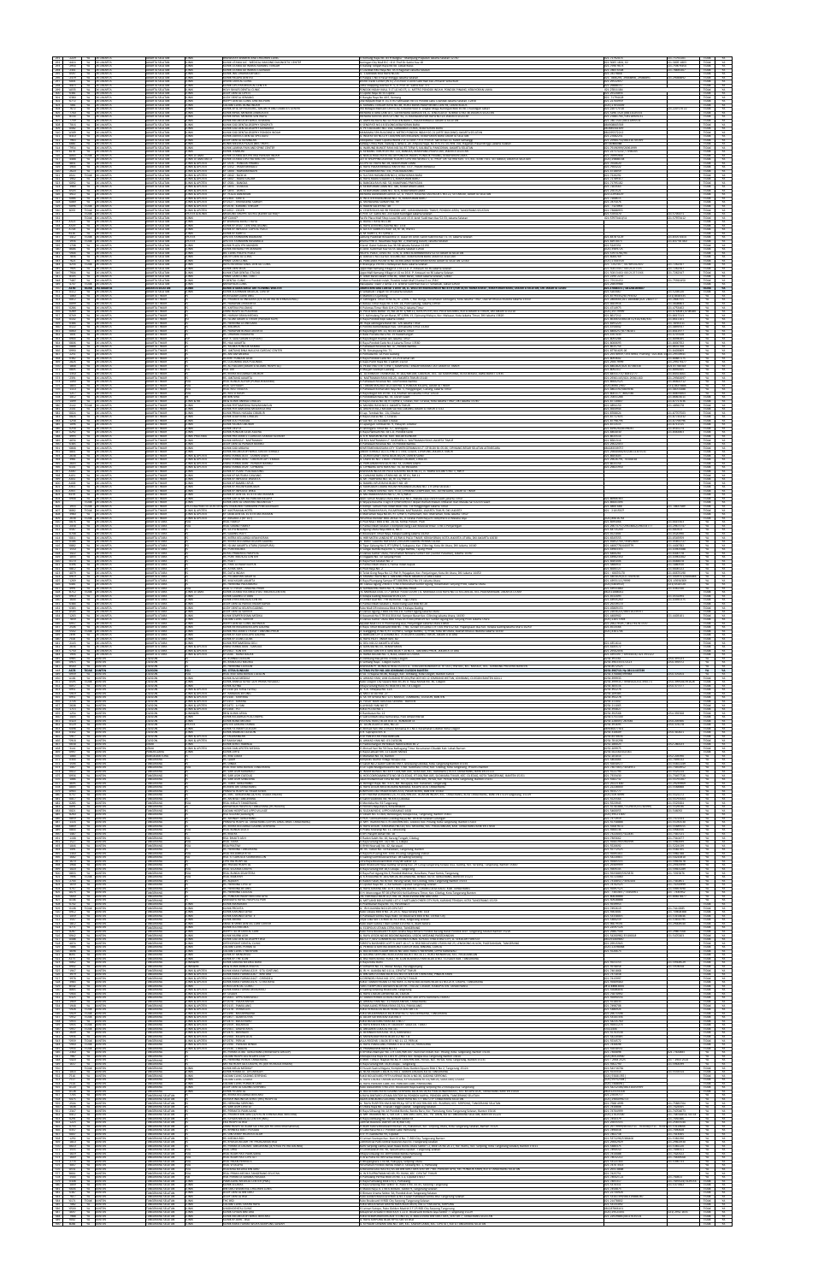|     | 291 2229 YA DKI JAKARTA<br>293 2954 YA DKI JAKARTA<br>294 2341                                                                                                                                                                                                                                                                                                                                |                                  | 292 '4414 YA DKIJAKARTA<br>YA DKI JAKARTA                                                                  | <b>JAKARTA SELATAN</b><br><b>JAKARTA SELATAN</b><br><b>JAKARTA SELATAN</b><br><b>JAKARTA SELATAR</b>         | KLINIK<br><b>KLINIK</b><br>KLINIK<br>KLINIK                                                                     | BRAWIJAYA WOMEN AND CHILDREN CLINIC<br>KLINIK UTAMA AIC - MEDICAL IMAGING DIAGNOSTIC CENTER<br>KLINIK UTAMA AJI WARAS KARANG TENGAH<br>KLINIK UTAMA AJI WARAS CILANDA8 | Jl. Kemang Raya No. 83 H Bangka - Mampang Prapatan Jakarta Selatan 12730<br>ingan City Mall B-C-D Jl. Prof.Dr.Satrio Kav.18<br>Jl. Karang Tengah Raya No 60. Lebak Bulus<br>KKO Raya No. 45 A Ragunan Jakarta Selat                                                                                                                                                                                                                                              | 021-71792074<br>021-3005 1801, 02<br>021-7590 9473<br>021-7883 6308                                 | 021-71792101<br>021-3005 1803<br>021-7590 9454<br>121-78836307              | <b>TIDAK</b><br>TIDAK<br>TIDAK                            | YA<br>TIDAK YA<br>YA<br>YA                         |
|-----|-----------------------------------------------------------------------------------------------------------------------------------------------------------------------------------------------------------------------------------------------------------------------------------------------------------------------------------------------------------------------------------------------|----------------------------------|------------------------------------------------------------------------------------------------------------|--------------------------------------------------------------------------------------------------------------|-----------------------------------------------------------------------------------------------------------------|------------------------------------------------------------------------------------------------------------------------------------------------------------------------|------------------------------------------------------------------------------------------------------------------------------------------------------------------------------------------------------------------------------------------------------------------------------------------------------------------------------------------------------------------------------------------------------------------------------------------------------------------|-----------------------------------------------------------------------------------------------------|-----------------------------------------------------------------------------|-----------------------------------------------------------|----------------------------------------------------|
| 298 | 295 '0597<br>296 2379<br>297 6001<br>'4413                                                                                                                                                                                                                                                                                                                                                    |                                  | YA DKI JAKARTA<br>YA DKI JAKARTA<br>YA DKI JAKARTA<br><b>DKI JAKARTA</b>                                   | <b>JAKARTA SELATAI</b><br><b>JAKARTA SELATAN</b><br>JAKARTA SELATAN<br><b>JAKARTA SELATAI</b>                | KLINIK<br>KLINIK<br>KLINIK<br>klinik                                                                            | KLINIK JMC DHARMA BHAKTI<br>KLINIK PALAPA DENTIST<br>DIVINE DENTAL CLINIC<br>KLINIK CIPUTRA MEDICAL CENTE                                                              | JL. CILANDAK KKO RAYA NO.45<br>Jl. Palapa 1 No 4 Pasar Minggu Jakarta Selatan<br>World Trade Center (WTC) 2 LG floor Jl.Jend.Sudirman kav 29 Karet Setia Budi<br>Lotte Shopping Avenue Fl. 5, Jl. Prof. dr. Satrio Kav. 3-5                                                                                                                                                                                                                                      | 021-781 9848<br>021-7806291, 29<br>021-29522657<br>021-2988813                                      |                                                                             | <b>TIDAK</b><br><b>TIDAK</b><br><b>TIDAK</b><br>TIDAK     | <b>YA</b><br>YA<br><b>YA</b><br>YA                 |
|     | 299 A033<br>300 6381<br>301 6380<br>302 6772                                                                                                                                                                                                                                                                                                                                                  |                                  | YA DKI JAKARTA<br>YA DKI JAKARTA<br>YA DKI JAKARTA<br>YA DKI JAKARTA                                       | <b>JAKARTA SELATAN</b><br>JAKARTA SELATAN<br>JAKARTA SELATAN<br><b>JAKARTA SELATAI</b>                       | KLINIK<br>KLINIK<br>KLINIK<br>CLINIK                                                                            | HOLY SMILES DENTAL CLINIC<br>AUDY DENTAL CIPETE<br>AUDY DENTAL KEMANG<br>HAPPY DENTAL CLINIC ONE BELPARK<br>SILOAM CLINIC BONA INDAH                                   | PONDOK INDAH MALL 3 LT.LG NO.ES, JL. METRO PONDOK INDAH, PONDOK PINANG, KEBAYORAN LAMA<br>Jl. Cipete Raya no 55 Cipete<br>Jl. Bangka Raya No 40 E, Kemang<br>.<br>One Belpark Mall II: LG Jl. Rs Fatmawati No 01 Pondok Labu Cilandak Jakarta Selatan, 12450<br>JL. KARANG TENGAH RAYA NO.8K, RUKO BONA INDAH BISNIS CENTRE, LEBAK BULUS                                                                                                                         | 021-27811184<br>021-29124856<br>021-71794428<br>21-22764959                                         |                                                                             | TIDAK<br>TIDAK<br><b>TIDAK</b><br>TIDAK                   | <b>YA</b><br>YA<br>YA<br>$\frac{YA}{YA}$           |
|     | 303 7081<br>304 7672<br>306 8134<br>307 7739                                                                                                                                                                                                                                                                                                                                                  | YA                               | <b>DKI JAKARTA</b><br>YA DKI JAKARTA<br>305 7740 YA DKIJAKARTA<br>YA DKI JAKARTA                           | JAKARTA SELATAN<br><b>JAKARTA SELATAN</b><br><b>JAKARTA SELATAN</b><br><b>JAKARTA SELATAN</b>                | <b>LINIK</b><br><b>KLINIK</b><br><b>CLINIK</b><br>CLINIK<br>KLINIK                                              | KLINIK AP & AP PEDIATRIC, GROWTH AND DIABETES CENTRE<br>KLINIK MHDC MENARA JAMSOSTEI<br>KLINIK MHDC MENARA SENTRAYA                                                    | The Bellagio Mansion Unit G-02, Ground Floor Jl. Lingkar Mega Kuningan Blok E6 No 1 Kuningan Jaksel<br>MENARA UTARA LANTAI 1, Gd MENARA JAMSOSTEK, JL. JEND.GATOT SUBROTO NO.38 JAKARTA SELATAI<br>MENARA SENTRA JAYA GE UNIT B1, JLJSKANDARSYAH RAYA NO.1A JAKARTA SELATAN.<br>JL. AMPERA RAYA NO.5A PEJATEN BARAT, PASAR MINGGU JAKARTA SELATAN                                                                                                                | 021) 27654439<br>021-220 570 20<br>121-5296 1525 08111025531<br>121-27881766 / 08118905531          | 21-220 570 22                                                               | TIDAK<br>TIDAK<br>TIDAK<br>TIDAK                          | YA<br>YA<br>$\frac{YA}{YA}$                        |
|     | 308 7016<br>309 74482<br>310 A309                                                                                                                                                                                                                                                                                                                                                             |                                  | YA DKI JAKARTA<br>YA DKIJAKARTA<br>YA DKIJAKARTA<br>YA DKI JAKARTA<br>311 '8310 YA DKIJAKARTA              | <b>JAKARTA SELATA!</b><br><b>JAKARTA SELATAN</b><br><b>JAKARTA SELATAN</b><br><b>JAKARTA SELATAN</b>         | klinik<br>klinik.<br>klinik<br>Klinik                                                                           | KLINIK MEDIKIDS BY MHDC KEMAN<br>KLINIK GIGI DENTALOSOPHY SENOPAT<br>KLINIK GIGI DENTALOSOPHY GANDARIA<br>KLINIK GIGI DENTALOSOPHY PONDOK INDA                         | JI. SENOPATI NO.16 SELONG KEBAYORAN BARU<br>JL: PETOGOGAN I NO. 16A, GANDARIA UTARA, KEBAYORAN BARU<br>MAMAMIA SPA BUILDING JL METRO PONDOK INDAH SG-21 (ARTE BUILDING) JAKARTA SELATAN                                                                                                                                                                                                                                                                          | 021-780 1541 08111895531<br>081908663338<br>087885561639<br>081295372212                            |                                                                             | TIDAK<br>TIDAK<br>TIDAK<br>TIDAK<br><b>TIDAK</b>          | YA<br>YA<br>YA<br>YA                               |
|     | 314 7954<br>315 8270                                                                                                                                                                                                                                                                                                                                                                          |                                  | 312 7963 YA DKIJAKARTA<br>313 6483 YA DKIJAKARTA<br>YA DKI JAKARTA<br>YA DKI JAKARTA                       | <b>JAKARTA SELATAN</b><br>JAKARTA SELATAN<br>JAKARTA SELATAN<br>JAKARTA SELATAN<br><b>JAKARTA SELATAN</b>    | KLINIK<br>KLINIK<br><b>KLINIK</b>                                                                               | KLINIK DONTICS DENTAL SPECIALIST<br>AUDY DENTAL KUNINGAN<br>KLINIK MEDIKA PLAZA (BELTWAY)<br>KLINIK LAMINA PAIN AND SPINE CENTER<br>KUNIK TEMBUNI                      | JL. WIJAYA VIII NO.2 RT.004/RW.005 MELAWAI, KEBAYORAN BARU JAKARTA SELATAN<br>Tokopedia Tower Ciputra World 2 Lt 12 Unit 7-9 Jl: Prof Dr. Satrio Kav 11. Karet Semanggi<br>Beltway Office Park, Gedung C lantal 2, Jln. Ampera Raya, No 9-10 RT 007RW. 002, Ragunan, Pasar Minggu Jakarta Selata<br>JL. WARUNG BUNCIT RAYA NO.34, RT.7/RW.5, KALIBATA, PANCORAN, JAKARTA SELATAN<br>IL KEMANG TIMUR VIII NO. L13, BANGKA, MAMPANG PRAPATAN, JAKARTA SELATAN      | 021-27082231<br>021-25984754/081316705399<br>021-79196999/26961999<br>021-2271-5222 / 7198245       |                                                                             | TIDAK<br>TIDAK<br>TIDAK<br>TIDAK                          | $\frac{YA}{YA}$<br>YA<br>YA                        |
|     | 316 A063<br>317 '4488<br>318 '4831<br>319 7944                                                                                                                                                                                                                                                                                                                                                | YA                               | TIDAK DKI JAKARTA<br><b>DKI JAKARTA</b><br>YA DKI JAKARTA<br>YA DKI JAKARTA                                | JAKARTA SELATAN<br>JAKARTA SELATAN<br><b>JAKARTA SELATAN</b><br><b>JAKARTA SELATA!</b>                       | KLINIK UTAMA<br>LINIK UTAMA MATA<br>KLINIK & APOTEK<br>LINIK & APOTEI                                           | KLINIK UTAMA AESTHETIKA PONDOK INDAI<br>KLINIK UTAMA CIPUTRA SMG EYE CLINIC<br>KF. 0535 - PONDOK PINANG<br><b>CF 0152 - PASAR MINGG</b>                                | JL. NIAGA HIJAU RAYA NO.49 PONDOK INDAH, PONDOK PINANG, KEBAYORAN LAMA<br>.<br>LOTTE SHOPPING AVENUE FLOOR 5 CIPUTRA WORLD 1, JL. PROF. DR. SATRIO KAV. 3-5, KEL. KARET KEC. SETIABUDI, JAKARTA SELATAN<br>JL.CIPUTAT RAYA NO 2B, KEBAYORAN LAMA                                                                                                                                                                                                                 | 021-76995948<br>021) 29888138<br>021-7650620<br>21-7943222                                          |                                                                             | TIDAK<br>TIDAK<br>TIDAK<br>TIDAK                          | YA<br>YA<br>YA<br>YA<br>YA                         |
|     | 320 2620<br>$\begin{array}{r@{\hspace{0.2cm}}c@{\hspace{0.2cm}}c@{\hspace{0.2cm}}c@{\hspace{0.2cm}}c@{\hspace{0.2cm}}c@{\hspace{0.2cm}}c@{\hspace{0.2cm}}c@{\hspace{0.2cm}}c@{\hspace{0.2cm}}c@{\hspace{0.2cm}}c@{\hspace{0.2cm}}c@{\hspace{0.2cm}}c@{\hspace{0.2cm}}c@{\hspace{0.2cm}}c@{\hspace{0.2cm}}c@{\hspace{0.2cm}}c@{\hspace{0.2cm}}c@{\hspace{0.2cm}}c@{\hspace{0.2cm}}c@{\hspace{$ |                                  | YA DKI JAKARTA<br>TIDAK DKI JAKARTA<br>YA DKI JAKARTA<br>YA DKI JAKARTA                                    | <b>JAKARTA SELATAN</b><br><b>JAKARTA SELATAN</b><br><b>JAKARTA SELATAN</b><br>JAKARTA SELATAN                | LINIK & APOTER<br><b>CLINIK &amp; APOTER</b><br>(LINIK & APOTEK                                                 | KF. 0004 - RAWAMANGI<br>KF. 0042 - BLOK M<br>KF. 0047 - RADIO DALAM<br>KF. 0581 - BANGKA                                                                               | JL RAYA PASAR MINGGU KM 19 NO. 3 E-F, PASAR MINGGU<br>JL RAYA PASAR MINGGU KM 19 NO. 3 E-F, PASAR MINGGU<br>JL PEGAMBIRAN NO. 33C, PULOAGADUNG<br>JL. SULTAN HASANUDIN NO.1, KEBAYORAN BARL<br>JL RAYA RADIO DALAM 1-5, KEBAYORAN BARU                                                                                                                                                                                                                           | 121-4718059<br>021-7220292<br>021-72789317<br>121-71795182                                          |                                                                             | TIDAK<br>TIDAK<br>TIDAK<br>TIDAK                          | YA<br>YA                                           |
|     | 323 6092<br>324 3989<br>325 6503<br>326 '4922<br>327 6086                                                                                                                                                                                                                                                                                                                                     | YA                               | <b>DKI JAKARTA</b><br>YA DKIJAKARTA<br>YA DKIJAKARTA<br>YA DKI JAKARTA                                     | <b>JAKARTA SELATAN</b><br>JAKARTA SELATAN<br><b>JAKARTA SELATAN</b><br>JAKARTA SELATAN                       | KLINIK & APOTEK<br>KLINIK & APOTEK<br>CLINIK & APOTEK<br>CLINIK & APOTEK<br>LINIK & APOTEI                      | KF. 0055 - CIDODOL<br>KF. 0055 - OSHCS<br>KF. PLAZA DANAMON<br>KF.0364 - SANTA                                                                                         | JL. BANGKA RAYA NO. 50, MAMPANG PRAPATAN<br>JL. KEBAYORAN LAMA NO. 34K, KEBAYORAN LAMA<br>JL KEBAYORAN LAMA NO. 50 A, KEBAYORAN LAMA<br>MENARA DANAMON LANTAI 22, JL. HAJI R. RASUNA SAID BLOK C NO.22, SETIABUDI, JAKARTA SELATAP.<br>L. WOLTER MONGINSIDI NO. 76, KEBAYORAN BARU                                                                                                                                                                               | 121-7203563<br>021-2561521<br>021=22958129<br>121-7208615                                           |                                                                             | TIDAK<br>TIDAK<br>TIDAK<br>TIDAK                          | YA<br>YA<br>YA<br>YA                               |
| 331 |                                                                                                                                                                                                                                                                                                                                                                                               |                                  | 328 '6089 YA DKIJAKARTA<br>329 '6096 TIDAK DKIJAKARTA<br>330 6093 TIDAK DKIJAKARTA<br>TIDAK DKI JAKARTA    | <b>JAKARTA SELATAN</b><br>JAKARTA SELATAN<br><b>JAKARTA SELATAN</b><br>JAKARTA SELATAN                       | <b>CLINIK &amp; APOTEI</b><br><b>KLINIK &amp; APOTEK</b><br><b>KLINIK &amp; APOTEK</b><br>APOTEK & KLINIK       | KF.0527 - SRENGSENG SAWAH<br>KF.0678 - KARANG TENGAH<br>KF.0652 - CEGER<br>MEDICINE SHOPPE SATRIO (KLINIK SATRIO)*                                                     | L. SRENGSENG SAWAH NO. 99<br>JL. RADEN SALEH NO. 4B<br>JL. CEGER RAYA NO.9B PONDOK ARE, JURANGMANGU TIMUR, PONDOK AREN, TANGERANG SELATAN                                                                                                                                                                                                                                                                                                                        | 121-7875076<br>021 - 7323994<br>021-73888955<br>021-5705470                                         | 021-5705471                                                                 | TIDAK<br><b>TIDAK</b><br>TIDAK<br>TIDAK I                 | YA<br>YA<br>YA<br>YA<br>YA                         |
| 332 | 333 AS13 YA DKIJAKARTA<br>334 A519<br>335 A728                                                                                                                                                                                                                                                                                                                                                |                                  | TIDAK DKI JAKARTA<br>YA DKI JAKARTA<br>YA DKI JAKARTA                                                      | <b>JAKARTA SELATAI</b><br><b>JAKARTA SELATAN</b><br>JAKARTA SELATAN<br>JAKARTA SELATAN                       | KLINIK<br><b>KLINIK</b><br>KLINIK                                                                               | <b>KF.WARUNG BUNCIT RAYA</b><br>KLINIK KF.0510 - LENTENG AG<br>KLINIK KF.INHOUSE CAPITAL PLACE                                                                         | Jl. Prof. Dr. Satrio No. 21E karet Kuningan Jakarta Selatan<br>Pacific Place Mall Shop Lewil B1 unit 15 Jl. Jend. Sudirman Kav 52-53, Jakarta Selatan<br>JL. BUNCIT RAYA NO.189<br>IL RAYA LENTENG AGUNG NO. 131E<br>JL. GATOT SUBROTO KAV. 18, RT 06, RW 01                                                                                                                                                                                                     | 121-57973410/1                                                                                      | -57973412                                                                   | TIDAK<br>TIDAK<br>TIDAK<br><b>TIDAK</b>                   | YA<br>YA<br>YA<br><b>YA</b>                        |
| 338 | 336 B126<br>337 1412<br>1936<br>339 1708                                                                                                                                                                                                                                                                                                                                                      |                                  | YA DKI JAKARTA<br>TIDAK DKI JAKARTA<br>TIDAK DKI JAKARTA<br>YA DKI JAKARTA                                 | <b>JAKARTA SELATA!</b><br><b>JAKARTA SELATAN</b><br><b>JAKARTA SELATA!</b><br>JAKARTA SELATAN                | CLINIK<br>APOTEK<br>APOTEK<br>KLINIK                                                                            | KLINIK KF.KAHFI 1<br>APOTEK FARMARIN BIDAKARA<br>APOTEK FARMARIN RASAMALA<br>KLINIK PLAZA YPK MANDIRI                                                                  | JL M. KAHFI 1, RT.5/RW.1<br>Gedung Pusdiklat Binasentra Lt. Dasar Jin Jend. Gatot Subroto Kav 71-73, Jakarta Selatan<br>a PPBI Jl. Rasamala Raya No. 2, Menteng Dalam, Jakarta Selatan<br>Jl.Jend. Gatot Subroto kav 36-38 Jakarta Selatan 12190                                                                                                                                                                                                                 | 021-8378 5129<br>021-829 0073<br>021-5245351                                                        | 121-8370 4414<br>1-837 94 460                                               | TIDAK<br>TIDAK<br>TIDAK<br>TIDAK                          | YA<br>YA<br>YA<br>YA                               |
|     | 340 8686<br>341 '5904<br>342 7836                                                                                                                                                                                                                                                                                                                                                             |                                  | YA DKI JAKARTA<br>YA DKI JAKARTA<br>YA DKI JAKARTA<br>YA DKI JAKARTA                                       | <b>JAKARTA SELATAN</b><br>JAKARTA SELATAN<br><b>JAKARTA SELATAN</b><br>JAKARTA SELATAN                       | KLINIK<br>KLINIK<br><b>CLINIK</b><br>KLINIK                                                                     | KLINIK MENARA YPK MANDI<br>BIC CLINIC PACIFIC PLACE<br>SOUTH DENTAL CLINIC<br>PRIME CARE CLINIC                                                                        | Jl. Jend. Sudirman Kav 54-55 Jakarta Selatan 12920<br>PACIFIC PLACE, LEVEL B1 - 17A, JL. JEND.SUDIRMAN KAV.52-53 JAKARTA SELATAI<br>IL DAKSA 1 No.11a Kel. SELONG Kec. KEBAYORAN BARU JAKARTA SELATAN<br>JL. PANGLIMA POLIM IX No.16 MELAWAI KEBAYORAN BARU JAKARTA SELATAN 12160                                                                                                                                                                                | 021) 3909725<br>021-57973781/93<br>021-6000769<br>021) 27083505                                     |                                                                             | TIDAK<br>TIDAK<br>TIDAK<br>TIDAK                          | YA<br>YA                                           |
|     | 343 7621<br>345 7905<br>346 7904<br>347 8145                                                                                                                                                                                                                                                                                                                                                  |                                  | TIDAK DKI JAKARTA<br>YA DKI JAKARTA<br>YA DKI JAKARTA<br>YA DKI JAKARTA                                    | <b>JAKARTA SELATAN</b><br><b>JAKARTA SELATA!</b><br><b>JAKARTA SELATAN</b><br><b>JAKARTA SELATAN</b>         | <b>KLINIK</b><br>klinik<br>KLINIK<br>KLINIK                                                                     | <b>RAYS INTERNATIONAL DENTAL CLINIC</b><br>KLINIK DENTIKIDS<br>KLINIK STAR DENTAL STUDIO<br>PRIME CARE CLINIC TEBET                                                    | II. Brawijaya VIII No 2 Kebayoran Baru Jakarta Selatan<br>Lippo Mali Kemang Vilage Lt 2 no 21 Jl. P. Antasari no 36 Jakarta Selatan<br>Lippo Mall Kemang Village Lt LG no 26 Jl. P. Antasari no 36 Jakarta Selatan<br>I. Tebet Barat Dalam II No 46, Tebet Barat, Tebet Jakarta Selatan, 12810                                                                                                                                                                   | 21-7262347:087889282802<br>121-50813447; 08121257135<br>121-50813460; 081212571366<br>121-2290 2205 | 21-7262347<br>1-7262347<br>121-7262347                                      | TIDAK<br>TIDAK<br>TIDAK<br>TIDAK                          | YA<br>YA<br>YA<br>YA<br>YA<br>YA                   |
|     | 348 7487<br>349 '4707<br>351 0112                                                                                                                                                                                                                                                                                                                                                             |                                  | YA DKI JAKARTA<br>350 A190 TIDAK DKI JAKARTA<br>YA DKI JAKARTA                                             | JAKARTA SELATAN<br><b>JAKARTA SELATAN</b><br><b>JAKARTA SELATAN</b><br><b>JAKARTA SELATAI</b>                | CLINIK<br>CLINIK<br><b>CLINIK</b>                                                                               | PI DENTAL CLINIC<br>KLINIK UTAMA SMILE ART FLEMING WOLTER<br>KLINIK SUDIRMAN MEDICAL CENTE                                                                             | Jl. Metro Pondok Indah, Pondok Indah Mall 2 lantal 2 no 238 C<br>Mayapada Tower 2 lantal 2 Jl. Jendral Sudirman Kav.27 Setiabudi, Jaksel 12920<br>GRAHA BINTARA LANTAI 1 UNIT 1B, JL. WOLTER MONGONSIDI NO.43 RT/RW 01/01 RAWA BARAT, KEBAYORAN BARU, JAKARTA SELATAN, DKI JAKARTA 12180<br>. Setiabudi Tengah no 18 Jakarta Selatan                                                                                                                             | 121-75920450<br>121-29859988<br>021 27088371 / 081281069007<br>21-520346                            | 1-75920450<br>1-5204120                                                     | TIDAK<br>TIDAK                                            | YA<br>YA<br>TIDAK YA<br>TIDAK YA                   |
| 355 | 352 '1080<br>353 0012<br>354 '0099<br>$-2286$                                                                                                                                                                                                                                                                                                                                                 | YA.                              | YA DKI JAKARTA<br><b>DKI JAKARTA</b><br>YA DKI JAKARTA<br>YA DKI JAKARTA                                   | <b>JAKARTA TIMUR</b><br><b>JAKARTA TIMUR</b><br>JAKARTA TIMUR<br><b>JAKARTA TIMUR</b>                        |                                                                                                                 | RS KESDAM CUANTUNG<br>RS. PREMIER JATINEGARA (d/h RS MITRA INTERNASIONAL<br>RS HARAPAN IAYAKARTA<br>RS. KARTIKA PULOMAS                                                | Ji. Mahoni 2 Cijantung<br>Ji. Jatinegara Timur III No.50, RT.2/RW.7, Rw. Bunga, Kecamatan Jatinegara, Kota Jakarta Timur, Daerah Khusus Ibukota Jakarta 13310<br>Jl. Bekasi Timur Raya No. 6 Km. 18, Pulo Gadung, Jakarta, 13930<br>Il. Pulomas Timur Blok G-H-C/1 No.2 Jakarta Timur                                                                                                                                                                            | 121-87793332/87793333<br>121-2800666;021-280<br>021-4603916<br>021-4714973                          | 21) 8400535<br>21-2800755<br>21-4608863<br>121-4753402                      | YA<br>YA<br>YA<br>YA                                      | $\frac{YA}{YA}$<br>YA<br>YA                        |
|     | 358 '0102 YA DKI JAKARTA<br>359 70386                                                                                                                                                                                                                                                                                                                                                         |                                  | 356 '0289 YA DKIJAKARTA<br>357 '0749 YA DKIJAKARTA<br>YA DKI JAKARTA                                       | <b>JAKARTA TIMUR</b><br><b>JAKARTA TIMU</b><br><b>JAKARTA TIMUR</b><br><b>JAKARTA TIMUR</b>                  |                                                                                                                 | OMNI HOSPITAL PULOMAS<br><b>RS. HARUM SISMA MEDIK</b><br>RS. ISLAM JAKARTA TIMUR (PONDOK KOPI)<br>RS. HERMINA JATINEGARA                                               | JL PULO MAS BARAT VI. NO.20 RT.1/RW.11, KAYU PUTIH, KEC.PULO GADUNG, KOTA JAKARTA TIMUR, DKI JAKARTA 13210<br>I. S. Kalimalang Tarum Barat, RT.1/RW.13, Cipinang Melayu, Kec. Makasar, Kota Jakarta Timur, DKI Jakarta 13620<br>Jl. Raya Pondok Kopi Jakarta 13460<br>Jln. Raya Jatinegara Barat No. 126 Jakarta Timur                                                                                                                                           | (021) 29779999<br>021-861721<br>021-8630654/8610471/314/340/341<br>021-8191223                      | 021-4718081-4708180<br>$-861721$<br>021-8611101<br>$1 - 819011$             | YA 1<br>YA<br>YA<br>YA                                    | YA<br>YA<br>YA<br>YA                               |
| 361 | 360 0122 YA DKIJAKARTA<br>.0900<br>362 '1001<br>363 0944                                                                                                                                                                                                                                                                                                                                      |                                  | YA DKI JAKARTA<br>YA DKI JAKARTA<br>YA DKI JAKARTA                                                         | <b>JAKARTA TIMUR</b><br><b>JAKARTA TIMUR</b><br><b>JAKARTA TIMUR</b><br><b>JAKARTA TIMUR</b>                 |                                                                                                                 | RS. MEDIROS<br>RS. HARAPAN BUNDA JAKARTA<br>RS. DHARMA NUGRAHA<br>RSP. R. SAID SUKANTO (POLR                                                                           | Jl. Perintis Kemerdekaan Kav. 149 Jakarta Timur, 13260<br>Jl. Raya Bogor Km. 22, No.44 Jakarta Timu<br>Jl. Balai Pustaka Baru No. 19 Rawamangun<br>Jl. Raya Bogor Kramat Jati Jakarta T                                                                                                                                                                                                                                                                          | 021-4750042<br>121-8400257/<br>021-4707433<br>021-8093288                                           | 21-4891937<br>1-841297<br>21-4707428<br>21-8094005                          | YA<br>YA<br>YA<br>YA                                      | <b>YA</b><br>YA<br>YA<br>YA                        |
|     | 364 '0806<br>365 0888<br>366 '0990<br>367 2251                                                                                                                                                                                                                                                                                                                                                |                                  | YA DKI JAKARTA<br>YA DKI JAKARTA<br>YA DKI JAKARTA<br>YA DKI JAKARTA                                       | <b>JAKARTA TIMUR</b><br><b>JAKARTA TIMUR</b><br><b>JAKARTA TIMUR</b><br><b>JAKARTA TIMUR</b>                 |                                                                                                                 | RS. HAJI JAKARTA<br><b>RS. YADIKA PONDOK BAMBL</b><br>RS. JANTUNG BINA WALUYA CARDIAC CENTE<br>RS. ANTAM MEDIKA                                                        | Jl. Raya Pondok Gede No.4 Jakarta Timur 13560<br>Jl. Pahlawan Revolusi No. 47, Pondok Bamb<br>Jl. TB. Simatupang No. 71<br>Jl. Pemuda No. 1A Pulo Gadung                                                                                                                                                                                                                                                                                                         | 021-8000693<br>021-8615754<br>021-87781605-06<br>121-29378939 / 29378941; Hunting: 021-806-3        | 121-8000702<br>121-8631708<br>021-8403869<br>021-29378941                   | YA<br>YA<br>YA<br>YA                                      | YA<br>YA<br>YA                                     |
|     | 368 '0382 YA DKI JAKARTA<br>369 2826<br>370 1868                                                                                                                                                                                                                                                                                                                                              |                                  | YA DKI JAKARTA<br>YA DKI JAKARTA                                                                           | <b>JAKARTA TIMUR</b><br><b>JAKARTA TIMUR</b><br><b>JAKARTA TIMUR</b><br><b>JAKARTA TIMUR</b>                 |                                                                                                                 | RS MHT PONDOK GEDE<br>RS. COLUMBIA ASIA PULOMAS<br>RS. AL-FAUZAN (JAKARTA ISLAMIC<br>RSU. UKI                                                                          | Jl. Raya Pondok Gede No. 23-25 Kramat Jati<br>JI. Kayu Putih Raya No.1 Jaktim 13210<br>JL: PEDATI NO 3 RT 5 RW 7, KAMPUNG TENGAH KRAMAT JATI JAKARTA TIMUR                                                                                                                                                                                                                                                                                                       | 021-8093602<br>21-2945 9995<br>021-8402821/021-8<br>021-8092317                                     | 021-80887175<br>1-2955 947<br>2187780318<br>21-8092445                      | YA<br>YA<br>YA                                            | YA<br>$\frac{YA}{YA}$                              |
|     | 373 2391<br>374 1490                                                                                                                                                                                                                                                                                                                                                                          | YA                               | YA DKIJAKARTA<br>YA DKIJAKARTA<br>YA DKI JAKARTA<br><b>DKI JAKARTA</b>                                     | <b>JAKARTA TIMUR</b><br><b>JAKARTA TIMUR</b><br><b>JAKARTA TIMUR</b><br><b>JAKARTA TIMUR</b>                 |                                                                                                                 | RS. MITRA KELUARGA CIBUBUR<br>RS. JANTUNG JAKARTA<br>RSIA: BUNDA ALIYAH (PONDOK BAMBU)<br>RSIA SAYYIDAH                                                                | Jl. Mayjen Soetoyo Cawang<br>JL. ALTERNATIF TRANSYOGI, RT.002/RW.009, CIBUBUR,  KEC. JATISAMPURNA, KOTA BEKASI, JAWA BARAT 17435<br>L. MATRAMAN RAYA NO.23, JAKARTA TIMUR 13140<br>I. Pahlawan Revolusi No. 100 Pondok Bambu<br>IL. TAMAN MALAKA SELATAN NO. 6 PONDOK KELAPA, JAKARTA TIMUR                                                                                                                                                                      | 021-84311771/84311777<br>121-29361165/021-29361160<br>121-86602525<br>021) 8690 2950                | 21-84311661<br>!1-29360697<br>!1-86600712                                   | YA<br>YA<br>YA<br>YA<br>YA                                | YA<br>YA<br>$\frac{YA}{YA}$                        |
|     | 377 1217<br>378 1012<br>379 '1499                                                                                                                                                                                                                                                                                                                                                             | YA                               | 375 1843 YA DKIJAKARTA<br>376 1110 YA DKIJAKARTA<br>YA DKI JAKARTA<br><b>DKI JAKARTA</b><br>YA DKI JAKARTA | <b>JAKARTA TIMUR</b><br><b>JAKARTA TIMUR</b><br><b>JAKARTA TIMUR</b><br><b>JAKARTA TIMUR</b>                 | KLINIK & RB                                                                                                     | RSIA, RESTI MULYA<br>RS. RESTU KASIH<br>RB IBIN SINA<br>RB & KLINIK ANNISA CIRACAS                                                                                     | l. Pahlawan Komarudin Raya No. 5, Penggilingan, Cakung, Jakarta Timu<br>Jl. Raya Bogor Km 19 No. 3 A, Kramat Jati Jakarta Timur 13510<br>I. Pendidikan Raya No. 33, Duren Sawit<br>Jl. Raya Ciracas No.18, RT.4/RW.2, Ciracas, Kec. Ciracas, Kota Jakarta Timur, DKI Jakarta 13740                                                                                                                                                                               | 21-4802192/4803<br>021-8001177, 8002166<br>121-70651288<br>021-87720807                             | 121) 864 9886<br>21-48701488<br>21-80876063<br>021-86601611<br>021-87717636 | YA<br>YA<br>TIDAK<br>TIDAK                                | YA<br>YA<br>YA<br>YA<br>YA                         |
| 382 | 381 '2141 YA DKI JAKARTA<br>383 '0826 YA DKI JAKARTA                                                                                                                                                                                                                                                                                                                                          |                                  | 380 2142 TIDAK DKI JAKARTA<br>YA DKI JAKARTA                                                               | <b>JAKARTA TIMUR</b><br><b>JAKARTA TIMUR</b><br><b>JAKARTA TIMU</b><br><b>JAKARTA TIMUR</b>                  | KLINIK<br>KLINIK<br>KLINIK                                                                                      | KLINIK PERTAMEDIKA RAWAMANGUN<br>KLINIK PERTAMEDIKA MEDAN SATRIA<br>KLINIK SEJAHTERA CIRACAS                                                                           | <b>JL. MUNDU RAYA NO.1 JAKARTA TIMUR</b><br>JL. ARUN IX NO.2 MEDAN SATRIA CAKUNG JAKARTA TIMUR 17132<br>II. Lap. Tembak No. 2A, Cibubu<br>Jl. Raya Ciracas No. 7, Ciracas                                                                                                                                                                                                                                                                                        | 021-4894150<br>021-4604944<br>021-87717635                                                          | 21-4894278<br>21-8770750<br>121-87720232                                    | TIDAK<br>TIDAK<br>TIDAK<br>TIDAK                          | YA<br>YA<br>YA<br>YA                               |
| 386 | 384 1258<br>385 1096<br>'0258<br>387 '0292                                                                                                                                                                                                                                                                                                                                                    | YA                               | YA DKI JAKARTA<br>YA DKI JAKARTA<br><b>DKI JAKARTA</b><br>YA DKI JAKARTA                                   | <b>JAKARTA TIMUR</b><br><b>JAKARTA TIMUR</b><br><b>JAKARTA TIMUR</b><br><b>JAKARTA TIMUR</b>                 | KLINIK<br>KLINIK<br><b>GLINIK</b><br>KLINIK                                                                     | KLINIK SUCI HUSADA<br>KLINIK YADIKA CIBUBUR<br>(LINIK DEVITA<br>KLINIK PONDOK GEDE AGUNG                                                                               | Jl. Suci No. 21 Susukan Ciracas<br>Jl. Lapangan Tembak No. 9, Pekayon-Cibubur<br>latinegara Timur No. 57, Jatinegara<br>Jl. Raya Hankam No. 58 C-D, Pondok Gede                                                                                                                                                                                                                                                                                                  | 021-87798796<br>021-8711515<br>121-8196260/<br>021-8464030                                          | 1-87798796<br>021-8711515<br>1-8516274<br>21-8463803                        | <b>TIDAK</b><br>TIDAK<br>TIDAK<br>TIDAK                   | YA<br><b>YA</b><br>YA<br>YA                        |
|     | 388 4993<br>389 4656<br>390 6385<br>391 6868                                                                                                                                                                                                                                                                                                                                                  |                                  | YA DKI JAKARTA<br>YA DKI JAKARTA<br>YA DKI JAKARTA<br>YA DKI JAKARTA                                       | <b>JAKARTA TIMUR</b><br><b>JAKARTA TIMUR</b><br><b>JAKARTA TIMUR</b><br><b>JAKARTA TIMUR</b>                 | KLINIK PRATAM<br>KLINIK<br><b>KLINIK</b><br>KLINIK                                                              | KLINIK PRATAMA ST.CAROLUS SAMADI KLENDER<br>KLINIK MIRACLE - MATRAMAN<br>AUDY DENTAL PONDOK BAMB<br>KLINIK GIGI ARDAYA                                                 | JL. K.H. MAISIN NO 58. KAV. BULAK KLENDER<br>GD BCA MATRAMAN LT. BASEMEN JL. MATRAMAN RAYA JAKARTA TIMUF<br>Jl. Pahlawan Revolusi No. 15 Pondok Bambı<br>APARTEMEN BASSURA CITY TOWER GERANIUM LT. GF BLOK BL 05-06, CIPINANG BESAR SELATAN JATINEGAR                                                                                                                                                                                                            | 021-8615514<br>021-8581316<br>021-29622453<br>081283339757                                          |                                                                             | TIDAK<br>TIDAK<br>TIDAK<br>TIDAK                          | YA<br><b>YA</b><br>YA<br>YA                        |
|     | 394 3981<br>395 2643                                                                                                                                                                                                                                                                                                                                                                          |                                  | YA DKI JAKARTA<br>393 2638 YA DKIJAKARTA<br>YA DKI JAKARTA<br>YA DKI JAKARTA                               | <b>JAKARTA TIMUR</b><br><b>JAKARTA TIMUR</b><br><b>JAKARTA TIMUR</b><br><b>JAKARTA TIMUR</b>                 | KLINIK<br>KLINIK & APOTEI<br><b>KLINIK &amp; APOTE</b><br><b>KLINIK &amp; APOTEK</b>                            | KLINIK MEDIKIDS BY MHDC GREEN TERRACE<br>KIMIA FARMA.0147 - DUREN SAWIT<br>KIMIA FARMA.0450 - CIBUBUR LAP.TEMBAK<br>KIMIA FARMA.0049 - PONDOK BAMB                     | GREEN TERRACE D/2 JL.PINTU 1 TMII, CEGER, CIPAYUNG JAKARTA TIMUR<br>JL. DUREN SAWIT RAYA BLOK B3/29, DUREN SAWIT<br>JE BUNGN JAWIT KATA BEDA BIJ 22, BUNGN JAWIT<br>JE LAWU B1 NO. 1 BUKIT PERMAI CIBUBUR, CIRACAS                                                                                                                                                                                                                                               | 021-29840066/63 08111875531<br>021-8605603<br>121-29626791 70300018<br>021-8615154                  |                                                                             | TIDAK<br>TIDAK<br>TIDAK<br>TIDAK                          | $YA$<br>YA<br>$YA$<br>$YA$                         |
|     | 396 6141<br>397 A430                                                                                                                                                                                                                                                                                                                                                                          | YA                               | YA DKIJAKARTA<br>YA DKIJAKARTA<br>YA DKI JAKARTA<br>DKI JAKARTA                                            | <b>JAKARTA TIMUR</b><br><b>JAKARTA TIMUR</b><br><b>JAKARTA TIMUR</b><br><b>JAKARTA TIMUR</b>                 | KLINIK & APOTEK<br><b>GLINIK</b><br><b>TIMIK</b>                                                                | KIMIA FARMA.0529 - CIPINANG<br>KLINIK KF.PLANT PULOGADUNG<br>KLINIK KF.MUTIARA CAWANG<br>KLINIK KF.INHOUSE WASKIT/                                                     | JL. CIPINANG JAYA RAYA NO. 74, JATINEGARA<br>KAWASAN INDUSTRI PULO GADUNG BLOK N6-11, JL. RAWA GELAM 5 NO. 1, RW.9<br>L. CAWANG BARU UTARA NO.18, RT 01, RW 11<br>L. MT. HARYONO NO. 10, RT 11/ RW 11                                                                                                                                                                                                                                                            | 021-29821930                                                                                        |                                                                             | TIDAK<br>TIDAK<br>TIDAK<br>TIDAK                          | YA<br>YA<br>YA<br>YA                               |
|     | 400 M38<br>402 A915<br>403 B159                                                                                                                                                                                                                                                                                                                                                               | YA                               | YA DKI JAKARTA<br>401 A911 YA DKIJAKARTA<br>YA DKI JAKARTA<br><b>DKI JAKARTA</b>                           | <b>JAKARTA TIMUR</b><br><b>JAKARTA TIMUR</b><br><b>JAKARTA TIMUR</b><br><b>JAKARTA TIMUR</b>                 | <b>KLINIK</b><br>klinik<br><b>KLINIK</b><br>KLINIK                                                              | KLINIK KF.BAMBU APUS<br>KLINIK KE.HALIM KOMODOR<br>KLINIK KF.INHOUSE WIKA<br>KLINIK KF.DENTAL ESTETIK MATRAM                                                           | JL. BAMBU APUS RAYA BLOK F NO. 49<br>IL. KOMODOR UDARA HALIM PERDANAKUSUMA NO. 1 RT/RW 003/0<br>L. DI. PANJAITAN NO. KAV. 9-10, CIPINANG CEMPEDAK, KECJATINEGARA, JAKARTA TIMUF<br>L. MATRAMAN RAYA NO.57, RT.5/RW.4                                                                                                                                                                                                                                             |                                                                                                     |                                                                             | TIDAK<br>TIDAK<br>TIDAK<br>TIDAK                          | YA<br>YA<br>YA<br>YA                               |
| 405 | 404 '0948                                                                                                                                                                                                                                                                                                                                                                                     |                                  | YA DKI JAKARTA<br>TIDAK DKI JAKARTA<br>406 1933 TIDAK DKI JAKARTA<br>407 8082 TIDAK DKI JAKARTA            | <b>JAKARTA TIMUR</b><br><b>JAKARTA TIMUR</b><br><b>JAKARTA TIMUR</b>                                         | KLINIK<br>KLINIK                                                                                                | ΚΙΙΝΙΚ SΑΡΤΑ ΜΙΤΒΑ ΡΩΝΠΩΚ ΚΕΙ ΑΡΑ<br>KLINIK DENTAL UNIVERSE INDONESIA *<br>APOTEK&PRAKTEK DOKTER BAPOTIK&KLINIK FARMARIN PENGGILINGAN                                  | Jalan Taman Malaka Utara Blok A12 No 1, Malaka Jaya Duren Sawit jakarta Timur<br>II. Wijaya Kusuma 3 Gg 6 RT/RW 009/007 depan Rumah Makan Jimbaran Ikan Malaka Sari Duren Sawit                                                                                                                                                                                                                                                                                  | 021-86906363<br>021-86601494<br>021-4800 688<br>021 - 210155                                        | 021-4800 689                                                                | <b>TIDAK</b><br>TIDAK<br>TIDAK I<br><b>TIDAK</b>          | YA<br>YA<br>YA<br>YA                               |
|     | 408 3980 YA DKIJAKARTA<br>410 0876 YA DKI JAKARTA<br>7458                                                                                                                                                                                                                                                                                                                                     |                                  | 409 '2638 TIDAK DKIJAKARTA<br>YA DKI JAKARTA                                                               | <b>JAKARTA TIMUR</b><br><b>JAKARTA TIMUR</b><br><b>JAKARTA UTARA</b><br><b>JAKARTA LITARA</b>                | KLINIK & APOTEK<br><b>INIK &amp; APOTER</b>                                                                     | KF. 0048-DENTAL ESTETIK MATRAMA<br>KF. MALAKA 2 (KF 147)<br>RSIA, FAMILY<br>RSIA GRAND FAMILY                                                                          | Jl. Matraman Raya No.85, RT.1/RW.5, Palmeriam, Kec. Matraman, Kota Jakarta Timu<br>nnas Klender Blok 28 Kav .9L, Jl Teratai Putih Raya RT 006/RW 013 Malaka Jaya<br>Jl. Pluit Mas I Blok A No. 2A-5A, Komp. Perum, Pluit<br>Pantai Indah Selatan 1 Kom<br>plek Elang Laut Bou                                                                                                                                                                                    | (021) 86616763<br>021-6695066<br>121-29673737/29678062/296333777                                    | 21-6615563<br>021-29673747                                                  | TIDAK<br><b>TIDAK</b><br>YA                               | YA<br>YA<br>YA                                     |
|     | 412 0587 YA DKI JAKARTA<br>413  0748<br>414 '0011 YA DKI JAKARTA<br>415 0186                                                                                                                                                                                                                                                                                                                  |                                  | YA DKI JAKARTA<br>YA DKI JAKARTA                                                                           | JAKARTA UTARA<br><b>JAKARTA UTARA</b><br><b>JAKARTA UTARA</b><br><b>JAKARTA UTARA</b>                        |                                                                                                                 | RS. SATYA NEGARA<br><b>RS. GADING PLUIT</b><br>RS. MITRA KELUARGA KEMAYORAN<br>RS. MITRA KELUARGA KELAPA GADII                                                         | Jl. Agung Utara Raya Blok A, No.1<br>rd Timur Raya, Kelapa Gading Jakarta 14250<br>JL HBR MOTIK LANDAS RT.13/RW.6 PACU TIMUR, KEMAYORAN, KOTA JAKARTA UTARA, DKI JAKARTA 10630<br>L. BUKIT GADING RAYA KAV.2 KELAPA GADING PERMAI 14240                                                                                                                                                                                                                          | 021-64715200<br>021-4521001<br>021-6545555<br>021-45852700 / 45852800                               | 021-687813<br>121-4520390<br>021-6545959<br>1-4585272                       | YA I<br>YA .<br>YA I<br>YA                                | YA<br>YA<br>YA<br>YA                               |
|     | 416 '0882 YA DKIJAKARTA                                                                                                                                                                                                                                                                                                                                                                       |                                  | 417 1550 YA DKIJAKARTA<br>418 1422 YA DKIJAKARTA<br>YA DKI JAKARTA                                         | <b>JAKARTA UTARA</b><br>JAKARTA UTARA<br><b>JAKARTA UTARA</b><br>JAKARTA UTARA                               |                                                                                                                 | RS. ISLAM JAKARTA UTARA (SUKAPUR<br>RS. PURI MEDIKA<br><b>ROYAL PROGRESS HOSPITAL</b><br>RS. PORT MEDICAL CENTER                                                       | Jl. Tipar Cakung No.5, RT.5/RW.5, Sukapura, Kec. Cilincing, Kota Jkt Utara, DKI Jakarta 1414<br>Jl. Sungai Bambu Raya No. 5, Sungai Bambu, Tajung Priok<br>Jl. Danau Sunter Utara, Perumahan Nirwana Sunter Asri (Sunter Paradise), Jakarta 14350<br>Jl. Enggano No. 10 Tanjung Priok                                                                                                                                                                            | 021-4400778/44007<br>021-43903355<br>021-6400261<br>121-43902350                                    | 21-4400782<br>21-43903388<br>021-6400778<br>1-43902302                      | YA<br>YA<br>YA<br>YA                                      | <b>YA</b><br>$YA$<br>YA                            |
|     | $\begin{array}{r} 421 \qquad \quad \  \  \, 0396 \\ 422 \qquad \quad \  \  \, 0812 \end{array}$                                                                                                                                                                                                                                                                                               |                                  | YA DKI JAKARTA<br>YA DKIJAKARTA<br>YA DKIJAKARTA<br>YA DKI JAKARTA                                         | JAKARTA UTARA<br><b>JAKARTA UTARA</b><br><b>JAKARTA UTARA</b><br><b>JAKARTA UTARA</b>                        |                                                                                                                 | RS. PLUIT<br>RS. PANTAI INDAH KAPUK<br>RS. ATMA JAYA<br>RS. DUTA INDAH                                                                                                 | Jl. Raya Pluit Selatan No. 2<br>Jl. Pantai Indah Utara 3, Pantai Indah Kapuk<br>Jl. Pluit Raya No. 2<br>ri. Hrunt varya<br>II. Teluk Gong Raya No.12, RW.9, Pejagalan, Kec. Penjaringan, Kota ikt Utara, DKI Jakarta 14450<br>JL. KRAMAT RAYA NO.1 TANJUNG PRIOK JAKARTA UTARA 14260                                                                                                                                                                             | 021-6685006<br>021-5880911<br>021-6606127<br>121-66676170                                           | 121-6684878<br>21-5880910<br>21-6606122<br>1-66676190                       | YA<br>YA<br>YA<br>YA                                      | $YA$<br>$YA$<br>YA<br>YA                           |
|     | 423 '4079 YA<br>424 '0919 YA<br>427 4991                                                                                                                                                                                                                                                                                                                                                      |                                  | DKI JAKARTA<br>425 '1269 YA DKIJAKARTA<br>426 6481 YA DKIJAKARTA<br>YA DKI JAKARTA                         | <b>JAKARTA UTARA</b><br>JAKARTA UTARA<br><b>JAKARTA UTARA</b><br><b>JAKARTA UTARA</b>                        |                                                                                                                 | RS. PELABUHAN JAKART<br>RS. MULYASARI JAKARTA<br>RS. HERMINA PODOMORO<br>RSIA, ST.YUSUF TANJUNG PRIO                                                                   | Jl. Raya Plumpang Semper RT.006/RW.012 No 19, Jakarta Utara<br>Jln. Danau Agung 2 Blok E-3 No.4 Kelurahan Sunter Agung, Kecamatan Tanjung Priok, Jakarta Utara<br>JL. GANGGENG RAYA NO. 9, TANJUNG PRIOK                                                                                                                                                                                                                                                         | 021-4403026 021-4<br>021-43931111/9999<br>021) 6404910<br>021-43931880                              | 1-4403551/44<br>21-43934369<br>(21) 6518720<br>021-4361330                  | YA<br>YA<br>YA<br>YA                                      | $\frac{YA}{YA}$<br>YA<br>YA                        |
|     | 428 8712                                                                                                                                                                                                                                                                                                                                                                                      |                                  | TIDAK DKI JAKARTA<br>429 19910 YA DKIJAKARTA<br>430 1644 YA DKI JAKARTA                                    | JAKARTA UTARA<br>JAKARTA UTARA<br><b>JAKARTA UTARA</b><br><b>JAKARTA UTARA</b>                               | KLINIK UTA<br>KLINIK<br>KLINIK                                                                                  | KLINIK UTAMA FASTMED (FAST N<br>KLINIK GADING UTAMA<br>KLINIK SYIFA MEDICAL CENTRE<br>AUDY DENTAL PANTAI INDAH KAPUK                                                   | .<br>TC MANGGA DUA, LT.7 (DEKAT FOOD COURT) JL. MANGGA DUA RAYA NO.11 KEL ANCOL, KEC PADEMANGAN, JAKARTA UTAR<br>Jl. Kelapa Gading Boulevard CN 2/25<br>Jl. Lontar Luar No. 7 Rt 04/04 Kel. Tugu Utara<br>Jl. Pantai Indah Selatan 1, Ruko Elang Laut Blok No 20                                                                                                                                                                                                 | 082111088012<br>021-4532493<br>021-43935260<br>021-29219170                                         | 021-4532494<br>121-43935375                                                 | TIDAK<br>TIDAK<br><b>TIDAK</b><br><b>TIDAK</b>            | YA<br>YA<br>YA<br>YA                               |
|     | 433 A503<br>434 1263<br>435 7839                                                                                                                                                                                                                                                                                                                                                              |                                  | YA DKI JAKARTA<br>YA DKI JAKARTA<br>YA DKI JAKARTA                                                         | JAKARTA UTARA<br>JAKARTA UTARA<br><b>JAKARTA UTARA</b>                                                       | <b>KLINIK</b><br>KLINIK<br>KLINIK<br>KLINIK<br>KLINIK                                                           | AUDY DENTAL SUNTER<br>KLINIK SEMPER SISMA M<br>SILOAM CLINIC SUNTER                                                                                                    | Ruko Mall Of Indonesia Blok K No 3 Kelapa Gading<br>Jl. Danau Agung 2 Blok E10 No.22C Sunter Agung Jakarta Utara<br>Jl. Kesemek No.5 TR 011/014 Kel. Semper Barat Kec. Cilincing Jakarta Utara, 14130<br>Jl. Danau Sunter Utara Blok R Kav 65 RT001/RW019 Kel. Sunter Agung Kec. Tanjung Priok Jakarta Utara                                                                                                                                                     | 021-22656221/081510239767<br>(021) 2265 5598                                                        | 21-4403101                                                                  | TIDAK<br>TIDAK<br>TIDAK                                   | YA<br>YA<br><b>YA</b><br>YA<br>YA                  |
|     | 436 6937<br>437 2506<br>438 5542                                                                                                                                                                                                                                                                                                                                                              |                                  | YA DKI JAKARTA<br>YA DKI JAKARTA<br>TIDAK DKI JAKARTA<br>YA DKI JAKARTA                                    | <b>JAKARTA UTARA</b><br><b>JAKARTA UTARA</b><br><b>JAKARTA UTARA</b><br><b>JAKARTA UTARA</b>                 | <b>KLINIK</b><br>KLINIK<br><b>KLINIK</b><br>KLINIK                                                              | HAPPY DENTAL CLINIC BAYWALI<br>KLINIK MITRASANA KELAPA GADING<br>KLINIK PRATAMA ST YOSEF TANJUNG PRIOK<br>KLINIK KF.KAIFA KELAPA GADING                                | Baywall Mall Lt 4 Jl. Pluit Karang Ayu, Penjaringan Jakarta Utara 1445<br>Jl. Raya Timur Boulevard Blok NC - I No. 42 dan 43 Lantai 1 RT 001 RW 012 Kel. Pegangsaan dua Kec. Kelapa Gadinglakarta Utara 14250<br>Jl. Ganggeng VI No.9, RT.11/RW.1, Sungai Bambu, Tj. Priok, Kota Jkt Utara, Daerah Kh<br>JL. BANGUN CIPTA SARANA NO. 75 KELAPA GADING TIMUR, JAKARTA UTARA                                                                                       | 021-2962-9505 / 0812-9478-1570<br>021-4513166<br>(021) 4301706                                      |                                                                             | TIDAK<br>TIDAK<br>TIDAK<br><b>TIDAK</b>                   | YA<br>YA<br>YA<br>YA                               |
|     |                                                                                                                                                                                                                                                                                                                                                                                               |                                  | YA DKI JAKARTA                                                                                             | <b>JAKARTA UTARA</b>                                                                                         | KLINIK                                                                                                          | KLINIK KF.LIONS CLUBS                                                                                                                                                  | IL RAYA PLUIT TIMUR KAV. B2                                                                                                                                                                                                                                                                                                                                                                                                                                      |                                                                                                     |                                                                             | TIDAK                                                     | YA<br><b>YA</b>                                    |
| 440 | 439 7499<br>7500<br>441 2143<br>442 2636                                                                                                                                                                                                                                                                                                                                                      |                                  | YA DKI JAKARTA<br>YA DKI JAKARTA                                                                           | <b>JAKARTA UTARA</b><br>JAKARTA UTARA                                                                        | KLINIK<br>KLINIK & APOTEI                                                                                       | KLINIK PERTAMEDIKA DEL<br>KIMIA FARMA.0001 - GARUDA                                                                                                                    | JL. DELI NO.22 JAKARTA UTARA<br>JL. GARUDA NO.47, KEMAYORAN                                                                                                                                                                                                                                                                                                                                                                                                      | 021-4351614<br>021-4245572                                                                          |                                                                             | TIDAK<br><b>TIDAK</b>                                     |                                                    |
|     | 444 1946<br>445 70985                                                                                                                                                                                                                                                                                                                                                                         |                                  | 443 '5730 YA DKIJAKARTA<br>YA DKI JAKARTA<br>YA BANTEN<br>YA BANTEN                                        | JAKARTA UTARA<br>JAKARTA UTARA<br>CILEGON                                                                    | KLINIK & APOTEK<br>KLINIK & APOTEI                                                                              | KF.0562 - SUNTER<br>KF.0046 - RAWA BADAK<br>RS. KURNIA CILEGON<br>RS. KRAKATAU MEDIKA                                                                                  | JL. DANAU SUNTER UTARA BLOK F 20 NO.3, TANJUNG PRIOK, JAKARTA UTARA<br>IL RAWA BADAK NO. 3, KOJA, JAKARTA UTARA<br>Jl. Jombang Masjid No. 4 Kota Cilegon                                                                                                                                                                                                                                                                                                         | 021-29562036<br>121-4393397 / 43934416/021-391322<br>0254-391161                                    | 1254-397023<br>254-391972                                                   | TIDAK<br>TIDAK<br>YA                                      | $Y_A$<br>$YA$<br>$YA$                              |
|     | 446 70915<br>447 8540<br>448 A678 TIDAK BANTEN<br>449 '0939 YA BANTEN<br>450 A181 YA BANTEN                                                                                                                                                                                                                                                                                                   |                                  |                                                                                                            | CILEGON<br>CILEGON<br><b>CILEGON</b><br>CILEGON<br><b>CILEGON</b>                                            | <b>RSU</b><br>RSIA<br><b>KLINIK</b>                                                                             | <b>RS. CITRA SUNDARI</b><br>RSIA, MUTIARA BUNDA<br>KUNIK ALVA MEDIKA                                                                                                   | ni Semang Raya - Cilegon 42435<br>Jl. Semang Raya - Cilegon 42435<br>KAWASAN PT. BONAULI REAL ESTATE JL. TERUSAN BONAKARTA. RT 001 / RW 001, KEL. MASIGIT, KEC. JOMBANG PROVINSI BANTEN<br>JL TEMU PUTIH NO.100 JOMBANG CILEGON BANTEN<br>II. SA. Tirtayasa No.86, Masigit, Kec. Jombang, Kota Cilegon, Banten 42414<br>JL. AHMAD YANI, LINK GUDANG RT.001/RW.003 NO.12 JOMBANG WETAN, JOMBANG, CILEGON BANTEN 42411                                             | 0254-396333/372123<br>0254-8572525<br>0254-396710; Hp 08111165789<br>1254-376888/3<br>0254-399933   | 154-376454                                                                  | YA<br>YA<br>YA<br>YA<br>TIDAK                             | YA<br>YA<br>YA                                     |
|     | 451 '0595<br>452 '0057<br>453 0951<br>454 '5919 YA BANTEN                                                                                                                                                                                                                                                                                                                                     | <b>TIDAK BANTEN</b><br>YA BANTEN | YA BANTEN                                                                                                  | CILEGON<br>CILEGON<br>CILEGON<br>CILEGON                                                                     | <b>KLINIK</b><br>KLINIK<br><b>KLINIK &amp; APOTEI</b><br>KLINIK & APOTEK                                        | KLINIK ANNISA SEHAT (<br>KUNIK ALFINA<br>KF 0140 (ex. Kimia Farm.<br><b>KF. RANGKAS BITUNG</b>                                                                         | Ruko Cilegon City Square Blok B3, B5 Jl. Raya Merak No. 36, Cilegon<br>Jl Raya Serang Ruko PCI Blok KK1 No.7-8 Cilegon<br>JL. S.A. Tirtayasa No. 12A<br>JL. MULTATULI NO. 27                                                                                                                                                                                                                                                                                     | 0254-399933 / 39<br>0254-383116<br>0254-392278<br>0254-209385                                       | 0254-399928/3916<br>1254-377377                                             | TIDAK<br>TIDAK<br>TIDAK<br>TIDAK                          | $\frac{YA}{YA}$<br>YA<br>YA<br>YA                  |
|     | 455 '0951 YA BANTEN<br>456 2726 YA BANTEN<br>457 2608 YA BANTEN<br>458 1713                                                                                                                                                                                                                                                                                                                   |                                  | YA BANTEN                                                                                                  | CILEGON<br><b>CILEGON</b><br>CILEGON<br>CILEGON                                                              | KLINIK & APOTEK<br>KLINIK & APOTEK<br>KLINIK & APOTEK<br>KLINIK & APOTEK                                        | KF.0140 - SIMPANG<br>KF.0253 - SERANG<br>KF.0472 - A.YAN<br>KF.0268 - PCI                                                                                              | JL. SA TIRTAYASA NO. 12 C MASIGIT, JOMBANG, CILEGON, BANTEN<br>JL. YUSUF MARTADILAGA SERANG - BANTEN<br>D YANI NO 57<br>RUKO PCI A4 NO.1                                                                                                                                                                                                                                                                                                                         | 0254-392278<br>0254-211447<br>0254-211065<br>0254-394827                                            |                                                                             | <b>TIDAK</b><br>TIDAK                                     | YA<br>TIDAK YA<br>TIDAK YA<br>YA                   |
| 459 | 1254<br>460 '1403<br>461 '0320<br>462 '0129<br>463 6498                                                                                                                                                                                                                                                                                                                                       |                                  | YA BANTEN<br>YA BANTEN<br>YA BANTEN<br>YA BANTEN<br>YA BANTEN                                              | CILEGON<br>CILEGON<br>CILEGON<br>CILEGON<br>CILEGON                                                          | KLINIK&RB<br>KLINIK<br><b>KLINIK</b><br><b>APOTEK</b><br>KLINIK                                                 | RB & KLINIK AFIN.<br>KLINIK KELUARGA PULO AMPEI<br>KUNIK BONA MEDIKA<br>APOTEK LABORA FARMA<br>KLINIK FATIMAH CILEGO!                                                  | II. Rambutan No. 12<br>Jl. Salira Indah Desa Sumuranja, Pulo Ampel Merak<br>FESTIVAL RUKO, BLOK B10-11, BONAKARTA<br>JL. ALUN-ALUN UTARA, NO.23                                                                                                                                                                                                                                                                                                                  | 0254-392568<br>0254-5751100<br>0254-228005/28768<br>0254-391695<br>085946077301                     | 254-392568<br>254-205906<br>0254-374278                                     | TIDAK<br>TIDAK<br>TIDAK<br>TIDAK<br>TIDAK                 | YA<br>YA<br>YA<br>YA                               |
|     | 464 '0302<br>465 5917<br>466 '5918                                                                                                                                                                                                                                                                                                                                                            |                                  | YA BANTEN<br>YA BANTEN<br>YA BANTEN                                                                        | CILEGON<br>CILEGON<br>CILEGON                                                                                | KLINIK<br>KLINIK & APOTE<br>KLINIK & APOTEK                                                                     | KLINIK ANANDA CILEGON<br><b>KF PAGEBANGAN</b><br><b>KF RAMAYANA</b>                                                                                                    | Jl. Ahmad Yani KM 14 Ruko Monalisa B 1 No 1 Kecamatan Cibeber Kota Cilegon<br>Jl. R. Suprapto Km. 8<br>JL. AHMAD YANI NO. 03 CILEGON                                                                                                                                                                                                                                                                                                                             | 0254-310609<br>0254-8370636<br>0254-7810298                                                         | 0254-310821                                                                 | TIDAK<br>TIDAK<br>TIDAK                                   | YA<br>YA<br>YA<br>YA                               |
|     | 467 '0658<br>468 '3141 YA BANTEN                                                                                                                                                                                                                                                                                                                                                              |                                  | YA BANTEN<br>YA BANTEN<br>YA BANTEN                                                                        | LEBAK<br>LEBAK<br>PANDEGLANG<br>RANGKASBITUM<br>TANGERANG                                                    | KLINIK<br>KLINIK & APOTER<br>LINIK                                                                              | KLINIK SEHAT RABINZA<br>KLINIK DAN APOTEK MEDIKA<br>KLINIK DIFFA<br>RS. MISI LEBAK<br>RS. QADR                                                                         | Jl. Hadiwinangun Pertokoan Rabinza Blok B1-2<br>Jl. Ahmad Yani No 56 Desa Kadiagung Timur Kecamatan Cibadak Kab. Lebak Banten<br>II. Raya Labuan Km. 12 Ciputri Menes<br>II. Multatuli No. 41, Banten                                                                                                                                                                                                                                                            | 0252-280023<br>0252-209975<br>1254-502160,50216<br>0252-201014<br>121-5464466                       | 0252-280023<br>252-203390                                                   | TIDAK<br>TIDAK<br>TIDAK<br>YA                             | $YA$<br>YA<br>$YA$<br>$YA$                         |
|     | 473 1467<br>474 '0022 YA BANTEN                                                                                                                                                                                                                                                                                                                                                               |                                  | YA BANTEN                                                                                                  | TANGERANG<br>TANGERANO<br>TANGERANG<br>TANGERANG                                                             |                                                                                                                 | RS. DINDA<br>RSIA, MUTIARA BUNDA TANGERANO<br>RS. SARI ASIH KARAWAC<br>RS. SARI ASIH CILEDUG                                                                           | Kompleks Islamic Village Kelapa Dua<br>Jl. Galuh No.2 Gatot Subroto KM.5 Jatiuwung Cibodas, Kota Tangerang Banten 15134<br>JI. Dr. Cipto Mangunkusumo No. 3 Kel. Sudimara Timur, Kec. Ciledug, Kota Tangerang, Provinsi Banten<br>JL. IMAM BONJOL NO.38 RT.003/RW.004, SUKAJADI, KEC. KARAWACI, KOTA TANGERANG, BANTEN 15113<br>JL HOS COKROAMINOTO NO.38 CILEDUG, RT.001/RW.005, SUDIMARA TIMUR, KEC, CILEDUG, KOTA TANGERANG, BANTEN 15151                     | 121-556505<br>121-7307365/7345495<br>121-552279                                                     | )21-7493532<br>)21-55652149<br>21-73454952<br>1-5525214                     | $\frac{YA}{YA}$<br>YA<br>YA<br>YA                         | YA<br>YA<br>YA<br>YA                               |
|     | 475 '0936 YA BANTEN<br>476 '1086 YA BANTEN<br>477 4695<br>478 'A803 YA BANTEN<br>479 'A963 YA BANTEN                                                                                                                                                                                                                                                                                          |                                  | YA BANTEN                                                                                                  | TANGERANG<br>TANGERANG<br>TANGERANO<br>TANGERANG                                                             |                                                                                                                 | RS. SARI ASIH SANGIAN<br>RS. TIARA TANGERANO<br>RS MENTARI TANGERANI<br>PRIMAYA HOSPITAL PASAR KEMIS                                                                   | Jalan Muhammad Toha No.KM. 3.5, RT.004/RW.005, Periuk, Kec. Periuk, Kota Tangerang, Banten 15131<br>JL. Beringin Raya No. 3-4-5, Kel. Nusajaya, Kec. Karawaci, Tangerang<br>JL. RAYA LEGOK KM.4 BOJONG NANGKA, KELAPA DUA TANGERANG<br>KOMPLEKS CBD PASAR KEMIS A 01, PASAR KEMIS, BANTEN 15560                                                                                                                                                                  | 021-7333430<br>021-5582732<br>021-29223 800<br>021-22228000<br>021-5915777                          | 021-73457726<br>021-55791307<br>21-29239969<br>21-5568888                   | YA<br>YA<br>YA                                            | YA<br>YA<br>YA<br>YA                               |
|     | 480 '0737 YA BANTEN<br>481 '0017 YA BANTEN<br>482 '0285 YA BANTEN<br>483 70091                                                                                                                                                                                                                                                                                                                |                                  | YA BANTEN<br>YA BANTEN                                                                                     | TANGERANG<br>TANGERANO<br>TANGERANO                                                                          | <b>RS</b><br>RSI.                                                                                               | RS. EMC TANGERANG (d/h RS. USADA INSANI)<br>RS. AN-NISA TANGERANG<br>MAYAPADA HOSPITAL TANGERANG (RS Honoris)                                                          | JI. KH HASYIM ASHARINO.24, RT.001/RW.007, BUARAN INDAH, KEC. TANGERANG, KOTA TANGERANG, BANTEN 15119Tangerang, 15119<br>Jl. Gatot Soebroto No. 96 Km.3,Cibodas<br>Jl. Merdeka No. 92 Tangerang<br>Jl. Honoris Raya Kav.6, Kota Modern                                                                                                                                                                                                                            | (021) 50978999<br>021-5525564<br>021-552394<br>021-55781888 / 5529035/55781999                      | 021-5521272<br>021-55791563<br>21-5529036                                   | YA                                                        | YA YA<br>YA YA<br>YA YA<br>YA YA<br>YA             |
|     | 484 0021<br>485 '8260<br>486 0859<br>487 1116                                                                                                                                                                                                                                                                                                                                                 |                                  | YA BANTEN<br>YA BANTEN<br>YA BANTEN<br>YA BANTEN                                                           | TANGERANO<br>TANGERANO<br>TANGERANG<br>TANGERANO                                                             |                                                                                                                 | SILOAM HOSPITALS LIPPO VILLAGE<br>RSU SILOAM (Gedung B)<br><b>RS. AMINAH TANGERA</b><br>PRIMAYA HOSPITAL TANGERANG (D/H RS AWAL BROS TANGERANG                         | JL. SILOAM NO.6, LIPPO KARAWACI 1600<br>Jl. Siloam No. 6 1600, Bencongan, Kelapa Dua, Tangerang, Banten 15811<br>oto (Cledug Raya) No. 4A Kreo Selatan-Larangan<br>Jl. MH. Thamrin No.3, RT.003/RW.001, Cikokol, Kec. Pinang, Kota Tangerang, Banten 15143                                                                                                                                                                                                       | 021-546005<br>(021) 3952 1000<br>021-7371919<br>021-55758888                                        | 1-546092<br>21-2321333<br>021-55781530                                      | YA<br>YA<br>YA<br>YA                                      | YA<br>YA<br>YA<br>YA                               |
|     | 488 6869<br>489 0844<br>490 1487<br>491 1168                                                                                                                                                                                                                                                                                                                                                  |                                  | YA BANTEN<br>YA BANTEN<br>YA BANTEN<br>YA BANTEN                                                           | TANGERANO<br>TANGERANG<br>TANGERANG<br>TANGERANO                                                             | <b>RSIA</b><br>RSU                                                                                              | RS. MITRA KELUARGA GADING SERPONG<br>RSIA. BUNDA SEJATI<br>RS. MULYA<br>RSU. BHAKTI ASIH                                                                               | IL RAYA LEGOK - KARAWACI NO.20, KEL. MEDANG, KEC. PAGEDANGAN, KAB. TANGERANG BANTEN 15810<br>Jl. Prabu Siliwangi No. 11, Jatiuwung<br>Jl. KH. Hasyim Ashari No. 18<br>Jl. Raden Saleh No. 10, Karang Tengah, Ciledug                                                                                                                                                                                                                                             | 021-5568 9111<br>021-5900136<br>021-7322443/7<br>021-7305662                                        | 21-5568955<br>121-5900056<br>1-7310721<br>121-7310477                       | YA<br>YA<br>YA<br>YA                                      | YA<br><b>YA</b><br>YA<br><b>YA</b>                 |
|     | 492 1527<br>493 '1046 YA BANTEN<br>494 1491<br>495 1340                                                                                                                                                                                                                                                                                                                                       | <b>YA BANTEN</b>                 | YA BANTEN                                                                                                  | TANGERANO<br>TANGERANG<br><b>TANGERANG</b><br>TANGERANG                                                      | <b>RSIA</b><br><b>RSIA</b>                                                                                      | RSIA TIARA<br>RSIA PRATIWI<br>RS. HERMINA TANGERANO<br>RSIA, KELUARGA KITA                                                                                             | Jl. Raya Serang Km. 14,5 No. 1, Cikupa<br>Jl. RHM Noeradji No. 42, Karawaci<br>Jln. KS. Tubun No. 10 Karawaci, Tangerang, Banten<br>Jl. Raya PLP Curug Km. 4 No. 8 Curug Tangerang 15810                                                                                                                                                                                                                                                                         | 021-5940199/596199<br>021-5520692<br>121-55772525<br>121-59491011                                   | 121-5960699<br>021-5224139<br>1-5582705<br>1-5982788                        | YA<br>YA  <br>$\frac{YA}{YA}$                             | YA<br>YA<br>$YA$<br>$YA$                           |
|     | 496 1682<br>497 '1670 YA BANTEN<br>498 '1968 YA BANTEN<br>499 '1020 YA BANTEN                                                                                                                                                                                                                                                                                                                 |                                  | YA BANTEN                                                                                                  | TANGERANO<br>TANGERANG<br>TANGERANO<br>TANGERANG                                                             |                                                                                                                 | RSU. ST CAROLUS SUMMARECON<br><b>CIPUTRA HOSPITAL</b><br><b>ΒΕΤΗ</b> ΚΔΙΠΔ ΗΠ ΚΡΙΤΔΙ<br>RSIA. SELARAS CIKUP.                                                           | Jl. Gading Golf Boulevard Kav. 08 Gading Serpong<br>Citra Raya Boulevard Blok V 00/08 Sektor 3,4<br>Jalan Boulevard Raya Gading Serpong Kav. 29 Curug Sangereng Kelapa Dua, Gading, Kec. Serpong, Tangerang, Banten 15810<br>Jl. Raya Serang KM 18,5 Cikupa - Tangerang                                                                                                                                                                                          | 021-54220811<br>121-59405555<br>121-29309999<br>121-5969145                                         | 21-54220810<br>1-59405678<br>1-29305999<br>21-59401289                      | YA<br>YA<br>YA<br>YA                                      | YA<br>YA<br>YA<br>YA                               |
|     | 500 '0833 YA BANTEN<br>501 7996 TIDAK BANTEN<br>502 2744<br>503 1659                                                                                                                                                                                                                                                                                                                          |                                  | YA BANTEN<br>YA BANTEN                                                                                     | TANGERANG<br>TANGERANO<br>TANGERANG<br>TANGERANG                                                             | <b>RSIA</b>                                                                                                     | <b>RSIA RUNDA SEIAHTER</b><br>RSIA MAKIYAH<br>RS. AQIDAH<br>RS. HERMINA CIPUTA                                                                                         | Jl. Raya Puri Agung No 3, Pondok Makmur, Kuta Baru, Pasar Kemis, Tangerang<br>JL: K.H.KUDING RT.005/RW.06, BELENDUNG, BENDA. KOTA TANGERANG, BANTEN 15123<br>II. Raden Fatah, No 40 Kel. Parung Serab, Kec Ciledug, Kota Tangerang Banten 15153<br>Jl. Ciputat Raya No. 2, Kertamukti Ciputat Tangerang Selatan                                                                                                                                                  | 021-5925889/592587<br>021-55723080<br>121-7310851/7345024<br>021-74702525                           | 021-5925876<br>21-7310851<br>121-74700999                                   | YA<br>YA<br>YA<br>YA                                      | YA<br>YA<br>YA<br>YA                               |
|     | 504 '4747 YA BANTEN<br>505 'A473 YA BANTEN<br>506 75640 YA BANTEN<br>507 74146 YA BANTEN<br>508 '0702                                                                                                                                                                                                                                                                                         |                                  | YA BANTEN                                                                                                  | TANGERANG<br>TANGERANG<br>TANGERANO<br>TANGERANG<br>TANGERANO                                                | RS.<br>KLINIK                                                                                                   | RS. HERMINA BITUNG<br>RS. HERMINA CILEDUG<br>RS. PONDOK INDAH BINTARO JAYA<br>KLINIK MAHARANI                                                                          | JL. RAYA SERANG KM. 10 RT 001/RW 004 KEL. CURUNG DESA KADU. KAB. TANGERANG.<br>Jl. H. Mencongan RT 001/RW 001 Kel.Sudimara Timur, Kec. Ciledug, Kota Tangerang Banten<br>CBC EMERALD BLOK CE/C NO. 01, BOULEVARD BINTARO JAYA<br>JL. METLAND BOULEVARD LOT.C-3 METLAND CYBER CITY PURJ, KARANG TENGAH, KOTA TANGERANG 15159<br>Jl. Prambanan Raya No. 31, Perumnas II                                                                                            | 021-59497525<br>021 - 7301365 / 73454951<br>021-80828888<br>021-5919953                             | 021-59497690<br>021 - 7345952<br>021-8082 8877                              | YA  <br>TIDAK                                             | YA YA<br>YA YA<br>YA<br>YA<br>YA                   |
|     | 509 0108<br>510 '0912<br>511 7459                                                                                                                                                                                                                                                                                                                                                             |                                  | <b>TIDAK BANTEN</b><br>YA BANTEN<br>YA BANTEN                                                              | TANGERANG<br>TANGERANO<br>TANGERANG                                                                          | <b>KLINIK</b><br>KLINIK<br><b>KLINIK</b>                                                                        | <b>KLINIK PROVITA</b><br>KLINIK KARUNIA SEHAT<br>KLINIK KARUNIA SEHAT II                                                                                               | JL. IR.HJUANDA NO.125 CIPUTAT<br>Ruko Cikupa Blok B No. 21-23 JL. Raya Serang KM. 14,8<br>Jl. Pahlawan Seribu Raya Ruko Tol Boulevard Blok B No. 18 BSD Cit                                                                                                                                                                                                                                                                                                      | 021-7492619<br>021-5963001<br>021-53158045                                                          | 021-744 0085<br>021-59408388<br>21-53158046                                 | TIDAK<br>TIDAK<br>TIDAK                                   | YA<br><b>YA</b><br>YA                              |
|     | 512 '1547<br>513 1812<br>514 '4771<br>515 8287                                                                                                                                                                                                                                                                                                                                                |                                  | YA BANTEN<br>YA BANTEN<br>YA BANTEN<br>YA BANTEN                                                           | TANGERANO<br>TANGERANO<br>TANGERANG<br>TANGERANO                                                             | KLINIK<br>KLINIK<br><b>KLINIK</b><br>KLINIK                                                                     | KLINIK AMIRA<br>SMILE N SHINE DENTAL CARE CENTER<br>KLINIK ECO MEDIKA<br>HAPPY TEETH DENTAL C                                                                          | Griya Loka Sek 1.6 Blok A1 no.3 BSD, tangerang selatan<br>Ruko Alam Sutera Town Center 10 D No. 6, Alam Sutera<br>JL. ECOPOLIS UTAMA CITRA RAYA, TANGERANG<br>Ruko Fiera Boulevard FR.D/05 Graha Raya Bintaro Pondok Kacang Barat Pondok Aren Tangerang Selatan Banten 15226                                                                                                                                                                                     | 021-5384219<br>021-96679191<br>021-22597126<br>121-29867568                                         | 121-53164795<br>1-29008540<br>1-29867568                                    | TIDAK<br>TIDAK<br>TIDAK<br>TIDAK                          | YA<br>YA<br><b>YA</b><br>YA                        |
|     | 516 '0942<br>517 A488<br>518 '4074 YA BANTEN                                                                                                                                                                                                                                                                                                                                                  |                                  | YA BANTEN<br>YA BANTEN<br>YA BANTEN                                                                        | TANGERANO<br>TANGERANG<br>TANGERANG<br>TANGERANO                                                             | <b>KLINIK</b><br>KLINIK<br>KLINIK                                                                               | KLINIK MURNI ASIH<br>KLINIK GIGI DENTALOSOPHY BSD<br>ORTHOPOINT DENTAL CLINIC                                                                                          | JL. RAYA LEGOK NO.86 BOJONGNANGKA, LEGOK, MEDANG PAGEDANGAN<br>BSD CITY, KAV COMMERCIAL INTERNATIONAL SCHOOL II NO.8 BSD CITY, JL. SEKOLAH FORESTA<br>FORESTA BUSSINESS LOFT 5 UNIT.16-17, JL. BSD BOULEVARD UTARA NO 25, LENGKONG KULON, PAGEDANGAN, TANGERANG<br>L. PERMATA SARI NO.838 RUKO STAR OF ASIA, BINONG, CURUG                                                                                                                                       | 021-54200982,33106618<br>081291469830<br>021-29915945                                               | 121-5470263                                                                 | TIDAK<br>TIDAK<br><b>TIDAK</b><br>TIDAK                   | <b>YA</b><br>YA<br>YA                              |
|     | 519 7086<br>520 74698<br>521 8065<br>522 A175 YA BANTEN<br>523 0062                                                                                                                                                                                                                                                                                                                           |                                  | YA BANTEN<br>YA BANTEN<br>YA BANTEN                                                                        | TANGERANG<br>TANGERANO<br>TANGERANG<br>TANGERANO                                                             | KLINIK<br>KLINIK<br>KLINIK<br>KLINIK<br><b>KLINIK&amp;RB</b>                                                    | <b>SILOAM CLINIC PERMATA<br/>SILOAM CLINIC CYBERPARI</b><br>KLINIK KF MENDRISIO<br>KLINIK KF.THE ICON<br>KLINIK SARANA MEDIKA BARU                                     | JL. BOULEVARD GAJAH MADA NO.2001 RUKO CYBERPARK, LIPPO KARAWAC<br>IL. GADING SERPONG BOULEVARD BLOK E NO.16-17, RUKO MENDRISIO, KEC. PAGEDANGAN<br>JL BSD RAYA BARAT RUKO THE ICON BUSINESS PARK BLOK D NO. 5 CISAUK KAB. TANGERANG<br>Jl. Raya Kota Bumi                                                                                                                                                                                                        | 021) 22598068<br>021-5526673<br>021-5921153                                                         | 021-59308529                                                                | TIDAK<br>TIDAK<br>TIDAK<br>TIDAK                          | $YA$<br>$YA$<br>YA<br>YA                           |
|     | 524 '0902<br>525 1947<br>526 3979<br>527 3978                                                                                                                                                                                                                                                                                                                                                 | YA BANTEN                        | YA BANTEN<br>YA BANTEN<br>YA BANTEN                                                                        | TANGERANG<br>TANGERANG<br>TANGERANO<br>TANGERANG                                                             | <b>KLINIK&amp;RB</b><br>KLINIK & APOTEI<br>KLINIK & APOTER<br>KLINIK & APOTEI                                   | RB & KLINIK BUNDA MULYA<br>KLINIK KIMLA FARMA 0219 - SITU GINTUNG<br>KLINIK KIMIA FARMA.0267 - BINTARO<br>ΚΗΝΙΚ ΚΙΜΙΔ ΕΔΡΜΔ ΠΔΔ7 - ΓΙΡΕΝΠΕΙ                            | Ji. Kuyu Kota barin<br>Ji. Somantri No. 11, Mekar Mulya, Parungpanjang<br>JL IR. H. JUANDA NO.111 A, CIPUTAT TIMUR<br>JL. BINTARO UTAMA BLOK EA2 NO.35 SEKTOR 5 BINTARO, PINDOK AREN<br>L.CIRENDEU RAYA NO. 27 C, CIPUTAT TIMUR                                                                                                                                                                                                                                  | 021-5978058<br>021-7401868<br>021-7371018<br>121-7415997                                            | 1-5978058                                                                   | TIDAK<br>TIDAK<br>TIDAK<br>TIDAK                          | YA<br>YA<br>YA<br>YA                               |
|     | 528 3983 YA BANTEN<br>529 B032 YA BANTEN<br>530 8065 YA BANTEN<br>531 5944 YA BANTEN                                                                                                                                                                                                                                                                                                          |                                  |                                                                                                            | TANGERANG<br>TANGERANG<br>TANGERANG<br>TANGERANO<br>TANGERANG                                                | KLINIK & APOTEI<br>KLINIK<br>KLINIK & APOTEK<br>KLINIK & APOTER<br>KI INIK & APOTEK                             | KLINIK KIMIA FARMA.0476 - CITRA RAY.<br>DOKGI DENTAL CLINIC<br>KLINIK KIMIA FARMA MENDRISIO<br><b>KF. CISAUK</b><br>KE 0002 - HRRO KARAWAC                             | RUKO TAMAN PALMA CITRA RAYA JL RAYA BOULEVARD BLOK G1 NO.25 R, CIKUPA, TANGERANG<br>RUKO SERPONG GARDEN BLOK RK 7 NO.22, CISAUK, KABUPATEN TANGERANG<br>Jl. Gading Serpong Boulevard, Tangerang<br>JL. RAYA CISAUK LAPAN NO.26. CISAUK                                                                                                                                                                                                                           | 021-59409460<br>0812-8898-8006<br>021-55686836<br>121-75874992<br>121-59494556                      |                                                                             | <b>TIDAK</b><br>TIDAK I<br>TIDAK                          | YA<br>YA<br>TIDAK YA<br>YA                         |
|     | 532 6325 YA BANTEN<br>533 1949 YA BANTEN<br>534 1948 YA BANTEN<br>535 5928 TIDAK BANTEN                                                                                                                                                                                                                                                                                                       |                                  |                                                                                                            | TANGERANG<br>TANGERANG<br>TANGERANG<br>TANGERANG                                                             | KLINIK & APOTEK<br>KLINIK & APOTER<br>KLINIK & APOTEK<br>KLINIK & APOTEI                                        | KF.0078 - PASAR ANYAR<br>KED115 - PAMI II ANG<br>KF.0278 - VERSAILLES<br>KE 0296 - MODERNI AN                                                                          | . TAMAN PERMATA RUKO NEW ASIA NO 200 LIPPO KARAWACI BARAT<br>JL. AHMAD YANI NO. 31 PASAR ANYAR, TANGERANG<br>JL PAMULANG PERMAI RAYA D2/1A, PAMULANG<br>RUKO VERSAILLES BLOK FB NO.15 SEKTOR 1.6                                                                                                                                                                                                                                                                 | 021-5518433<br>021-7498708<br>021-5386924                                                           |                                                                             | <b>TIDAK</b><br><b>TIDAK</b><br><b>TIDAK</b>              | YA<br>YA<br>YA                                     |
|     | 536 '5929 TIDAK BANTEN<br>537 5932 TIDAK BANTEN<br>538 '5933 YA BANTEN<br>539 5935 TIDAK BANTEN                                                                                                                                                                                                                                                                                               |                                  |                                                                                                            | TANGERANO<br>TANGERANG<br>TANGERANG                                                                          | KLINIK & APOTER<br>LINIK & APOTEI<br>KLINIK & APOTEK                                                            | KF.0457 - ALAM SUTRA<br>KF.0473 - BOULEVARD<br>KF.0559 - BALARAJA                                                                                                      | RUKO MODERNWALK BLOK MW NO 57 MODERNLAND, TANGERANO<br>JL. JALUR SUTERA KAV.31A NO.3<br>RUKO BOULEVARD RAYA BA 3 NO.<br>JL. RAYA KRESEK KM 2 RT 04/04 KP. SAGA DS. TOBAT                                                                                                                                                                                                                                                                                         | 021-29671598<br>021-53141336<br>121-54215760<br>021-59451274                                        |                                                                             | TIDAK<br><b>TIDAK</b><br><b>TIDAK</b>                     | YA<br>YA<br>YA<br>TIDAK YA                         |
| 540 | '5937 TIDAK BANTEN<br>541 2609 YA BANTEN<br>543 '5939 TIDAK BANTEN<br>544 '5940 TIDAK BANTEN                                                                                                                                                                                                                                                                                                  |                                  | YA BANTEN                                                                                                  | TANGERANO<br>TANGERANG<br>TANGERANG<br>TANGERANG<br>TANGERANO                                                | LINIK & APOTE<br>KLINIK & APOTEK<br><b>CLINIK &amp; APOTER</b><br>KLINIK & APOTEK<br><b>CLINIK &amp; APOTEI</b> | KF.0561 - GRAHA RAY<br>KF.0475 - BERINGIN<br>KF.0560 - KELAPA DUA<br>KF.0576 - PERIUK<br>KF.0590 - PONDOK BENDA                                                        | IL ANGGREK LOKA A1 NO 11C<br>JL. BERINGIN RAYA NO. 45 A, KARAWAC<br>L. MAWADDAH RAYA BLOK J12 NO 7-8<br>VILLA REGENSI 1 BLOK EE II NO.11-12, PERIUN<br><b>E RAYA PAMULANG PERMALII B 13 NO 10. PAMULANG</b>                                                                                                                                                                                                                                                      | 021-55763538<br>121-54220485<br>021-5534572<br>21-7430698                                           |                                                                             | <b>TIDAK</b><br>TIDAK<br>TIDAK<br><b>TIDAK</b><br>TIDAK I | YA<br>YA<br>YA<br>YA                               |
|     | 545   5934   TIDAK BANTEN<br>546  2360  YA BANTEN<br>547  7987  YA BANTEN<br>548 '5420 YA BANTEN                                                                                                                                                                                                                                                                                              |                                  |                                                                                                            | TANGERANG<br>TANGERANG<br>TANGERANG<br>TANGERANG                                                             | KLINIK & APOTEK                                                                                                 | KF.0536 - CIBODAS<br>RS. PERMATA IBU TANGERANG (BRAWIJAYA GROUP)<br>SILOAM HOSPITALS KELAPA DUA<br>RS. HERMINA PERIUK TANGERANG                                        | ль ночи литиничи наминание на селото на селото на селото на Станция.<br>JL. PRAMBANAN RAYA NO.32<br>Jl. KH Mas Mansyur No. 2 RT.005/RW.007, Kunciran Indah, Kec. Pinang, Kota Tangerang, Banten 15145<br>II.Kelapa Dua Raya no.1001 RT2/RW2 Kec. Kelapa Dua Tangerang Banten 15810<br>II. Moh. Toha Jl. Nagrak No.Kp, RT.004/RW.006, Periuk, Kec. Periuk, Kota Tangerang, Banten 15131                                                                           | 121-55658551<br>021-7300898<br>021) 80524900                                                        | 21-7300883<br>$21 - 29432524$                                               | TIDAK<br>YA<br>YA 1<br>YA                                 | $\frac{YA}{YA}$<br>YA<br>YA                        |
|     | 549 '1637 YA BANTEN<br>550 TIDAK BANTEN<br>551 '1014 YA BANTEN<br>552 7516 YA BANTEN                                                                                                                                                                                                                                                                                                          |                                  |                                                                                                            | TANGERANG<br>TANGERANG<br>TANGERANG<br>TANGERANG                                                             | KLINIK<br>KLINIK<br><b>KLINIK</b>                                                                               | METRO HOSPITALS CIKUPA, RS (d/h RS MULIA INSANI<br>ΚΗΝΙΚ ΜΕΗΔ ΜΕΩΙΚΔ*<br>KLINIK PERMATA - DR JAMILAH<br><b>JI DAM CUNIC GADING SERPONG</b>                             | II. Raya Serang KM. 16,8 Cikupa - Tangerang<br>RUKO BOULEVARD FIFTH AVENUE BLOK A NO.36, GADING SERPONG                                                                                                                                                                                                                                                                                                                                                          | 021-29432525<br>021-5962790<br>021-543 56781<br>021-5533314<br>021) 55681355                        | 21-5963099<br>1-5533314                                                     | YA<br>TIDAK<br>TIDAK                                      | YA<br>YA<br>YA<br>YA                               |
|     | 553 7517 YA BANTEN<br>554 7524 YA BANTEN<br>555 'A120 YA BANTEN                                                                                                                                                                                                                                                                                                                               |                                  |                                                                                                            | TANGERANG<br>TANGERANG<br>TANGERANG<br>TANGERANG                                                             | KLINIK<br>KLINIK<br>KLINIK<br>KLINIK                                                                            | SILDAM CLINIC CISOKA<br>SILOAM CLINIC PONDOK CABE<br>AUDY DENTAL GADING SERPONG<br>KLINIK HI DENTAL                                                                    | .<br>RAYA CISOKA TAMAN ADIYASA, KP KAUDANG RT.01/RW.05, SUKATANI, CISOKA<br>L. RAYA PONDOK CABE, KEL.PONDOK CABE, PAMULANG<br>Ruko Alexandrite 3 No.20 Jl. Boulevard Raya Gading Serpong No.23 Kelapa Dua Tangerang<br>JL. BOULEVARD RAYA GADING SERPONG BLOK BA-03/61 PAKULONAN BARAT, KEC.KELAPA DUA, TANGERANG BANTEN 15810                                                                                                                                   | (021) 59752304<br>(021) 7448491<br>021-54212186/081316059399<br>0821123131100                       |                                                                             | TIDAK I                                                   | TIDAK YA<br>TIDAK YA<br>TIDAK YA<br>TIDAK YA<br>YA |
|     | 556 'A128 YA BANTEN<br>557 '7745 YA BANTEN<br>558 '6475 YA BANTEN<br>559 2504 YA BANTEN<br>560 1608 YA BANTEN                                                                                                                                                                                                                                                                                 |                                  |                                                                                                            | TANGERANG SELATAN<br><b>TANGERANG SELATAN</b><br>TANGERANG SELATAN<br><b>TANGERANG SELATAN</b>               |                                                                                                                 | <b>RS. MITRA KELUARGA BINTARO</b><br>RUMAH INDONESIA SEHAT (RIS) HOSPITAL<br><b>RS HERMINA SERPONG</b><br>RS. SARI ASIH CIPUTAT                                        | ILRAYA BINTARO UTAMA SEKTOR 3A PONDOK KARYA, PONDOK AREN, TANGERANG SELATAN<br>JALAN LENGKONG GUDANG TIMUR RAYA No.777 BSD CITY TANGERANG SELATAN<br>IL. RAYA PUSPITEK KM.8 NO.99,Kp. SETU RT.002 RW.001 KEL. BUARAN, KEC. SERPONG, TANGERANG SELATAN<br>Jl. Otista Raya No. 3 Sasak Tinggi Ciputat, Tangerang Selatan                                                                                                                                           | (021) 29660950-53<br>021-7588 4995<br>021-7410808                                                   | 021-75883704<br>021-7424445                                                 | YA .<br>YA<br>YA                                          | YA<br><b>YA</b><br>YA<br>YA                        |
|     | 561 '2347 YA BANTEN<br>562 0412 YA BANTEN<br>563 '0291 YA BANTEN<br>564 1223 YA BANTEN                                                                                                                                                                                                                                                                                                        |                                  |                                                                                                            | <b>TANGERANG SELATAN</b><br><b>TANGERANG SELATAN</b><br><b>TANGERANG SELATAN</b><br><b>TANGERANG SELATAN</b> |                                                                                                                 | RS. PERMATA PAMULAN<br>RS. PREMIER BINTARO (d/h RS.INTERNASIONAL BINTARO)<br>RS. ICHSAN MEDICAL CENTER (IMC)<br>EKA HOSPITAL BSD                                       | i.<br>Raya Siliwangi No.1A Pondok Benda, Benda Baru, Kec. Pamulang, Kota Tangerang Selatan, Banten 15416<br>JL. MH THAMRIN NO.1, SEKTOR 7, BINTARO JAYA, KEC. PD. AREN, KOTA TANGERANG SELATAN, BANTEN 15224<br>Jl. Raya Jombang No. 56, Bintaro Sektor IX<br>Centrall Business District Lot IX, BSD City                                                                                                                                                        | 021-74704999<br>(021) 27625500<br>021-7456379<br>021-25655555                                       | 1-7470407<br>121-748 64854/745<br>121-25655544                              | YA I<br>YA .<br>YA<br>YA                                  | YA<br>YA<br>YA<br>YA                               |
| 565 | 0733<br>566  0337  YA BANTEN<br>567 '0007<br>568 '1292  YA BANTEN                                                                                                                                                                                                                                                                                                                             | YA BANTEN                        | YA BANTEN                                                                                                  | <b>TANGERANG SELATAN</b><br><b>TANGERANG SELATAN</b><br>TANGERANG SELATAN<br>TANGERANG SELATAN               |                                                                                                                 | OMNI HOSPITAL ALAM SUTERA (d/h RS.Omn)<br>RS. BHINEKA BAKTI HUSADA<br>RS. UIN SYARIF HIDAYATULLAH<br>RS. MEDIKA BSD                                                    | l.<br>Alam Sutera Boulevard No.Kav. 25, Pakulonan, Kec. Serpong Utara, Kota Tangerang Selatan, Banten 15325<br>Jl. Cabe Raya No.17, Pondok Cabe Pamulang<br>Jl. Ir. H. Juanda No. 95, Ciputat<br>Jl. Letnan Soetopo Kav. Kom III A No. 7, BSD City-Tangerang Banten                                                                                                                                                                                              | 1711 - 353438 0711 - 353<br>121-29779999/8<br>021-7490018<br>121-7402718<br>021-5372296/5386406     | 1-5312866<br>121-7490828<br>21-7413065<br>021-5382296                       | YA<br>YA<br>YA<br>YA                                      | YA<br><b>YA</b><br>YA<br>YA                        |
|     | 569 1810<br>570 '0610 YA BANTEN<br>571 '1555 YA BANTEN<br>572 '1619 YA BANTEN                                                                                                                                                                                                                                                                                                                 |                                  | YA BANTEN                                                                                                  | TANGERANG SELATAN<br>TANGERANG SELATAN<br>TANGERANG SELATAN<br>TANGERANG SELATAN                             |                                                                                                                 | KS. MEDIKA BSD<br>RS. KHUSUS BEDAH THT PROKLAMASI BSD<br>RS. PERMATA DALIMA TANGERANG (d/h RSIA PUTRA DALIMA<br>RSIA DHIA<br><b>RSIA, BUAH HATI PAMULANG</b>           | n. sanam Josepo war, nam im rise, r., wao Leny ranga ang Jonnen.<br>Commercial Park central bussines Kay no.7 tangerang selatan.<br>Bumi Serpong Damai Jalan Rawa Buntu Utara Sektor I.2, Blok UA No.26-27, Rw. Buntu, Kec. Serpong,<br>Jl. Cendrawasih No. 90, Sawah lama ciputat - Tangerang selatan<br>Ji Raya Siliwangi no 189 Pondok Benda Pamulang                                                                                                         | 121-29002929<br>121-5380375<br>021-7494550<br>021-7414488                                           | 21-29602930<br>21-5381220<br>21-7494551<br>21-7420322                       | YA<br>YA<br>YA<br>YA                                      | $\frac{YA}{YA}$<br>YA<br>YA                        |
|     | 573 '1669 YA BANTEN<br>574 '2774 YA BANTEN<br>575 '3047 YA BANTEN<br>576 'A551 YA BANTEN                                                                                                                                                                                                                                                                                                      |                                  |                                                                                                            | TANGERANG SELATAN<br>TANGERANG SELATAN<br>TANGERANG SELATAN<br>TANGERANG SELATAN                             | <b>RSIA</b>                                                                                                     | <b>RSIA RUAH HATI CIPIITAT</b><br>RSIA INSAN PERMATA<br>RSIA VITALAYA<br>RSIA BINA MEDIKA BINTARO                                                                      | II. Aria Putra no 399 Serua Indah, Ciputat<br>Jl. Bhayangkara 1 no 68, Pakujaya, Serpong Utara<br>mamayan mamazan sang di Karangan Sang Barat I.<br>Perumahan Pondok Benda Indah JI. Siliwang No. 1, Pamulang.<br>JL RASUNA SAID KAV.B7/AS-08 BINTARO JAYA SEKTOR 7 KELPONDOK JAYA, KEC PONDOK AREN, KOTA TANGERANG SELATAN                                                                                                                                      | 121-74632222<br>021-53121344<br>021-7470 3313<br>121-2931 8888                                      | 21-74638568<br>021-5396733                                                  | YA<br>YA<br>$Y_A$                                         | YA<br>YA<br>YA<br>YA                               |
|     | S77 R661<br>578 '1564 YA BANTEN<br>579 '0308  YA BANTEN<br>580 '1049  YA BANTEN                                                                                                                                                                                                                                                                                                               |                                  | YA BANTEN                                                                                                  | <b>TANGERANG SELATAN</b><br>TANGERANG SELATAN<br>TANGERANG SELATAN<br>TANGERANG SELATAN                      | <b>RSB</b><br>KLINIK<br>KLINIK                                                                                  | RSIA, PRIMA MEDIKA TANGERANG SELATAN<br>RSB. PERMATA SARANA HUSADA<br>PAMULANG MEDICAL CENTER (PMC)<br>KLINIK SELARAS                                                  | L. W R SUPRATMAN NO.69, PD, RANJI, KEC, CIPUTAT TIMUR<br>Jl. Pamulang Permai Blok D3 No. 1-2, Ciputat 15417<br>Jl. Raya Pamulang Blok D II/2, Pamulang<br>Jl. Raya Serpong BSD Sektor IV, Ruko E No. 43-45, Serpong Tangerang                                                                                                                                                                                                                                    | 21-7425751<br>021-740421,22<br>021-7405317<br>021-5370311                                           | 021-740421<br>021-7497624/7429156<br>121-5377842                            | <b>TIDAK</b><br>TIDAK                                     | YA YA<br>YA YA<br>YA<br>YA                         |
|     | 581 6646<br>582 6387<br>583 7617 YA BANTEN<br>584 6171                                                                                                                                                                                                                                                                                                                                        | I YA BANTEN<br>YA BANTER         | <b>TIDAK BANTEN</b>                                                                                        | <b>TANGERANG SELATAN</b><br>TANGERANG SELATAN<br>TANGERANG SELATAN<br>TANGERANG SELATAN                      | KLINIK<br><b>KLINIK</b><br>KINK                                                                                 | BINTARO WOMEN & CHILDREN CLINIC<br><b>NUDY DENTAL BINTARI</b><br>AUDY DENTAL BSD<br>THC BSD                                                                            | Jl. Maleo Raya JC 1 No 6 Bintaro Sektor 9, Tangerang Selatan<br>II. Bintaro Utama Sektor 3A, Pondok Aren Tangerang Selatar<br>Ruko Golden Boulevard Blok Q No.3 Jalan Pahlawan Seribu BSD Tangerang Selatan<br>vard III BSD City Serpong Tangerang Selatan                                                                                                                                                                                                       | 121-7450873<br>021-53161399/081319888780<br>021-21478802                                            |                                                                             | TIDAK I<br>TIDAK<br><b>TIDAK</b><br><b>TIDAK</b>          | YA<br>YA<br>YA<br>YA                               |
|     | 585 7082 YA BANTEN<br>586 '6500 YA BANTEN<br>587 4697 YA BANTEN<br>588 7988 YA BANTEN<br>589 5942                                                                                                                                                                                                                                                                                             |                                  | YA BANTEN                                                                                                  | TANGERANG SELATAN<br>GERANG SELATAI<br>TANGERANG SELATAN<br><b>TANGERANG SELATAN</b><br>TANGERANG SELATAN    | KLINIK<br><b>KLINIK</b><br>KLINIK<br><b>KLINIK</b><br>KLINIK                                                    | SILOAM CLINIC GRAHA RAYA<br>UNION DENTAL CLINIC<br>KLINIK ICHSAN BINTARO<br>KLINIK MEDIKIDS BY MHDC BINTA<br>KLINIK KF.0095 - BSD                                      | RUKO MELIA WALK GRAHA RAYA BLOK MD B, NO.17 PAKUJAYA, SERPONG<br>Jl. Letnan Sutopo, Ruko Golden Madrid 2 F-25 BSD City Serpong Tangerang<br>Kebayoran Arcade III Blok KA/E 1-22 Jl. Boulevard Bintaro Jaya Sektor 7 Tangerang 15229<br>RUKO KEBAYORAN ARCADE 3 E1NO.10, JL.BOULEVARD BINTARO JAYA, SEKTOR 7, TANGERANG SELATA<br>JL. RAYA SERPONG BLOK RP 92 SEK VII BSD<br>L. KI HAJAR DEWANTARA NO. 189, KEL. SAWAH LAMA, KEC. CIPUTAT, KOTA TANGERANG SELATAN | 021-53131092<br>(021) 29521655<br>021-22929886 081191                                               | (021) 2952 1655                                                             | TIDAK<br><b>TIDAK</b><br><b>TIDAK</b><br>TIDAK            | <b>YA</b><br>YA<br>TIDAK YA<br>YA<br>YA            |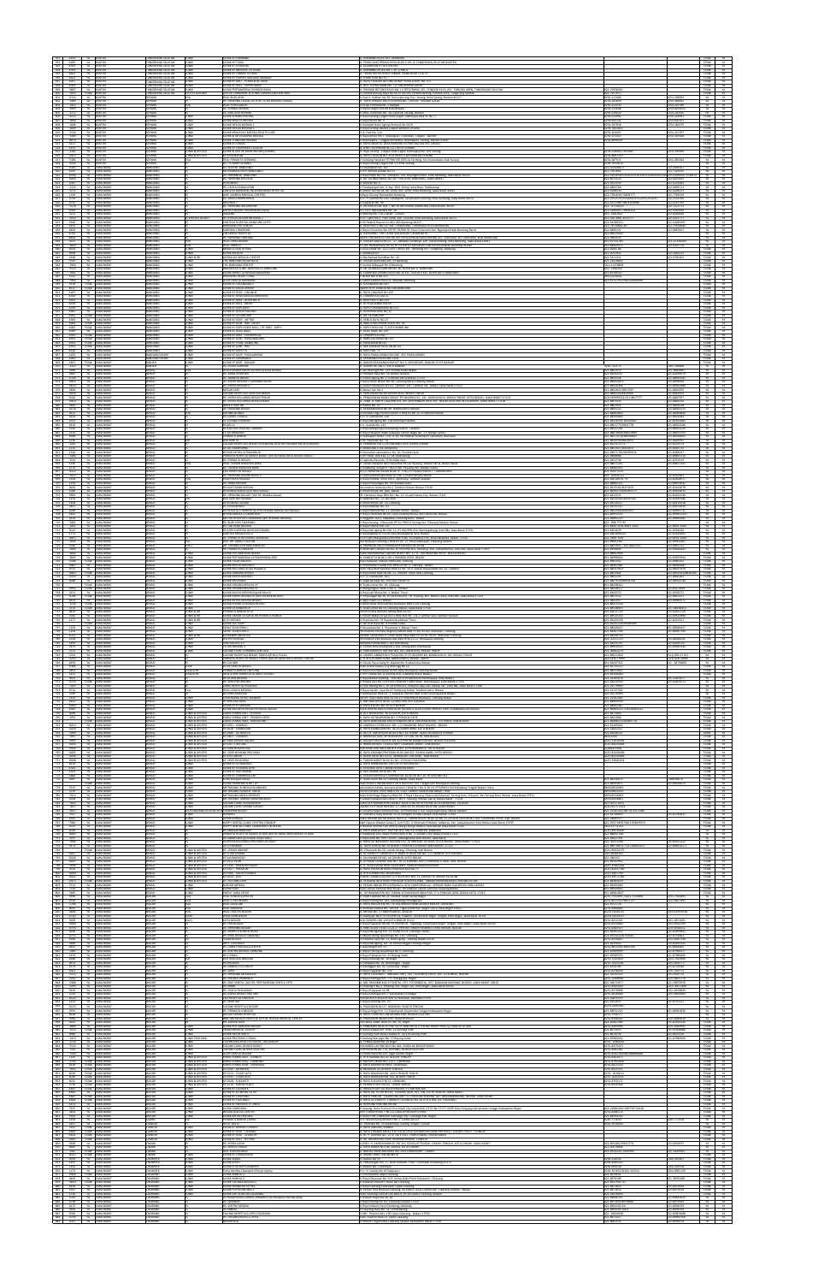| 591 A199 YA BANTEN<br>592<br>M95 YA BANTEN<br>593<br>AS95 YA BANTEN                                                                                                                                                                                                                                                                                                                                                                                                                                                             |                                                                  | TANGERANG SELATAN<br>TANGERANG SELATAN<br>TANGERANG SELATAN                                                | KLINIK<br>KLINIK<br>KLINIK                                                                | KLINIK KF.JOMBANG<br><b>CLINIK KF.TIARA</b><br><b>CLINIK KF.KEDAUN</b>                                                                                                       | JL. JOMBANG RAYA, KEC JOMBANG<br>IL PAMULANG PERMAI RAYA BLOK E NO. 8, TANGERANG SELATAN-BANTEN<br>IL. KEUANGAN RT 001 RW 002                                                                                                                                                                                                                                                                                                      |                                                                                                                |                                                                                  | <b>TIDAK</b><br><b>TIDAK</b><br>TIDAK                               | <b>YA</b><br>YA<br><b>YA</b>             |
|---------------------------------------------------------------------------------------------------------------------------------------------------------------------------------------------------------------------------------------------------------------------------------------------------------------------------------------------------------------------------------------------------------------------------------------------------------------------------------------------------------------------------------|------------------------------------------------------------------|------------------------------------------------------------------------------------------------------------|-------------------------------------------------------------------------------------------|------------------------------------------------------------------------------------------------------------------------------------------------------------------------------|------------------------------------------------------------------------------------------------------------------------------------------------------------------------------------------------------------------------------------------------------------------------------------------------------------------------------------------------------------------------------------------------------------------------------------|----------------------------------------------------------------------------------------------------------------|----------------------------------------------------------------------------------|---------------------------------------------------------------------|------------------------------------------|
| 594<br>A599 YA BANTEN<br>595<br>596<br>597<br>598<br>A601 YA BANTEN<br>A622<br>A957<br>A959                                                                                                                                                                                                                                                                                                                                                                                                                                     | YA BANTEN<br>YA BANTEN<br>YA BANTEN                              | RANG SELA<br>TANGERANG SELATAN<br>ANGERANG SELATAN<br><b>TANGERANG SELATAN</b><br><b>TANGERANG SELATAN</b> | KLINIK<br>KLINIK<br>KLINIK<br>KLINIK<br><b>KLINIK</b>                                     | INIK KF.INHOUSE TPI GRAE<br>LINIK KF.TAMAN TECHNO<br>INIK KF.PONPES MADIN<br>KLINIK KF.0817 - PONDOK BETUNG<br>CLINIK KF.0011 - SUPRATMAN                                    | L. JOMBANG ASTEK NO.1, RT.2/RW.4<br>JL. TEKNO WIDYA RUKO TAMAN TEKNO BLOK I 2 & I 3<br>SUMATERA NO. 97<br>JL. RAYA PONDOK BETUNG KOMP. RUKO GIANT NO. 4-5<br>IL W.R. SUPRATMAN NO. 72, CIBEUNYING KALER                                                                                                                                                                                                                            |                                                                                                                |                                                                                  | <b>TIDAK</b><br>TIDAK<br>TIDAK<br>TIDAK<br>TIDAK                    | YA<br>YA<br>YA<br>YA<br>YA               |
| $\frac{599}{600}$<br>'2807 YA BANTEN<br>'1935<br>$\frac{601}{602}$<br>10716 YA BANTEN                                                                                                                                                                                                                                                                                                                                                                                                                                           | TIDAK BANTEN                                                     | TANGERANG SELATAN<br>TANGERANG SELATAN<br>SERANG<br>SERANG                                                 | KLINIK<br>APOTEK & KLINI                                                                  | (LINIK PERTAMEDIKA PONDOK RANJI<br>POTIK FARMARIN & KLINIK FARMATAMA BINTARO<br>RSIA. BUDI ASIH<br>35. HERMINA CIRUAS (D/H RS. CITRA MEDIKA CIRILIAS                         | JL. PONDOK BETUNG RAYA NO.1 A RTO2/RW04, KEL. PONDOK RAYA, KEC. PONDOK AREN, TANGERANG SELATAP<br>Jl. Kyal H. Sokhari No.39, Sumurpecung, Kec. Serang, Kota Serang, Banten 42117<br>JL. RAYA SERANG KM.9 DS.RANJENG - CIRUAS– SERANG 42182                                                                                                                                                                                         | 021-27658342<br>121-735707<br>0254-212484<br>0254-281829                                                       | 0254-208583<br>254-281845                                                        | TIDAK<br>TIDAK<br>YA<br>YA                                          | YA<br><b>YA</b><br>YA<br>YA<br>YA        |
| 603<br>'1414 YA BANTEN<br>604<br>'3993 YA BANTEN<br>1272<br>605<br>0115 YA BANTEN<br>1004 YA BANTEN                                                                                                                                                                                                                                                                                                                                                                                                                             | YA BANTEN                                                        | SERANG<br>SERANG<br>SERANG<br>SERANG<br>SERANG                                                             | RSIA<br><b>RS</b><br>KLINIK<br>KLINIK                                                     | ISIA, PURI GARCIA<br>S. KURNIA SERANG<br>RS. SARI ASIH SERANG<br>LINIK SERANG MEDIKA                                                                                         | II. Griya Purnama No. 2 Nangka<br>Jl. Raya Cilegon KM 08 Kramatwatu<br>Jl. Jend. Sudirman No. 38, Cipocok, Serang, Banten<br>Jl. Raya Serang Cilegon Ruko Legok Sukmajaya Blok SC No. 1                                                                                                                                                                                                                                            | 0254-223333<br>0254-232648<br>0254-220022<br>0254-223992                                                       | 254-223786<br>254-8235050<br>YA<br>YA<br>1254-220345<br>1254-223992              | YA<br>TIDAK<br>TIDAK                                                | $\frac{YA}{YA}$<br>YA<br>YA              |
| $\frac{606}{607}$<br>'1008 YA BANTEN<br>'1009 YA BANTEN<br>610<br>1126                                                                                                                                                                                                                                                                                                                                                                                                                                                          | YA BANTEN                                                        | SERANG<br>SERANG<br>SERANG                                                                                 | KLINIK<br>KLINIK<br>KLINIK                                                                | LINIK WISATA MEDIKA<br>LINIK IKHLAS MEDIKA :<br>LINIK IKHLAS MEDIKA ;<br>LINIK KRAKATAU MEDIKA HEALTH CARE                                                                   | Jl. Raya Anyer No. 9<br>II. Komplek Bumi Agung Permai1 No.D1/6<br>II. Raya Serang-Jakarta (Depan kampus Untirt<br>Jl. A. Yani No. 114                                                                                                                                                                                                                                                                                              | 0254-605141<br>0254-207918<br>0254-7001824<br>0254-204407                                                      | 254-605141<br>254-281676<br>TIDAK<br>0254-221397<br>TIDAK                        | TIDAK                                                               | YA<br>YA<br>YA<br>YA                     |
| 611<br>'2389 YA BANTEN<br>$\frac{612}{613}$<br>'8070 YA BANTEN<br>A157<br>$614$<br>$615$<br>A159 YA BANTEN                                                                                                                                                                                                                                                                                                                                                                                                                      | YA BANTEN                                                        | <b>SERANG</b><br>SERANG<br>SERANG<br>SERANG                                                                | <b>KLINIK</b><br><b>KLINIK</b><br><b>KLINIK</b><br><b>KLINIK</b>                          | (LINIK & RB CIGADING MEDIKA<br><b>LINIK TONGGAK HUSADA</b><br>(LINIK KF.CIRUAS<br>KLINIK KF.SUDIRMAN CILEGON                                                                 | II. Raya Anyer Km 7, Kubangsari, Ciwandan, Cilegon - Banten<br>Jl. Bojonegara, Tunggak Kertasana, Bojonegara, Serang, Banten 42445<br>L. RAYA JAKARTA, DESA RANJENG RT/RW 001/001 KEC CIRUAS<br>IL. JEND. SUDIRMAN NO.227 KOTA SERANG                                                                                                                                                                                              | 0254-311323<br>0254-8494205                                                                                    | 254-310568                                                                       | <b>TIDAK</b><br><b>TIDAK</b><br>TIDAK<br>TIDAK I                    | YA<br>YA<br>YA                           |
| '2392 YA BANTEN<br>616<br>'5915 YA BANTEN<br>617<br>'5285<br>618<br>'5534 YA BANTEN                                                                                                                                                                                                                                                                                                                                                                                                                                             | YA BANTEN                                                        | SERAN<br>SERANG<br>SERANG<br>SERANG                                                                        | <b>KLINIK &amp; APOTER</b><br>KLINIK & APOTEK<br>RSIA                                     | LINIK & APOTIK BONA MEDIKA SERAN<br>KF KEPANDEAN<br><b>SIA DEPARATA CERDANA</b><br>RS. FATIMAH SERANG                                                                        | kmajaya No. 5A1 Serang<br>L. Raya Serang - Cilegon R<br>uko Legok Su<br>JL. RAYA CILEGON NO. 40 A RUKO D KEPANDEAN SERANG<br>. Serdang Harjatani RT/RW 001/003 Ds Serdang, Kec Kra<br>Jl. Raya Serang Cilegon KM 3,5 Kota Serang                                                                                                                                                                                                   | 0254-228005/28768<br>0254-8487210<br>0254-38751<br>0254-7913678                                                | 1254-205906<br>254-387494                                                        | TIDAK<br><b>TIDAK</b><br>YA<br>YA                                   | YA<br>YA<br>YA<br>YA                     |
| 619<br>'0303 YA JAWA BARA<br>620<br>0145 YA JAWA BARAT<br>621<br>0144<br>622<br>'0044 YA JAWA BARAT                                                                                                                                                                                                                                                                                                                                                                                                                             | YA JAWA BARA'                                                    | BANDUNG<br><b>BANDUNG</b><br>BANDUNG<br>BANDUNG                                                            |                                                                                           | RS. ADVENT BANDUNG<br><b><i>AUHAMMADIYAH (BANDUNG)</i></b><br>. IMMANUEL BANDUNG<br>S. HERMINA PASTEUR                                                                       | Jl. Cihampelas No. 161<br>Jl. KH. Ahmad Dahlan No 53<br>aeur, Kec. Bojongloa Kidul, Kota Bandung, Jawa Barat 40233<br>II. Raya Kopo No.161, Situ<br>JL. DR. DJUNDJUNAN, NO.107, PASTEUR, BANDUNG, JAWA BARAT                                                                                                                                                                                                                       | 022-2034386-9<br>022-7301062<br>022-5201656/5<br>022-6072525                                                   | 22-2043167<br>122-7323545<br>2-5201656/<br>YA<br>22-6037815                      | YA<br>YA<br>YA                                                      | YA<br>YA<br>YA<br>YA                     |
| 623<br>1087 YA JAWA BARAT<br>624<br>'1125 YA JAWA BARAT<br>1171<br>1169<br>'0761                                                                                                                                                                                                                                                                                                                                                                                                                                                | YA JAWA BARAT<br>YA JAWA BARAT<br>YA JAWA BARAT                  | <b>BANDUNG</b><br><b>BANDUNG</b><br>BANDUNG<br>BANDUNG<br><b>BANDUNG</b>                                   | RS                                                                                        | <b>IIPANIIR 25</b><br>S. CAHYA KAWALUYAN<br>INTOSA BANDUNG INTERNASIONAL HOSPITAL<br>AMC (ANNISA MEDICAL CENTER)<br>S. SANTO BORROMEU:                                       | Jl. Veteran No. 6<br>Jl. Parahyangan Km. 3, Kav. HOS, Komp. Kota Baru, Padalarang<br>I. Kebon Jati No.38, Kb. Jeruk, Kec. Andir, Kota Bandung, Jawa Barat 40181<br>II.Raya Cileunyi Rancaekek Bandung<br>II. Ir. H. Juanda No.100, Lebakgede, Kecamatan Coblong, Kota Bandung, Jawa Barat 40132                                                                                                                                    | 022-4231550<br>022-6803700<br>122-4248333<br>022-7781630/7080477<br>022-2552115/2552002/2552235/2552057        | 22-4231582<br>022-6803711<br>2-4248111<br>122-7781629<br>YA                      | YA<br>YA<br>YA<br>YA                                                | YA<br>YA<br>YA<br>YA<br>YA<br>YA         |
| $\begin{array}{r} 626 \\ 627 \\ 628 \end{array}$<br>1515 YA JAWA BARAT<br>$rac{629}{630}$<br>'1578   YA JAWA BARAT<br>1093                                                                                                                                                                                                                                                                                                                                                                                                      | YA JAWA BARAT                                                    | BANDUNG<br>BANDUNG<br>BANDUNG                                                                              |                                                                                           | <b>IELINDA 1</b><br>.<br>HERMINA ARCAMANIK<br>HUSUS BEDAH HALMAHERA !                                                                                                        | Jl. Pajajaran No. 46<br>IL AH.NASUTION, KM.7, NO.50 ANTAPANI, BANDUNG JAWA BARAT 40291<br>Jl. L.L.R.E Martadinata No. 28                                                                                                                                                                                                                                                                                                           | 022-4222388,788/4<br>022 - 87242525<br>022-4206061/7085                                                        | 22-2533760<br>22-4215700<br>022-7271771<br>022-4216436<br>YA                     | YA<br>YA                                                            | $\frac{YA}{YA}$                          |
| $\begin{array}{r} 631 \\ 632 \end{array}$<br>2221 YA JAWA BARAT<br>'2950 YA JAWA BARAT<br>633<br>3366<br>6391<br>634<br>635<br>6364 YA JAWA BARAT                                                                                                                                                                                                                                                                                                                                                                               | YA JAWA BARAT<br>YA JAWA BARAT                                   | BANDUNG<br>BANDUNG<br>BANDUNG<br><b>BANDUNG</b><br><b>BANDUNG</b>                                          | RS KHUSUS BEDAH                                                                           | AVISENA<br>RS. KHUSUS BEDAH MELINDA 2<br>ANTOSA HOSPITAL BANDUNG KOPO<br>IANDUNG EYE CENTER<br>CARISMA CIMAREME                                                              | II. Melong No. 170 Cijerah - Cimahi<br>II. Dr. Cipto No.1, Pasir Kaliki, Kec. Cicendo, Kota Bandung, Jawa Barat 40171<br>II. KH Wahid Hasyim no 461-463 Bandung 40227<br>IL: BUAH BATU NO.147 KEC. LENGKONG, TURANGGA KOTA BANDUNG<br>Jl. Raya Cimareme No.235 RT 03/RW 01 Desa Cimareme Kec. Ngamprah Kab Bandung Barat                                                                                                           | 022 - 6062582<br>022 4267888, 4233<br>022-54280333<br>022-73514682-83<br>022-6866221                           | 22-6000830<br>22-4247777<br>2-54280365<br>YA<br>2-73514684<br>22-6867821         | YA<br>YA<br>YA<br>YA                                                | YA<br>YA<br>$\frac{YA}{YA}$              |
| 636<br>A795 YA JAWA BARAT<br>637<br>BS69 YA JAWA BARAT<br>638<br>'4237 YA JAWA BARAT                                                                                                                                                                                                                                                                                                                                                                                                                                            |                                                                  | BANDUNG<br><b>BANDUNG</b><br>BANDUNG<br>BANDUNG                                                            | RSIA<br><b>RSIA</b>                                                                       | <b>EDELWEISS HOSPITAL</b><br>RS. HERMINA SOREANG<br>SIA, GRHA BUNDA<br>RSIA LIMIJATI                                                                                         | L. SOEKARNO - HATTA NO.550 SEKEJATI, BUAH BATU<br>JALAN TERUSAN AL FARTHU NO.9 RTO2/RWO8 SARILAMPING KEL. SOREANG, KEC SOREANG, KAB. BANDUNG<br>I. Terusan Jakarta No.15 - 17, Babakan Surabaya, Kec. Kiaracondong, Kota Bandung, Jawa Barat 40281<br>Jl. LLRE Martadinata No 39, RT 03 RW 01 Kelurahan Citarum Kecamatan Bandung Wetan                                                                                            | 022-86023000<br>022-5892525<br>022-87256789<br>022-84469472                                                    | YA<br>022-87256000<br>YA<br>022-4207770                                          | YA<br>YA                                                            | YA<br>YA<br>YA<br>YA<br>YA               |
| $\frac{639}{640}$<br>1829 YA JAWA BARAT<br>4654 YA JAWA BARAT<br>641<br>0958 YA JAWA BARAT<br>642<br>1568 YA JAWA BARAT<br>'5547 YA JAWA BARAT                                                                                                                                                                                                                                                                                                                                                                                  |                                                                  | BANDUNG<br>BANDUNG<br>BANDUNG                                                                              | KLINIK<br>KLINIK & RB<br>KLINIK                                                           | <b>CLINIK AN-NUR</b><br>INALISA MEDICAL CENTER<br>HC BANDUNG BUAH BATU                                                                                                       | frika No. 122-124 RT 06/01 KEL. Paledang KEC. Lengkong, Bandung<br>Jl. Setiabudi 63<br>l. Mochamad Ramdhan No. 32<br>Jl. Terusan Buah Batu No. 33 Bandung                                                                                                                                                                                                                                                                          | 022-2031922<br>022-5211311<br>021-21478802                                                                     | 022-2042213                                                                      | <b>TIDAK</b><br>TIDAK<br>TIDAK<br>TIDAK                             | YA<br><b>YA</b><br>YA<br>YA              |
| $rac{643}{644}$<br>'1900 YA JAWA BARAT<br>645<br>'5119 YA JAWA BARAT<br>646<br>7661<br>647<br>6742 YA JAWA BARAT                                                                                                                                                                                                                                                                                                                                                                                                                | YA JAWA BARAT                                                    | BANDUNG<br>BANDUNG<br>BANDUNG<br>BANDUNG                                                                   | <b>KLINIK</b><br>KLINIK<br><b>KLINIK</b><br>KLINIK                                        | <b>THC BANDUNG SENTOT</b><br>RAWIJAYA CLINIC BUAH BATU BANDUNG<br><b>CUNIK AMERITA MEDIKA RANDUNI</b><br><b>BANDUNG HEART CLINIC</b>                                         | Jl. Sentot Alibasyah No 4 Bandung<br>JL. KH. ACHMAD DAHLAN NO. 40, BUAH BATU, BANDUNG<br>L. CUARUWA GIRANG RAYA NO.16 KEL. SEKEJATI KEC. BUAH BATU BANDUNG<br>JI. BUAH BATU No.211                                                                                                                                                                                                                                                 | 021-21478802<br>022-7308104<br>122.87309357<br>08112224426                                                     |                                                                                  | TIDAK<br>TIDAK<br>TIDAK<br>TIDAK                                    | YA<br>YA<br>YA<br>YA                     |
| 648<br>7964 YA JAWA RARAT<br>649<br>650<br>5978 TIDAK JAWA BARAT<br>6512<br>$651$<br>$652$<br>A497                                                                                                                                                                                                                                                                                                                                                                                                                              | TIDAK JAWA BARAT<br>YA JAWA BARAT                                | BANDUNG<br><b>BANDUNG</b><br>BANDUNG<br>BANDUNG                                                            | <b>KLINIK</b><br>KLINIK<br>KLINIK<br>KLINIK                                               | <b>AUDY DENTAL BANDUN</b><br>KLINIK KF.SULANJANA 4<br>LINIK KF.DAGO UNPAD<br>KLINIK KF.0320 - CINUNUK                                                                        | Il. Gatot Subroto No.47A, Malabar Ba<br><b>JL SULANJANA NO.4AT</b><br>IALAN. IR.H. JUANDA NO.248 BANDUNG<br>IL RAYA CINUNUK NO.192                                                                                                                                                                                                                                                                                                 | 022-87327952/0821208                                                                                           |                                                                                  | TIDAK<br><b>TIDAK</b><br>TIDAK<br><b>TIDAK</b>                      | YA<br>YA<br>YA<br>YA<br>YA<br>YA         |
| A500<br>653<br>A505<br>654<br>A529<br>655<br>A539                                                                                                                                                                                                                                                                                                                                                                                                                                                                               | YA JAWA BARAT<br>YA JAWA BARAT<br>YA JAWA BARAT<br>YA JAWA BARAT | <b>BANDUNG</b><br>BANDUNG<br>BANDUNG<br>BANDUNG                                                            | <b>KLINIK</b><br><b>KLINIK</b><br>KLINIK<br>KLINIK                                        | (LINIK KF.HEMODIALISA BAND<br>LINIK KF.0043 - BUAH BAT<br>LINIK KF.0051 - MOXY<br>LINIK KF.KOPOSARI                                                                          | IL CIHAMPELAS NO 11<br>IL BUAH BATU NO.259<br>L. IR. H.DJUANDA NO.69<br>IL. KOPO CIRANGRANG NO.52                                                                                                                                                                                                                                                                                                                                  |                                                                                                                |                                                                                  | TIDAK<br><b>TIDAK</b><br><b>TIDAK</b><br>TIDAK                      | YA<br>YA                                 |
| 656<br>657<br>658<br>A941 YA JAWA BARAT<br>A942 TIDAK JAWA BARAT<br>A943 YA JAWA BARAT<br>A944 TIDAK JAWA BARAT<br>659<br>660<br>A945 TIDAK JAWA BARAT                                                                                                                                                                                                                                                                                                                                                                          |                                                                  | BANDUNG<br>BANDUNG<br>BANDUNG<br><b>BANDUNG</b><br><b>BANDUNG</b>                                          | klinik<br>Klinik<br>KLINIK<br>KLINIK<br><b>KLINIK</b>                                     | (LINIK KF.GEGER KALONG<br>(LINIK KF.SETIABUDHI<br>LINIK KF.0319 - METRC<br>(LINIK KF.0204 - ABD. SALE<br>KLINIK KF.KOPO MIKO MALL / KF.0381 - KOPO                           | L. GEGERKALONG NO.33<br>DR. SETIABUDHI<br>VENUS RAYA NO 27<br>ABDUL RACHMAN SALEH NO. 39<br>L. KOPO RAYA NO. 7. KOTA BANDUNG                                                                                                                                                                                                                                                                                                       |                                                                                                                |                                                                                  | TIDAK<br>TIDAK<br>TIDAK<br>TIDAK<br>TIDAK I                         | YA<br>YA<br>$\frac{YA}{YA}$              |
| 661<br>A949 YA JAWA BARAT<br>$rac{662}{663}$<br>A950 TIDAK JAWA BARAT<br>A951 TIDAK JAWA BARAT                                                                                                                                                                                                                                                                                                                                                                                                                                  |                                                                  | BANDUNG<br>BANDUNG<br>BANDUNG<br>BANDUNG                                                                   | klinik<br><b>KLINIK</b><br>KLINIK<br>KLINIK                                               | KLINIK KF.GEDE BAGE<br>KLINIK KE DO14 - CIHAMPELAS<br>CLINIK KF.0240 - RANCABOLAN<br>KLINIK KE PLANT RANDLING                                                                | L. GEDE BAGE NO.159<br>L. CIHAMPELAS NO.7<br>L. RANCA BOLANG NO. 6<br>IL. PAJAJARAN NO.42                                                                                                                                                                                                                                                                                                                                          |                                                                                                                |                                                                                  | TIDAK<br>TIDAK I<br>TIDAK<br><b>TIDAK</b>                           | YA<br>YA<br>YA<br>YA                     |
| 664 A952 TIDAK JAWA BARAT<br>665 A953 TIDAK JAWA BARAT<br>666<br>B116 YA JAWA BARAT<br>667<br>A200<br>A499 YA JAWA BARAT                                                                                                                                                                                                                                                                                                                                                                                                        | YA JAWA BARAT                                                    | BANDUNG<br>BANDUNG BAR<br><b>BANDUNG BARAT</b>                                                             | KLINIK<br>KLINIK<br>KLINIK                                                                | (LINIK KF.KOPO 75<br>INIK KF.0429 - PADALA<br>CLINIK KF.SARIWANGI                                                                                                            | CAR SELATAN NO.87<br>JL. KOPO NO. 75<br>L. RAYA PADALARANG NO.506, KEC PADALARANG<br>IL. SARIWANGI RAYA NO.132D                                                                                                                                                                                                                                                                                                                    |                                                                                                                |                                                                                  | <b>TIDAK</b><br>TIDAK<br><b>TIDAK</b><br>TIDAK                      | $\frac{YA}{YA}$<br><b>YA</b><br>YA<br>YA |
| 668<br>669<br>670<br>A667<br>'2310 YA JAWA BARAT<br>671<br>1989<br>672<br>'0847 YA JAWA BARAT                                                                                                                                                                                                                                                                                                                                                                                                                                   | TIDAK JAWA BARAT<br>YA JAWA BARAT                                | BANJAR<br>BANJAR<br><b>BEKASI</b><br><b>BEKASI</b>                                                         | KLINIK<br><b>RSIA</b>                                                                     | JNIK KF.0606 - BAN<br>RS. MITRA IDAMAN<br><b>RSIA KARUNIA KASIH (ex RSIA Karunia Bund</b><br>RS. ANNA PEKAYON                                                                | L. BADAN KEAMANAN RAKYAT NO.S, MEKARSARI, BANJAR, KOTA BANJAR<br>JL. SUDIRO W. NO.57 KOTA BANJAR<br>II. Jati Waringin No. 133 Pondok Gede Beka<br>Jl. Pekayon Raya No. 36, Bekasi Selatan                                                                                                                                                                                                                                          | 0265-742175<br>021-8461970<br>021-82432211                                                                     | 1265-740808<br>121-8460991<br>121-82419079                                       | TIDAK<br>YA<br>YA<br>YA                                             | YA<br>YA<br>YA<br>YA                     |
| 673<br>0766<br>674<br>'0016 YA JAWA BARAT<br>675<br>'0620<br>0384                                                                                                                                                                                                                                                                                                                                                                                                                                                               | YA JAWA BARAT<br>YA JAWA BARAT<br>YA JAWA BARAT                  | <b>BEKASI</b><br><b>BEKASI</b><br>BEKASI<br><b>BEKASI</b>                                                  | <b>RS</b>                                                                                 | RS ANANDA REKASI<br>RS. KARYA MEDIKA I CIKARANG BARA<br>S. KARYA MEDIKA II<br>MEKAR SARI                                                                                     | Jl. Sultan Agung No.173, Medan Satria Bekasi 17133<br>Jl. Raya Imam Bonjol No.9B, Cikarang Barat, Cibitung Bekasi<br>II. Sultan Hasanudin No.63, Tambun, Kec. Tambun Sel., Bekasi, Jawa Barat 17510<br>Jl. Mekar Sari No.1                                                                                                                                                                                                         | 021-8854338<br>021-8900190-1<br>021-88324366<br>021-8802641/8813787                                            | 021-88950141<br>021-8903004<br>21-88361980<br>021-8810055<br>YA                  | YA<br>YA<br>YA                                                      | YA<br>YA                                 |
| $\frac{676}{677}$<br>0036 YA JAWA BARAT<br>$rac{679}{680}$<br>$\begin{array}{r} \textcolor{red}{\textbf{0010}} \\ \textcolor{red}{\textbf{0185}} \end{array}$                                                                                                                                                                                                                                                                                                                                                                   | YA JAWA BARAT<br>YA JAWA BARAT                                   | BEKASI<br><b>BEKASI</b><br><b>BEKASI</b><br>BEKASI                                                         |                                                                                           | ILOAM HOSPITALS SENTOSA BEKASI<br>S. MITRA KELUARGA BEKASI TIMUR<br>RS. MITRA KELUARGA BEKASI BARAT<br>BHAKTI KARTINI                                                        | IL PAHLAWAN NO.60 DUREN JAYA, BEKASI TIMUR<br>IL PENGASINAN RAWA SEMUT RT.004/RW.012,, KEL. MARGAHAYU, BEKASI TIMUR, KOTA BEKASI, JAWA BARAT 17113<br>L. JEND. A.YANI RT.002/RW.011, KEL.KAYURINGIN JAYA, KEC. BEKASI SELATAN, KOTA BEKASI, JAWA BARAT 17144<br>II. Kartini No. 11                                                                                                                                                 | 021-8806140,8814968<br>(021) 89999222;021-88<br>021-8853333<br>021-8801954                                     | 021-8814950<br>021-8820707<br>21-8842550<br>YA<br>21-8824228                     | $\frac{YA}{YA}$<br>YA                                               | YA<br>YA<br>YA<br>YA<br>YA<br>YA         |
| 681<br>10178 YA JAWA BARAT<br>5611 YA JAWA BARAT<br>683<br>0324 YA JAWA BARAT<br>684<br>1053                                                                                                                                                                                                                                                                                                                                                                                                                                    | YA JAWA BARAT                                                    | <b>BEKASI</b><br>BEKASI<br>BEKASI<br>BEKASI                                                                |                                                                                           | S. HERMINA BEKASI<br>AYANG BUNDA<br>S GRAHA JUANDA<br>it. ELISABETH BEKAS                                                                                                    | IL. KEMAKMURAN NO.39, MARGAJAYA, BEKASI<br>I. Pondok Ungu Permai Sektor V Blok A1 No 22-25 Babelan Bekasi<br>II. Ir. H. Juanda No. 326<br>II. Raya Narogong No. 202, Kemang Pratama                                                                                                                                                                                                                                                | 021-8842121<br>021-88983843<br>021-88346880<br>021-82430101-824320                                             | 21-88952275<br>21-88983844<br>YA<br>21-8821004<br>21-82432083<br>YA              | YA<br>YA                                                            | YA<br>YA<br>$\frac{YA}{YA}$              |
| 685<br>0410 YA JAWA BARAT<br>635<br>0735 YA JAWA BARAT<br>687<br>1123 YA JAWA BARAT<br>688<br>0988                                                                                                                                                                                                                                                                                                                                                                                                                              | YA JAWA BARAT                                                    | <b>BEKASI</b><br>BEKASI<br><b>BEKASI</b><br><b>BEKASI</b>                                                  |                                                                                           | RS BELLA<br>RS KARTIKA HUSADA TAM<br>CITRA HARAPAN<br><b>ERMATA BUNDA</b>                                                                                                    | Jl. Ir. Juanda No. 141<br>Jl. Raya Mangunjaya Kampung Rukem, Tambun<br>Jl. Raya Harapan Indah Kawasan Sentra Niaga No. 3-5 Medan Satria<br>Jl. Gramapuri Blok C-I No. 8-10, Perumahan Gramapuri Tamansari Wanasa                                                                                                                                                                                                                   | 021-8801775/8801778<br>021-88327281<br>021-88870606/88870909<br>021-88373158/88328001                          | 21-88352506<br>021-88322529<br>021-88975555<br>YA<br>021-88328002                | YA<br>YA<br>YA                                                      | YA<br>YA<br>YA<br>YA                     |
| 689<br>1216 YA JAWA BARAT<br>'1261 YA JAWA BARAT<br>$rac{691}{692}$<br>1122 YA JAWA BARAT<br>1244                                                                                                                                                                                                                                                                                                                                                                                                                               | YA JAWA BARAT                                                    | <b>BEKASI</b><br><b>BEKASI</b><br>BEKASI                                                                   | <b>RSB</b>                                                                                | RSB JUWITA<br>M HOSPITALS BEKASI SEPANJANG JAYA (RS HOSANA MEDICA BEKASI<br>RS JATI SAMPURNA<br>MAS MITRA JATIMAKMUR                                                         | Jl. M. Hasibuan No. 78<br>MUKA NO.12 SEPANJANG JAYA, RAWA LUMB<br>Jl. Studio ANTV Jati Sampurna<br>. Kelurahan Jatimakmur No. 40, Pondok G                                                                                                                                                                                                                                                                                         | 021-8829590/8829591<br>021-8221570-7<br>021-8451457/8455875<br>021-84971766/1                                  | 021-8829592<br>1-822157<br>121-8455712<br>1-848304                               | YA<br>YA<br>YA<br>YA                                                | $\frac{YA}{YA}$<br>YA<br>YA              |
| $rac{693}{694}$<br>1486<br>1541<br>695<br>1296 YA JAWA BARAT<br>696<br>1576                                                                                                                                                                                                                                                                                                                                                                                                                                                     | YA JAWA BARAT<br>YA JAWA BARAT<br>YA JAWA BARAT                  | <b>BEKASI</b><br><b>BEKASI</b><br><b>BEKASI</b><br><b>BEKASI</b>                                           | RS<br><b>RSIA</b>                                                                         | RIMAYA HOSPITAL BEKASI BARAT (d/h RS AWAL BROS BEKASI BARAT)<br>S. PERMATA BEKASI<br>RSIA. TAMAN HARAPAN BARU<br>RS TAMAN HARAPAN RARII                                      | Jl. KH. Noer Alie Kav. 17-18, Kalimalang<br>II. Legenda Raya No. 9, Mustika Jaya<br>Jl. Taman Harapan Baru Raya Blok R1/20 Pejuang, Medan Satria, Bekasi Barat<br>II. Kaliabang Tengah RT 04/23 Kel. Pejuang Kec. Medan Satria                                                                                                                                                                                                     | 021-8868888<br>021-8254748<br>021-88871202<br>021-88981055                                                     | 21-88855210<br>21-8251919<br>021-88871203                                        | YA<br>YA<br>YA<br>YA                                                | YA<br>YA<br>YA<br>YA                     |
| 697<br>'8122 YA JAWA BARAT<br>698<br>'1553 YA JAWA BARAT<br>$\frac{699}{700}$<br>1304 YA JAWA BARAT<br>1334                                                                                                                                                                                                                                                                                                                                                                                                                     | YA JAWA BARAT                                                    | <b>BEKASI</b><br><b>BEKASI</b><br><b>BEKASI</b><br><b>BEKASI</b>                                           | RS<br><b>RSIA</b>                                                                         | EKA HOSPITAL BEKASI<br>RS. HERMINA GRAND WISAT<br>RSIA PUSPA HUSADA<br>S. ANNA MEDIKA                                                                                        | KOTA HARAPAN INDAH BLOK I2 - 9 NO.9 PUSAKA RAKYAT, TARUMAJAYA<br>Jl. Festival Boulevard Blok JA I No. 1 Grand Wisata Bek<br>Jl. Raya Pondok Timur Km.1, Jatimulya, Tambun Selatan<br>Jl. Raya Perjuangan No. 45 Harapan Baru                                                                                                                                                                                                       | 021-5093 5555<br>021 - 82651212<br>021-82618978, 79<br>021-88882211                                            | 121-8252963<br>021-82618977<br>21-88973042                                       | YA<br>YA<br>YA<br>YA                                                | YA<br>YA<br><b>YA</b>                    |
| $701$<br>$702$<br>$703$<br>0063<br>1586 YA JAWA BARAT<br>'0891 YA JAWA BARAT<br>704<br>1333<br>705<br>1308                                                                                                                                                                                                                                                                                                                                                                                                                      | YA JAWA BARAT<br>YA JAWA BARAT<br>YA JAWA BARAT                  | <b>BEKASI</b><br>BEKASI<br>BEKASI<br>BEKASI<br>BEKASI                                                      | RSU                                                                                       | RS MULTAZAM MEDIKA<br>S BUNDA MULIA (d/h RSIA Sritina)<br>RS. HERMINA GALAXY (d/h RS. Medika Galaxi)<br>SU KARTIKA HUSADA<br>S RIDHOKA SALMA                                 | Perumahan Jatimulya No 1 Tambun Selatan Bekasi 17510<br>Ji. Imam Bonjol No. 80A, Bekasi<br>Jin. Gardenia Raya Blok BA.I No. 11. Grand Galaxy City. Bekasi 17147<br>II. Swantara No. 72, Jati Asih<br>I. Imam Bonjol No. 10, Cibitung                                                                                                                                                                                               | 021-8215101/821510<br>021-8900579/891063171<br>021-8222525<br>021-82435585/82435587<br>021-89116527            | 021-82416678<br>021-89106633<br>021-82414130<br>21-82435586<br>21-89116528<br>YA | YA<br>$\frac{YA}{YA}$<br>YA                                         | YA<br>YA<br>YA<br>YA<br>YA<br>YA         |
| 706<br>1807 YA JAWA BARAT<br>1640 YA JAWA BARAT<br>708<br>1842 YA JAWA BARAT<br>2454 YA JAWA BARAT                                                                                                                                                                                                                                                                                                                                                                                                                              |                                                                  | BEKASI<br>BEKASI<br>BEKASI<br>BEKASI                                                                       |                                                                                           | <b>S TIARA BEKASI</b><br>S HELSA JATI RAHAYU (d/h RS Persada Medika Jati Rahayu<br>S MEDIROSSA 2 CIBARUSAH<br><b>IETRO HOSPITALS CIKARANG (d/h HOSANA M</b>                  | II. Raya Babelan No. 63<br>. Raya Hankam No. 17, pondok melati - Bekasi<br>II. Raya Cibarusah No.05, Desa Sindang Mulya, Kec Cibarusah, Bekasi<br>. Anggrek   B2/2, Jababeka, Cikarang Baru, Bekasi                                                                                                                                                                                                                                | 021-89131111<br>021-8462566/846<br>021-89955555<br>021-89895223                                                | 21-89132039<br>1-84992723<br>21-899952355<br>21-8983044                          | YA<br>$\frac{Y}{Y}$<br>YA<br>YA                                     | YA<br>YA<br>YA<br>YA                     |
| 709<br><b>YA</b><br>711 1062 YA JAWA BARAT 712 10147 YA JAWA BARAT 712 10147 YA JAWA BARAT                                                                                                                                                                                                                                                                                                                                                                                                                                      |                                                                  | <b>BEKASI</b><br><b>BEKASI</b><br><b>BEKASI</b>                                                            |                                                                                           | IDI ASIH CIKA<br>RS. CIBITUNG MEDIKA<br>RS KARYA MEDIKA BANTAR GEBANG<br>KARTIKA HUSADA SETU                                                                                 | II. Raya H Bosih No. 117<br>Jl. Raya Narogong No.KM. 11, RT.002/RW.010, Bantargebang, Kota Bks, Jawa Barat 17151<br>Jl. Burangkeng RT 01/06 Desa Burangkeng Setu, Bekasi                                                                                                                                                                                                                                                           | 896.77<br>021-8839 3181/8832 3444<br>021-8254629<br>021-82610003/4                                             | 021-8832 3449<br>021-8254630<br>021-82610005                                     | YA I<br>YA I<br>YA                                                  | YA<br>YA<br>YA                           |
| 714 4815 YA JAWA BARAT<br>715 2036 YA JAWA BARAT<br>716<br>7066 YA JAWA BARAT<br>717<br>'1090                                                                                                                                                                                                                                                                                                                                                                                                                                   | YA JAWA BARAT                                                    | <b>BEKASI</b><br>BEKASI<br><b>BEKASI</b><br>BEKASI                                                         | RSU<br><b>RSUD</b>                                                                        | RS. PERMATA KELUARGA JABABEKA<br>RSU. DR. IQBALI TAUFAI<br>DR. CHASBULLAH ABDULMADJID<br>S. PERMATA CIBUBUR                                                                  | Jl. Dr Cipto Mangunkusumo Blok A No. 1A Medical City, Kota Jababeka, Bekasi 17550<br>Vila Mutiara Cikarang 2 Blok B1 no. 27, Desa Sukasejati, Cikarang Selatan<br>IL. PRAMUKA NO.55 MARGAJAYA BEKASI SELATAN<br>Alternatif Cibubur No.6A, RT.001/RW.002, Jatikarya, Kec. Jatisampurna, Kota Bks, Jawa Barat 17435.                                                                                                                 | 021-2908 3399<br>021-89002361<br>021-8841005 / 021-8841311<br>121-845880                                       | 021-8932 1000<br>1-89902361<br>021-8853731                                       | $\begin{array}{c}\nYA \\ YA \\ YA \\ YA\n\end{array}$<br>YA  <br>YA | YA<br>YA                                 |
| 718<br>'2802 YA JAWA BARAT<br>719<br>2803 YA JAWA BARAT<br>720<br>'0188 TIDAK JAWA BARAT<br>721<br>0887                                                                                                                                                                                                                                                                                                                                                                                                                         | YA JAWA BARAT                                                    | <b>BEKASI</b><br><b>BEKASI</b><br><b>BEKASI</b><br><b>BEKASI</b>                                           | KLINIK<br><b>KLINIK</b><br>KLINIK<br><b>KLINIK</b>                                        | KLINIK PERTAMEDIKA BEKAS<br>CUNIK PERTAMEDIKA JATIWARINGIN ASR<br>KLINIK FAJAR MEDIKA<br>(LINIK MULYA MEDIKA I                                                               | RUKO KALIMALANG SQUARE BLOK J NO. 17, JL. KALIMALANG RAYA - BEKASI BARAT<br>JL. SANGATTA BLOK 1 NO.1 PONDOK GEDE, BEKASI<br>Ruko Kawasan Industri MM2100, Cibitung<br>Jl. Perumahan Grama Puri Blok D1 No. 5, Cibitung - Bekasi                                                                                                                                                                                                    | 021-88962946<br>021-8499064<br>021-8981162<br>021-88362481                                                     | 121-84970944<br>021-8981162<br>121-88362481                                      | TIDAK<br>TIDAK<br><b>TIDAK</b><br>TIDAK                             | YA<br>YA<br><b>YA</b><br>YA              |
| 722<br>0715 YA JAWA BARAT<br>723<br>'0843 TIDAK JAWA BARAT<br>724<br>'0250 YA JAWA BARAT<br>0588 YA JAWA BARAT                                                                                                                                                                                                                                                                                                                                                                                                                  |                                                                  | <b>BEKASI</b><br><b>BEKASI</b><br><b>BEKASI</b><br>BEKASI                                                  | KLINIK<br><b>KLINIK</b><br>KLINIK<br>KLINIK                                               | KLINIK MUTIARA I(Citra Husada I)<br><b>UNIK DHARMA BHAKTI</b><br>KLINIK KARYA MEDIKA I<br>LINIK MELVIANA                                                                     | Ruko Plaza Metropolitan Blok A1 No. 14 Jl. Sultan Hasanuddin No. 14. Tambun<br>Jl. Raya Kosih Blok A4 No. 23, Pondok Tanah Mas Cibitung<br>II. Ir. H. Juanda No. 38 C<br>II. Saparua Raya No. 239-240, Perum III                                                                                                                                                                                                                   | 021-88337919<br>021-8831441<br>021-8801293<br>021-8807610/88354744                                             | 021-88337919<br>21-8831441/88<br>021-8800381<br>21-88354744                      | TIDAK<br>TIDAK<br><b>TIDAK</b><br>TIDAK                             | YA<br>YA<br><b>YA</b>                    |
| $\begin{array}{r} 725 \\ 726 \\ 727 \\ 728 \end{array}$<br>1950 TIDAK JAWA BARAT 0151 YA JAWA BARAT<br>729<br>10294 TIDAK JAWA BARAT<br>0974 YA JAWA BARAT                                                                                                                                                                                                                                                                                                                                                                      | TIDAK JAWA BARAT                                                 | <b>BEKASI</b><br>BEKASI<br>BEKASI<br>BEKASI                                                                | KLINIK<br>KLINIK<br>KLINIK<br>klinik<br>Klinik                                            | KLINIK HOSANA MEDIKA III*<br>LINIK HOSANA MEDIKA IV<br>LINIK MULYA MEDIKA(Apotik Murni)<br>LINIK KARYA MEDIKA III (APOTIK MEKAR ASRI)                                        | Jl. Teuku Umar No. 19, Cibitung<br>Ji: Nangunjaya I Blok A No. 6, Tambun<br>Ji: Mangunjaya I Blok A No. 6, Tambun<br>Ji: Raya Jati Mulya No. 1, Bekasi Timur<br>ll. Perjuangan No.30, RT.003/RW.003, Tik. Pucung, Kec. Bekasi Utara, Kota Bks, Jawa Barat 17123                                                                                                                                                                    | 021-88338414<br>021-88328577<br>021-8203272<br>021-8851152                                                     | 021-832-0349<br>021-8203272<br>21-8851152                                        | <b>TIDAK</b><br>TIDAK<br>TIDAK<br>TIDAK                             | YA<br>YA<br>YA<br>YA<br>YA<br>YA         |
| 730<br>731<br>1136<br>7674 TIDAK JAWA BARAT<br>732<br>0819 YA JAWA BARAT<br>733                                                                                                                                                                                                                                                                                                                                                                                                                                                 | TIDAK JAWA BARAT                                                 | BEKASI<br>BEKASI<br>BEKASI<br>BEKASI                                                                       | <b>KLINIK</b><br>klinik.<br>KLINIK & RB                                                   | LINIK MITRA MEDIKA BEKA:<br><b>CLINIK PERMATA BUNDA BEKASI</b><br>LINIK Dr SANDERS B<br><b>ERMATA BUNDA SETU</b>                                                             | II. Agus Salim 52 F Bekasi<br>.<br>Jl. Bosih Raya Ruko Kartika Wanasari Blok C1/4 Cibitung<br>Jl. Teuku umar No 19, Cibitung Bekasi, Jawa Barat 17520<br>Perum Graha Mustika Media Blok A2/15                                                                                                                                                                                                                                      | 121-8802457<br>021-88373158<br>021-88338414<br>021-82611729                                                    | 1-89983579<br>TIDAK<br>21-88338413<br>021-82611729<br>021-89523994               | TIDAK<br>TIDAK<br><b>TIDAK</b>                                      | YA<br>YA<br>YA<br>YA                     |
| 7045<br>734<br>$\frac{735}{736}$<br>1277 YA JAWA BARAT<br>737 1203 YA JAWA BARAT<br>738 1204 YA JAWA BARAT                                                                                                                                                                                                                                                                                                                                                                                                                      | YA JAWA BARAT<br>TIDAK JAWA BARAT                                | BEKASI<br>BEKASI<br>BEKASI<br><b>BEKASI</b>                                                                | KLINIK & RB<br>KLINIK & RB<br>KLINIK<br>KLINIK                                            | (LINIK UMUM 24 Jam & RB PERMATA BUNDA<br>GUCI MEDIKA<br>(LINIK JATI ASIH*<br>SEHAT SEJAHTERA I                                                                               | .<br>Jl. Perum Bekasi Griya Asri 2 Blok A04 No. 1 & 2 Sumber Jaya Tambun Selatan<br>Jl. Pramuka No. 79 Rawalumbu, Bekasi Timur<br>Jl. Jati Asih Raya No. 8 Pondok Gede<br>Jl. Nusantara No. 2, Perumnas 3, Bekasi Timur                                                                                                                                                                                                            | 021-89523740<br>021-82433158<br>021-82431104/94<br>021-88349427                                                | 021-8221921<br>021-88349427                                                      | TIDAK<br>TIDAK<br><b>TIDAK</b><br>TIDAK I                           | YA<br>YA<br>YA                           |
| 739 1051 YA JAWA BARAT<br>740 1558 YA JAWA BARAT                                                                                                                                                                                                                                                                                                                                                                                                                                                                                |                                                                  | <b>BEKASI</b><br>BEKASI<br>BEKASI                                                                          | <b>KLINIK</b><br>KLINIK & RB                                                              | SEHAT SEJAHTERA II                                                                                                                                                           | Perumahan Permata Regency Bekasi Blok F1 No. 85 Kel. Wanasari, Cibitung                                                                                                                                                                                                                                                                                                                                                            | 021-88367194                                                                                                   | 021-88367194                                                                     | <b>TIDAK</b>                                                        | YA                                       |
| 741<br>1595 YA JAWA BARAT                                                                                                                                                                                                                                                                                                                                                                                                                                                                                                       |                                                                  | <b>BEKASI</b>                                                                                              | KLINIK                                                                                    | <b>CLINIK&amp;RB ANGELIKA</b><br>VNV MEDIESTETI                                                                                                                              | Pondok Tanah Mas Jl. Lurah Bosih Raya Blok ES/12 Rt. 03/07, Wanasari Cibitung<br>erumahan Villa Mutiara Jaya Blok N78/11-12, Wanajaya Cibitung<br>Komplek Pemda Blok C Jati Asih Bekasi                                                                                                                                                                                                                                            | 021-88330750<br>021-70217175<br>021-82435767                                                                   | 21-88338235<br>021-82435767                                                      | TIDAK<br>TIDAK<br><b>TIDAK</b>                                      | $\frac{YA}{YA}$<br>YA                    |
| 742<br>2975<br>743<br>7515 YA JAWA BARAT<br>744<br>'5221 YA JAWA BARAT<br>745<br>'6250 YA JAWA BARAT                                                                                                                                                                                                                                                                                                                                                                                                                            | YA JAWA BARAT                                                    | <b>BEKASI</b><br><b>BEKASI</b><br><b>BEKASI</b><br><b>BEKASI</b>                                           | <b>KLINIK</b><br>KLINIK<br><b>RS</b>                                                      | UTRA MEDIKA 3<br>ILOAM CLINIC CHANDRA SENTOSA<br>ILOAM HOSPITALS BEKASI TIMUR d/h BLU PLAZA<br>RIMAYA HOSPITAL BEKASI TIMUR (d/h RS AWAL BROS BEKASI TIMUR)                  | erum Kota Serang Baru, Kec Serang Baru Kab Beka<br>JL. PAHLAWAN RT 002 RW 001, KEL. AREN JAYA, BEKASI TIMUR<br>JL. CHAIRIL ANWAR BLU PLAZA NO.27 RT.004/009 KEL.MARGAHAYU, KEC.BEKASI TIMUR<br>JL. H.M JOYOMARTONO, MARGAHAYU, BEKASI TIMUR                                                                                                                                                                                        | 021-89842275<br>021-80611900<br>(021) 8267 9999                                                                | 21-89950334<br>(021) 806 11 911<br>(021) 8267 8989                               | TIDAK<br>TIDAK<br>YA<br>YA I                                        | YA<br>YA<br>YA<br><b>YA</b>              |
| $\frac{746}{747}$<br>4693 YA JAWA BARAT<br>'6386 YA JAWA BARAT<br>748<br>2461 YA JAWA BARAT<br>749<br>1415 YA JAWA BARAT                                                                                                                                                                                                                                                                                                                                                                                                        |                                                                  | <b>BEKASI</b><br><b>BEKASI</b><br><b>BEKASI</b><br><b>BEKASI</b>                                           | Klinik<br>Klinik & RB<br>Klinik & RB                                                      | <b>S CIKUNIR</b><br><b>NUDY DENTAL BEKASI</b><br>ERMATA BUNDA CIBITUN<br>RB & KLINIK PERMATA BUNDA FUDHOLI                                                                   | . Cikunir Raya Gang Hj. Napiah No. 8 Jakamulya Bekasi<br>Ruko Grand Galaxy City Blok Rgg No 26<br>Jl. Raya Desa Wanajaya 01/04 Desa Wanajaya Cibitung Bekasi<br>Jl. KH. Fudholi No 11 Karang Asih, Cikarang Utara, Bekasi                                                                                                                                                                                                          | 021-82437322<br>021-82733123<br>021-88323062<br>021-89106080                                                   | 021 - 82738891                                                                   | YA<br><b>TIDAK</b><br><b>TIDAK</b><br><b>TIDAK</b>                  | YA<br>YA<br>YA<br>YA                     |
| $\begin{array}{r} \n 750 \\  \hline\n 751 \\  \hline\n 752 \\  \hline\n 753\n \end{array}$<br>5902 YA JAWA BARAT<br>'6753 TIDAK JAWA BARAT<br>7025 YA JAWA BARAT 6714 YA JAWA BARAT                                                                                                                                                                                                                                                                                                                                             |                                                                  | <b>BEKASI</b><br><b>BEKASI</b><br>BEKASI<br>BEKASI                                                         | RS<br>RS<br>RSIA                                                                          | S SATRIA MEDIKA<br>RS. MUSTIKA MEDIKA<br>OMNI HOSPITAL PEKAYON<br>ISIA CAHAYA MEDIKA                                                                                         | Jl. Raya Bantar Gebang - Setu No 119 Padurenan Mustikajaya, Kota Bekas<br>Jl. Kelapa Dua No.110 RT007/RW008 Pandurenan, Mustikajaya, Kota Bekasi 17156                                                                                                                                                                                                                                                                             | 021-22105678<br>021-82622530<br>021-29779999<br>021-22137302                                                   | 021-22105677<br>021-82623572                                                     | YA<br>YA<br>$\frac{YA}{YA}$                                         | YA<br>YA<br>YA<br>YA                     |
| 754<br>7069 YA JAWA BARAT<br>1343 YA JAWA BARAT<br>755<br>$\frac{756}{757}$<br>6022 YA JAWA BARAT<br>'6969 YA JAWA BARAT                                                                                                                                                                                                                                                                                                                                                                                                        |                                                                  | BEKASI<br>BEKASI<br>BEKASI<br>BEKASI                                                                       | KLINIK<br><b>KLINIK</b><br><b>KLINIK</b>                                                  | GRHA MM2100<br>MERLANG SEHAT MA<br><b>CF BINTARA RAYA</b><br>LINIK KEJATIMEKAR                                                                                               | 11. Religia Cua (Ku. 110 K.) (KU. 110 K.) (K. 110 K.) (K. 110 K.) (K. 110 K.) (K. 110 K.) (K. 1113 K.)<br>11. Pulo Ribung No. 1, RT. (201/RW (221, Pekayon Jaya, Kec. Bekasi Sel., Kota Bist, Jawa Barat 17148<br>11. Raja Jajpien I<br>IL. BINTARA RAYA BLOK. 1A BINTARA, KOTA BEKASI<br>L. RAYA KODAU NO.39 JATI MEKAR                                                                                                           | 021-50570999<br>021-22162585<br>021-88969549<br>021-84902387                                                   | YA                                                                               | TIDAK<br>TIDAK<br><b>TIDAK</b><br>TIDAK I                           | YA<br>YA<br>YA<br>YA                     |
| 758<br>A925 YA JAWA BARAT<br>759<br>2689 YA JAWA BARAT<br>$\frac{760}{761}$<br>'1951 YA JAWA BARAT                                                                                                                                                                                                                                                                                                                                                                                                                              | TIDAK JAWA BARAT                                                 | BEKASI<br>BEKASI<br><b>BEKASI</b><br>BEKASI<br><b>BEKASI</b>                                               | <b>KLINIK</b><br>KLINIK & APOTEK<br>KLINIK & APOTEK<br>KLINIK & APOTEK<br>KLINIK & APOTEK | LINIK MEDIKIDS BEKASI BY MHDC BEKASI<br>IMIA FARMA 0367- JATIASIH<br>(IMIA FARMA 0387 - PONDOK GEDE<br>CIMIA FARMA 0446 - NAROGONI<br>KF.0591 - ZAMRUD                       | RUKO GRAHA BOULEVARD BLOK GB-B08 JL.BOULEVARD AHMAD YANI, SUMMARECON BEKASI<br>JL. JATI MEKAR NO. 3A JATIASIH, KOTA BEKASI<br>JL. RAYA JATIWARINGIN NO. 5 PONDOK GEDE<br>IL RAYA NAROGONG KM14 PANGKALAN 8, LIMUSNUNGGAL, CILEUNGSI, KAB BOGOR<br>JL. ZAMRUD UTARA KAV. NO. 1-2 CIMUNING, MUSTIKAJAYA - BEKASI                                                                                                                     | 021-89460123 / 08118905531<br>021-8473403<br>021-8461980<br>021-80488122/824837<br>021-22105041                |                                                                                  | <b>TIDAK</b><br>TIDAK<br><b>TIDAK</b><br>TIDAK YA                   | YA<br>YA<br>YA<br>YA                     |
| 764 '5999 YA JAWA BARAT<br>765 '5997 YA JAWA BARAT<br>766 '5995 YA JAWA BARAT                                                                                                                                                                                                                                                                                                                                                                                                                                                   |                                                                  | BEKASI<br>BEKASI<br>BEKASI<br><b>BEKASI</b>                                                                | KLINIK & APOTEK<br>KLINIK & APOTEK<br>KLINIK & APOTEK<br>KLINIK & APOTEK                  | KF.0618 - KRANGGAN<br>KF.0486 - JATIMULYA<br>(F.0461 - TAMBUN<br>(F.0400 GRAND GALAX)                                                                                        | JL. RAYA KRANGGAN NO. 38 JATISAMPURNA, KOTA BEKASI<br>JL DELTA TIMUR RAYA BLOK A NO. 147 KOMP. RUKO JATIMULYA PERMAJ<br>JL MANGUN JAYA, KP.RUKEM RPC 115 NO. 94-95, KAB.BEKASI<br>JL. GALAXY RAYA BLOK B 301 B-D PERUM GRAND GALAXY, BEKASI SELATAN                                                                                                                                                                                | 021-22853327<br>021-82436521<br>88322566<br>(021) 22016499                                                     |                                                                                  | TIDAK YA<br>TIDAK YA<br>TIDAK YA<br>TIDAK                           | YA                                       |
| $767$<br>$768$<br>6003<br>'6004 YA JAWA BARAT<br>769<br>'6005 YA JAWA BARAT<br>770<br>'6006 YA JAWA BARAT                                                                                                                                                                                                                                                                                                                                                                                                                       | YA JAWA BARAT                                                    | <b>BEKASI</b><br><b>BEKASI</b><br><b>BEKASI</b><br><b>BEKASI</b>                                           | <b>KLINIK &amp; APOTER</b><br>KLINIK & APOTEK<br>KLINIK & APOTER<br>KLINIK & APOTEK       | F.0507 CIBITUNG<br>KF.0508 NUSANTARA<br>(F. 0509 KEMANG PRATAMA<br><b>CF.0551 BOSIH</b>                                                                                      | IL IMAM BONJOL TELAGA ASIH, CIKARANG BARAT, KAB BEKASI<br>IL NUSANTARA RAYA BLOK A 4 NO. 10 PERUMNAS III, KOTA BEKAS<br>IL RAYA KEMANG PRATAMA BLOK AM 02C, RAWALUMBU, KOTA BEKASI<br>JL. BOSIH RAYA NO. 8 D-E, WANASARI, CIBITUNG - KAB.BEKASI                                                                                                                                                                                    | 021) 88334048<br>02188355482<br>021 82436008<br>(021) 88334048                                                 |                                                                                  | TIDAK<br><b>TIDAK</b><br>TIDAK<br>TIDAK                             | $YA$<br>$YA$<br>YA<br>YA                 |
| $\frac{771}{772}$<br>'6008<br>6970 YA JAWA BARAT<br>773 AS26 YA JAWA BARAT<br>774<br>AS43 YA JAWA BARAT                                                                                                                                                                                                                                                                                                                                                                                                                         | YA JAWA BARAT                                                    | <b>BEKASI</b><br><b>BEKASI</b><br><b>BEKASI</b><br><b>BEKASI</b>                                           | <b>KLINIK &amp; APOTER</b><br>KLINIK<br><b>KLINIK</b><br>KLINIK                           | (F. 0583 PASADENA<br>KLINIK KF.JATIRAHAYU<br>(LINIK KF.PEJUANG JAY.<br>KLINIK KF.KALI ABANG                                                                                  | L. TARUM BARAT BLOK Q1 NO. 23 RUKO PASADENA<br>JL. RAYA HANKAM NO.130-131 RT.001/RW.007<br>JL. PEJUANG JAYA TAMAN HARAPAN BARU<br>JL. KALI ABANG RAYA NO. 99                                                                                                                                                                                                                                                                       | (021) 29082624                                                                                                 |                                                                                  | <b>TIDAK</b><br>TIDAK<br><b>TIDAK</b><br>TIDAK                      | YA<br><b>YA</b><br>YA<br>YA              |
| $\frac{775}{776}$<br>A684<br>0987<br>TIDAK JAWA BARAT                                                                                                                                                                                                                                                                                                                                                                                                                                                                           | YA JAWA BARAT<br>YA JAWA BARAT                                   | BEKASI<br><b>BEKASI</b><br>BEKASI<br>BEKASI                                                                | KLINIK<br>KLINIK<br>KLINIK<br>KLINIK                                                      | LINIK KF.SUMMARECON<br>Klinik Harapan Sehat<br>.<br>KLINIK HARAPAN SEHAT III*<br>MITRASANA ALINDA (KALIABA                                                                   | L. RUKAN EMERALD COMMERCIAL BLOK UA NO. 20, RT.004/RW.011<br>Jl. Teuku umar No 33, Cibitung Bekasi, Jawa Barat<br>Ruko Green Emerald Blok R No 9 dan R no 10 jl. Telaga Asih Wanajaya Cibitung<br>perumahan Alinda, kencana permai 1 blok M 1 No.3-3A Lt1 RT3/RW21 Kel Kaliabang Tengah Bekasi Utara                                                                                                                               | 021-88336674<br>021-88393875<br>085100629065                                                                   | 2188336674<br>21-88336674                                                        | <b>TIDAK</b><br>TIDAK<br>TIDAK<br>TIDAK                             | YA<br>YA<br>YA<br>YA                     |
| 779<br>2539 YA JAWA BARAT<br>2513 YA JAWA BARAT<br>780<br>$\frac{781}{782}$<br>2508 YA JAWA BARAT<br>'7642 YA JAWA BARAT                                                                                                                                                                                                                                                                                                                                                                                                        |                                                                  | BEKASI<br>BEKASI<br>BEKASI<br>BEKASI                                                                       | <b>KLINIK</b><br><b>KLINIK</b><br><b>KLINIK</b><br><b>KLINIK</b>                          | <b>AITRASANA PONDOK TIMUR</b><br>ITRASANA MEGA REGENCY<br><b>MITRASANA TAMAN HARAPAN BARL</b><br>ILOAM CLINIC JATIMAKMUI                                                     | .<br>Perum Pondok Timur Blok G no 1 Kec Tambun selatan kab Bekasi Timur<br>Ruko Kota Mega Regency Blok A9, Jl Raya Cikarang Cibarusah,Sukarsari, Serang baru,Sukasari, Kec Serang Baru, Bekasi, Jawa Barat 17331<br>JI Taman harapan baru Blok E7 No 9, Pejuang, Medan Satria, Bekasi Barat - 17131<br>RUKO JATI MAKMUR RESIDENCE BLOK A NO.06 RT.01/RW.20 JATIMAKMUR, PD.GED                                                      | 085100822510<br>08510032666<br>085100418827<br>021) 8551 0351                                                  | TIDAK                                                                            | TIDAK<br>TIDAK I<br><b>TIDAK</b>                                    | YA<br>YA<br>YA<br>YA                     |
| 783<br>'7837 YA JAWA BARAT<br>784<br>'1937<br>785 7647 YA JAWA BARAT<br>786 1962 YA JAWA BARAT                                                                                                                                                                                                                                                                                                                                                                                                                                  | YA JAWA BARAT                                                    | BEKASI<br>BEKASI<br><b>BEKASI</b><br><b>BEKASI</b><br><b>BEKASI</b>                                        | KLINIK<br>APOTEK&PP<br>KLINIK<br>KLINIK<br>KLINIK                                         | <b>ILOAM CLINIC GRAND GALAXY</b><br>ARMARIN BEKASI<br><b>IANURO</b><br>(LINIK KEMALA<br>HAPPY DENTAL CLINIC CIPUTRA CIBUBUR                                                  | SALAXY CITY BLOK RGB NO. 17, JAKA SETIA, BEKASI SELATAN, JAWA BARAT<br>II. Gurame Raya Pertokoan Kav. 29 Perumnas II, Kel. Kayuringin Raya, Bekasi Selata<br>JI. Yudhistira Raya Blok B6 no 61 komplek Pemda Jatlasih Kota Bekasi 17423<br>RUKO GRAND ARTHA NIAGA RAYA JL. TARUM BARAT BLOK 02 NO.23-24 DESA JAYA MUKTI Kec. CIKARANG PUSAT Kab. BEKASI                                                                            | (021) 8275 2258<br>021-22101321/08778 311 5989<br>021-82740833<br>021-29083377<br>021-2937 6835/0812 8380 9970 | 021-82740833                                                                     | TIDAK I<br>TIDAK<br>TIDAK<br>TIDAK<br>TIDAK YA                      | YA<br>YA<br>YA<br>YA                     |
| 787 7981 YA JAWA BARAT<br>788 18107 YA JAWA BARAT                                                                                                                                                                                                                                                                                                                                                                                                                                                                               |                                                                  | BEKASI<br><b>BEKASI</b><br>BEKASI<br><b>BEKASI</b>                                                         | <b>KLINIK</b><br><b>RS</b>                                                                | HAPPY DENTAL CLINIC SUMMARECON BEKAS<br>RS ANANDA BABELAN<br>AYA HOSPITAL BEKASI UTARA (d/h RS AWAL BROS BEKASI UTARA)<br>S UNIMEDIKA (d/h Kasih Insani Setu)                | Mall Ciputra Cibubur lantai 2, Unit S-02, Jl. Alternatif Cibubur, Jatikarya, Kec. Jatisampurna, Kota Bekasi Jawa Barat 17435<br>Jl. Bulevar Ahmad Yani Blok M Marga Mulya Bekasi Utara Bekasi Jawa Barat 17142<br>JL RAYA BABELAN RT. 002 RW.001, KM 9,6, KEBALEN, BABELAN<br>Jl. Kaliabang Villa Indah Permai Blok G No. 1 (Golden City) Bekasi Utara 1712!<br>Jl. Raya Setu No. 99 RT.03/01, Lubangbuaya Setu-Bekasi, Jawa Barat | 082121711787<br>(021) 89234000<br>021-88892 000<br>021-82627591                                                |                                                                                  | TIDAK YA<br>YA<br>YA                                                | $\frac{YA}{YA}$<br>YA                    |
| 789 8026 YA JAWA BARAT<br>790 '8083 YA JAWA BARAT<br>791 7997 YA JAWA BARAT<br>792 7906 YA JAWA BARAT<br>793 0173 YA JAWA BARAT<br>794<br>'6027 YA JAWA BARAT                                                                                                                                                                                                                                                                                                                                                                   | TIDAK JAWA BARAT                                                 | <b>BEKASI</b><br><b>BEKASI</b><br><b>BEKASI</b><br><b>BEKASI</b>                                           | <b>KLINIK &amp; APOTER</b><br>KLINIK & APOTEK                                             | RS MITRA KELUARGA PRATAMA JATIASIR<br>SETO HASBADI<br><b>E TEMAH ARANG</b><br>(F CITRA GRAND                                                                                 | JL. RAYA JATIMEKAR RT.001/RW.012, JATIMEKAR, JATIASIH, KOTA BEKASI, JAWA BARAT 17422<br>JL. RAYA SEROJA NO.19 BEKASI UTARA KOTA BEKASI JAWA BARAT 17124<br>IIn. Cibarusah No.20, Lemah Abang, Cikarang, kab. Bekasi<br>JL. ALTERNATIF CIBUBUR CITY WALK III BLOK CW NO. 1-2 CIBUBUR, KOTA BEKASI                                                                                                                                   | 021-85511000<br>021-889 58674 / 021-88661412<br>021) 89324175<br>02184305162                                   | 021-85511222<br>021-8866141-2                                                    | YA<br>YA<br>TIDAK<br><b>TIDAK</b>                                   | YA<br>YA<br>YA<br><b>YA</b>              |
| 795<br>796<br>797<br>798<br>6028<br>'6007 YA JAWA BARAT<br>'5994 YA JAWA BARAT<br>3976 YA JAWA BARAT                                                                                                                                                                                                                                                                                                                                                                                                                            | YA JAWA BARAT                                                    | <b>BEKASI</b><br><b>BEKASI</b><br>BEKASI<br><b>BEKASI</b>                                                  | <b>KLINIK &amp; APOTER</b><br>KLINIK & APOTEK<br>KLINIK & APOTE<br>KLINIK & APOTEK        | (F KALIMANGGI<br>CF 0552 PILAR<br>KF.0330 - HARAPAN I<br>(F.0347 - PEKAYON                                                                                                   | L. KALIMANGGIS NO. 24 CIBUBUR, KOTA BEKASI<br>JL. KI HAJAR DEWANTARA NO. 10-11 KARANG ASIH, CIKARANG UTARA- KAB. BEKASI<br>JL. JL. BOULEVARD HIJAU BLOK BS/9 TAMAN HARAPAN INDAH<br>JL. RAYA PEKAYON RUKO PEKAYON KAV NO. 9                                                                                                                                                                                                        | 021-384332<br>021-89102992<br>(021) 29465444<br>(021) 82437780                                                 |                                                                                  | <b>TIDAK</b><br>TIDAK<br><b>TIDAK</b><br><b>TIDAK</b>               | YA<br>YA<br>YA<br>YA                     |
| '6000<br>'6021<br>6973 TIDAK JAWA BARAT                                                                                                                                                                                                                                                                                                                                                                                                                                                                                         | YA JAWA BARAT<br>YA JAWA BARAT                                   | BEKASI<br><b>BEKASI</b><br>BEKASI<br>BEKASI                                                                | <b>CLINIK &amp; APOTER</b><br>KLINIK & APOTEK<br>KLINIK & APOTEK<br>KLINIK                | F.0506 - GALUH JUANDI<br>KF.0624 - GGC<br>F. PEJUANG JAYA<br>AROM MEDIKA                                                                                                     | JL IR.HJUANDA NO 28 B,BEKASI<br>JLRUKO GRAND GALAXY CITY BLOK RGF NO. 11, JAKASETIA, BEKASI SELATAN<br>IL PEJUANG JAYA RUKO PHB BLOK H/44 PEJUANG, TAMAN HARAPAN BARU, MEDAN SATRIA<br>IL PEGADUNGAN RTO13/RW06 Ds.JAYA SAMPURNA Kec. SERANG BARU Kab.BEKASI JAWA BARAT                                                                                                                                                            | 021) 3847709<br>(021) 29571262<br>021-88383639                                                                 |                                                                                  | <b>TIDAK</b><br>TIDAK<br>TIDAK<br>TIDAK                             | YA<br>YA<br>YA<br>YA                     |
| $\begin{array}{r} \hline 799 \\ 800 \\ \hline 801 \\ 802 \\ 803 \\ \hline 804 \\ \hline \end{array}$<br>7743 YA JAWA BARAT<br>805<br>7485<br>3990 YA JAWA BARAT<br>0720 YA JAWA BARAT                                                                                                                                                                                                                                                                                                                                           | YA JAWA BARAT                                                    | BEKASI<br>BEKASI<br><b>BOGOR</b><br><b>BOGOR</b>                                                           | KLINIK<br><b>KLINIK</b><br>RSIA<br>RSIA                                                   | LINIK RIZKI<br>MPAT DARA SEHA<br>RSIA. BUNDA SURYATNI<br>rsia, citra insani                                                                                                  | Ruko Taman Sentosa Blok M10/1 Perumahan Taman Sentosa Cikarang Bekasi<br>JL . JATIMAKMUR RUKO TAMAN JATIMAKMUR INDAH NO.17 A PONDOK GEDE BEKASI KOTA 17413<br>Jl. Soleh Iskandar No 21 Cibadak Tanah Sareal Bogor                                                                                                                                                                                                                  | 021-89920643<br>021-8498-682<br>0251-7543891 /0251-7543892<br>0251-8611507/86                                  | 0251-7543893<br>251-8617493                                                      | TIDAK<br>TIDAK<br>$\frac{YA}{YA}$                                   | YA<br>YA<br>YA<br>YA                     |
| 806<br>807<br>808<br>809<br>'2788 YA JAWA BARAT<br>8005                                                                                                                                                                                                                                                                                                                                                                                                                                                                         | YA JAWA BARAT                                                    | <b>BOGOR</b><br><b>BOGOR</b><br>BOGOR<br><b>BOGOR</b>                                                      | rsia<br>RSIA<br>RSIA<br>RSKIA                                                             | SIA ASSALAM<br>RSIA, NURAIDA<br>RSIA, PASUTRI BOGOR<br>RSKIA SAWOJAJAR                                                                                                       | Jl. Raya Parung No. 242, Lebakwangi Pemagarsari<br>JL. RAYA BOGOR KM 46,7 RT001/RW003 NANGGEWER MEKAR, CIBINONG<br>Jl. Achmad Sobana No. 105 Kel. Tegal Gundi Kec. Bogor Utara, Kota Bogor 16152<br>L. MERAK NO. 3 TANAH SAREAL, BOGOR<br>Jl. Sawojajar No.9, RT.01/RW.04, Pabaton, Kecamatan Bogor Tengah, Kota Bogor, Jawa Barat 16121                                                                                           | 021-8753724<br>0251-8368866<br>(0251) 8349707<br>(0251) 8324371                                                | 0251) 8331938                                                                    | YA<br>YA<br>YA YA<br>YA YA                                          | YA<br>YA                                 |
| 812 3000 YA JAWA BARAT<br>813 '0468 YA JAWA BARAT                                                                                                                                                                                                                                                                                                                                                                                                                                                                               |                                                                  | <b>BOGOR</b><br><b>BOGOR</b><br><b>BOGOR</b><br>BOGOR                                                      | RSUD<br><b>RS</b><br>RS.                                                                  | KOTA BOGOR<br>RS. PMI BOGOR<br>RS. HERMINA BOGOR                                                                                                                             | IL dr.SUMERU NO.120 KOTA BOGOR 16111<br>il. Raya Pajajaran No.80, RT.02/RW.05, Tegallega, Kecamatan Bogor Tengah, Kota Bogor, Jawa Barat 16143<br>JL RING ROAD-1 KAV.23,25,27 PERUM.TAMAN YASMIN,CURUG MEKAR, BOGOR<br>Jl. Raya Narogong Km. 21, Komp A 6-8, Cileungsi 16820                                                                                                                                                       | 0251-8312292<br>0251-8324080<br>0251-8382525<br>021-82492222                                                   | 1251-8371001<br>0251-8324709<br>0251-8328252<br>021-82493902                     | YA YA<br>YA<br>$\frac{YA}{YA}$                                      | YA<br>$\frac{YA}{YA}$                    |
| 816<br>'0755 YA JAWA BARAT<br>817 0190 YA JAWA BARAT<br>818<br>0389 YA JAWA BARAT<br>819<br>0835 YA JAWA BARAT                                                                                                                                                                                                                                                                                                                                                                                                                  |                                                                  | <b>BOGOR</b><br><b>BOGOR</b><br><b>BOGOR</b><br><b>BOGOR</b>                                               | <b>RSI</b><br><b>RS</b><br>RS                                                             | RS. BINA HUSADA CIBINONG<br>ISI AM ROGOR<br><b>MHT. CILEUNGSI</b><br>S. FAMILY MEDICAL CENTER                                                                                | Jl. Mayor Oking Jayaatmaja No. 101, Cibinong<br>Jl. Perdana Raya No. 22, Budi Agung - Kedung Badak 16710<br>Jl. Raya Narogong, Km. 16 Limusnunggal Cileungsi Bogor<br>Jl. Raya Bogor Km. 51                                                                                                                                                                                                                                        | 021-8753422/875104<br>0251-8316822<br>021-8235052<br>0251-8652391/86                                           | 021-8752463<br>251-8347139<br>121-82491332<br>21-8661605                         | YA<br>YA<br>YA<br>YA                                                | YA<br>YA<br>YA<br>YA                     |
| 820<br>'1385 YA JAWA BARAT<br>821<br>1353 YA JAWA BARAT<br>$\begin{array}{ c c }\n\hline\n822 \\ \hline\n823\n\end{array}$<br>1680 YA JAWA BARAT<br>0673                                                                                                                                                                                                                                                                                                                                                                        | YA JAWA BARAT                                                    | <b>BOGOR</b><br><b>BOGOR</b><br><b>BOGOR</b><br><b>BOGOR</b>                                               | <b>RSU</b>                                                                                | RS. SENTRA MEDIKA CIBINONG<br>CITAMA<br>RSU SENTOSA (BOGOR)<br><b>S MELANIA</b>                                                                                              | Jl. Mayor Oking Jayaatmaja No 9, Cibinong<br>Jl. Raya Pabuaran No. 52 Bojong Gede<br>Jl. Raya Kemang No. 18 Bogor<br>Jl. Pahlawan No. 91, Bondongan - Bogor                                                                                                                                                                                                                                                                        | 021-87909999<br>021-8798555<br>0251-7541900<br>0251-8321196                                                    | 121-87909377<br>YA<br>251-7541900<br>51-833177                                   | YA .<br>YA<br>YA                                                    | <b>YA</b><br>YA<br>YA<br>YA              |
|                                                                                                                                                                                                                                                                                                                                                                                                                                                                                                                                 |                                                                  | <b>BOGOR</b><br>BOGOR<br><b>BOGOR</b><br><b>BOGOR</b>                                                      |                                                                                           | S. ANNISA CITEUREUP<br>S. AZRA<br>RS. HERMINA MEKARSARI<br>S. MEDIKA DRAMAGA                                                                                                 | Jl. Karanggan No. 02, Citeureup - Bogor<br>II. Raya Pajajaran No. 216<br>IL RAYA CILEUNGSI - JONGGOL KM 1, KEL. CILEUNGSI KIDUL, KEC. CILEUNGSI, BOGOR                                                                                                                                                                                                                                                                             | 021-8756780<br>0251-8318456<br>021-29232525<br>0251-8308901                                                    | 021-8752628<br>1251-331773<br>021-2923770                                        | YA I<br>YA<br>YA                                                    | YA<br>YA                                 |
| 224 1679 17 A JAWA BARAT 225<br>225 19411 17 A JAWA BARAT 226<br>226 12116 17 A JAWA BARAT 226<br>227 1291 17 A JAWA BARAT 228<br>$\frac{829}{830}$<br>12393 YA JAWA BARAT<br>3420 YA JAWA BARAT<br>I VA                                                                                                                                                                                                                                                                                                                        |                                                                  | <b>BOGOR</b><br><b>BOGOR</b><br><b>BOGOF</b><br><b>BOGOR</b>                                               |                                                                                           | S. EMC SENTUL (D/H RS. PERTAMEDIKA SENTUL CITY<br><b>UMMI</b><br>S. MULIA PAJAJARAN<br>ARYA RHAKTI PR<br>EKA HOSPITAL CIBUBUR                                                | .<br>II. Raya Dramaga Km. 7,3 - Margajaya, Bogor<br>IL. MH.THAMRIN KAV.57 SENTUL CITY, CITARINGGUL, KEC. BABAKAN MADANG, BOGOR, JAWA BARAT 16810<br>l. Empang II No.2, Empang, Kec. Bogor Sel., Kota Bogor, Jawa Barat 16132<br>II. Raya Pajajaran no 98<br>PERUM KOTA WISATA KAV V2 NAGRAK, GUNUNG PUTRI                                                                                                                          | 021-29672977<br>0251-8341600<br>0251-8379898<br>021-50855555                                                   | 251-8625776<br>21-29672978<br>251-8371400<br>151-8378800                         | $\frac{YA}{YA}$<br>YA<br>YA<br>YA                                   | YA<br>YA<br>YA<br>YA<br>YA<br>YA.        |
| 232 73120 YA JAWA BARAT<br>833 1103 YA JAWA BARAT<br>834 '6123 YA JAWA BARAT<br>835<br>2955 YA JAWA BARAT                                                                                                                                                                                                                                                                                                                                                                                                                       |                                                                  | <b>BOGOR</b><br><b>BOGOR</b><br><b>BOGOR</b><br><b>BOGOR</b>                                               |                                                                                           | S TRIMITRA<br><b>ILOAM HOSPITALS BOGOR</b><br>S. PERMATA JONGGOL<br>OGOR SENIOR HOSPITAL                                                                                     | Jl. Raya Cibinong Km. 43<br>IL. PAJAJARAN NO.27, BABAKAN, BOGOR TENGAH<br>II. Raya Jonggol no.1 A Sukamanah Kecamatan Jonggol Kabupaten Bogor<br>IL. RAYA TAJUR NO.168 MUARA SARI, BOGOR SELATAN                                                                                                                                                                                                                                   | 021-8763055<br>(0251) 8303911<br>021-89931222<br>1251-755677                                                   | 021-8755311<br>021-89931836                                                      | YA<br>YA<br>YA  <br>YA                                              | YA<br>YA<br>YA                           |
|                                                                                                                                                                                                                                                                                                                                                                                                                                                                                                                                 |                                                                  | <b>BOGOR</b><br>BOGOR<br>BOGOR                                                                             | <b>RS</b><br>rb<br>Klinik                                                                 | MC MAYAPADA HOSPITAL D/H RS. BOGOR MEDICAL CENTER<br>B. BUNDA AUNI<br>INIK PERTAMEDIKA BOGOR<br>MMA MEDICAL CENTER                                                           | IL. PAJAJARAN INDAH V/97 BOGOR 16143<br>Villa Nusa Indah, Blok DS, No. 19, Bogor<br>IL: PANDAWA BLOK A-1 NO 14-15 BANTAR JATI II BUMI INDAH PRASTA I BOGOR UTARA                                                                                                                                                                                                                                                                   | 0251-8346002<br>021-82402286<br>0251-8363994                                                                   | 0251-8390619<br>)21-82410136<br>)251-8363993                                     | YA<br>TIDAK<br>TIDAK                                                | YA<br>YA<br>YA<br>YA                     |
| 335 5923 14 JAWA BARAT 337 1992 14 JAWA BARAT 337 1992 14 JAWA BARAT 340 232 14 JAWA BARAT 340 232 14 JAWA BARAT 340 1325 110 MA<br>841 0986 YA JAWA BARAT<br>842 1419 YA JAWA BARAT<br>843 1734 YA JAWA BARAT<br>844 7520 YA JAWA BARAT                                                                                                                                                                                                                                                                                        |                                                                  | <b>BOGOR</b><br>BOGOR<br><b>BOGOR</b><br>BOGOR<br><b>BOGOR</b>                                             | <b>KLINIK</b><br>KLINIK<br>KLINIK PRATAMA<br>KLINIK<br><b>KLINIK</b>                      | LINIK MEDISTIRA II<br><b>CLINIK PRATAMA CITAMA</b><br><b>FELEMEDIKA HEALTH CENTER (THC)BOGOF</b><br><b>ILOAM CLINIC BOGOR BARAT</b>                                          | Jl. Raya Cicadas Km. 9 No. 21 Gunung Putri<br>Jl. Gunung Putri Desa Cicadas RT 31/10 Gunung Putr<br>Jl. Kedung Waringin No. 37 Bojong Gede<br>IL. PENGADILAN NO.14 Bogor<br>JI.KHABDULLAH BIN NUH No.46A, BUBULAK,BOGOR BARAT                                                                                                                                                                                                      | 021-8675955<br>021-8670130<br>021-87983434<br>0251 - 8380134<br>0251-8473213                                   | 1-91304486<br>TIDAK<br>21-8670130<br>TIDAK<br>021-87986666                       | TIDAK I<br><b>TIDAK</b><br>TIDAK I                                  | YA<br>YA<br>YA<br>YA<br>YA               |
| 845 7521 YA JAWA BARAT<br>846 7104 YA JAWA BARAT 847 1235 YA JAWA BARAT<br>848 2703 TIDAK JAWA BARAT                                                                                                                                                                                                                                                                                                                                                                                                                            |                                                                  | <b>BOGOR</b><br><b>BOGOR</b><br><b>BOGOR</b>                                                               | KLINIK<br><b>KLINIK</b><br>KLINIK & APOTE<br>KLINIK & APOTEK                              | <b>SILOAM CLINIC BOGOR SELATAR</b><br>AUDY DENTAL BOGOR<br>VA.0007 - JUANDA<br>KIMIA FARMA.0362 - CIBINONG                                                                   | ILPAHLAWAN No.77A, EMPANG, BOGOR SELATAN<br>Jl. Pandu Raya No.145 Tegal Gundil, Bogor<br>DA NO 30, BOGOR TEN<br>JL. MAYOR OKING NO. 112 C, CIBINONG                                                                                                                                                                                                                                                                                | 0251-8365261<br>0251-8342780/081388808686<br>0251-87914400                                                     |                                                                                  | <b>TIDAK</b><br>TIDAK YA<br>TIDAK<br><b>TIDAK</b>                   | YA<br>YA<br>YA                           |
| 849 4329 TIDAK JAWA BARAT<br>$\begin{array}{ c c }\n\hline\n\text{850} \\ \hline\n\text{851}\n\end{array}$<br>'1952 TIDAK JAWA BARAT<br>6029 TIDAK JAWA BARAT<br>852<br>6030 TIDAK JAWA BARAT                                                                                                                                                                                                                                                                                                                                   |                                                                  | BOGOR<br><b>BOGOR</b><br><b>BOGOR</b><br><b>BOGOR</b>                                                      | KLINIK & APOTE<br>KLINIK & APOTEK<br>KLINIK & APOTER<br>KLINIK & APOTEK                   | IMIA FARMA.0348 - DRAMAGA<br>(F.0050 - MERDEKA<br>(F.O113 - TAJUR SATL<br>(F.0595 - TAJUR DUA                                                                                | L. RAYA DRAMAGA KM 8, DRAMAGA<br>JL. MERDEKA 24, BOGOR TENGAH<br>L. RAYA WANGUN NO. 240 D, BOGOR TIMUR<br>JL. RAYA WANGUN NO. 431, BOGOR TIMUR                                                                                                                                                                                                                                                                                     | 0251-8421234<br>0251-8321525<br>1251 - 8243212<br>0251-8242233                                                 |                                                                                  | <b>TIDAK</b><br>TIDAK<br><b>TIDAK</b><br><b>TIDAK</b>               | YA<br>YA<br>YA<br>YA                     |
| 853 6031 TIDAK JAWA BARAT<br>854 5736 TIDAK JAWA BARAT<br>855 A637 TIDAK JAWA BARAT<br>856 A643 YA JAWA BARAT                                                                                                                                                                                                                                                                                                                                                                                                                   |                                                                  | <b>BOGOR</b><br><b>BOGOR</b><br><b>BOGOR</b><br><b>BOGOR</b>                                               | KLINIK & APOTER<br>KLINIK & APOTEK<br><b>KLINIK</b><br>KLINIK                             | (F.0628 - SUKAHAT<br>KF.0110 - KEBON PEDES<br>KLINIK KF.CILENDEK<br>KLINIK KF.GUNUNG PUTR                                                                                    | L. RAYA SUKAHATI NO.3, CIBINONG<br>JL. KEBON PEDES NO 45, TANAH SAREAL<br>ΙΙ RRIGIEN SΔΡΤΑΙΙ ΗΔΠΙΡRAWIRA RT/RW 004/001<br>JL. RAYA GN. PUTRI NO.65, TLAJUNG UDIK, KEC. GN. PUTRI, BOGOR, JAWA BARAT                                                                                                                                                                                                                                | 0251-8750172<br>0251-8335904                                                                                   |                                                                                  | <b>TIDAK</b><br><b>TIDAK</b><br><b>TIDAK</b><br><b>TIDAK</b>        | YA<br>YA<br>YA<br>YA                     |
| 857<br>A647 TIDAK JAWA BARAT                                                                                                                                                                                                                                                                                                                                                                                                                                                                                                    |                                                                  | <b>BOGOR</b><br><b>BOGOR</b><br><b>BOGOR</b><br><b>BOGOR</b>                                               | KLINIK<br>KLINIK<br>KLINIK<br><b>KLINIK</b>                                               | LINIK KF.CIPAYUNG<br>KLINIK KF.CILEUNGSI<br><b>CLINIK KF.INHOUSE PT ZINUS</b><br>LINIK GIORDANO                                                                              | L RAYA PUNCAK - GADOG NO.KM. 75, CIPAYUNG GIRANG, KEC. MEGAMENDUNG, BOGOR, JAWA BARAT<br>IL. RAYA ALTERNATIF CIBUBUR-CILEUNGSI NO.1B RT.01/ RW. 04, CILEUNGSI<br>L. SERPONG PARUNG NO.68<br>.<br>Il. Kepang, Ruko Festival Citra Indah City Indah blok CIF 01 No 15 RT 10/09 Desa Singajaya kecamatan Jonggol Kabupaten Bogor                                                                                                      | 021-22966292/'087730720130                                                                                     |                                                                                  | <b>TIDAK</b><br>TIDAK<br><b>TIDAK</b><br><b>TIDAK</b>               | YA<br>YA<br>$\frac{YA}{YA}$              |
|                                                                                                                                                                                                                                                                                                                                                                                                                                                                                                                                 |                                                                  | BOGOR<br><b>BOGOR</b><br>CIAMIS<br><b>CIANJUR</b>                                                          | KLINIK<br>KLINIK<br>rsu                                                                   | <b>BOGOR DENTAL CENTER</b><br>(LINIK METRO MEDIKA<br>ERMATA BUNDA CIAMIS<br>S Dr. HAFI2                                                                                      | II.KS TUBUN RUKO 7 NO.12 CIBULUH BOGOR UTARA<br>II. Ruko PTM 1 Metland Transyogi, Kec. Cileungsi Kab. Bogor<br>Jl. Ir. Iwa Kusumasomantri No. 1, Clamis 46213<br>JL. Pramuka No. 15 Sukamulya, Karang Tengah, Clanjui<br>II. RAYA IANGARI, MANDE                                                                                                                                                                                   | 0251-8386178<br>021-84293702<br>0265-771650<br>0263-2910000                                                    | 0265-777658                                                                      | <b>TIDAK</b><br>TIDAK<br>$\frac{YA}{YA}$                            | YA<br>YA<br>YA<br>YA                     |
| $\begin{tabular}{ c c c c c } \hline $\otimes$52/&A641&{\rm HOMK} & {\rm AMM} & {\rm BAMR} & {\rm AMR} & {\rm AMR} & {\rm AMR} & {\rm AMR} & {\rm AMR} & {\rm AMR} & {\rm AMR} & {\rm AMR} & {\rm AMR} & {\rm AMR} & {\rm AMR} & {\rm AMR} & {\rm AMR} & {\rm AMR} & {\rm AMR} & {\rm AMR} & {\rm AMR} & {\rm AMR} & {\rm AMR} & {\rm AMR} & {\rm AMR} & {\rm AMR} & {\rm AMR} & {\rm AMR} & {\rm AMR} & {\rm AMR} & {\rm AMR} & {\rm AMR$<br>065 669 TIDAK JAWA BARAT<br>867 669 TIDAK JAWA BARAT<br>868 6659 TIDAK JAWA BARAT |                                                                  | <b>CIANJUR</b><br><b>CIANJUR</b><br><b>CIANJUR</b><br><b>CIANJUR</b><br>CIMAHI                             | <b>KLINIK</b><br><b>KLINIK</b><br>KLINIK<br><b>KLINIK</b>                                 | LINIK KF.MANDE CIANJUR<br>(LINIK KF.0505 - CIPANAS<br>KLINIK KF.0365 - SELAKOPI<br>KLINIK KF.0317 - BY PASS<br>RS. MITRA KASIH                                               | L. NATA JANGANI, MANUA.<br>IL RAYA CIPANAS KM 81.3 RT 03/02 DESA GADONG KECAMATAN PACET, GADOG, PACET, CIANJUR<br>JL IR. H. JUANDA NO. 15 RT 01/13 KEL PAMOYANAN, PAMOYANAN<br>L. DR. MUARDI NO.150E, BOJONGHERANG, CIANJUR<br>JLJEND, H. AMIR MAHMUD NO.341 CIGUGUR TENGAH, CIMAHI TENGAH, KOTA CIMAHI, JAWA BARAT                                                                                                                | 022-6654852/6652774                                                                                            | 022-6654875                                                                      | <b>TIDAK</b><br>TIDAK<br>TIDAK I<br><b>TIDAK</b><br>YA I            | YA<br>YA<br>YA<br>YA<br>YA               |
| 869 0268 YA JAWA BARAT<br>870 18097 YA JAWA BARAT<br>871   2467   TIDAK JAWA BARAT<br>872   B115   TIDAK JAWA BARAT<br>873 0093 YA JAWA BARAT                                                                                                                                                                                                                                                                                                                                                                                   |                                                                  | CIMAHI<br><b>CIMAHI</b><br>CIKAMPEK                                                                        | RS.<br>KLINIK                                                                             | RS. BAROS CIMAHI<br>RSU, KASIH BUNDA<br>KLINIK AQMA                                                                                                                          | IL. RAYA BAROS NO.E46, BAROS, KOTA CIMAHI<br>IL MAHAR MARTANEGARA NO.166 LEUWIGAJAH - CIMAHI<br>Jl. Stasiun No 93                                                                                                                                                                                                                                                                                                                  | 022-20670808<br>022-6614221/ 6630585<br>0264-310524                                                            | 022-6630583<br>0264-319307                                                       | YA<br>YA<br>TIDAK<br><b>TIDAK</b>                                   | YA<br>$\frac{YA}{YA}$<br>YA              |
| 874 1497 YA JAWA BARAT<br>875<br>1302 YA JAWA BARAT<br>876<br>1172 YA JAWA BARAT<br>877<br>'0406 TIDAK JAWA BARAT                                                                                                                                                                                                                                                                                                                                                                                                               |                                                                  | <b>IKAMPEK</b><br>CIKAMPEK<br>CIKAMPEK<br>CIKARANG                                                         | KLINIK<br>KLINIK<br><b>KLINIK</b><br>KLINIK                                               | <b>INIK SEHAT</b><br>(LINIK PURI ASIH CIKAMPEK<br>autra Medika Cikampek (Group Aqma<br>KLINIK ANNISA II                                                                      | .<br>Pawarengan No. 37, Desa Dawuan Timur, Cikampek Karawang 41373<br>Jl. Stasiun No 2 cikampek<br>Jl. Ir. H. Juanda No 19 Sukaseur<br>Jl. Perempatan Lippo Cikarang                                                                                                                                                                                                                                                               | 0264-8385103<br>0264-909558<br>0264-301652/0264-310524<br>021-8970651                                          | 264-303558<br>264-8387129                                                        | <b>TIDAK</b><br><b>TIDAK</b><br>TIDAK<br><b>TIDAK</b>               | YA<br><b>YA</b><br>YA<br>YA              |
| 878 0406 YA JAWA BARAT<br>879 '0850 TIDAK JAWA BARAT<br>880<br>0929 YA JAWA BARAT<br>1567 YA JAWA BARAT                                                                                                                                                                                                                                                                                                                                                                                                                         |                                                                  | CIKARANG<br>CIKARANG<br>CIKARANG<br>CIKARANG                                                               | <b>KLINIK</b><br>KLINIK<br><b>KLINIK</b><br>KLINIK                                        | (LINIK ANNISA III<br>KLINIK HOSANA MEDIKA II<br><b>CHAIR DEMAIN UA DITTOA</b><br>KLINIK PUTRA MEDIKA 2                                                                       | Jl. Raya Cibarusah No 31 R, Komp Ruko Point Sukaresmi -Cikarang<br>Jl. Kawasan Industri I Ruko B8, Cikarang<br>Jl. Raya Cikarang Cibarusah, Lippo Cikarang<br>JL. Perum Villa Mutiara Cikarang, Kp Kukun, Desa Ciantra Kec. Cikarang Selatan - Bekasi                                                                                                                                                                              | 021-8976189<br>021-8937941-42<br>021-8971852<br>021-8971612                                                    | 021-8976189<br>021-8971658<br>021-8971614                                        | <b>TIDAK</b><br>TIDAK<br>TIDAK<br>TIDAK                             | YA<br>YA<br>YA<br>YA                     |
| $\begin{array}{ c c }\n\hline\n & 881 \\ \hline\n & 882\n\end{array}$<br>1119 YA JAWA BARAT<br>883 1041 YA JAWA BARAT<br>884 0738 YA JAWA BARAT<br>885 0275 YA JAWA BARAT<br>886 0306 YA JAWA BARAT<br>887 0391 YA JAWA BARAT<br>888 0709 YA JAWA BARAT                                                                                                                                                                                                                                                                         |                                                                  | CIKARANG<br>CIKARANG<br><b>CIKARANG</b><br>CIKARANG<br>CIKARANG<br>CIKARANG                                | KLINIK                                                                                    | <b>LINIK SAPTA MITRA CIKARANG</b><br>RS HARAPAN KELUARGA JABABEKA (ex:Harapan Internasional)<br>S. AMANDA<br>IS. SENTRA MEDIKA<br>S ANNISA<br>ILOAM HOSPITALS LIPPO CIKARANG | Ruko Cikarang Central City Blok H 29-30 Ciantra Cikarang Selata<br>Jl. Kasuari Raya Kav. 1A-1B<br>Jl. Raya Serang No. 83, Cikarang Selatan 17550<br>Jl. Raya Industri Pasir Gombong,Jababeka<br>II. Cikarang Baru No. 31, Lemahabang                                                                                                                                                                                               | 121-29470099<br>021-89840745<br>021-8971643,897080<br>021-8904160-64<br>021-8904165-4503                       | 021-89835839<br>21-8971643<br>021-8904159<br>21-8903350                          | TIDAK<br>YA I<br>YA<br>YA YA<br>YA YA                               | YA<br>YA<br>$\frac{YA}{YA}$              |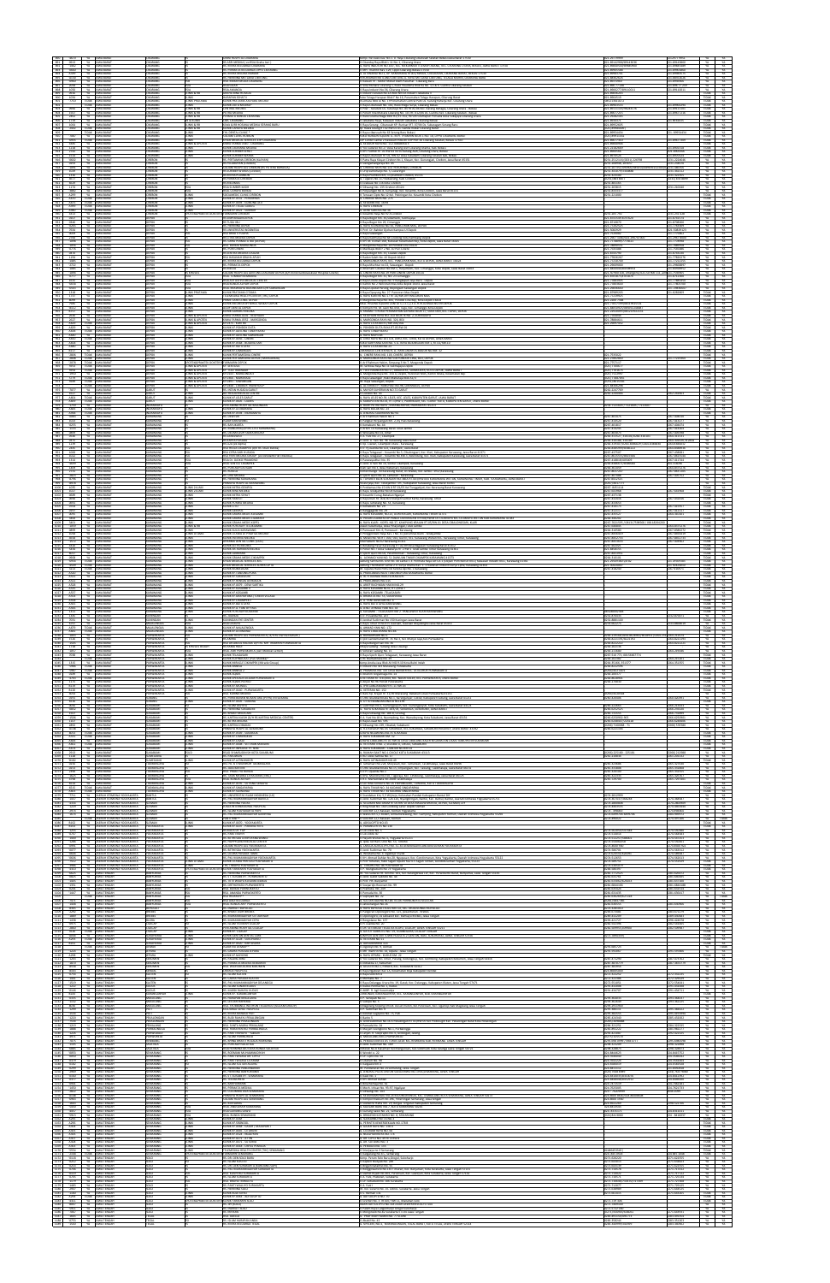|            |                                                                                                                                                                                                                                                                                                                                                                                                                |                  | 890 14670 YA JAWA BARAT<br>891 0913 YA JAWA BARAT<br>892 1462 YA JAWA BARAT                                                                            | CIKARANG<br><b>CIKARANG</b>                      |                                                       | OMNI HOSPITAL CIKARANI<br>RS ASRI MEDIKA ( ex RSIA Graha Asri )                                                         | Comp. The Oasis kav. No. 1. Jl. Raya Cikarang Cibarusah Selatan Bekasi Jawa Barat 17530<br>l. Citanduy Raya Blok L 11 No. 1, Cikarang Utara<br>L. RAYA INDUSTRI NO.100 , KEL. MEKARMUKTI LEMAH ABANG, KEC. CIKARANG UTARA, BEKASI, JAWA BARAT 17550                                                      | 021-29779995<br>021-89142968/89143036                                                                 | 0212977995<br>021-89143860<br>021-89845489                   | YA YA<br>YA YA<br>YA YA                                                                   |
|------------|----------------------------------------------------------------------------------------------------------------------------------------------------------------------------------------------------------------------------------------------------------------------------------------------------------------------------------------------------------------------------------------------------------------|------------------|--------------------------------------------------------------------------------------------------------------------------------------------------------|--------------------------------------------------|-------------------------------------------------------|-------------------------------------------------------------------------------------------------------------------------|----------------------------------------------------------------------------------------------------------------------------------------------------------------------------------------------------------------------------------------------------------------------------------------------------------|-------------------------------------------------------------------------------------------------------|--------------------------------------------------------------|-------------------------------------------------------------------------------------------|
|            | 893 0660<br>894 A339                                                                                                                                                                                                                                                                                                                                                                                           |                  | YA JAWA BARAT<br>YA JAWA BARAT                                                                                                                         | CIKARANG<br><b>CIKARANG</b><br>CIKARANG          |                                                       | RS. MITRA KELUARGA CIKARANG<br>RS. PERMATA KELUARGA LIPPO CIKARAI<br>RS. MITRA MEDIKA NAROM                             | l. MH. Thamrin Kav. 129, Lippo Cikarang-Bekasi 17550<br>L. JATIWANGI NO.1, KP. KAMURANG RTO01/RW001, CIKEDOKAN, CIKARANG BARAT, BEKASI 17530                                                                                                                                                             | 121-89840500/89<br>021-89905588<br>021-89983741                                                       | 021-89901860<br>021-89983575                                 | YA YA<br>YA YA                                                                            |
|            | 895 'A130<br>896 '0960                                                                                                                                                                                                                                                                                                                                                                                         | YA<br>YA         | YA JAWA BARAT<br><b>JAWA BARAT</b><br><b>JAWA BARAT</b>                                                                                                | CIKARANG<br>CIKARANG<br><b>CIKARANG</b>          | RSB                                                   | RS. HERMINA METLAND CIBITUNG<br>RSB. MEKAR MULIA CIKARANG<br>RSIA GIZAR                                                 | PERUMAHAN METLAND CIBITUNG JL. RAYA METLAND CIBITUNG, TELAGA MURNI, CIKARANG BARAT<br>I. Kasuari IV - Sektor Mekar Alam Passimal - Cikarang Baru<br>. Villa Mutiara Cikarang 1, Ruko Pasadena Blok Ra No. 3,5 & 6. Ciantra Cikarang Selatan                                                              | 121-88362626<br>021-893 6940<br>021-896 77 240                                                        | 021-88352626<br>021-8936966<br>021-896 77 239                | YA YA<br>YA YA                                                                            |
|            | 897 2058<br>898 1050<br>899 0916                                                                                                                                                                                                                                                                                                                                                                               |                  | YA JAWA BARAT<br>YA JAWA BARAT                                                                                                                         | CIKARANG<br>CIKARANG                             | RSIA<br>KLINIK & RB                                   | RSIA AMANDA<br><b>GRAHA BINA HUSADA</b>                                                                                 | Jl. Raya Industri No.36, Cikarang Utara<br>I. Industri Selatan No.1A Blok NN 3A Industri Jababeka II                                                                                                                                                                                                     | 021-8900277/891<br>021-89836243                                                                       | 021-89110011                                                 | YA YA<br>YA YA<br>TIDAK YA                                                                |
| 902        | 900 1034<br>901 7710                                                                                                                                                                                                                                                                                                                                                                                           |                  | YA JAWA BARAT<br>TIDAK JAWA BARAT<br>TIDAK JAWA BARAT                                                                                                  | CIKARANG<br>CIKARANG<br>CIKARANI                 | <b>KLINIK</b><br>KLINIK PRATAM                        | HARAPAN SEHAT II<br>KLINIK PRATAMA ASSYABIL MEDIKA<br>KLINIK DUTA MEDIKA                                                | Ruko Telaga Harapan Blok F No 16, Perumahan Telaga Harapan, Cikarang Barat<br>I Cemara Blok Ai No. 19 Perumahan Central Park Ds. Karang Raharja Kec. Cikarang Utara<br>l. Raya Cibarusah No. 16E, Ruko Mega Surya, Cikarang Be                                                                           | 021-8904519<br>'085213610272<br>021-89903533                                                          | 021-89900294                                                 | TIDAK YA<br><b>TIDAK</b><br>YA<br>TIDAK<br>YA                                             |
|            | 903 0966<br>904 1567<br>905 2462                                                                                                                                                                                                                                                                                                                                                                               |                  | YA JAWA BARAT<br>YA JAWA BARAT<br>YA JAWA BARAT                                                                                                        | CIKARANG<br>CIKARANG<br>CIKARANG                 | KLINIK & RB<br>KLINIK & RB<br>KLINIK & RB             | CENTRAL MEDIKA<br><b>PUTRA MEDIKA</b><br>PERMATA BUNDA CIKARANO                                                         | I. Pilar - Sukatani Ds. Sukaraya No. 84 Rt 05/06 Kec. Karang Bahagia, Cikarang Utara - Bekasi<br>. Perum Vila Mutiara Cikarang No. 115 Rt. 012/06 Ds. Ciantra Kec. Cikarang Selatan - Bekas<br>Jl. Ruko Grama Niaga Blok H2/15-15a, Perum Gramapuri Persada Desa Sukajaya-Cikarang Utara                 | 021-89111103/982441<br>021-89677219<br>021-29282165                                                   | 021-89111101<br>021-89677216                                 | TIDAK YA<br><b>TIDAK</b><br>YA<br><b>TIDAK</b><br>YA                                      |
|            | 906 1719<br>907 1064                                                                                                                                                                                                                                                                                                                                                                                           |                  | YA JAWA BARAT<br>YA JAWA BARAT<br>TIDAK JAWA BARAT                                                                                                     | CIKARANG<br>CIKARANG<br><b>CIKARAN</b>           | <b>RB &amp; KLINIE</b><br>KLINIK & RB<br>LINIK & RB   | <b>CMC CIKARANG</b><br>Klinik & RB HOSANA MEDIKA SERANG BARL<br>KLINIK CAHAYA MEDIKA                                    | . Jababeka Raya, Kawasan Industri Jababeka Cikarang Bekasi<br>Jl. Raya Serang - Cibarusah KP. Bunisari RT. 07/04 Ds. Sukaragam Serang Baru                                                                                                                                                               | 021-8934371<br>021-89952605<br>(021) 89984                                                            | 021893403                                                    | <b>TIDAK</b><br>YA<br><b>TIDAK</b><br>YA<br>TIDAK                                         |
| 909<br>910 | 908 2402<br>7087                                                                                                                                                                                                                                                                                                                                                                                               |                  | TIDAK JAWA BARAT<br>YA JAWA BARAT                                                                                                                      | CIKARANG<br>CIKARANG                             | KLINIK<br>KLINIK                                      | FHL DENTAL CLINIC *<br>SILOAM CLINIC ROBSON                                                                             | Kp. Rawa Julang RT 02 RW 01 Ds. Ganda mekar Cikarang Barat<br>Jl. Raya cibarusah No 63 Serang Baru Bekasi<br>RUKO ROBSON SQUARE JL. M.H. THAMRIN BLOK C NO. 18, LIPPO CIKARANG BARAT                                                                                                                     | 021-89954434<br>(021) 89911432                                                                        | 021-89954434                                                 | YA<br><b>TIDAK</b><br>YA<br>TIDAK<br>YA                                                   |
|            | 912 4385<br>913 1218                                                                                                                                                                                                                                                                                                                                                                                           | YA               | 911 '6935 TIDAK JAWA BARAT<br>JAWA BARAT<br>YA JAWA BARAT                                                                                              | CIKARANG<br>CIKARANG<br>CIKARANG                 | KLINIK<br><b>LINIK &amp; APOTE</b><br><b>KLINIK</b>   | KYOAI MEDICAL SERVICES-EJIP CIKARANG<br>KIMIA FARMA 0340 - CIKARAN<br>KLINIK CIKARANG MEDIKA                            | EJIP Center Lantal 2 Kawasan Industri EJIP Plot 3A Cikarang Selatan, Bekasi 17550<br>KEDASIH RAYA NO. 112 JABABEKA II<br>I. Yos Sudarso No 27 Desa Karang Asih Cikarang Utama, Kab. Bekasi                                                                                                               | 021-89677310<br>121-89840904<br>021-22182669                                                          | 021-89677309<br>021-8901318                                  | TIDAK YA<br>YA<br><b>TIDAK</b><br><b>TIDAK</b><br>YA                                      |
|            | 914 2742<br>915 1514<br>916 0602                                                                                                                                                                                                                                                                                                                                                                               |                  | <b>YA JAWA BARAT</b><br>YA JAWA BARAT                                                                                                                  | CIKARAN<br>CIKARANG<br>CIREBON                   | KLINIK                                                | KLINIK SUMBER SEHA<br>KLINIK SUMBER WARAS<br>RS. PERTAMINA CIREBON (KLAYAN)                                             | I. KH. Fudholi RT 01 RW 04 no 50 Karang Asih, Cikarang Utara, Bekasi<br>I. Raya Cibarusah RT 04, RW 02 Desa Sukadami Cikarang Selatan kab, Bekasi<br>. Patra Raya Klayan Cirebon No.1, Klayan, Kec. Gunungjati, Cirebon, Jawa Barat 45151                                                                | 021-8900566<br>021-8970524<br>231-2512116;(0231) 224798                                               | 021-8900566<br>0231-2224646                                  | TIDAK YA<br>TIDAK YA                                                                      |
|            | 917 0293<br>918 1091<br>919 1029                                                                                                                                                                                                                                                                                                                                                                               | YA               | JAWA BARAT<br>YA JAWA BARAT<br>YA JAWA BARAT                                                                                                           | CIREBON<br>CIREBON<br><b>CIREBON</b>             |                                                       | RS PELABUHAN (Cirebon<br>SILOAM HOSPITALS CIREBON (RS PUTERA BAHAGIA)<br>RS SUMBER WARAS (Cirebon                       | Sisingamangaraja No. 45<br>L. CIREMAI RAYA NO.114 PERUMNAS, CIREBON                                                                                                                                                                                                                                      | 1231-208948, 2056!<br>0231-207351/490900/48<br>0231-341079/33008                                      | 0231-234670<br>00231-486356<br>0231-342112                   | YA YA<br>YA YA<br>YA YA<br>YA YA                                                          |
|            | $\begin{array}{r@{\hspace{1em}}c@{\hspace{1em}}c@{\hspace{1em}}c@{\hspace{1em}}c@{\hspace{1em}}c@{\hspace{1em}}c@{\hspace{1em}}c@{\hspace{1em}}c@{\hspace{1em}}c@{\hspace{1em}}c@{\hspace{1em}}c@{\hspace{1em}}c@{\hspace{1em}}c@{\hspace{1em}}c@{\hspace{1em}}c@{\hspace{1em}}c@{\hspace{1em}}c@{\hspace{1em}}c@{\hspace{1em}}c@{\hspace{1em}}c@{\hspace{1em}}c@{\hspace{1em}}c@{\hspace{1em}}c@{\hspace{1em$ | YA               | YA JAWA BARAT<br><b>JAWA BARAT</b>                                                                                                                     | <b>CIREBON</b><br>CIREBON                        |                                                       | RS MITRA PLUMBON<br>RS PERMATA CIREBON                                                                                  | . Urip Sumoharjo No. 5, Ciwaringin<br>Raya Plumbon Km, 11 plumbon Cirebon, 45155<br>L. Tuparev No.117 Kedawung, Kab. Cirebon                                                                                                                                                                             | 0231-323100<br>(0231) 883 8877                                                                        | 0231-322355<br>(0231) 833 889                                | YA YA<br>YA YA                                                                            |
|            | 922 6629<br>923 1174                                                                                                                                                                                                                                                                                                                                                                                           | YA               | <b>JAWA BARAT</b><br>YA JAWA BARAT<br>YA JAWA BARAT                                                                                                    | CIREBON<br><b>CIREBON</b><br><b>CIREBON</b>      | <b>RSIA</b><br><b>RSIA</b>                            | RS MEDIMAS<br>RSIA SUMBER KASIH<br>RSIA, CAHAYA BUNDA                                                                   | I. Evakuasi No 116 kota Cirebor<br>Jl. Siliwangi No. 135 Cirebon 45124<br>l. Perjuangan No.8, Sunyaragi, Kec. Kesambi, Kota Cirebon, Jawa Barat 45131                                                                                                                                                    | 0231-481165<br>0231-203815<br>0231-8333377                                                            | 0231-210040                                                  | $\begin{array}{c c}\n\text{YA} & \text{YA} \\ \hline\n\text{YA} & \text{YA}\n\end{array}$ |
|            | 924 3882<br>925 A299<br>926 A670<br>927 A675                                                                                                                                                                                                                                                                                                                                                                   |                  | YA JAWA BARAT<br>TIDAK JAWA BARAT<br><b>TIDAK JAWA BARAT</b>                                                                                           | CIREBON<br>CIREBON<br><b>CIREBON</b>             | KLINIK<br>KLINIK<br><b>KLINIK</b>                     | SOCIAMEDIC CLINIC CIREBON<br>KLINIK KF.0531 - PERUMNAS<br>KLINIK KF.0493 - GUNUNG JAT                                   | I. Terusan Cipto No 12 Kel. Pekiringan Ke. Kesambi Kota Cirebo<br>L. CIREMAI RAYA NO. 275<br>L. KESAMBI NO. 169 B                                                                                                                                                                                        | 0231-221000                                                                                           |                                                              | YA YA<br>TIDAK YA<br>TIDAK YA<br><b>TIDAK</b><br>YA                                       |
|            | 928 4939<br>929 A940                                                                                                                                                                                                                                                                                                                                                                                           |                  | TIDAK JAWA BARAT<br>TIDAK JAWA BARAT                                                                                                                   | CIREBON<br><b>CIREBON</b>                        | KLINIK<br>KINK                                        | KLINIK KF.TEGAL GUBUG<br>KLINIK KF.0422 - SUMBER                                                                        | <b>IL. RAYA CIREBON</b><br>'L. DEWI SARTIKA NO 36                                                                                                                                                                                                                                                        |                                                                                                       |                                                              | TIDAK YA<br>TIDAK<br>YA                                                                   |
|            | 930 4313<br>931 0107<br>932 0346                                                                                                                                                                                                                                                                                                                                                                               |                  | YA JAWA BARAT<br>YA JAWA BARAT<br>YA JAWA BARAT                                                                                                        | CIREBON<br><b>DEPOK</b><br>DEPOK                 | APOTEK&PRAKTEK DOKTER B FARMARIN CIREBON              | RS SIMPANGAN DEPO<br>RS TUGU IBU                                                                                        | I. Kesambi Raya No 92 A Cirebon<br>. Raya Bogor Km. 36,Sidamukti, Sukmajaya                                                                                                                                                                                                                              | 0231-205 792<br>021-8741549-8747<br>021-8710870                                                       | 0231-231 428<br>021-8741574<br>021-8708266                   | <b>TIDAK</b><br>YA<br>YA<br>YA<br>YA   YA                                                 |
|            | 933 0265<br>934 7634                                                                                                                                                                                                                                                                                                                                                                                           |                  | YA JAWA BARAT<br>YA JAWA BARAT<br>YA JAWA BARAT                                                                                                        | <b>DEPOK</b><br>DEPOK<br><b>DEPOK</b>            |                                                       | RS UNIVERSITAS INDONESIA<br>RSU BHAKTI YUDHA                                                                            | Jl. Raya Bogor Km 29, Cimanggis<br>JL. RAYA SILIWANGI NO.50, PANCORAN MAS, DEPOI<br>I. Prof. Dr. Bahder Djohan Kampus UI Depok<br>. Raya Sawangan                                                                                                                                                        | 021-5082929<br>021-7520082                                                                            | 021-7763309<br>021-50829123<br>021-7775862                   | YA<br>YA<br>YA I<br>YA<br>YA<br>YA                                                        |
|            | 935 0009<br>936 2760<br>937 '1098                                                                                                                                                                                                                                                                                                                                                                              | YA<br>YA         | YA JAWA BARAT<br><b>JAWA BARAT</b><br><b>JAWA BARAT</b>                                                                                                | <b>DEPOK</b><br><b>DEPOK</b><br><b>DEPOK</b>     |                                                       | RS CITRA MEDIKA DEPOK<br>RS. GRHA PERMATA IBU (DEPO<br>RSU. BUNDA MARGONDA                                              | Jl. Raya Kalimulya No 68 Cilodong Kota Kembang Depok<br>KH. M. Usman 168, Kukusan Kecamatan Beji, Kota Depok, Jawa Barat 16425<br>I. Margonda Raya No. 28 Pondok Cina 16424                                                                                                                              | 021-2967 1000/021-296707000<br>21-7778899/777462<br>021-78890551                                      | 021-2967 8000<br>021-7778998<br>021-7889958                  | YA YA<br>YA<br>$\frac{YA}{YA}$<br>YA I                                                    |
|            | $\frac{938}{939}$ $\frac{1056}{0776}$                                                                                                                                                                                                                                                                                                                                                                          |                  | 939 10776 YA JAWA BARAT 940 0470 YA JAWA BARAT                                                                                                         | <b>DEPOK</b><br><b>DEPOK</b>                     |                                                       | RS. PURI CINERE<br>RS SENTRA MEDIKA CISALAK                                                                             | I. Maribaya Blok F.2 No. 10 Puri Cinere<br>I. Raya Bogor Km. 33, Cisalak-Depok                                                                                                                                                                                                                           | 021-7545488<br>021-8743790                                                                            | 021-7545486<br>021-8743230                                   | $\begin{array}{c c}\nYA & YA \\ YA & YA\n\end{array}$                                     |
|            | 941 1194<br>942 '1485<br>943 2722                                                                                                                                                                                                                                                                                                                                                                              | YA<br>YA         | YA JAWA BARAT<br>JAWA BARAT<br><b>JAWA BARAT</b>                                                                                                       | <b>DEPOK</b><br>DEPOK<br>DEPOK                   |                                                       | RSU HASANAH GRAHA AFIAI<br>RS. MITRA KELUARGA DEPO<br>RS. PERMATA DEPOK                                                 | . Raden Saleh No. 42 Depok 16412<br>. MARGONDA RAYA, KEC. PANCORAN MAS, KOTA DEPOK, JAWA BARAT 16424<br>Jl. Raya Muchtar no 22, Sawangan - Depok<br>Jl. Alternatif Cibubur No.KM.1, Harjamukti, Kec. Cimanggis, Kota Depok, Jawa Barat 16454                                                             | 021-77826267<br>021-77210700<br>021-29669000                                                          | 021-77826276<br>021-77212155<br>021-29668897<br>021-84598952 | <b>YA</b> YA<br>YA YA<br>YA 1<br>YA YA<br>YA YA                                           |
|            | 944 '1085<br>945 1094<br>946 10777                                                                                                                                                                                                                                                                                                                                                                             | YA<br>YA<br>YA   | JAWA BARAT<br><b>JAWA BARAT</b><br><b>JAWA BARAT</b>                                                                                                   | DEPOK<br>DEPOK<br>DEPOK                          | <b>RS KHUSUS</b>                                      | RS MEILIA<br>SILOAM HOSPITALS JANTUNG DIAGRAM DEPOK (d/h Klinik Kardiovaskular Hospital Cinere)<br>RSIA. TUMBUH KEMBANG | CINERE RAYA NO.19 PURI CINERE DEPOK 16514<br>Raya Bogor Km. 31, No. 23 Cimanggis                                                                                                                                                                                                                         | 021-8444444/8459895<br>121-50 900 100, emergency 021-50 900 111, am 021-7536965<br>021-8701873,870187 | 021-8712300                                                  | YA YA<br>YA YA                                                                            |
|            | 947 1615<br>948 6658                                                                                                                                                                                                                                                                                                                                                                                           | YA               | <b>JAWA BARAT</b><br>YA JAWA BARAT                                                                                                                     | <b>DEPOK</b><br><b>DEPOK</b>                     |                                                       | RSIA ASY ASYIFA MEDICAL CENTER<br>RSIA BUNDA ALIYAH DEPOK                                                               | l. Raya Cinere-Depok No. 9 Rangkapan Jaya Baru - Depok<br>I. Kartini No 2 Pancoran Mas kota depok 16431 Jawa barat                                                                                                                                                                                       | 021-77883905<br>021-77803600                                                                          | 021-77885454<br>021-77803700                                 | YA YA<br>YA YA                                                                            |
|            | 951 1737                                                                                                                                                                                                                                                                                                                                                                                                       | YA               | YA JAWA BARAT<br><b>JAWA BARAT</b><br>YA JAWA BARAT                                                                                                    | DEPOK<br>DEPOK<br>DEPOK                          | KLINIK PRATAM<br>KLINIK                               | RSIA. BRAWIJAYA BOJONGSARI D/H SAWANGAN<br>KLINIK PRATAMA CITAMA<br>TELEMEDIKA HEALTH CENTER (THC) DEPOI                | I. Raya Ciputat Parung, Bojongsari Sawangan Depok<br>I. Raya Cipayung No. 27 Pancoran Mas-Depok<br>L. RAYA KARTINI NO.17 RT.02/RW.09 PANCORAN MA                                                                                                                                                         | 021-29836640<br>021-87989203<br>021-77219925                                                          | 021-29836647<br>021-8282869                                  | YA YA<br>TIDAK YA<br>TIDAK YA                                                             |
|            | 952 8099<br>953 7985<br>954 8112                                                                                                                                                                                                                                                                                                                                                                               | YA               | JAWA BARAT<br>YA JAWA BARAT<br>YA JAWA BARAT                                                                                                           | <b>DEPOK</b><br>DEPOK<br><b>DEPOK</b>            | <b>KLINIK</b><br><b>KLINIK</b><br><b>KLINIK</b>       | PRIME CARE CLINIC DEPOK<br>KLINIK MEDIKIDS BY MHDC WAKAF DEPOR<br>AUDY DENTAL DEPOK                                     | I. Margonda Raya No. 481, Pondok Cina Beji, Kota Depok 1642<br>MALL PESONA SQUARE LANTAI 3. L3-1.2.3 JL.H.IRJUANDA NO.99 DEPO<br>.<br>Komjen Pol. M. Jasin No.45B, Tugu, Kec. Cimanggis Kota Dep                                                                                                         | 021-2200 7384<br>021-77817199 08119925531<br>021-84050925/08569224888                                 |                                                              | <b>TIDAK</b><br>YA<br>TIDAK YA<br><b>TIDAK</b><br>YA                                      |
|            | 955 B757<br>956 2630<br>957 2627                                                                                                                                                                                                                                                                                                                                                                               |                  | YA JAWA BARAT<br>YA JAWA BARAT<br>YA JAWA BARAT                                                                                                        | DEPOK<br><b>DEPOK</b><br><b>DEPOK</b>            | KLINIK<br>KLINIK & APO<br>KLINIK & APOTEK             | KLINIK GAHARU MEDIK<br>KIMIA FARMA.0202 - KEJAYAAN<br>KIMIA FARMA.0352 - MARGONDA                                       | JL. KRAMAT 3 RUKO PERUMAHAN GAHARU BLOK C7, SUKATANI, KEC.TAPOS, DEPO<br>L. KEJAYAAN RAYA NO. 202 BLOK IX NO. 2, SUKMAJAYA<br>L. MARGONDA RAYA NO. 326, BEJI                                                                                                                                             | 021-229200931081213922131<br>021-78884611                                                             |                                                              | TIDAK YA<br>TIDAK YA<br>TIDAK YA                                                          |
| 958        | A629<br>959    4629<br>960 4638                                                                                                                                                                                                                                                                                                                                                                                |                  | JAWA BARAT<br>YA JAWA BARAT<br>TIDAK JAWA BARAT                                                                                                        | <b>DEPOK</b><br>DEPOK                            | KLINIK & API<br>KLINIK                                | KF.0375 - KARTIN<br>KLINIK KF.PONDOK DUTA<br>KLINIK KF.ADELINA TANAH BAR                                                | . RAYA CITAYAM RT/RW 001/0<br>L. PONDOK DUTA RAYA RT.05 RW.01                                                                                                                                                                                                                                            | 121-2909743                                                                                           |                                                              | <b>TIDAK</b><br>YA<br><b>TIDAK</b><br>YA                                                  |
|            | 961 A640<br>962   4650                                                                                                                                                                                                                                                                                                                                                                                         |                  | YA JAWA BARAT<br>TIDAK JAWA BARAT                                                                                                                      | <b>DEPOK</b><br><b>DEPOK</b><br><b>DEPOK</b>     | KLINIK<br>KLINIK<br>KLINIK                            | KLINIK KF.ADELINA SAWANGAM<br>KLINIK KF.0456 - CINERE                                                                   | . RAYA TANAH BARU<br>IL. RAYA MUHTAR<br>LIMO RAYA NO.101 A-B, LIMO, KEC. LIMO, KOTA DEPOK, JAWA BARAT                                                                                                                                                                                                    |                                                                                                       |                                                              | TIDAK YA<br>TIDAK YA<br>TIDAK YA                                                          |
|            | 963 4658<br>964 4680<br>965 B117                                                                                                                                                                                                                                                                                                                                                                               | YA<br>YA<br>YA   | <b>JAWA BARAT</b><br><b>JAWA BARAT</b><br><b>JAWA BARAT</b>                                                                                            | <b>DEPOK</b><br><b>DEPOK</b><br><b>DEPOK</b>     | <b>KLINIK</b><br><b>KLINIK</b><br><b>KLINIK</b>       | KLINIK KF.0568 - BOJONG SA<br>KLINIK KF.RATU JAYA<br>KLINIK KF.CIMANGGIS                                                | RUKO KARFFANA SARI NO. 5 JL. RAYA BOJONGSARI KM 1, RT.01/RW.10<br>L. RAYA CITAYAM NO.23<br>MANGGIS CENTER NO.9, JL. RAYA JAKARTA-BOGOR NO.KM. 32                                                                                                                                                         |                                                                                                       |                                                              | <b>TIDAK</b><br>YA<br>TIDAK YA<br>TIDAK YA                                                |
|            | 966 2806<br>967 2808                                                                                                                                                                                                                                                                                                                                                                                           |                  | TIDAK JAWA BARAT<br><b>TIDAK JAWA BARAT</b><br>TIDAK JAWA BARAT                                                                                        | <b>DEPOK</b><br><b>DEPOK</b>                     | KLINIK<br>APOTEK&PRAKTEK DOKT                         | KLINIK PERTAMEDIKA CINERI<br>KLINIK PERTAMEDIKA DEPOK (M<br><b>BEARMARIN DEPOK</b>                                      | L. CINERE RAYA NO. 11B, CINERE, DEPOK<br>L. MARGONDA RAYA NO.518 PONDOK CINA, BEJI, DEPOK<br>l. Arif Rahman Hakim, Simpang 3 No 7, Margonda Depok                                                                                                                                                        | 021-7535022<br>021-27802840                                                                           | 021-77219364                                                 | TIDAK YA<br>TIDAK YA                                                                      |
|            | 968 2078<br>969 5953<br>970 5954<br>971 '1950<br>972 5779                                                                                                                                                                                                                                                                                                                                                      | YA               | <b>IDAK JAWA BARAT</b><br>TIDAK JAWA BARAT<br><b>JAWA BARAT</b>                                                                                        | DEPOK<br>DEPOK<br>DEPOK<br>DEPOK                 | KLINIK & APOTEK<br>KLINIK & APOTEK<br>KLINIK & APOTEK | KF. SENTOSA<br>KF. TOLE ISKANDAR<br>KF.0143 - MARGONDA                                                                  | ln. Sentosa Raya No 11 Sukmajaya Depok.<br>L. TOLE ISKANDAR NO.17, ABADUAYA, SUKMAJAYA, KOTA DEPOK, JAWA BARAT.<br>. Margonda Raya No. 154 A, Depok, Pancoran MAS, Kemiri Muka, Kecamatan Be                                                                                                             | 021-7757117<br>(021) 7700677<br>(021) 7701673<br>(021) 7522997<br>(021) 77887855                      |                                                              | TIDAK YA<br>TIDAK YA<br>TIDAK YA<br>TIDAK YA                                              |
|            | 973 5949                                                                                                                                                                                                                                                                                                                                                                                                       |                  | <b>TIDAK JAWA BARAT</b><br><b>TIDAK JAWA BARAT</b>                                                                                                     | <b>DEPOK</b><br><b>DEPOK</b>                     | <b>CLINIK &amp; APOTEI</b><br>KLINIK & APOTER         | KF.0366 - MAHARAJA<br>KF.0491 - SAWANGAN                                                                                | l. Raya sawangan ,Ruko Maharaja blok A1/3<br>In. Raya Sawangan, Depok                                                                                                                                                                                                                                    | 0251) 8615556                                                                                         |                                                              | TIDAK YA<br>TIDAK YA                                                                      |
| 974        | 975 7077<br>976 1627                                                                                                                                                                                                                                                                                                                                                                                           | YA               | TIDAK JAWA BARAT<br>JAWA BARAT<br>YA JAWA BARAT                                                                                                        | <b>DEPOK</b><br>GARUT<br>GARUT                   | KLINIK & APOTEI<br>KLINIK                             | KF.0448 - CIBUBUR TRANSYOGI*<br>RS. INTAN HUSADA GARUT<br>BETHESDA MEDICAL CENTRI                                       | L. ALTERNATIF TRANSYOGI NO.98, CIMANGGIS, DEPOK<br>L. MAYOR SUHERMAN NO.72 GARUT<br>. Ciwalen No. 43                                                                                                                                                                                                     | 021-84306298<br>0262-2247769<br>0262-2244466                                                          | 0262-242663                                                  | TIDAK I<br>YA<br>YA YA<br>TIDAK YA                                                        |
| 979        | 977 4664<br>978 A669<br>1759                                                                                                                                                                                                                                                                                                                                                                                   |                  | <b>TIDAK JAWA BARAT</b><br>TIDAK JAWA BARAT<br>YA JAWA BARAT                                                                                           | <b>GARUT</b><br>GARUT<br><b>INDRAMA</b>          | <b>KLINIK</b><br>KLINIK                               | KLINIK KF.LELES GARU'<br>KLINIK KF.0605 - CIAMIS<br>PERTAMINA HOSPITAL BAI                                              | L. RAYA LELES NO.39, LELES, KEC. LELES, KABUPATEN GARUT, JAWA BARAT<br>L KABUPATEN NO.01, RT.1/RW.1, PAMINGGIR, KEC. GARUT KOTA, KABUPATEN GARUT, JAWA BARAT<br>BUMI PATRA RAYA, KARANGANYAR, INDRAMAYU 45213                                                                                            | 0234-7121603 / 7121605 / 7121607                                                                      |                                                              | <b>TIDAK</b><br>YA<br>TIDAK YA<br>YA L<br>YA                                              |
|            | 980 A683<br>981   4938                                                                                                                                                                                                                                                                                                                                                                                         |                  | TIDAK JAWA BARAT<br><b>IDAK JAWA BARAT</b>                                                                                                             | INDRAMAYI<br>INDRAMAY                            | KLINIK                                                | KLINIK KF.JATIBARANG<br>KLINIK KF.0594 - INDR                                                                           | L. RAYA BULAK NO. 23<br>L. JENDRAL SUDIRMAN NO 94                                                                                                                                                                                                                                                        |                                                                                                       |                                                              | TIDAK YA<br>TIDAK YA                                                                      |
| 983        | 982 '0083<br>1023<br>984 '0255                                                                                                                                                                                                                                                                                                                                                                                 |                  | YA JAWA BARAT<br><b>JAWA BARAT</b><br>YA JAWA BARAT                                                                                                    | KARAWANG<br>KARAWAN<br>KARAWANG                  |                                                       | RS. DEWISRI<br><b>ISLAM KARAWA</b><br>RS. BAYUKARTA                                                                     | I. Arif Rahman Hakim No.1<br>Pangkal Perjuangan Km. 2, by Pass Karawang<br>I. Kertabumi No. 44                                                                                                                                                                                                           | 0267-401475<br>0267-41452<br>0267-401817                                                              | 0267-404010<br>0267-41327<br>0267-404474                     | YA   YA<br>YA<br>YA .<br>YA .<br>YA                                                       |
|            | 985 1133<br>986 0869<br>987 0540                                                                                                                                                                                                                                                                                                                                                                               | YA<br>VA.        | JAWA BARAT<br>YA JAWA BARAT<br><b>JAWA BARAT</b>                                                                                                       | KARAWANO<br>KARAWANG<br>KARAWANO                 |                                                       | RS. MANDAYA(D/H RS.CITO KARAWA<br>RS. DELIMA ASIH SISMA MEDIKA<br>RS SARASWATI                                          | Arteri Tol Karawang Barat Teluk Jambe<br>I. Wirasaba No.54, Johar<br>A. Yani No. 27, Cikampek                                                                                                                                                                                                            | 0267-414245<br>0267-403073<br>264-311527, 316101/0264-31610                                           | 0267-414264<br>0267-405598<br>0264-311531                    | $\begin{array}{c c}\nYA & YA \\ YA & YA\n\end{array}$<br>YA<br>YA                         |
|            | 988 0375<br>989 1239                                                                                                                                                                                                                                                                                                                                                                                           | YA<br>YA         | <b>JAWA BARAT</b><br><b>JAWA BARAT</b>                                                                                                                 | KARAWANG<br><b>KARAWANG</b>                      |                                                       | RS KARYA HUSADA<br>.<br>RS IZZA (ex Aqma)<br>RSU HELSA CIKAMPEK (d/h RS Titian Bunda                                    | I. Jend. A. Yani No. 98 Karawang Jawa bara<br>I. Kp. Ciselan, Cikampek Utara - Karawang<br>I. Ir. Hj Juanda No 123, Cikampek , Jawa Barat                                                                                                                                                                | 0264-316188, 316189<br>264-319307/0264-8386829: 0264-8386830                                          | 0264-301626,312<br>02648386832                               | YA<br>YA I<br>$\begin{array}{cc}\nYA & YA \\ YA & YA\n\end{array}$                        |
|            | 990 2445<br>991 1006<br>992 1022                                                                                                                                                                                                                                                                                                                                                                               | YA<br>YA<br>YA   | <b>JAWA BARAT</b><br><b>JAWA BARAT</b><br><b>JAWA BARAT</b>                                                                                            | KARAWANG<br>KARAWANG<br>KARAWANG                 | RSU                                                   | RSU CITRA SARI HUSADA<br>RSU FIKRI MEDIKA GROUP (ex klinik&RB Fikri Medika)                                             | l. Raya Telagasari - Kosambi No.3, Cibalongsari, Kec. Klari, Kabupaten Karawang, Jawa Barat 41371<br>l. Raya Telagasari - Kosambi No.KM.3, Belendung, Kec. Klari, Kabupaten Karawang, Jawa Barat 41371                                                                                                   | 1264-8385999/83862<br>0267-437507<br>0267-8615555/861556                                              | 0264-8388936<br>0267-438681<br>0267-8615544                  | YA 1<br>YA<br>YA<br>YA 1                                                                  |
|            | 993 1314<br>994 '4699<br>995 1409                                                                                                                                                                                                                                                                                                                                                                              | YA<br>YA<br>YA   | <b>JAWA BARAT</b><br><b>JAWA BARAT</b><br><b>JAWA BARAT</b>                                                                                            | KARAWANG<br>KARAWANG                             |                                                       | RSIA Dr. DJOKO PRAMONO<br>RSIA. SENTUL CIKAMPEK<br>RS. PURI ASIH JATISAR                                                | l. Panatayudha I No. 35<br>I. Jend. A Yani No 16, Sentul Cikampek, Karawang                                                                                                                                                                                                                              | 0267-418818/403009<br>0264-8386671/83890<br>264-361459                                                | 0267-411744<br>064-316096<br>0264-8375276                    | YA YA<br>YA YA                                                                            |
|            | 996 2731<br>997 2823                                                                                                                                                                                                                                                                                                                                                                                           | YA<br>YA         | <b>JAWA BARAT</b><br><b>JAWA BARAT</b>                                                                                                                 | KARAWANG<br>KARAWANG<br><b>KARAWANG</b>          |                                                       | RS. ROSELA<br>RS. LIRA MEDIKA                                                                                           | .<br>Linterchange Tol Karawang Barat, Ds Wadas, Kec Jambe Timur,Karawang<br>Linterchange Tol Karawang Barat, Ds Wadas, Kec Jambe Timur,Karawang<br>II. Syech Quro No.14, Lamaran - Karawang<br>IL TUPAREV BLOK SUKASARI NO.386A RT.003/RW.004 KARAWANG WETAN, KARAWANG TIMUR, KAB.  KARAWANG, JAWA BARAT | 1267-8637207<br>0267-407488                                                                           | 0267-8637209<br>0267-405752                                  | YA YA<br>YA YA<br><b>YA</b> YA<br>YA YA                                                   |
| 1000       | 998 8796<br>999 '8978<br>1035                                                                                                                                                                                                                                                                                                                                                                                  | YA<br>YA         | JAWA BARAT<br>VA LAWA RARAT<br>JAWA BARAT                                                                                                              | KARAWANG<br>KARAWANG<br>KARAWANG                 | KLINIK 24 JAM                                         | RS. HERMINA KARAWANG<br>PRIMAYA HOSPITAL KARAWANG<br>KLINIK MITRA GEMPO                                                 | useurjaya, Kec. Telukjambe Tim., Kabupaten Karawang, Jawa Barat 41361<br>Proklamasi No 15 KW 8 RT 03/05 Kel Tunggakjati, Kec Karawang Barat Karawan                                                                                                                                                      | 02678412525<br>0267) 8417777<br>0267-8451114                                                          |                                                              | YA I<br>YA<br><b>TIDAK</b><br>YA                                                          |
|            | 1001 1027<br>1002 0689<br>1003 0690                                                                                                                                                                                                                                                                                                                                                                            | YA               | YA JAWA BARAT<br><b>JAWA BARAT</b><br>YA JAWA BARAT                                                                                                    | KARAWANO<br>KARAWANI<br>KARAWANG                 | KLINIK 24 JAN<br>KLINIK                               | KLINIK BINA MEDIKA<br><b>VI INIV MITOA CEUAT</b><br>KLINIK YAKESTI                                                      | I. Raya Telukjambe No 08 Karawang<br>ırug-Babakan Nganjal<br>Jl. Raya Klari Rt. 004/001 Kranjan Guntur Kerta, Karawang Timur                                                                                                                                                                             | 0267-641968<br>0267-437138<br>0267-432416                                                             | 0267-641968<br>0267-432416                                   | <b>TIDAK</b><br>YA<br><b>TIDAK</b><br>YA<br><b>TIDAK</b><br>YA                            |
|            | 1004 0691<br>1005 0704                                                                                                                                                                                                                                                                                                                                                                                         | YA               | JAWA BARAT<br>YA JAWA BARAT<br>YA JAWA BARAT                                                                                                           | <b>GRAWANO</b><br>KARAWANG<br><b>KARAWAN</b>     | KLINIK<br><b>KLINIK</b><br>KLINIK                     | KLINIK PURWA ME<br>KLINIK CITO<br>KLINIK GEMPO                                                                          | Raya Tamelang No. 53, Karawang<br>I. Kertabumi No. 29                                                                                                                                                                                                                                                    | 1267-43365<br>0267-410173<br>0267-412117                                                              | 0267-415957<br>0267-412117                                   | <b>TIDAK</b><br>YA<br><b>TIDAK</b><br>YA                                                  |
| 1008       | 1006 0197<br>1007 0095<br>3400                                                                                                                                                                                                                                                                                                                                                                                 |                  | YA JAWA BARAT<br>YA JAWA BARAT                                                                                                                         | KARAWANG<br><b>KARAWANO</b>                      | <b>KLINIK</b><br>KLINIK                               | KLINIK GRAHA MEDIS KOSAMB<br>KLINIK GRAHA MEDIS CILAMAYA                                                                | Ranggagede No. 29<br>L. RAYA KOSAMBI, NO.23, DUREN KLARI, KARAWANG TIMUR 41371<br>. PASAR CILAMAYA KP.PANDE DSN KRAJAN II RTOS/RWO4 DS CILAMAYA KEC.CILAMAYA WETAN KAB.KARAWANG 4138-                                                                                                                    | 0267-435527<br>0264-34020                                                                             | 0264-310101                                                  | TIDAK<br>YA<br><b>TIDAK</b><br>YA<br><b>TIDAK</b><br>YA                                   |
|            | 3401<br>1010 1059 YA<br>1011 0899 YA                                                                                                                                                                                                                                                                                                                                                                           | YA               | WA BARAT<br>JAWA BARA<br><b>JAWA BARAT</b>                                                                                                             | KARAWAN<br>KARAWANG                              | KLINIK & RB<br>KLINIK                                 | <b>UNK GRAHA MEDIS KOPEL</b><br>(LINIK PURI ASIH TELUKJAMB<br>KLINIK AULIA KARAWANG                                     | RAYA KIARI - KOPEL NO 37 KAMPUNG KRAJAN RT OS/RW 01 DESA CIRALONGSARI KIAR<br>sun Sukamulya, Desa Pinayungan,Teluk Jambi<br>. Purwasari Km. 6. Purwasari - Karawang                                                                                                                                      | 1267-646845<br>0264-316580                                                                            | 0264-8375276<br>0267-8386272                                 | TIDAK<br>tidak ya<br>Tidak ya                                                             |
|            | 1012 1058<br>1013 4658<br>1014 1572                                                                                                                                                                                                                                                                                                                                                                            | YA<br>I YA<br>YA | JAWA BARAT<br><b>JAWA BARAT</b><br><b>JAWA BARAT</b>                                                                                                   | KARAWANO<br>KARAWANG<br>KARAWANG                 | KLINIK UTAMA<br><b>KLINIK</b><br><b>KLINIK</b>        | KLINIK UTAMA DTP NAFILA MEDIKA<br>KLINIK INTERNA MEDIKA<br>DHARMA DENTAL CLINIC (DDC                                    | Pringgondani Raya Kav. J No. 47, perumnas bumi - telukjambe<br>L. Melati No. 9A RT, 001/010, Guroll, KEL, Karawang Wetan KEC, Karawang Timur, Karawang                                                                                                                                                   | 0267-8456419<br>0267-8452733<br>0267-8453633                                                          | 0267-8456419<br>0267-8452733<br>0267-403962                  | TIDAK YA<br>TIDAK YA                                                                      |
|            | 1015 4320<br>1016 5434                                                                                                                                                                                                                                                                                                                                                                                         | YA<br>YA         | <b>JAWA BARAT</b><br><b>JAWA BARAT</b>                                                                                                                 | Karawang<br>KARAWANG<br>KARAWANG                 | KLINIK<br>KLINIK<br>KLINIK                            | KLINIK SETYA MEDIKA<br>εί INIX ΔR-RAHMAN MEDIKA                                                                         | l.Kertabumi No.62 Karawang 41311<br>I. Belakang Pasar Karawang RT 02/09 desa Nagasari Karawang Barat 41312<br>Peruri No 7 Desa Sukakarya RT 2 RW 1 Teluk Jambe Timur Karawang 41361                                                                                                                      | 0267402025<br>021-8458155                                                                             |                                                              | TIDAK YA<br>TIDAK YA<br>TIDAK YA                                                          |
|            | 1017 6017<br>1018 0908<br>1019 '6934                                                                                                                                                                                                                                                                                                                                                                           | YA<br>YA         | <b>JAWA BARAT</b><br><b>JAWA BARAT</b><br><b>IDAK JAWA BARAT</b>                                                                                       | KARAWANG<br>KARAWANG                             | KLINIK<br>KLINIK                                      | KLINIK LAMARAN<br>KLINIK GRAHA MEDIS CIKAMPEK<br>KYOAI MEDICAL SERVICES-KIIC                                            | l. Syech Quro No.04, Palumbonsari - Karawang Timur, Karawang<br>L. ACHMAD YANI NO. 51 DAWUAN TIMUR CIXAMPEK KARAWANG 41373<br>Gedung Sentra KIIC Unit No. 40 Lantai 1 Jl. Permata Raya Lot CA-1 (Depan Pom Bensin KICC) Kawasan Industri KICC, Karawang 41361                                            | 0267-8453951<br>0264-310101<br>021-29569380 s/d 8                                                     | 021 295 69383                                                | TIDAK YA<br>TIDAK YA                                                                      |
|            | 1020 4509<br>1021 3213<br>1022 AS20                                                                                                                                                                                                                                                                                                                                                                            | YA               | TIDAK LAWA RARAT<br>TIDAK JAWA BARAT<br><b>JAWA BARAT</b>                                                                                              | <b>KARAWANG</b><br>KARAWANO<br><b>KARAWANG</b>   | <b>GLINIK</b><br>KLINIK<br><b>KLINIK</b>              | KYOAI MEDICAL SERVICES-SURYA CIPTA<br>KLINIK BIOMEDILAB<br>KLINIK KF.TANJUNG PURA                                       | sedung The Manor Lantal 2 Jl. Surya Utama Kav. C-1 Kawasan Industri Surya Cipta, Karawang 41363.<br>Jedung The Manor Lantal 2 Jl. Surya Utama Kav. C-1 Kawasan Industri Surya Cipta, Karawang 41363.<br>I PROKLAMASI NO 6 TANJUNGPURA KARAWANG RARAT                                                     | 21-30424007<br>267-418240                                                                             | 02130424010<br>0267 416971                                   | TIDAK YA<br>TIDAK YA                                                                      |
|            | 1023 A521<br>1024 AS22                                                                                                                                                                                                                                                                                                                                                                                         | YA               | JAWA BARAT<br>VA IAWA RARAT                                                                                                                            | KARAWANG<br>KARAWANG                             | <b>KLINIK</b><br>KLINIK                               | KLINIK KF.SUKASEURI<br>KLINIK KE RENGAS DENGKLOR                                                                        | L. IR. H JUANDA RUKO SUKASEURI<br>L. PROKLAMASI NO.115                                                                                                                                                                                                                                                   |                                                                                                       |                                                              | TIDAK YA<br>TIDAK YA                                                                      |
|            | 1025 A528<br>1026 AS35<br>1027 A537                                                                                                                                                                                                                                                                                                                                                                            | YA<br>YA         | JAWA BARAT<br>YA JAWA BARAT<br><b>JAWA BARAT</b>                                                                                                       | KARAWANG<br>KARAWANG<br>KARAWANO                 | KLINIK<br>KLINIK<br>KLINIK                            | KLINIK KF.0079 - DEWI SARTIK<br>KLINIK KF.KOSAMBI II<br>KLINIK KF.KOSAMBI                                               | L. ARIEF RACHMAN HAKIM NO.29<br>L. RAYA KOSAMBI NO.6, RT.2/RW.7<br>RAYA KOSAMBI - TELAGASAR                                                                                                                                                                                                              |                                                                                                       |                                                              | TIDAK YA<br>TIDAK YA<br>TIDAK<br>YA                                                       |
|            | 1028 A554<br>1029 ASS8<br>1030 AS65                                                                                                                                                                                                                                                                                                                                                                            |                  | YA JAWA BARAT<br>YA JAWA BARAT<br>YA JAWA BARAT                                                                                                        | KARAWANG<br><b>GRAWANO</b><br>KARAWANG           | <b>KLINIK</b><br><b>KEINIK</b><br><b>KLINIK</b>       | KLINIK KF.GRAHAYANA / GREEN VILLAGE<br>KLINIK KF.CIKAMPEK II<br>KLINIK KF.BATU JAYA                                     | L. BHARATA NO. 55, SUKAHARJA<br>L. A. YANI DAWUA<br>IL. RAYA BATU JAYA-KARAWANG                                                                                                                                                                                                                          |                                                                                                       |                                                              | TIDAK YA<br>TIDAK YA<br>TIDAK YA                                                          |
| 1032 1311  | 1031 A566<br>1033 1345                                                                                                                                                                                                                                                                                                                                                                                         |                  | YA JAWA BARAT<br>YA JAWA BARAT<br>YA JAWA BARAT                                                                                                        | <b>KARAWAN</b><br>KARAWANG<br>KIININGAN          | KLINIK<br>KLINIK                                      | KLINIK KF.A. YANI BY PAS<br>KLINIK PURI ASIH KOSAMBI<br>RS. JUANDA                                                      | L. JEND. AHMAD YANI NO. 43<br>L. KOSAMBI - TELAGASARI KM 2. PANCAWATI KLARI KARAWANG<br>Ir. H Juanda No. 207                                                                                                                                                                                             | 085280002348<br>0232-876433                                                                           | 0232-875871                                                  | <b>TIDAK</b><br>YA<br><b>TIDAK</b><br>YA<br>YA YA                                         |
|            | 1034 7031<br>1035 6797                                                                                                                                                                                                                                                                                                                                                                                         | YA               | YA JAWA BARAT<br>JAWA BARAT                                                                                                                            | KUNINGAN<br>MAJALENGKA                           | KLINIK                                                | KUNINGAN EYE CENTER<br>RSIA LIVASYA                                                                                     | I. Jendral Sudirman No 150 Kuningan Jawa Barat<br>. Raya Timur III No 875 Dawuan, Dawuan Majalengka Jawa Barat 45453                                                                                                                                                                                     | 0232-8881100<br>0233-662273                                                                           | 0233-8668019                                                 | TIDAK YA<br>YA YA<br>TIDAK YA                                                             |
|            | 1036 A679<br>1037   4682<br>1038 1043                                                                                                                                                                                                                                                                                                                                                                          |                  | <b>TIDAK JAWA BARAT</b><br>TIDAK JAWA BARAT<br>YA JAWA BARAT                                                                                           | MAJALENGKA<br>MAJALENGKA<br>PURWAKARTA           | KLINIK<br>KLINIK<br><b>RSU</b>                        | KLINIK KF.MAJALENGKA<br>KLINIK KF JATIWANG<br>SILOAM HOSPITALS PURWAKARTA ( d/h RS Efarina Etaham                       | L. AHMAD YANI NO. 172<br>L. RAYA CIBOLERANG NO.86<br>IL. BUNGURSARI NO.1                                                                                                                                                                                                                                 | 0264-219168;0264-8628900/8628911 0264-231 0264-212674                                                 |                                                              | <b>TIDAK</b><br>YA<br>YA YA                                                               |
|            | 1039 1526<br>1040 '1545<br>1041 1718                                                                                                                                                                                                                                                                                                                                                                           | YA               | <b>JAWA BARAT</b><br>YA JAWA BARAT<br>YA JAWA BARAT                                                                                                    | PURWAKARTA<br>PURWAKARTA<br>URWAKARTA            | S KHUSUS BEDAI                                        | <b>RS AMIRA</b><br>RSU DR.ABDUL RADJAK D/H RS. MH THAMRIN PURWAKARTA<br>RS RAMA HADI                                    | . Ipik Gandamanah Rt. 35 Rw.3, Kel. Munjul Jaya, Kec. Purwakarta<br>I. Raya Bungur Sari No. 36<br>I Raya Sadang - Subang Desa Ciwangi                                                                                                                                                                    | 0264-8221191/8221192<br>0264-8222222<br>0264-202136                                                   | 0264-8221193<br>0264-8222221                                 | $\begin{array}{cc}\nYA & YA \\ YA & YA\n\end{array}$                                      |
|            | 1042 1057<br>1043 7038                                                                                                                                                                                                                                                                                                                                                                                         | YA<br>YA         | <b>JAWA BARAT</b><br><b>JAWA BARAT</b><br><b>IDAK JAWA BARAT</b>                                                                                       | PURWAKARTA<br>PURWAKARTA<br>URWAKARTA            | <b>LINIK</b>                                          | RSIA ASRI PURWAKARTA (Asri Medical Center)<br>.<br>KLINIK TELAGASARI<br>KLINIK KOPINDOSAT (Puri Medika)                 | Veteran Sadang No. 15<br>. Raya Syech Quro Telagasari, Karawang Jawa Barat<br>RE Martadinata No. 39                                                                                                                                                                                                      | 0264-211680<br>0267-510 771; 08156667774<br>0264-202382                                               | 0264-219046<br>0264-215201                                   | YA YA<br>YA YA<br>TIDAK YA                                                                |
|            | 1045 1315<br>1046 '5986                                                                                                                                                                                                                                                                                                                                                                                        | YA.<br>TIDAK     | <b>JAWA BARAT</b><br>JAWA BARAT                                                                                                                        | URWAKARTA<br>URWAKARTA                           | LINIK<br>KLINIK                                       | KLINIK MIRACLE CIKAMPEK (Miracle Group)<br>KLINIK ANNISA                                                                | .<br>Imp.Aneka Jasa Blok All NO.9-10 Kota Bukti Indah<br>Industri No 343 Maracang Purwakarta                                                                                                                                                                                                             | 1264-35166, 35137<br>1264-8222596                                                                     | 0264-351355                                                  | TIDAK YA<br>TIDAK YA                                                                      |
|            | 1047 '5987<br>1048 0189                                                                                                                                                                                                                                                                                                                                                                                        |                  | TIDAK JAWA BARAT<br><b>JAWA BARAT</b><br>1049 4763 TIDAK JAWA BARAT                                                                                    | PURWAKARTA<br>PURWAKARTA<br>PURWAKARTA           | KLINIK<br><b>KLINIK</b><br>KLINIK                     | KLINIK ANNISA 2<br>KLINIK AQMA<br>KLINIK SPESIALIS SILOAM PURWAKARTA                                                    | L. PRAMUKA NO. 107 DESA BUNDER KEC. JATILUHUR PURWAKARTA<br>I. Ibrahim Singadilaga No. 14<br>L VETERAN RT. 031/004, KEL. NAGRI KALER, KEC.PURWAKARTA, JAWA BARAT                                                                                                                                         | 0264) 822 0201<br>0264-200377<br>0264-8628901                                                         |                                                              | TIDAK YA<br>TIDAK YA<br>TIDAK YA                                                          |
| 1050       | 1175<br>1051 8119<br>1052 8120                                                                                                                                                                                                                                                                                                                                                                                 | YA               | YA JAWA BARAT<br>YA JAWA BARAT<br>JAWA BARAT                                                                                                           | PURWAKARTA<br>PURWAKARTA<br><b>NIRWAKARTA</b>    | KLINIK<br>KLINIK<br>KLINIK                            | KLINIK AQMA PLERED<br>KLINIK KF.MUNJUL<br>KLINIK KF.0440 - PU                                                           | I. Anjun No 96 Plered Purwakarta<br>L. IPIK GANDAMANAH RT.11 RW.03<br>L. VETERAN NO. 152                                                                                                                                                                                                                 | 0264-270830                                                                                           |                                                              | TIDAK YA<br>TIDAK YA<br><b>TIDAK</b><br>YA                                                |
|            | 1053 4054<br>1054 0191                                                                                                                                                                                                                                                                                                                                                                                         |                  | YA JAWA BARAT<br>YA JAWA BARAT                                                                                                                         | PURWAKARTA<br>SUBANG                             |                                                       | RSU. KARINA MEDIKA<br>RS. PERKEBUNAN NUSANTARA (PTPN) VIII SUBAN                                                        | Jl. Baru Kp. Krajan RT 31/09 Maracang Babakan Cikao Purwakarta 41151<br>Otto Iskandardinata No.1, Karanganyar, Coklat, Kabupaten Subang, Jawa Barat 4121                                                                                                                                                 | (0264) 8220544                                                                                        | 1260-420391                                                  | YA YA<br>YA<br>YA                                                                         |
|            | 1055 6516<br>1056 0056<br>1057 0832                                                                                                                                                                                                                                                                                                                                                                            | YA               | YA JAWA BARAT<br>JAWA BARAT<br>YA JAWA BARAT                                                                                                           | SUBANG<br>SUKABUMI<br>SUKABUMI                   | KLINIK                                                | KLINIK KF.0405 - SUBANG<br>RS. ISLAM ASSYIFA<br>RS. HERMINA SUKABUMI                                                    | L. OTTO ISKANDARDINATA NO.199<br>han No.3, Gunungpuyuh, Kec. Gunungpuyuh, Kota Sukab<br>ımi, Jawa Barat 43123<br>L. RAYA SUKARAJA RT.003/03, SUKARAJA, SUKABUMI, JAWA BARAT                                                                                                                              | 0266-222663<br>0266-6252525                                                                           | 0266-213433<br>0266-235020                                   | <b>TIDAK</b><br>YA<br>YA  <br>YA<br>YA YA                                                 |
|            | 1058 1507<br>1059 1506                                                                                                                                                                                                                                                                                                                                                                                         |                  | YA JAWA BARAT<br>YA JAWA BARAT                                                                                                                         | <b>SI IKABUMI</b><br>SUKABUMI<br>SUKABUM         |                                                       | RS. BHAKTI MEDICARE<br>RS. KARTIKA KASIH (D/H RS.KARTIKA MEDICAL CENTER)<br>RS. BETHA MEDIKA                            | I. Raya Siliwangi No. 186 B, Cicurug<br>Jl. A. Yani No.18 A, Nyomplong, Kec. Warudoyong, Kota Sukabumi, Jawa Barat 43131<br>I. Raya Cisaat No. 595                                                                                                                                                       | 0256-731555<br>0266-6250902-90<br>0266-6248407/22412                                                  | 0266-731899<br>0266-6250901<br>0266-6248406                  | YA YA<br>YA YA                                                                            |
|            | 1062 'A138                                                                                                                                                                                                                                                                                                                                                                                                     |                  | 1060 1107 YA JAWA BARAT<br>1061 2892 YA JAWA BARAT<br>YA JAWA BARAT                                                                                    | SUKABUMI<br>SUKABUMI                             |                                                       | RS. KARTIKA CIBADAK<br>PRIMAYA HOSPITAL SUKABUM                                                                         | I. Siliwangi No.139, Cibadak, Sukabumi<br>L. R.A KOSASIH NO.45 SUKARAJA, KEC SUKARAJA, SUKABUMI REGENCY, JAWA BARAT 43192                                                                                                                                                                                | (0266) 7160068 - 71<br>0266-6221166                                                                   | 0266) 535586                                                 | $YA$ $YA$<br>$YA$ $YA$<br>YA YA<br>TIDAK YA                                               |
|            | 1063 8053                                                                                                                                                                                                                                                                                                                                                                                                      |                  | TIDAK JAWA BARAT<br>TIDAK JAWA BARAT                                                                                                                   | SUKABUMI<br>SUKABUM<br>SUKABUMI                  | KLINIK<br><b>KEINIK</b><br>KLINIK                     | KLINIK KF.0549 - SUKARAJA<br>KLINIK KF.CIMANGKOR<br>KLINIK KF.CISAAT                                                    | IL.RAYA NGAWENG NO.35 SUKARAJA<br>L. RAYA SUKABUMI KM. 12<br>L RAYA CIBOLANG RT 01 RW 01 DESA CIBOLANG KALER KECAMATAN CISAAT KABUPATEN SUKABUM                                                                                                                                                          |                                                                                                       |                                                              | TIDAK YA<br>TIDAK YA                                                                      |
|            | 1066 A662<br>1067 A674                                                                                                                                                                                                                                                                                                                                                                                         | YA<br>YA         | TIDAK JAWA BARAT<br><b>JAWA BARAT</b><br><b>JAWA BARAT</b>                                                                                             | SUKABUMI<br>SUKABUMI<br>SUKABUMI                 | KLINIK<br>KLINIK<br>SUD                               | KLINIK KF.0008 - VETERAN MANDIRI<br>KLINIK KF.INHOUSE PT. NIKE<br>RSUD SYAMSUDIN SH KOTA SUKABUMI                       | L. VETERAN II NO. 2, SELABATU, CIKOLE, SUKABUMI<br>L. RAYA SUKABUMI - CIANJUR NO.KM 14<br>L. RUMAH SAKIT NO.1 CIKOLE KOTA SUKABUMI 43113                                                                                                                                                                 |                                                                                                       | (0266) 212988                                                | TIDAK YA<br>TIDAK YA                                                                      |
|            | $\begin{array}{r} 1068 \\ 1069 \end{array} \qquad \begin{array}{r} 2913 \\ 1128 \end{array}$<br>1070 'B182                                                                                                                                                                                                                                                                                                     |                  | YA JAWA BARAT<br>YA JAWA BARAT<br>1071  0256  YA JAWA BARAT                                                                                            | <b>UMEDANO</b><br>SUMEDANG<br>TASIKMALAYA        | <b>CLINIK</b>                                         | RS. PAKUWON<br>KLINIK KEJATINANGOR<br>RSI. HJ. SITI MUNIROH TASIKMALAY                                                  | RD. Dewi Sartika No. 17<br>L. RAYA JATINANGOR NO.49<br>. Tamansari No.228, Mulyasari, Kec. Tamansari, Tasikmalaya, Jawa Barat 46196                                                                                                                                                                      | (0266) 225180 - 225181<br>0261-210834<br>0265-323686                                                  | 261-201132<br>0265-327630                                    | YA YA<br>YA YA<br>TIDAK YA<br>YA YA                                                       |
|            | 1072 0253<br>1073 2390                                                                                                                                                                                                                                                                                                                                                                                         |                  | YA JAWA BARAT<br><b>JAWA BARAT</b>                                                                                                                     | <b>TASIKMALAYA</b><br>TASIKMALAYA                |                                                       | RS. JASA KARTINI<br>RSU. PRASETYA BUNDA                                                                                 | l. Otto Iskandardinata No.15, Empangsari, Kec. Tawang, Tasikmalaya, Jawa Barat 46131<br>l. Ir.H. Djuanda No.1                                                                                                                                                                                            | 0265-331808<br>0265-320100                                                                            | 0265-331808<br>0265-332555                                   | YA YA<br>YA YA                                                                            |
|            | 1075 4798<br>1076 6514                                                                                                                                                                                                                                                                                                                                                                                         |                  | 1074 1625 YA JAWA BARAT<br>YA JAWA BARAT<br>YA JAWA BARAT                                                                                              | <b>TASIKMALAYA</b><br>TASIKMALAYA<br>TASIKMALAYA | <b>RSIA</b><br>KLINIK                                 | RS. TASIK MEDIKA CITRATAMA (TMC)<br>RSIA, BUNDA AISYAH<br>KLINIK KF.0195 - SUTISNA SENJAYA                              | I. KHZ. Mustofa No.310, Tuguraja, Kec. Cihideung, Tasikmalaya, Jawa Barat 46125<br>Jl. R.E. Martadinata No 200B Tasikmalaya<br>JL SUTISNA SENJAYA NO 26 EMPANGSARI, TAWANG, KOTA TASIKMALAYA                                                                                                             | 0265-322333<br>0265-729700                                                                            | 0265-326767<br>0265-7297401                                  | YA YA<br>YA YA<br>TIDAK YA                                                                |
| 1079       | 1077 6515<br>1078 A663<br>7711                                                                                                                                                                                                                                                                                                                                                                                 |                  | TIDAK JAWA BARAT<br>TIDAK JAWA BARAT<br>YA DAERAH ISTIM                                                                                                | <b>TASIKMALAYA</b><br>TASIKMALAYA                | KLINIK                                                | KLINIK KF.SINGAPARNA<br>KLINIK KF.SILIWANGI<br>RS. UNIVERSITAS ISLAM INDONESIA (UI                                      | . RAYA TIMUR NO. 34 KUDANG SINGAPARNA<br>L. RAYA TIMUR NO. 34 KUDANG SINGAPARNA<br>I. Srandakan Km, 5,5 Wijirejo, Kelurahan Pandak Kabupaten Bantul DIY                                                                                                                                                  | 274-281299                                                                                            |                                                              | TIDAK YA<br>TIDAK YA<br>YA<br>YA                                                          |
| 1081       | 1080 1437<br>'4334<br>1082 1229                                                                                                                                                                                                                                                                                                                                                                                |                  | YA DAERAH ISTIMEWA YOGYAKARTA<br>YA DAERAH ISTIMEWA YOGYAKARTA<br>YA DAERAH ISTIMEWA YOGYAKARTA                                                        | <b>BANTUL</b><br><b>SI FMAN</b><br>SLEMAN        |                                                       | RS. PKU MUHAMMADIYAH BANTUL<br>RS. HERMINA YOGYA<br><b>JOGJA INTERNASIONAL HOSPITAL</b>                                 | I. Jend. Sudirman No. 124-126, Nyangkringan, Bantul, Kec. Bantul, Bantul, Daerah Istimewa Yogyakarta 55711<br>L. SELOKAN MATARAM RT 06 RW 50 DESA MAGUWOHARIO, DEPOK, SLEMAN, DIY<br>I. Ring Road No. 160 Condong Catur Depok Sleman                                                                     | 0274-367437/368238<br>0274-2800808<br>0274-4463535                                                    | 0274-368587<br>0274-2800909<br>0274-4463444                  | YA I<br>YA<br>YA I<br>YA<br>YA YA                                                         |
|            | 1083 2974                                                                                                                                                                                                                                                                                                                                                                                                      |                  | YA DAERAH ISTIMEWA YOGYAKARTA<br>1084 1674 YA DAERAH ISTIMEWA YOGYAKARTA                                                                               | <b>SEMAN</b><br>SLEMAN                           |                                                       | RS. ISLAM YOGYAKARTA PDH<br>RS. PKU MUHAMMADIYAH GAMPIN                                                                 | Solo KM 12,5 Kalasan, Sleman Yogyakarta<br>I. Wates Km 5,5 Bodeh, Ambarketawang, Kec. Gamping, Kabupaten Sleman, Daerah Istimewa Yogyakarta 55294                                                                                                                                                        | 0274 - 498000<br>0274-6499704-649970                                                                  | 0274 498 464<br>0284-949972                                  | YA YA<br>YA I<br>YA                                                                       |
| 1085       | 1086 B162<br>1087 B163                                                                                                                                                                                                                                                                                                                                                                                         |                  | TIDAK DAERAH ISTIMEWA YOGYAKARTA<br>YA DAERAH ISTIMEWA YOGYAKARTA<br>YA DAERAH ISTIMEWA YOGYAKARTA                                                     | SLEMAN<br>SLEMAN<br>YOGYAKART                    | KLIND                                                 | PANTI RINI**<br>KLINIK KF.0070 - YOGYAKARTA<br>KLINIK KF.0207 - PARANGTRITIS                                            | Solo KM 12,5 Kalasan, Sleman<br>L. ADISUCIPTO NO.63<br>L. PARANGTRITIS NO 130                                                                                                                                                                                                                            | 0274-496022                                                                                           | 0274-497206                                                  | YA<br>TIDAK<br>TIDAK YA<br><b>TIDAK</b><br>YA                                             |
|            | 1088 1255                                                                                                                                                                                                                                                                                                                                                                                                      |                  | YA DAERAH ISTIMEWA YOGYAKARTA<br>1089    10747    YA DAERAH ISTIMEWA YOGYAKARTA<br>1090    1400    YA DAERAH ISTIMEWA YOGYAKARTA                       | YOGYAKARTA<br><b>YOGYAKARTA</b><br>YOGYAKARTA    |                                                       | RS MATA Dr. YAP<br><b>RS. PANTI RAPIH</b><br>RS. BETHESDA LEMPUYANGWANG                                                 | Jl. Cik Ditiro No. 5<br>I. Cik Ditiro 30<br>I. Hayam Wuruk No. 6, Yogyakarta 55211                                                                                                                                                                                                                       | 0274-562054/547448<br>0274-514014<br>0274-512257/58800                                                | 0274-550380<br>0274-564583                                   | YA YA<br>$\begin{array}{c c}\nYA & YA \\ YA & YA\n\end{array}$                            |
|            | 1091 1286<br>1092 '0991<br>1093 '0077                                                                                                                                                                                                                                                                                                                                                                          | YA               | YA DAERAH ISTIMEWA YOGYAKARTA<br>DAERAH ISTIMEWA YOGYAKARTA<br>YA DAERAH ISTIMEWA YOGYAKARTA                                                           | YOGYAKARTA<br><b>OGYAKARTA</b><br>YOGYAKARTA     |                                                       | RS. HAPPYLAND MEDICAL CENTER<br>SILOAM HOSPITALS YOGYAKARTA<br>RS. BETHESDA YOGYAKARTA                                  | L Ipda Tut Hars. Ono No. 53, Timoho<br>L LAKSDA ADISUCIPTO NO. 32-34 DEMANGAN GONDOKUSUMAN YOGYAKARTA<br>Jend, Sudirman No. 70                                                                                                                                                                           | 1274-550060/58<br>1274-4600 900<br>0274-586701                                                        | 0274-550061<br>0274 4600 922<br>0274-563312                  | YA YA<br>YA YA                                                                            |
|            | 1095 '0606                                                                                                                                                                                                                                                                                                                                                                                                     |                  | 1094 0604 YA DAERAH ISTIMEWA YOGYAKARTA<br>YA DAERAH ISTIMEWA YOGYAKARTA                                                                               | <b><i>FOGYAKART</i></b><br>YOGYAKARTA            |                                                       | RS. LUDIRA HUSADA TAMA<br>RS. PKU MUHAMMADIYAH YOGYAKARTA                                                               | . Wiratama No. 4 Tegalrejo 55244<br>. KH. Ahmad Dahlan No.20, Ngupasan, Kec. Gondomanan, Kota Yogyakarta, Daerah Istimewa Yogyakarta 55122                                                                                                                                                               | 1274 620333/620<br>0274-512653                                                                        | 0274-589087<br>0274-562613                                   | YA YA<br>YA YA<br>YA YA<br>TIDAK YA                                                       |
|            |                                                                                                                                                                                                                                                                                                                                                                                                                |                  | 1096 7512 YA DAERAH ISTIMEWA YOGYAKARTA<br>1097 3986 YA DAERAH ISTIMEWA YOGYAK<br>1098 4310 YA DAERAH ISTIMEWA YOGYAK<br>YA DAERAH ISTIMEWA YOGYAKARTA | <b>YOGYAKART</b><br>YOGYAKARTA<br>YOGYAKART      | KLINIK UTAMA<br>CLINIK<br><b>APOTEK&amp;PRAKTEK</b>   | KLINIK UTAMA PERI GIGI YOGYAKARTA<br>ΤΗΣ ΤΙΜΟΗΩ ΥΩΓΥΔΚΑΒΤΑ<br>KLINIK FARMARIN YOGYAKART                                 | .<br>Prof Yohanes, Ruko Sagan Square Kav 4-5 Sagan Terban, Gondokusuman Yogyakarta, 55223<br>L. TIMOHO NO. 86 YOGYAKARTA<br>I. P. Mangkubumi No 73 Yogyakarta                                                                                                                                            | 0274-589751<br>0274-5305079<br>0284-586397                                                            | 0274-551929                                                  | TIDAK YA<br>TIDAK YA                                                                      |
|            | 1100 '0825<br>1101 '1445                                                                                                                                                                                                                                                                                                                                                                                       |                  | 1099 '6625 YA JAWATENGAH<br>YA JAWA TENGAH<br>YA JAWA TENGAH                                                                                           | BANYUMAS<br>BANYUMAS<br>BANYUMAS                 |                                                       | RS. HERMINA PURWOKERTO<br>RS. ST. ELISABETH - PURWOKERTO<br>RS. TK III WIJAYA KUSUMA 040601                             | .<br>Iln. Yos Sudarso Rt. 003 Rw. 001, Kel. Karanglewas Lor, Kec. Purwokerto Barat, Banyumas, Jawa Tengah 53136<br>I. Jend. Gatot Subroto No. 44<br>I. Prof. HR. Bunyamir                                                                                                                                | 0281-7772525<br>0281-631761<br>0281-633062/6261                                                       | 0281-626472<br>0281-640005<br>0281-637100                    | YA I<br>YA<br>YA YA<br>YA YA                                                              |
|            | 1102 1351<br>1103 '0201<br>1447                                                                                                                                                                                                                                                                                                                                                                                | YA               | YA JAWA TENGAH<br>YA JAWA TENGAH<br><b>JAWA TENGAH</b>                                                                                                 | ANYUMA!<br>BANYUMAS<br>ANYUMA!                   | <b>RSU</b>                                            | RS. ORTHOPAEDI PURWOKERTI<br>RSU. BUNDA PURWOKERTO<br>RSU. ANANDA PURWOKER                                              | Il. Soepardjo Roestam No. 99<br>I. Pramuka No. 249<br>Pemuda No. 30                                                                                                                                                                                                                                      | 0281-6844166<br>0281-635424<br>281-63143                                                              | 0281-6844188<br>0281-632514<br>0281-636417                   | YA YA<br>YA   YA<br>YA<br>YA                                                              |
| 1105       | 1106 7471<br>1107 1448                                                                                                                                                                                                                                                                                                                                                                                         | YA               | TIDAK JAWA TENGAH<br><b>JAWA TENGAH</b><br>YA JAWA TENGAH                                                                                              | BANYUMAS<br><b>BANYUMAS</b><br>BANYUMAS          | RSU<br><b>RSIA</b>                                    | RSU HIDAYAH*<br><b>RSU DADI KELUARGA</b><br>RSIA. BUNDA ARIF PURWOKERTO                                                 | I. Supriyadi No. 22<br>L. SULTAN AGUNG NO.8A TELUK PURWOKERTO SELATAN<br>. Jatiwinangun No.16                                                                                                                                                                                                            | 0281-636269/62722<br>(0281) 6847366<br>0281-636555                                                    | 0281-630966                                                  | YA TIDAK<br>YA<br>YA<br>YA YA                                                             |
|            | 1108 8365<br>1109 2292                                                                                                                                                                                                                                                                                                                                                                                         |                  | YA JAWA TENGAH<br>YA JAWA TENGAH                                                                                                                       | <b>BOYOLALI</b><br><b>BREBES</b>                 |                                                       | RS INDRIATI ROYOLALI<br>RS. BHAKTI ASIH BREBE!                                                                          | L. RAYA BOYOLALI-SOLO KM. 02, KEC. MOJOSONGO BOYOLAL<br>Jl. Pangeran Diponegoro No. 125, pesantunan - Brebes                                                                                                                                                                                             | 0276-3281010<br>0283-673481                                                                           | 0283-671279                                                  | YA I<br>YA<br>YA   YA                                                                     |
|            |                                                                                                                                                                                                                                                                                                                                                                                                                |                  | 1110 1889 YA JAWATENGAH<br>1111 1438 YA JAWATENGAH<br>YA JAWA TENGAH                                                                                   | <b>BREBES</b><br><b>BLORA</b><br>CILACAP         |                                                       | RS. MUHAMMADIYAH SIT<br>RS. MUHAMMADIYAH CEPU<br>RS. ISLAM FATIMAH CILACA                                               | I. Diponegoro, Ds Jatisawit kec. Bumiayu Brebes, Jawa Tenga<br>I. Rongolawe No. 137                                                                                                                                                                                                                      | 1289 432 209<br>0296-421727<br>0282-542396                                                            | 0289-430683<br>0296-424678<br>0282-541065                    | $\begin{array}{c c}\nYA & YA \\ YA & YA\n\end{array}$<br>YA YA                            |
|            |                                                                                                                                                                                                                                                                                                                                                                                                                |                  | YA JAWA TENGAH<br>1114 3526 TIDAK JAWA TENGAH                                                                                                          | CILACAP<br><b>CILACAP</b><br>SUKOHARIC           | RS<br><b>KLINIK</b><br>KLINIK                         | PERTAMINA HOSPITAL CILACA<br>KLINIK KF. CILACAP<br>KLINIK GENTAN DENTAL CARE                                            | I. DR. SETIABUDI TEGAL KATILAYU, CILACAP, JAWA TENGAH 5321.<br>GATOT SUBROTO NO. 59, SIDANEGARA, CILACAP TENGAH<br>IL. GATOT SUBROTO NO. 59, SIDANEGARA, CILACAP TENGAH<br>KOMPLEK GENTAN TOWN HOUSE B-2 GENTAN, BAKI, SUKOHARJO, JAWA TENGAH 57556                                                      | 0282-509955,5099<br>0271-7894339                                                                      | 0282-509987                                                  | YA   YA<br>TIDAK YA<br>TIDAK YA                                                           |
| 1118       | 1116 A293<br>1117 8161                                                                                                                                                                                                                                                                                                                                                                                         |                  | TIDAK JAWA TENGAH<br><b>JAWA TENGAH</b><br>TIDAK LAWA TENGAH                                                                                           | SUKOHARIC                                        |                                                       | KLINIK KF.0228 - SUKOHARIO                                                                                              | . VETERAN NO 11                                                                                                                                                                                                                                                                                          |                                                                                                       |                                                              | TIDAK YA<br>TIDAK YA                                                                      |
| 1120 A298  |                                                                                                                                                                                                                                                                                                                                                                                                                | YA               |                                                                                                                                                        | <b>SUKOHARIO</b><br><b>DEMAK</b>                 | CLINIK                                                | KLINIK KF.0420 - KARTASURA<br>ISLAM NU DEMAK*                                                                           | . ADISUMARMO 114                                                                                                                                                                                                                                                                                         | 0291-685723                                                                                           |                                                              | YA TIDAK<br>YA YA                                                                         |
|            |                                                                                                                                                                                                                                                                                                                                                                                                                |                  | 1119 1224 YA JAWA TENGAH<br>YA JAWA TENGAH                                                                                                             | <b>JEPARA</b><br><b>JEPARA</b>                   | KLINIK                                                | RS. GRAHA HUSADA JEPAR<br><b>KLINIK KF.MAYONG</b>                                                                       | Jogoloyo No. 9, Demak<br>Mh Thamrin No. 14, Jepara - Jawa Tengah<br>L. RAYA JEPARA - KUDUS KM. 22                                                                                                                                                                                                        | 291-592067                                                                                            | 1291-597806                                                  |                                                                                           |
|            | 1121 '1243<br>1122 1870<br>1123 78558                                                                                                                                                                                                                                                                                                                                                                          |                  | YA JAWA TENGAH<br>YA LAWA TENGAH<br>YA JAWA TENGAH                                                                                                     | KEBUMEN<br>KEBUMEN<br>KEBUMEN                    |                                                       | RS. PALANG BIRU<br>RS. PERMATA MEDIKA KEBUMEN<br>RSU. WUAYAKUSUMA KEBUMEN                                               | Yos Sudarso No.Timur, Pucang, Kedungpuji, Kec. Gombong, Kabupaten Kebumen, Jawa Tengah 54416<br>I. Indrakita 17, Kebumen<br>L. GELATIK NO.1, PANJER, KEC. KEBUMEN 54312                                                                                                                                  | 0287-471290<br>0287-3870779<br>0287-381954                                                            | 0287-473762<br>0287-3870779                                  | TIDAK YA<br>YA YA<br><b>YA</b> YA<br>YA YA                                                |
|            |                                                                                                                                                                                                                                                                                                                                                                                                                |                  | 1124 '8163 YA JAWA TENGAH<br>1125 '0754 YA JAWA TENGAH<br>1126 1441 YA JAWA TENGAH                                                                     | <b>KENDAL</b><br>KLATEN<br>KLATEN                | RSI                                                   | CHARLIE HOSPITAL<br>RS. ISLAM KLATEN<br>RS. CAKRA HUSADA KLATEN                                                         | Jl. Raya Ngabean Kav 1A, Kecamatan Boja Kabupaten Kendal<br>Jl. Raya Solo Km.4<br>I. Merbabu No. 7                                                                                                                                                                                                       | 024-86005000<br>0272-322252<br>0272-322386                                                            | 0272-332235<br>0272-329029                                   | YA YA<br>YA YA<br>YA YA                                                                   |
|            | 1127 1519<br>1128 1222                                                                                                                                                                                                                                                                                                                                                                                         |                  | YA JAWA TENGAH<br>YA JAWA TENGAH                                                                                                                       | KLATEN<br><b>KUDUS</b><br><b>KUDUS</b>           |                                                       | RS. PKU MUHAMMADIYAH DEL<br>RS. ISLAM SUNAN KUDUS<br>RS MARDI RAHAYU KU                                                 | . Raya Delanggu Utara No. 19, Gatak, Kec. Delanggu, Kabupaten Klaten, Jawa Tengah 57471<br>I. Kudus Permai No. 1, Kudus                                                                                                                                                                                  | 0272-551051<br>0291-432008<br>0291-43470                                                              | 0272-554041<br>0291-432008                                   | YA YA<br>YA   YA                                                                          |
| 1129       | 0146<br><b>B183</b>                                                                                                                                                                                                                                                                                                                                                                                            | YA               | YA JAWA TENGAH<br><b>AWA TENGAH</b>                                                                                                                    |                                                  |                                                       | <b>INK KE KARANGANYAR</b><br>DE HARARAN MACELANI                                                                        | AKBP. R. Agil Kut                                                                                                                                                                                                                                                                                        | 0293-36403                                                                                            | 0291-43471<br>0293-364037                                    | YA  <br>YA<br>YA<br><b>TIDAK</b><br>YA YA                                                 |
|            |                                                                                                                                                                                                                                                                                                                                                                                                                |                  | 1132 1132 YA JAWA TENGAH<br>1133 8030 YA JAWA TENGAH<br>1134 1299 YA JAWA TENGAH                                                                       | MAGELANG<br>MAGELANG<br>PATI                     |                                                       | RS. LESTARI RAHARJA<br>RSU. SYUBBANUL WATHON TEGALREJO (SILOAM GROUP)<br>KELUARGA SEHAT HOSPITAL                        | I. Sutopo No. 5<br>l.Magelang Kopeng km.08. Dusun Nuren, Kel.Purwosari, Kec.Tegalrejo Kab Magelang Jawa Tengah<br>Jl. P. Sudirman No. 9                                                                                                                                                                  | 0293-362649<br>0293-2911900<br>0295-386111                                                            | 0293-362225<br>0295-384422                                   | YA   YA<br>YA YA<br>YA YA                                                                 |
|            | $-1534$                                                                                                                                                                                                                                                                                                                                                                                                        |                  | 1135 1534 YA JAWA TENGAH<br>1136 1220 YA JAWA TENGAH<br>YA JAWA TENGAH                                                                                 | <b>PEKALONGAN</b><br><b>PEKALONGAN</b>           |                                                       | RS. MITRA BANGSA PATI<br>RS. BUDI RAHAYU PEKALONGAN<br>RS. HERMINA PEKALONGAN                                           | I. Kolonel Sugiyono No. 75, Pati<br>Jl. Barito 5<br>.<br>Jend Sudirman No.16 A Pekalongan RT 01/RW 05 Kel. Podosugih Kec. Pekalongan Barat Kota Pekalongan                                                                                                                                               | 0295-38255<br>0285-424340<br>0285) 4498888                                                            | 0295-419199<br>0285-432002                                   | YA YA<br>YA YA                                                                            |
|            | 1137 7534                                                                                                                                                                                                                                                                                                                                                                                                      |                  | 1138 1219 YA JAWA TENGAH                                                                                                                               | PEMALANG                                         |                                                       | RSU. SANTA MARIA PEMALANG<br>RSU. HARAPAN IBU PURBALINGGA                                                               | I. Pemuda No. 24<br>Mayjen Soengkono No.1, Purbalingga                                                                                                                                                                                                                                                   | 0284-321251                                                                                           | 0284-322335                                                  | YA YA<br>YA YA                                                                            |
|            | 1141 '4971                                                                                                                                                                                                                                                                                                                                                                                                     |                  | 1139 1138 YA JAWA TENGAH<br>1139 1226 YA JAWA TENGAH<br>YA JAWA TENGAH<br>1142 7075 YA JAWA TENGAH                                                     | PURBALINGGA<br>PURWODADI<br><b>PURWOREIG</b>     |                                                       | RS. PANTI RAHAYU " Yakkum<br>RS. ISLAM PURWOREJO<br>RS. BHINA BHAKTI HUSADA REMBAN                                      | . Letjen. R. Soeprapto No. 6, Grobogan, Jateng<br>. MAGELANG KM 2 PURWOREJO<br>- INNULLING AN AT VINYONDO<br>- PEMUDA KM.04 DS TURUS GEDE KEC.REMBANG KAB. REMBANG JAWA TENGAH                                                                                                                           | 0281-892222<br>0292-421087<br>275) 325570<br>1295-698 0999 / 69                                       | 0281-982277<br>0292-422325<br>0295-6980598                   | $\begin{array}{cc}\nYA & YA \\ YA & YA\n\end{array}$<br>YA YA<br>YA YA                    |
|            |                                                                                                                                                                                                                                                                                                                                                                                                                |                  | 1143 '1145 YA JAWA TENGAH<br>1144 6885 YA JAWA TENGAH<br>1145 0053 YA JAWA TENGAH                                                                      | <b>SALATIGA</b><br>SALATIGA<br>SEMARANG          |                                                       | RS. PURI ASIH SALATIGA<br>RSIA HERMINA MUTIARA BUNDA SALATIGA<br>RS. ROEMANI MUHAMMADIYAH                               | I. Jend. Sudirman No. 169<br>Merak No.8 Klaseman Kel.Mangunsari, Kec.Sidomukti Kota Salatiga Jawa Tengah 50721<br>Wondri o, 22                                                                                                                                                                           | 0298-323209<br>1298-328873<br>024-8444623                                                             | 0298-322898<br>0298-328873<br>024-8415752                    | YA YA<br>YA YA                                                                            |
|            |                                                                                                                                                                                                                                                                                                                                                                                                                |                  | 1146 '0050 YA JAWA TENGAH                                                                                                                              | SEMARANG<br>SEMARANG                             |                                                       | RS. PANTI WILASA DR. CIPTO<br>RS. PANTI WILASA CITARUM                                                                  | I. Dr. Cipto No. 50<br>I. Citarum No. 98                                                                                                                                                                                                                                                                 | 024-3546040<br>024-3542224                                                                            | 024-3546042<br>024-3542064                                   | YA YA<br>YA YA                                                                            |
|            |                                                                                                                                                                                                                                                                                                                                                                                                                |                  | 1147 '0379 YA JAWA TENGAH<br>1148 '0182 YA JAWA TENGAH<br>1149 '0299 YA JAWA TENGAH<br>1150 '2969 YA JAWA TENGAH                                       | SEMARANG<br>SEMARANG<br>SEMARANG                 | - IRS                                                 | RS. ISLAM SULTAN AGUNG<br>RS. HERMINA PANDANARAN<br>RS. HERMINA BANYUMANIK                                              | Jl. Kaligawe Km.4<br>Jln. Pandanaran No 24 Semarang, Jawa Tengah<br>JL. JENDRAL POLISI ANTON SOEDJARWO NO.195A, SEMARANG, JAWA TENGAH                                                                                                                                                                    | 024-6580019<br>024-8411112<br>(024) 7648 8989                                                         | 024-6581928<br>021-8450818<br>(024) 7647 9080                | YA YA<br>YA YA<br>YA I YA<br>YA YA                                                        |
|            | 1152 '0377<br>1153 '0901                                                                                                                                                                                                                                                                                                                                                                                       |                  | 1151 '0160 YA JAWA TENGAH<br>YA JAWA TENGAH<br>YA JAWA TENGAH                                                                                          | SEMARANG<br>SEMARAN<br>SEMARANG                  |                                                       | RS. ST. ELISABETH - SEMARANG<br>RS. TELOGOREJO<br>RS. BANYUMANIK                                                        | Jl. Kawi No. 1<br>KH. Ahmad Da<br>I. Bina Remaja No. 61                                                                                                                                                                                                                                                  | 024-8310035/8310076<br>024-8448448/845<br>024-7471519                                                 | 024-8412392<br>024-8446000<br>024-7462181                    | YA YA<br>YA YA<br>YA YA                                                                   |
|            | 1154 1450<br>1156 A148                                                                                                                                                                                                                                                                                                                                                                                         |                  | YA JAWA TENGAH<br>1155 2822 YA JAWA TENGAH<br>YA JAWA TENGAH                                                                                           | SEMARANG<br>SEMARANG<br>SEMARANG                 |                                                       | DC DEDMATA MEDIVA<br>RS. COLUMBIA ASIA SEMARANO<br>PRIMAYA HOSPITAL SEMARANG                                            | . Moch. Ichsan No. 93-97, Ngaliyan<br>Jl. Siliwangi No. 143<br>.<br>SMUNDU NO.24 KEDUNGMUNDU, KEC.TEMBALANG KOTA SEMARANG, JAWA TENGAH 50273<br>I KEDUN                                                                                                                                                  | 024-762500<br>$024 - 76209999$<br>024-8600 8600/024                                                   | 024-7621733<br>8646 2099                                     | YA YA<br>YA YA                                                                            |
|            |                                                                                                                                                                                                                                                                                                                                                                                                                |                  | 1157 6963 YA JAWA TENGAH<br>1158 1663 YA JAWA TENGAH                                                                                                   | SEMARANG<br>SEMARANO                             |                                                       | SILOAM HOSPITALS SEMARANG<br>RS. KEN SARAS                                                                              | I. Kompol Maksum No 296, Peterongan Semarang, Jawa tengah<br>: Hatta Km. 29, Bergas. Ungaran Kabupaten S                                                                                                                                                                                                 | 024-8600 1900<br>024-6922269                                                                          | 0298-522706                                                  | YA YA<br>YA   YA<br>YA YA                                                                 |
|            | $-4457$                                                                                                                                                                                                                                                                                                                                                                                                        |                  | 1159 5430 YA JAWA TENGAH<br>YA JAWA TENGAL                                                                                                             | SEMARANG<br>SEMARANO<br><b>SEMARANG</b>          | <b>RSIA</b><br><b>RSIA</b>                            | RSIA. ANUGERAH SEMARANG<br><b>RSIA GUNUNG SAWO</b><br>RSIA. BUNDA SEMARANG                                              | IL. KALISARI BARU NO.7, KOTA SEMARANG 50245<br>Gunung Sawo No. 21, Semarang<br>JL. BRIGJEND KATAMSO NO. 8, SEMARANG                                                                                                                                                                                      | 024-8313543<br>024-8315171<br>(024) 8413060                                                           | 024-8311011<br>024 - 8416037                                 | YA YA<br>YA<br>YA<br>YA YA                                                                |
|            | 1164 A304                                                                                                                                                                                                                                                                                                                                                                                                      |                  | 1162 A295 YA JAWA TENGAH<br>1163 A296 YA JAWA TENGAH                                                                                                   | SEMARAN<br><b>SEMARANG</b><br>SEMARAN            | KLINIK<br>KLINIK                                      | KLINIK KF.USM<br>KLINIK KF.SRONDOL                                                                                      | SOEKARNO HATTA NO.3<br>JL. PERINTIS KEMERDEKAAN NO.178 B<br>. GAJAH RAYA NO. 138 A                                                                                                                                                                                                                       |                                                                                                       |                                                              | TIDAK YA<br>TIDAK YA                                                                      |
|            | 1166 A306                                                                                                                                                                                                                                                                                                                                                                                                      |                  | 1164 A304 YA JAWA TENGAH<br>1165 A305 YA JAWA TENGAH<br>YA JAWA TENGAH                                                                                 | SEMARANG<br>SEMARANG                             | KLINIK<br>KLINIK<br>KLINIK<br>KLINIK                  | KLINIK KF.0468 - GAJAH / MAJAPAHIT<br>KLINIK KF.0445 - CITARUM<br>KLINIK KF.0324 - NGALIYAN                             | CITARUM RAYA NO. 60<br>NGALIYAN RAYA NO 1 B                                                                                                                                                                                                                                                              |                                                                                                       |                                                              | TIDAK YA<br>TIDAK YA<br>TIDAK YA                                                          |
|            |                                                                                                                                                                                                                                                                                                                                                                                                                |                  | 1167 A307 YA JAWA TENGAH<br>1168 A308 YA JAWA TENGAH<br>1169 A363 YA JAWA TENGAH                                                                       | SEMARANG<br>SEMARANG<br>SEMARANG                 | <b>KLINIK</b><br>KLINIK                               | KLINIK KF.0271 - ATTIN<br>KLINIK KF.0071 - SUTOMO<br>KLINIK KF.0018 - OSHCS PEMUD                                       | . DR. CIPTO NO. 49 RT 8 RW 8<br>L. DR. SUTOMO NO. 3<br>. PEMUDA NO. 135                                                                                                                                                                                                                                  |                                                                                                       |                                                              | TIDAK YA<br>TIDAK YA<br>TIDAK YA                                                          |
|            |                                                                                                                                                                                                                                                                                                                                                                                                                |                  | 1170 '5554 YA JAWA TENGAH<br>1171 '2168 TIDAK JAWA TENGAH                                                                                              | SEMARANG<br>SEMARANG<br>soro                     | LINIK<br>APOTEK&PRAKTEK DOKTEI                        | TELEMEDIKA HEALTH CENTER (THC) SEMARANG<br><b>BEARMARIN SEMARANG</b><br>RS. DR. OEN SOLO BARU                           | . Sriwijaya no.3 Semarang<br>I. Kaligarang No 8 C, Semarang<br>omp. Perum Solo Baru, Grogol, Sukoharjo                                                                                                                                                                                                   | 02486453345<br>024-8450558<br>0271-620220                                                             | 024 845 1048<br>0271-622555                                  | TIDAK YA<br>TIDAK YA                                                                      |
|            |                                                                                                                                                                                                                                                                                                                                                                                                                |                  | 1172  0118  YA JAWA TENGAH<br>1173  0212  YA JAWA TENGAH<br>1174 '0214 YA JAWA TENGAH<br>1175 '0746 YA JAWA TENGAH                                     | SOLO<br>SOLO<br>SOLO                             | <b>RSI</b><br>RS                                      | RS. ISLAM KUSTATI<br>RS. DR. OEN SURAKARTA (KANDANG SAPI)<br>RS. PKU MUHAMMADIYAH SURAKARTA                             | Jl. Kapten Mulyadi No. 249<br>Jl. Brigjen Katamso No. 55<br>Jl. Ronggowarsito No.130 Timuran, Kec. Banjarsari, Kota Surakarta, Jawa Tengah 57131                                                                                                                                                         | 0271-643013<br>0271-643139<br>0271-714578                                                             | 0271-634823<br>0271-622555<br>0271-717012                    | YA YA<br>YA YA<br>YA YA<br>YA YA                                                          |
|            |                                                                                                                                                                                                                                                                                                                                                                                                                |                  | 1176 '0119 YA JAWA TENGAH<br>YA JAWA TENGAH<br>YA JAWA TENGAH                                                                                          | SOLO<br>SOLO<br>SOLO                             | <b>RSU</b>                                            | RSU. KASIH IBU SURAKARTA<br>RS. ISLAM SURAKARTA<br>RSU. BRAYAT MINULYA                                                  | I. Slamet Riyadi No.404, Purwosari, Kec. Laweyan, Kota Surakarta, Jawa Tengah 57142<br>slan, Surakarta<br>I. Dr. Setiabudi No. 106 Surakarta                                                                                                                                                             | 0271-714422<br>0271-710571<br>0271-716646/710170/727309                                               | 0271-717722<br>0271-725134<br>0271-727308                    | YA   YA<br>YA YA<br>YA YA                                                                 |
|            | $\begin{array}{ c c c }\hline 1177 & 0745 \\ \hline 1178 & 1179 \\ \hline \end{array}$<br>1179 1483                                                                                                                                                                                                                                                                                                            |                  | YA JAWA TENGAH<br>1180 2907 YA JAWA TENGAH                                                                                                             | SOLO<br>SOLO                                     |                                                       | RS. PANTI WALUYO SURAKARTA<br>RS. HERMINA SOLO                                                                          | I. A. Yani I<br>Jln. Kol. Sutarto No. 16. Jebres. Surakarta. Jawa Tengah                                                                                                                                                                                                                                 | 0271-712077<br>0271-638989                                                                            | 0271-729125<br>0271-644525                                   | YA YA<br>YA YA                                                                            |
|            | 1181 7180                                                                                                                                                                                                                                                                                                                                                                                                      |                  | YA JAWA TENGAH<br>1182 A294 TIDAK JAWA TENGAH<br>1183 '4311 YA JAWA TENGAH                                                                             | SOLO<br>SOLO<br>SOLO                             | <b>KLINIK</b><br>APOTEK&PRAKTEK DO                    | KLINIK BUDI SEHAT<br>KLINIK KF.0063 - ADI SUCIPTO<br>LINIK FARMARIN SO                                                  | IL. ADI SUCIPTO NO. 70<br>l. Gremet No. 3 TR 007/RW 11, Manahan So                                                                                                                                                                                                                                       | 0271-661415<br>0271-719 306                                                                           | 0271-643265                                                  | <b>TIDAK</b><br>YA<br>TIDAK YA<br>TIDAK YA                                                |
|            | 1184 8047                                                                                                                                                                                                                                                                                                                                                                                                      |                  | YA JAWA TENGAH<br>1187 1665 YA JAWA TENGAH<br>1188 10753 YA JAWA TENGAH                                                                                | SOLO<br>SOLO<br>SOLO<br>TEGAL                    |                                                       | RS. JIH (SOLO)<br>RS. INDRIATI SOLO<br>RS TRIHARSI<br>RSU, ADELLA                                                       | JALAN ADI SUCIPTO No.118 JAJAR LAWEYAN SOLO 57144<br>I. Palem Raya Langenharjo Grogol Sukoharjo<br>I. Monginsidi No.82 Surakarta 57134 Jawa Tengah<br>PROF MOH YAMIN NO. 77 SLAWI                                                                                                                        | 0271-7469100<br>1271-5722000<br>(0271) 656903/646061<br>1283-491154/491773                            | 0271-643931<br>0283-491354                                   | YA YA<br>YA YA<br>YA   YA<br>YA YA                                                        |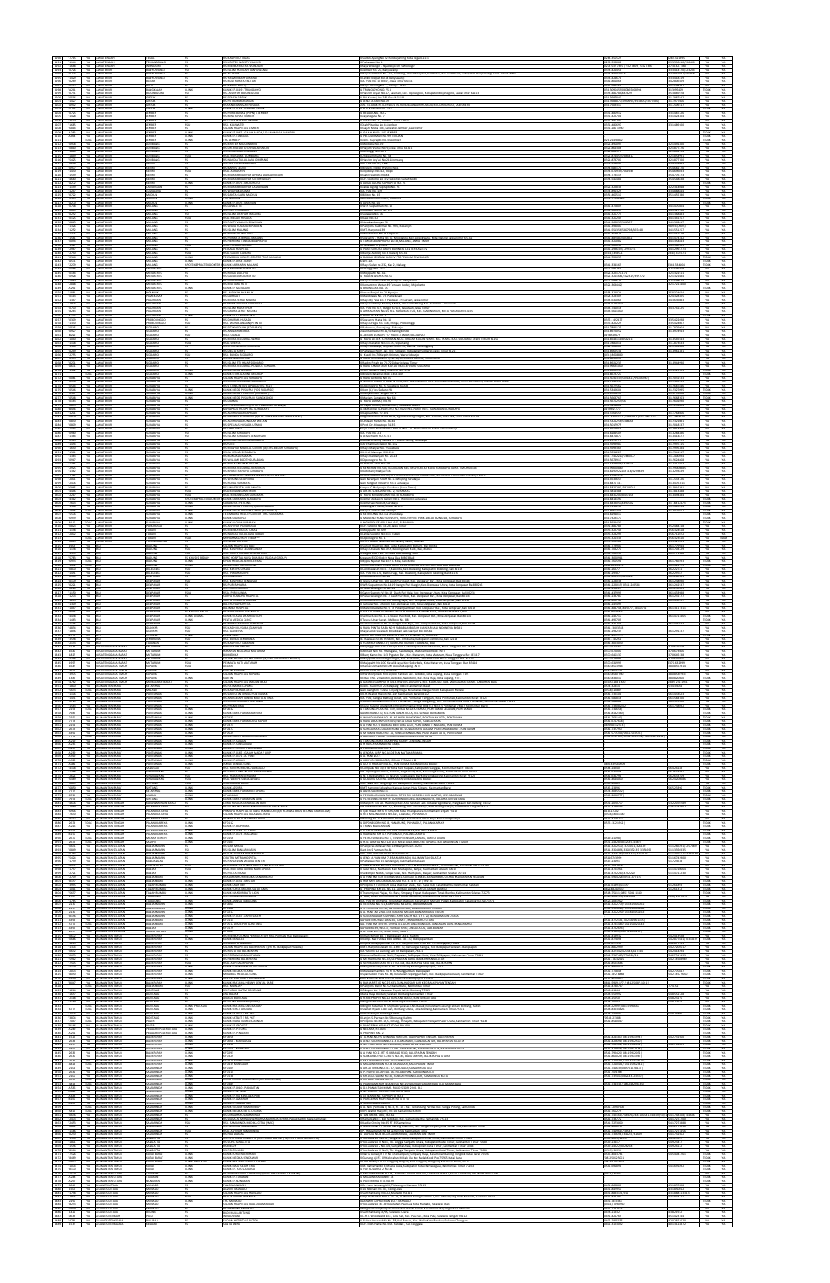| 1190 7715 YA JAWATENGAH<br>1191 1144 YA JAWATENGAH                                                                                                                |                                                                                                            |                                                       |                                                         | RS. KASIH IBU TEGAL                                                                                                             | Jl. Sultan Agung No 32 Randugunting Kota Tegal 52131                                                                                                                                                                                                                                                                                                     | 1283-355525                                                                                        | 0283-321999<br>$\frac{YA}{YA}$                                                                           |                                                   | $\frac{YA}{YA}$             |
|-------------------------------------------------------------------------------------------------------------------------------------------------------------------|------------------------------------------------------------------------------------------------------------|-------------------------------------------------------|---------------------------------------------------------|---------------------------------------------------------------------------------------------------------------------------------|----------------------------------------------------------------------------------------------------------------------------------------------------------------------------------------------------------------------------------------------------------------------------------------------------------------------------------------------------------|----------------------------------------------------------------------------------------------------|----------------------------------------------------------------------------------------------------------|---------------------------------------------------|-----------------------------|
| 1192 1668 YA JAWA TENGAH<br>1193 0726 YA JAWA TENGAH<br>1194 '0724 YA JAWA TIMUR                                                                                  |                                                                                                            | TEMANGGUNG<br><b>WONOGIRI</b><br>NYUWANG<br>BANYUWANG |                                                         | RS. KRISTEN NGESTI WALUYC<br>RS. MEDIKA MULYA WONOGIRI<br>RS. ISLAM FATIMAH BANYUWA                                             | Jl. Pahlawan No. 1<br>Jl.Raya Wonogiri - Ngadirojo Km 5 Wonogiri<br>Jl. Jember No. 25, Banyuwangi<br>Jl. Raya Gambiran No. 225, Genteng, Dusun Krajan II, Gambiran, Kec. Gambiran, Kabupaten Banyuwangi, Jawa Timur 68465                                                                                                                                | 1293-596008<br>273 532 7365 / 532 7369 / 532 7366<br>33-42145<br>333-8420333-6                     | 0293-596410/596<br>273 5327 366<br>$\frac{YA}{YA}$<br>33-414170/42<br>333-842037/845918                  |                                                   | YA<br>YA                    |
| 1195 1429 YA JAWA TIMUR<br>1196 '0269 YA JAWATIMUR                                                                                                                |                                                                                                            | NYUWANG<br><b>BLITAR</b>                              |                                                         | RS. AL-HUDA<br>RS. YASMIN BANYUWANG<br>RS. BUDI RAHAYU BLITAR                                                                   | II. Letkol Istiqlah 80-84 banyuwangi<br>Jl. A. Yani No. 18 Blitar, Jawa Timur 66111                                                                                                                                                                                                                                                                      | 33-424671<br>1342-801066                                                                           | YA<br>333-418219<br>0342-806509<br>YA                                                                    | YA                                                | YA<br>YA<br>YA<br>YA        |
| 1197  0192  YA JAWATIMUR<br>1198 A281 YA JAWA TIMUR<br>1199 0731 YA JAWATIMUR                                                                                     |                                                                                                            | BANGKALAN<br><b>BOJONEGORI</b>                        | <b>KT INTK</b>                                          | RS. BAPTIS (BATU)<br>KLINIK KF.0419 - TRUNOJOYC<br>RSI, AISYIYAH BOJONEGORO                                                     | Jl. Raya Tlekung No. 1, Junrejo - Batu<br>IL TRUNDIDVO NO 75 A<br>II. Hasyim Asyari No.17, Kauman, Kec. Bojonegoro, Kabupaten Bojonegoro, Jawa Timur 62113                                                                                                                                                                                               | 341-594161<br>131-3095459/08786506899<br>0353-481784,88782                                         | 0341-598192<br>0313095459<br>0353-885978                                                                 | YA<br>TIDAK YA<br>YA 1                            | YA                          |
| 1202 'A902 YA JAWA TIMUR                                                                                                                                          |                                                                                                            | <b>GRESIK</b><br><b>GRESIK</b>                        |                                                         | RS. SEMEN GRESIK<br>RS RANDEGANSARI HUSADA                                                                                      | JL. RA. Kartini, No.280 Gresik 61111<br>DSN. TELAPAK RT.02/RW.01 DS.RANDEGANSARI HUSADA, KEC.DRIYOREJO, KAB GRESIK                                                                                                                                                                                                                                       | 031-3987840<br>131-7509317                                                                         | 031-3987842<br>31-7509317                                                                                | YA YA<br>YA YA<br>YA YA                           |                             |
| 1203 A285 YA JAWATIMUR<br>1204 0725<br>1205 1428 YA JAWA TIMUR                                                                                                    | YA JAWA TIMUR                                                                                              | <b>GRESIK</b><br>JEMBER<br>JEMBER                     | KLINIK                                                  | KLINIK KF.0164 - KARTINI GRI<br>RS. PERKEBUNAN (PTPN) X JEMBER<br><b>RS. BINA SEHAT JEMBER</b>                                  | JL. R.A. KARTINI 150 - 152<br>JL. BEDADUNG, NO.2<br>II. Jayanegara No. 7                                                                                                                                                                                                                                                                                 | 331-485912<br>331-42270                                                                            | 331-487226<br>31-424304                                                                                  | TIDAK<br>YA<br>YA                                 | YA<br>YA<br>YA              |
| 1206 3530 YA JAWATIMUR<br>1207 1685                                                                                                                               | YA JAWA TIMUR                                                                                              | JEMBER<br>JEMBER<br>JEMBER                            | RSU                                                     | RS. CITRA HUSADA JEMBER<br><b>RSU, KALIWATES</b><br>SILOAM HOSPITALS JEMBER                                                     | Jl. Teratai No. 22, Jember - Jawa Timur<br>Jl Diah Pitaloka No 4a Jember<br>Jl. Gajah Mada 104, Kaliwates Jember, Jawatimu                                                                                                                                                                                                                               | 1331-486200<br>331-485697<br>0331-286 1900                                                         | 331-489100                                                                                               | YA<br>YA<br>YA 1                                  | YA<br>YA<br>YA              |
| 1209 A289 YA JAWATIMUR<br>1210 A494 YA JAWATIMUR                                                                                                                  | TIDAK JAWA TIMUR                                                                                           | <b>JEMBER</b><br><b>JEMBER</b><br>JEMBER              | KLINIK<br>KLINIK<br>KLINIK                              | KLINIK KF.0062 - GAJAH MADA / GAJAH MADA MAND<br>KLINIK KF.TANGGUI<br>THC JEMBER*                                               | JL. GAJAH MADA 103 JEMBER<br>JL. PB.SUDIRMAN NO.99, TEKOAN<br>Il. Jend. Suprapto No. 65 Jembe                                                                                                                                                                                                                                                            | 121-21478802                                                                                       |                                                                                                          | <b>TIDAK</b><br>TIDAK YA<br>TIDAK YA              | YA                          |
| 1212 '0978 YA JAWATIMUR                                                                                                                                           |                                                                                                            | <b>JOMBANG</b><br><b>JOMBANG</b><br>JOMBANG           | <b>IRS</b>                                              | RS. KRISTEN MOJOWARNO<br>RS. DR. MOEDJITO DWIDJOSISWOJC<br>RS. AIRLANGGA JOMBANG                                                | Jl. Merdeka No. 59<br>Jl. Hayam Wuruk No. 9,Jawa Timur 61411<br>Jl. Airlangga No. 50 C                                                                                                                                                                                                                                                                   | 0321-495093<br>0321-864308<br>0321-861577                                                          | 0321-492200<br>0321-877276<br>0321-862194                                                                | YA<br>$YA$ $YA$<br>$YA$ $YA$                      | YA                          |
| 1215 1849 YA JAWATIMUR<br>1216 5425 YA JAWATIMUR<br>1217 '0248 YA JAWATIMUR                                                                                       |                                                                                                            | IOMBANG<br><b>JOMBANG</b><br><b>KEDIRI</b>            | <b>RSIA</b>                                             | RSIA, MUSLIMAT JOMBANO<br>RS. NAHDLATUL ULAMA JOME<br>RS. HVA TOELOENGREDJO                                                     | Il Urip Sumoharjo No. 34<br>II. Hasyim Asy'ari No 211 Jomba<br>Jl. A. Yani No. 25, Pare                                                                                                                                                                                                                                                                  | 321-8744533/864<br>321-878700<br>354-391047                                                        | 321-854991<br>YA<br>321-877700<br>0354-392883<br>$\frac{YA}{YA}$                                         | YA                                                | YA<br>YA<br>YA<br>YA        |
| 1218 '0977 YA JAWA TIMUR<br>1219 '1430 YA JAWATIMUR<br>1220 1599 YA JAWA TIMUR                                                                                    |                                                                                                            | <b>KEDIRI</b><br><b>KEDIRI</b><br><b>KEDIRI</b>       | <b>RSIA</b>                                             | RS. BAPTIS KEDIR<br>RSIA, AURA SYIFA<br>RS. MUHAMMADIYAH AHMAD DAHLAN KEDIF                                                     | Il. Brigjen. Polibh Pranoto No.<br>II. Joyoboyo No. 42, Diopo<br>II. Gatot Subroto No.84                                                                                                                                                                                                                                                                 | 54-682170<br>354-671939/70019<br>154-773115                                                        | 354-682170<br>0354-696033<br><b>YA</b><br>354-776773<br>YA                                               |                                                   | YA<br>YA                    |
| 1221 '4680 YA JAWA TIMUR<br>1222 A272 YA JAWATIMUR<br>1223 1199 YA JAWATIMUR                                                                                      |                                                                                                            | <b>KEDIRI</b><br><b>KEDIRI</b><br>LAMONGAN            | KLINIK                                                  | RS. MUHAMMADIYAH SITI KHODUAH<br>KLINIK KF.0075 - MOJOROTO<br>RS. MUHAMMADIYAH LAMONGAN                                         | Jl. Dr. Soetomo No 322 Sukorejo Gurah Kedir<br>JL. JAKSA AGUNG SUPRAPTO NO. 25<br>Jl. Jaksa Agung Suprapto No. 76                                                                                                                                                                                                                                        | 1354-545481<br>322-322834                                                                          | 0354-548838<br>0322-314048                                                                               | YA YA<br>TIDAK YA<br>YA YA                        |                             |
| 1224 1247 YA JAWATIMUR<br>1225 '0722 YA JAWATIMUR<br>1226 '2345 YA JAWATIMUR                                                                                      |                                                                                                            | LUMAJANG<br>MADIUN                                    |                                                         | RS. WIJAYA KUSUMA<br>RS. SANTA CLARA MADIUN                                                                                     | Jl. A. Yani No. 149<br>Il. Biliton No. 15                                                                                                                                                                                                                                                                                                                | 0334-891325<br>0351-466510<br>0351-77542120                                                        | 0334-888844<br>0351-455780                                                                               | YA<br>YA YA<br>TIDAK YA                           | YA                          |
| 1227 A270 YA JAWATIMUR<br>1228<br>'0708 YA JAWATIMUR<br>1229 '0609 YA JAWATIMUR                                                                                   |                                                                                                            | MADIUN<br>AALANG<br>MALANG                            | KLINIK                                                  | KLINIK KF.0076 - MADIUN<br>RS. PANTI NIRMALA                                                                                    | JL. JAWA NO.14<br>II. W.R. Supratma<br>Jl. Kebalen Wetan No. 2-8                                                                                                                                                                                                                                                                                         | 341-47080<br>1341-362459                                                                           | 41-470804<br>0341-327930                                                                                 | TIDAK YA<br>YA<br>YA                              | YA<br>YA                    |
| 1230 0252 YA JAWATIMUR<br>1231 '0125 YA JAWATIMUR<br>1232 '0815 YA JAWA TIMUR                                                                                     |                                                                                                            | MALANG<br>MALANG<br>MALANG                            | RSI<br><b>RSIA</b><br><b>IRS</b>                        | RS. ISLAM AISYIYAH MALAN<br>RSIA. MELATI HUSADA<br>RS. PANTI WALUYA SAWAHA                                                      | Jl. Sulawesi No. 16<br>Jl. Kawi No. 32<br>Jl. Nusakambangan 56                                                                                                                                                                                                                                                                                           | 0341-326773<br>0341-325249<br>1341-366033/361                                                      | 0341-368883<br>0341-341357<br>0341-362017                                                                | YA<br>YA YA<br>YA                                 | YA<br>YA                    |
| 1233 1326 YA JAWA TIMUR<br>1234 '1252 YA JAWA TIMUR<br>1235 1325 YA JAWA TIMUR                                                                                    |                                                                                                            | MALANG<br>MALANG<br>MALANG                            |                                                         | RS. WAVA HUSADA KEPANJEN<br>RS. ISLAM MALANG<br>RS. MARSUDI WALUYO                                                              | Jl. Panglima Sudirman No. 99A, Kepanjen<br>Jl. MT. Haryono 139<br>Jl. Mondoroko Km. 9, Singosari                                                                                                                                                                                                                                                         | 0341-393000<br>0341-551356/58<br>0341-458974                                                       | 398924 (Adm)<br>0341-551257<br>0341-451579                                                               | YA I<br>YA<br>YA YA                               | YA<br>YA                    |
| 1236 1561 YA JAWA TIMUR<br>1237 '0094 YA JAWA TIMUR                                                                                                               |                                                                                                            | MALANG<br>MALANG<br>MALANG                            | <b>RS</b><br>RSIA                                       | RS. PERMATA BUNDA MALANG<br>RS. HERMINA TANGKUBANPRAHI<br>RSIA. HUSADA BUNDA                                                    | II. Soekarno - Hatta No.75, Mojolangu, Kec. Lowokwaru, Kota Malang, Jawa Timur 65142<br>JL. TANGKUBAN PRAHU NO.33,MALANG, JAWA TIMUR                                                                                                                                                                                                                     | 1341-487487/40746<br>0341-325082<br>0341-569634                                                    | 341-474242<br>0341-354843<br>0341-580169                                                                 | YA<br>YA<br>YA                                    | YA                          |
| 1238 1327 YA JAWATIMUR<br>1239 2967 YA JAWATIMUR<br>1240 12790 YA JAWATIMUR<br>1241 2346 YA JAWATIMUR                                                             |                                                                                                            | MALANG<br>MALANG<br><b>MLANG</b>                      | <b>RS</b><br><b>RSIA</b><br>KLINIK                      | PERSADA HOSPITAL<br>RSIA, GALERI CANDRA<br>TELEMEDIKA HEALTH CENTER (THC) MALANO                                                | Jl. Pahlawan Trip No.2<br>JL. PANJI SUROSO ARAYA BUSINESS CENTER KAV.II-IV.<br>Jl. Bunga Andong no. 3 Malang 65141<br>JL. DANAU SENTANI BLOK IV STO TELKOM S                                                                                                                                                                                             | 1341-2996333, 2993<br>1341) 478571<br>41-720655                                                    | $\frac{YA}{YA}$<br>0341-2993773<br>341) 478571                                                           | YA<br>TIDAK                                       | $\frac{YA}{YA}$<br>YA<br>YA |
| 1242 'A511 YA JAWATIMUR<br>1243 '2279 YA JAWATIMUR                                                                                                                |                                                                                                            | MALANG<br>MALANG<br>MOJOKERTC                         | KLINIK<br><b>DTEK&amp;PRAI</b>                          | KLINIK KF.0053 - KAWI<br>B KLINIK FARMARIN MALAI<br>RS. KARTINI MOJOKERTO                                                       | KAWI 22A<br>Jl. Raya Sulfat no 232, Kav 2, Malang<br>Jl. Erlangga No. 137                                                                                                                                                                                                                                                                                | 341-334163<br>321-592261                                                                           | 0341-334164<br>0321-595569                                                                               | TIDAK YA<br>TIDAK YA                              | <b>T</b> YA                 |
| 1245 0164 YA JAWA TIMUR<br>1246 '0928  YA JAWA TIMUR<br>1247 1980 YA JAWATIMUR                                                                                    |                                                                                                            | <b>AOJOKERT</b><br>MOJOKERTO<br>MOJOKERTO             |                                                         | RS. REKSA WALUYA<br>RS. GATOEL MOJOKERTO<br>RS. SIDO WARAS                                                                      | Il. Mojopahit No. 422<br>JL. RADEN WUAYA NO.56<br>Jl. Raya Sawahan KM.10, bangsal - Mojokerto                                                                                                                                                                                                                                                            | 821-322170-17<br>0321-3211681/322<br>0321-598621                                                   | $\frac{YA}{YA}$<br>321-322511<br>0321-321684<br>YA<br>YA<br>0321-598624                                  |                                                   | YA<br>YA<br>YA              |
| 1248 2818 YA JAWA TIMUR<br>1249 A292 YA JAWATIMUR                                                                                                                 |                                                                                                            | <b>AOJOKERTO</b><br>MOJOKERTC                         | KLINIK                                                  | RS. MUTIARA HATI<br>KLINIK KF MOJOSARI<br>RSI, AISYIYAH NGANJUK                                                                 | Jl. Kemantren Wetan 49 Terusan Gedeg, Mojokerto<br>JL. BRAWIJAYA NO. 75                                                                                                                                                                                                                                                                                  | 321-363442                                                                                         | 321-7223400                                                                                              | YA YA<br>TIDAK                                    | YA                          |
| 1250 1881 YA JAWATIMUR<br>1251 '0113 YA JAWATIMUR<br>1252 1347 YA JAWATIMUR<br>'7974                                                                              | YA JAWA TIMUR                                                                                              | NGANJUK<br>PAMEKASAN<br>PASURUAN<br>URUAI             |                                                         | RS. MITRA SEHAT MEDIKA<br>RS PRIMA HUSADA SUKORE                                                                                | Jl. Imam Bonjol No 20 Nganjuk<br>Jl. Mandilaras No. 74, Pamekasan<br>Jl. Raya By Pass No. 6 Pandaan - Pasuruan, Jawa Timur                                                                                                                                                                                                                               | 358-324024<br>324-328305<br>1343-636064<br>343-6745000                                             | 358-324024<br>324-328305<br>0343-636083                                                                  | YA YA<br>YA YA YA<br>YA YA<br>YA                  | YA                          |
| 1254 '0700 YA JAWATIMUR<br>1255 8283 YA JAWATIMUR                                                                                                                 |                                                                                                            | PASURUAN<br>PASURUAN                                  |                                                         | RS. ISLAM MASYITHOH<br><b>RS GRAHA SEHAT MEDIKA</b><br>KLINIK KF.CITRA MEDIKA                                                   | l. Raya Surabaya Malang KM 54, Desa lemahbang Kec. Sukorejo<br>Jl. A. Yani No. 6-7, Bangil, 67153, Pasuruan, Jawa Timur<br>JL AHMAD YANI NO.15 KEL KARANGKETUG, KEC. GADINGREJO, KOTA PASURUAN 67135                                                                                                                                                     | 1343-741018<br>1343-5611000                                                                        | 0343-742425                                                                                              | YA<br>YA                                          | YA<br>YA                    |
| 1256 A279 YA JAWATIMUR<br>1257<br>0309<br>1258 1330 YA JAWA TIMUR                                                                                                 | YA JAWA TIMUR                                                                                              | PASURUAN<br>PROBOLING<br>PROBOLINGG                   | KLINIK<br>RSU                                           | RS. DHARMA HUSADA<br>RSU. WONOLANGAN (PTPN XI                                                                                   | JL. RAYA JETAK NO. 9<br>Il. Soekarno Hatta No. 10<br>Jl. Raya Dringu No. 118, Dringu, Probolinggo                                                                                                                                                                                                                                                        | 335 - 42217<br>0335-420225                                                                         | 335.422698<br>0335-424007                                                                                | TIDAK YA<br>YA  <br>YA I                          | YA<br>YA                    |
| 1260 '0927 YA JAWA TIMUR<br>1261 B222 YA JAWATIMUR                                                                                                                |                                                                                                            | SIDOARJO<br><b>SIDOARJO</b><br>SIDOARJO               |                                                         | RS. SITI KHODIJAH (SID<br>RS. ANWAR MEDIKA<br>RSU. USADA                                                                        | Jl. Pahlawan, Sepanjang - Sidoarjo<br>Dusun Semawut Rt.11/4, Balongbendo<br>JL JERUK NOMOR 117 WAGE-TAMAN, SIDOARJO                                                                                                                                                                                                                                      | 031-7882123<br>131-8972052<br>31-8539671                                                           | 031-7876064<br>31-8974943                                                                                | YA<br>YA YA<br>YA                                 | YA<br>YA                    |
| 1262 '1040 YA JAWA TIMUR<br>1263 1108 YA JAWATIMUR<br>1264 1346 YA JAWATIMUR                                                                                      |                                                                                                            | SIDOARJO<br>SIDOARJO<br>SIDOARJO                      | <b>RS</b><br><b>RSIA</b>                                | RS. MITRA KELUARGA WARL<br>RSIA, SOERYA<br>RS. CITRA MEDIKA SIDOAR                                                              | JL. RAYA LETJEN. S.PARMAN, NO.8, KRAJAN KULON WARU, KEC. WARU, KAB. SIDOARJO, JAWA TIMUR 61256<br>II. Raya Kalijaten No. 11-15, Sepanjang<br>II. Raya Surabaya, Mojokerto Km.44, Kramat Tumenggung                                                                                                                                                       | 031-8543111/85421<br>031-7885011<br>0321-361000                                                    | 031-8545543<br>31-7873633<br>321-361666                                                                  | YA<br>$\frac{YA}{YA}$<br>YA                       | YA                          |
| 1265 '0249 YA JAWA TIMUR<br>1266 2755 YA JAWA TIMUR<br>1267 '6375 YA JAWATIMUR                                                                                    |                                                                                                            | <b>IDOARJO</b><br><b>IDOARJO</b><br>SIDOARJO          |                                                         | RS. DELTA SURYA<br>RSU. BUNDA SIDOAP<br>RS. RAHMAN RAHIM                                                                        | II. Pahlawan No.9, Jati, Kec. Sidoarjo, Kabupaten Sidoarjo, Jawa Timur 61211<br>IL. Kundi No.70 Kepuh Kiriman, Waru Sidoarjo<br>JL. RAYA SAIMBANG RT/RW:10/03 KEBON AGUNG, SUKODONO                                                                                                                                                                      | 31-8962531<br>81) 866888<br>131-8830010                                                            | 31-8961281                                                                                               | YA<br>YA                                          | YA<br>YA                    |
| 1268  0271  YA JAWA TIMUR                                                                                                                                         |                                                                                                            | SIDOARJO<br>SIDOARJO<br>SIDOARJO                      | KLINIK                                                  | RS. ISLAM SITI HAJAR SIDOARJ<br>RS. MITRA KELUARGA PONDOK TJANDRA<br>KLINIK MEDIS GELORA                                        | Jl. Raden Patah No 70-72 Sidoarjo Jawa Timu<br>JL. RAYA TAMAN ASRI KAV.DD NO.1-8 WARU SIDOARJO<br>Perum Taman Pinang Indah B7 No. 3-3A                                                                                                                                                                                                                   | 31-8921233<br>31-99691000<br>031-8929139                                                           | $\frac{YA}{YA}$<br>1-8944990<br>31-8929123                                                               | $\frac{YA}{YA}$<br>YA<br>TIDAK<br>$\frac{YA}{YA}$ |                             |
| 1271<br>1272 '0081  YA JAWA TIMUR<br>1273  0136  YA JAWA TIMUR                                                                                                    | <b>TIDAK JAWA TIMUR</b>                                                                                    | SIDOARJO<br>SURABAYA<br><b>SURABAYA</b>               | <b>KLINIK</b>                                           | KLINIK CITRA GADING MEDIKA<br>SILOAM HOSPITALS SURABAYA<br>RS. MITRA KELUARGA SURABAYA                                          | Jl. Brigjen Katamso Blok A 408-409<br>JL. RAYA GUBENG NO.70<br>JL. SATELIT INDAH II Blok FN No.8, KEL.TANJUNGSARI, KEC. SUKOMANUNGGAL, KOTA SURABAYA, JAWA TIMUR 60187                                                                                                                                                                                   | 031-8679727<br>031-5031333/50<br>131-7345333                                                       | 031-5031533<br>031-7345955                                                                               | TIDAK YA<br>YA YA<br>YA YA                        |                             |
| 1274   10544   YA JAWATIMUR                                                                                                                                       |                                                                                                            | SURABAYA<br><b>SURABAYA</b>                           | RS<br>KLINIK                                            | RS. ST.VINCENTIUS A.PAULO (RS. RKZ)<br>KLINIK MEDIS PUSURA I (YOS SUDARSO)                                                      | Jl. Diponegoro No. 51 Surabaya 60008<br>Il. Kom (L) Yos Sudarso 9A                                                                                                                                                                                                                                                                                       | 031-5677562<br>031-5340604                                                                         | 031-5687846<br>31-5327095                                                                                | YA YA<br>TIDAK YA<br>TIDAK YA                     |                             |
| 1278<br>0163                                                                                                                                                      | YA JAWA TIMUR                                                                                              | <b>SURABAYA</b><br><b>JIRARAYA</b>                    | KLINIK                                                  | KLINIK MEDIS PUSURA III (SUNGKONO<br>RS DARMO                                                                                   | Jl. Rungkut Asri Tengah No. 2<br>Jl. Mayjen. Sungkono No. 64<br>IL. RAYA DARMO, NO.90                                                                                                                                                                                                                                                                    | 031-8705210<br>131-5668763<br>31-5676253/5                                                         | 031-8793028<br>031-5668763<br>1-560269                                                                   | TIDAK YA<br>YA                                    | YA                          |
| 1279 '0895 YA JAWA TIMUR<br>1280 B696 YA JAWATIMUR<br>1281 1201 YA JAWATIMUR                                                                                      |                                                                                                            | SURABAYA<br>SURABAYA<br>SURABAYA                      |                                                         | RS. PHC SURABAYA (d/h RS. Pelabuhan Surabaya<br>MAYAPADA HOSPITAL SURABAYA<br>RS. ADI HUSADA KAPASARI                           | Jl. Prapat Kurung Selatan No. I, Surabaya 60165<br>JL MAYJEND SUNGKONO NO.16-20 KEL.PAKIS KEC. SAWAHAN SURABAYA<br>Jl. Kapasari No. 97-101                                                                                                                                                                                                               | 031-3294801<br>031.99217777<br>031-3764555                                                         | 031-3294804<br>031-3764666                                                                               | YA<br>YA<br>YA YA                                 | YA<br>YA                    |
| 1282 '0829 YA JAWATIMUR<br>1283 '0830 YA JAWA TIMUR                                                                                                               |                                                                                                            | SURABAYA<br>SURABAYA<br>SURABAYA                      |                                                         | RS. PREMIER SURABAYA (d/h RS. SURABAYA INTERNASIONAL<br>RS. ADI HUSADA UNDAAN WETAN<br>RS. SPESIALIS HUSADA UTAMA               | II. Nginden Intan Barat No.B, Ngenden Jangkungan, Kec. Sukolilo, Kota SBY, Jawa Timur 60118<br>Jl. Undaan Wetan No. 40-44<br>Jl. Prof. Dr. Moestopo 31-35                                                                                                                                                                                                | 131-33003211/5993211 031-5993211<br>031-5321256/5318000<br>031-501797                              | 031-5993214<br>031-5321081<br>031-5018337                                                                | YA<br>YA YA<br>YA YA                              | YA                          |
| 1285 1453 YA JAWA TIMUR<br>1286 '0980 YA JAWA TIMUR<br>1287 '1364 YA JAWA TIMUR                                                                                   |                                                                                                            | SURABAYA<br>SURABAYA<br>SURABAYA                      | <b>RSI</b>                                              | RS. ONKOLOGI<br>RS. ISLAM SURABAYA<br>RS. ISLAM SURABAYA JEMURSARI                                                              | Araya Galaxi Bumi Permai Blok A2 No.7 Jl. Arief Rahman Hakim 182 Surabaya<br>JL. JEMURSARI NO.51-57                                                                                                                                                                                                                                                      | 131-5914855<br>31-828450<br>031-8471877                                                            | 31-5914860<br>31-8284486<br>031-8414877                                                                  | YA YA<br>YA<br>YA<br>YA                           | YA                          |
|                                                                                                                                                                   |                                                                                                            | SURABAYA<br>SURABAYA<br>URABAYA                       |                                                         | NATIONAL HOSPITAL SURABAYA<br>RS. MANYAR MEDICAL CENTRE (d/h RS. BEDAH SURABAYA                                                 | Boulevard Family Sel kav. 1 - Graha Family, Surabaya<br>I. Arif Rahman Hakim No.112<br>Jl. Raya Manyar No. 9 Surabaya                                                                                                                                                                                                                                    | 031-2975777<br>31-599998<br>31-5999369                                                             | $\frac{YA}{YA}$<br>031-2975799<br>31-5997215<br>31-5995284<br><b>YA</b>                                  |                                                   | $\frac{YA}{YA}$             |
| 1290 1690 YA JAWATIMUR<br>1291 1361 YA JAWATIMUR<br>1292 1363 YA JAWATIMUR<br>1293 10917 YA JAWATIMUR                                                             |                                                                                                            | URABAYA<br>SURABAYA<br>SURABAYA                       |                                                         | RS. AL IRSYAD SURABAYA<br><b>RS. RUNDA SURARAYA</b><br>RS. WILLIAM BOOTH SURABA                                                 | Jl. K.H.M Mansyur 210-214<br>Jl. Raya Kandangan No. 23-24<br>Jl. Diponegoro No. 34                                                                                                                                                                                                                                                                       | 1-3531223<br>131 - 7442220/744007<br>131-5678917                                                   | 1-3541517<br>YA<br>031-7400694<br>$\frac{YA}{YA}$<br>31-5624868                                          |                                                   | YA<br>YA<br>$\frac{YA}{YA}$ |
| 1294 1365 YA JAWATIMUR<br>1295 2925 YA JAWATIMUR                                                                                                                  |                                                                                                            | URABAYA<br>SURABAYA                                   |                                                         | RS MATA UNDAAN WETAN<br>RS. MITRA KELUARGA KENJEF                                                                               | Jl. Undaan Kulon No. 19<br>JL. KENJERAN NO.506, KALUUDAN, KEC. MULYOREJO, KOTA SURABAYA, JAWA TIMUR 60134                                                                                                                                                                                                                                                | 31-5343806.531961<br>031-9900088                                                                   | 31-5317503<br>YA<br>YA<br>31-99000885                                                                    |                                                   | YA<br>YA                    |
| 1296 1362 YA JAWATIMUR<br>1297 2785 YA JAWA TIMUR<br>1298 2001 YA JAWA TIMUR                                                                                      |                                                                                                            | SURABAYA<br>URABAYA<br>URABAYA                        |                                                         | RS. BHAKTI RAHAYU SURABAYA<br>RS. ORTHOPEDI DAN TRAUMATOLOGI SURABAY<br>RS. WIYUNG SEJAHTERA                                    | Jl. Ketintang Madya I/16<br>Jl. Emerald Mansion TX/10 Citraland Kelurahan Lidah Kulon, Kecamatan Lakarsantri Surabaya 60213<br>Jalan Karangan PDAM No.1-3 Wiyung Surabaya                                                                                                                                                                                | 031-8295922 ext 118/829383<br>031-57431574<br>31-4532653                                           | 031-8293839<br>31-7533726                                                                                | $\frac{YA}{YA}$<br>YA YA                          | $\frac{YA}{YA}$             |
| 1299 '2476 YA JAWA TIMUR<br>1300 6965 YA JAWATIMUR<br>1301 '4446 YA JAWATIMUR                                                                                     |                                                                                                            | SURABAYA<br>SURABAYA                                  | RS.                                                     | RS. ROYAL SURABAYA<br>RS. UNIVERSITAS AIRLANGGA                                                                                 | Jalan Rungkut Industri I No.1 Surabaya<br>Kampus C Mulyorejo, Surabaya (Jawa Timur).                                                                                                                                                                                                                                                                     | 031-8476 111<br>031-5820280, 58208281<br>031-3814388                                               | 031-8476 211<br>031-5916291<br>031-3813488                                                               | YA YA<br>YA YA<br>YA YA                           |                             |
| 1302 2217<br>1303 '4312 YA JAWATIMUR<br>1304 7603 YA JAWA TIMUR                                                                                                   | YA JAWA TIMUR                                                                                              | SURABAYA<br>UIRARAYA<br>SURABAYA                      | <b>RSIA</b><br><b>APOTEK&amp;PRAKTEK DOKT</b><br>KLINIK | RSIA. KENDANGSARI SURABAYA<br><b>BKIINK FARMARIN SHRARAYA</b><br>SURABAYA EYE CLINIC                                            | JL. RAYA KENDANGSARI NO.38 SURABAYA<br>I. Jemur Andayani Gang II No 1, Wonocolo<br>Jl. Jemursari No 108, Surabaya                                                                                                                                                                                                                                        | 131-8436200/843720<br>131-8418190<br>031-8433050,8495                                              | 031-8494484<br>331-8412473                                                                               | YA<br>TIDAK<br><b>TIDAK</b>                       | YA<br>YA<br>YA              |
| 1305 1548 YA JAWATIMUR<br>1306 1846 TIDAK JAWA TIMUR<br>1307 '5576 YA JAWA TIMUR                                                                                  |                                                                                                            | UIRARAYA<br>SURABAYA<br><b>IRARAYA</b>                | KLINIK<br>KLINIK<br>KLINIK                              | KLINIK MEDIS PUSURA (5) BALONGSAR<br>KLINIK MEDIS PUSURA CANDI (SIDOARJO)<br>TELEMEDIKA HEALTH CENTER (THC) SURABAY             | ongsari Tama, Blok B No 8-9<br>Jl. Raya Candi no 49 Sidoarjo<br>IL KETINTANG NO.152 A Surabaya                                                                                                                                                                                                                                                           | 031-7416234<br>031-8966345<br>31-829401                                                            | 031-7416234<br>031-8075917                                                                               | <b>TIDAK</b><br>TIDAK YA<br><b>TIDAK</b>          | YA<br>YA                    |
| 1308 '6939 YA JAWA TIMUR<br>1310 '0823 YA JAWATIMUR                                                                                                               |                                                                                                            | SURABAYA<br>PONOROGO                                  | KLINIK                                                  | KLINIK GIGI SEHAT<br><b>RS. AISYIYAH PONOROGO</b>                                                                               | JL. MAYJEND.YONO SOEWOYO, RUKO OFFICE PARK 2 BLOK B2 NO.28, SURABAYA<br>Jl. Dr. Sutomo No. 18-24, Jawa Timu                                                                                                                                                                                                                                              | 131-7329177<br>1352-481784                                                                         | 0352-484218                                                                                              | TIDAK YA<br>YA I                                  | YA                          |
| 1311 198 YA JAWA TIMUR<br>1312 2002 YA JAWA TIMUR                                                                                                                 |                                                                                                            | TUBAN<br>TUBAN                                        | <b>IRS</b>                                              | RS. MEDIKA MULIA TUBAN<br>RS. NAHDLATUL ULAMA TUBAN                                                                             | Jl. Mojopahit no. 699<br>Jl. Letda Sucioto No 211. Tuban                                                                                                                                                                                                                                                                                                 | 356-322744<br>0356-328299                                                                          | 0356-324618<br>0356-712072<br>YA                                                                         | YA<br>YA                                          | YA                          |
| 1313 TIDAK JAWA TIMUR<br>1314 '0813 YA JAWA TIMUR<br>1315 1909 YA BALI                                                                                            |                                                                                                            | TUBAN<br>TULUNGAG<br><b>BADUNG</b>                    | RSAB                                                    | MUHAMMADIYAH TUBAN**<br>RS. ISLAM ORPEHA<br>SILOAM HOSPITALS BALL                                                               | Jl. Diponegoro No. 1<br>Jl. K.H.R Abdul Fatah No. 80 Batang Saren, Kauman<br>II. Sunset Road No. 818, Kuta - Kabupaten Badung, Bali 80361                                                                                                                                                                                                                | 356-321334<br>155-323186<br>361-779900                                                             | $\frac{YA}{YA}$<br>0356-323610<br>:55-327691<br>361-779944<br>YA                                         |                                                   | TIDAK<br>YA<br>YA           |
| 1316 1318 YA BALL<br>1317 1359 YA BALL<br>1318 5783 YA BALL                                                                                                       |                                                                                                            | BADUNG<br><b>BADUNG</b><br>BADUNG                     | <b>RSU</b><br><b>RS KHUSUS BEDAH</b>                    | RSU. KASIH IBU KEDONGA<br>RSU, SURYA HUSADHA NUSA DUA<br>BIMC HOSPITAL NUSA DUA BALI (SILOAM GROUP                              | Jl. Raya Uluwatu No.69 A, Kedonganan, Kuta, Bali, 80361<br>Jl. Siligita Blok I No. 14 Nusa Dua Badung -Bali<br>Kawasan BTCD Blok D Nusa Dua 80363 Bali                                                                                                                                                                                                   | 161-703270<br>1361-766154<br>861-3000911                                                           | YA<br>61-703329<br>0361-771388<br>$\frac{YA}{YA}$                                                        |                                                   | YA<br>YA<br>YA              |
| 1319 '6933 TIDAK BALL<br>1320 1492 TIDAK BALI                                                                                                                     |                                                                                                            | <b>BADUNG</b><br>BADUNG<br><b>BULELENG</b>            | <b>KLINIK</b><br>KLINIK                                 | KYOAI MEDICAL SERVICES BAL<br>KLINIK KASIH IBU DALUNG<br><b>RSU. KERTHA USADA</b>                                               | Jl. Bypas Ngurah Rai No 9 C Kuta, Bali 80361<br>PERUM DALUNG PERMAI BLOK C1-C4 DALUNG KEC KUTA UTARA KAB BADUNG<br>Jl. Cendrawasih No.5 - 7, Kaliuntu, Kec. Buleleng, Kabupaten Buleleng, Bali 81116                                                                                                                                                     | 361-766591<br>082236324193<br>1362-26277                                                           | 361-766593<br>0361-422179<br>362-22741                                                                   | TIDAK YA                                          |                             |
| 1321 '0870 YA BALI<br>1322 '1451 YA BALI<br>1323 '0140 YA BALL<br>1324 0179 YA BALL                                                                               |                                                                                                            | BULELENG<br>DENPASAR<br>DENPASAR                      | RSU                                                     | RSU. PARAMASIDHI<br>RS. MANUABA<br>RSU. KASIH IBU DENPASAR                                                                      | Jl. A. Yani No.171, Baktiseraga, Kec. Buleleng, Kabupaten Buleleng, Bali 81116<br>Jl. Cokroaminoto No. 28<br>Jl. Teuku Umar No. 120 Dauh Puri Kauh, Kec. Denpasar Bar., Kota Denpasar, Bali 80114                                                                                                                                                        | 162-29787<br>1361-426393/427944<br>0361-223036                                                     | 362-29787<br>361-286183<br>0361-238690                                                                   | YA YA<br>YA YA<br>YA YA<br>YA YA                  |                             |
| 1327 1150<br>I YA BALI                                                                                                                                            |                                                                                                            | DENPASAR<br>DENPASAR                                  | <b>RSIA</b>                                             | <b>RS PURLRAHARIA</b><br>RSIA, PURI BUNDA                                                                                       | Jl. WR. Supratman No.14-19 Dangin Puri Kangin, Kec. Denpasar Utara, Kota Denpasar, Bali 80236<br>Jl. Pulau Serangan 9X 80114<br>Jl. Gatot Subroto VI No.19 Dauh Puri Kaja, Kec. Denpasar Utara, Kota Denpasar, Bali 80233                                                                                                                                | 0361-222013/0361-240584<br>1361-236225<br>0361-43799                                               | 0361-242537<br>0361-236203<br>0361-433988                                                                | $\frac{YA}{YA}$<br>YA                             | YA<br>YA<br>YA              |
| 1328 1273 YA BALI<br>1329 '1245   YA BALI<br>1330 1309 YA BAL                                                                                                     |                                                                                                            | DENPASAR<br>DENPASAR<br>DENPASAR                      | <b>RS</b><br>RSU                                        | SURYA HUSADHA HOSPITA<br>SURYA HUSADHA UBUNG<br><b><i>RALL ROYAL HOSPITAL</i></b>                                               | II. Pulau Serangan No. 7 Dauh Puri Klod, Kec. Denpasar Bar., Kota Denpasar, Bali 80114<br>Jl. Cokroaminoto No. 356 Ubung Kaja, Kec. Denpasar Utara, Kota Denpasar, Bali 80116                                                                                                                                                                            | 1361-233787<br>0361-425744<br>0361-247499                                                          | 0361-231177<br>0361-430557                                                                               | YA<br>YA I<br>YA                                  | YA<br>YA<br>YA              |
| 1331 1047 YA BALI<br>1332 '8045 YA BALL                                                                                                                           |                                                                                                            | DENPASAR<br>ENPASAR                                   | <b>RS KHUSUS MAT</b>                                    | <b>BALIMED HOSPITAL</b><br>RS. KHUSUS MATA RAMATI                                                                               | Jl. Tantular No. 6 Renon Kec. Denpasar Tim., Kota Denpasar, Bali 80226<br>Jl. Mahendradatta No. 57.X Padangsambian, Kec. Denpasar Bar., Kota Denpasar, Bali 80119<br>JL. GATOT SUBROTO BARAT NO.429 PADANGSAMBIAN KAJA, DENPASAR BARAT, BALI                                                                                                             | 0361-484748, 8450771, 8450772<br>1361 9069                                                         | 0361-3117311                                                                                             | YA YA<br>YA                                       | YA                          |
| 1333 4438 YA BALI<br>1334 1463 YA BALL<br>1335 '1146   YA BALI                                                                                                    |                                                                                                            | ENPASAR<br>ENPASAR<br>DENPASAR                        | KLINIK UTAMA                                            | KLINIK UTAMA DHARMA SIDH<br>PENTA MEDICA CLINI<br>RS. BHAKTI RAHAYU DENPASAR                                                    | Jl. Serma Kawi No. 13-17 Dauh Puri Klod, Kec. Denpasar Bar., Kota Denpasar, Bali 80114<br>Jl. Teuku Umar Barat - Malboro No. 88<br>Ji, Gatot Subroto II No.11 Dangin Puri Kaja, Kec. Denpasar Utara, Kota Denpasar, Bali 80234                                                                                                                           | 1361-242717<br>1361-430245                                                                         | 361-4723465<br>361-430833                                                                                | <b>TIDAK</b><br><b>TIDAK</b><br>YA YA             | YA<br>YA                    |
| 1336 '4834 YA BALL<br>1337 1896 YA BALI<br>1338 8773 YA BALL<br>1339 '3558 YA BALL                                                                                |                                                                                                            | <b>JANYAR</b><br>GIANYAR<br>GIANYAR<br>JEMBRANA       | RSU<br>KLINIK                                           | RS. KASIH IBU SABA (GIANYAR<br>RSU. GANESHA<br>KLINIK BBMC<br>RSU. BUNDA JEMBRAN                                                | IL RAYA PANTAI SABA NO 9 SABA BLAHBATUH GIANYAR BALI INDONESIA 80581<br>Jl.Raya Celuk Sukawati Batubulan Kab.Gianyar Ball 80582<br>JL RAYA BATUBULAN ANYELIR 5 NO.3 A SUKAWATI, GIANYAR                                                                                                                                                                  | 361-3003333<br>0361-298233<br>361-8461172                                                          | 0361-291237                                                                                              | YA YA<br>YA<br>TIDAK YA<br>YA YA                  | YA                          |
|                                                                                                                                                                   |                                                                                                            |                                                       |                                                         |                                                                                                                                 |                                                                                                                                                                                                                                                                                                                                                          | 165 - 40251                                                                                        |                                                                                                          | YA                                                | YA                          |
| 1340   2133   YA BALI<br>1341 1539 YA NUSA TENGGARA BARAT                                                                                                         |                                                                                                            | TABANAN                                               |                                                         | RS. KASIH IBU TABANAN<br>RISA SENTRA MEDIKA                                                                                     | Jln. Rajawali no 36 Pendem, Kec. Jembrana, Kabupaten Jembrana, Bali 82218<br>JL: FLAMBOYAN NO. 9 ( KAMPUNG KODOK )TABANAN, BALI                                                                                                                                                                                                                          | 361-3003030<br>70-625560                                                                           | 370-625559                                                                                               |                                                   |                             |
| 1342 1645 YA NUSA TENGGARA BARAT<br>1343 1827 YA NUSA TENGGARA BARAT                                                                                              |                                                                                                            | MATARAM<br>MATARAM<br><b>IATARAM</b><br>MATARAM       |                                                         | HARAPAN KELUARGA MATARAN<br>BIOMEDIKA                                                                                           | II. Pejanggik No. 115, Cilinaya, Kec. Cakranegara, Kota Mataram, Nusa Tenggara Bar. 83239<br>Jl. Ahmad Yani No. 9 Selagalas, Sandubaya, Mataram Lombok - NTB<br>ll. Bung Karno No. 143 Pagutan Bar., Kec. Mataram, Kota Mataram, Nusa Tenggara Bar. 83117                                                                                                | 370-670000<br>370-645137                                                                           | YA<br>0370-673666<br>$\frac{YA}{YA}$<br>0370-645138<br>370-635955                                        |                                                   | YA<br>YA                    |
| 1344 14358 YA NUSA TENGGARA BARAT<br>1345 1957 YA NUSA TENGGARA BARAT                                                                                             |                                                                                                            | MATARAM                                               | RSIA<br><b>RSIA</b>                                     | SILOAM HOSPITALS MATARAM (d/h RS Grha Ultima Medika)<br>PERMATA HATI MATARAM                                                    | II. Majapahit no 10 Pagesangan, Kec. Mataram, Kota Mataram, Nusa Tenggara Bar. 83115<br>II. Majapahit No.10C, Kekalik Jaya, Kec. Sekarbela, Kota Mataram, Nusa Tenggara Bar. 83114<br>Jl. Rantal Damai 69D TDM Oebufu Kupang - NTT                                                                                                                       | 1370-623999<br>1370-631999<br>380-8553914                                                          | $\frac{YA}{YA}$<br>0370-632999<br>380-8553914                                                            |                                                   | YA<br>YA                    |
| 1346 1647 YA NUSA TENGGARA TIMUR<br>1347 2972 YA NUSA TENGGARA TIMUR<br>1348 13975 YA NUSA TENGGARA TIMUR<br>1349 1380 YA NUSA TENGGARA TIMUR                     |                                                                                                            | KUPANG<br>KUPANG<br>KUPANG<br><b>KUPANG</b>           | KLINIK                                                  | DEDARI<br>KARTINI KUPANG<br>SILOAM HOSPITALS KUPANG<br>KARTINI                                                                  | Il. Frans Seda no 17, Walikota<br>Jl. RW Monginsidi RT 014/004 Fatululi Kec. Oebobo, Kota Kupang, Nusa Tenggara Tim.<br>Jl. Eltari I No. 2 Naikotin, Oebobo, Naikoten I, Kec. Kota Raja, Kota Kupang, NTT.                                                                                                                                               | 80-8065111<br>380-8530 900<br>0380-833010                                                          | 380-8530 933<br>0380-820660                                                                              | $\frac{YA}{YA}$<br>YA YA<br><b>TIDAK</b>          | YA<br>YA<br>YA              |
| 1350 14762 YA NUSA TENGGARA TIMUR<br>1351 1800 YA KAUMANTAN BARAT<br>1352 5633 TIDAK KALIMANTAN BARAT                                                             |                                                                                                            | MANGGARAI BARAT<br>KETAPANG<br>MELAWI                 |                                                         | SILOAM HOSPITALS LABUAN BAJO<br>RS. KASIH BUNDA JAYA                                                                            | JL. GABRIEL GAMPUR RT.013. RW.005, DUSUN V, KEC. KOMODO, KAB. MANGGARAI BARAT, LABUHAN BAIO<br>Jl. Jend. Sudirman 27 Ketapang 78813 Kalimantan Barat<br>Jalan Juang Km 2 Desa Tanjung Niaga Kecamatan Nanga Pinoh, Kabupaten Melawi                                                                                                                      | (0385) 238 1900<br>0534-32814<br>0568) 22885                                                       | (0385) 238 1911<br>0534 33064                                                                            | YA<br>YA                                          | $\frac{YA}{YA}$<br>YA       |
| 1353 1106 YA KALIMANTAN BARAT<br>1354 1431 YA KALIMANTAN BARA'<br>1355 2729 YA KALIMANTAN BARAT                                                                   |                                                                                                            | PONTIANAR<br>PONTIANAK<br>PONTIANAK                   |                                                         | <b>RS. SANTO ANTONIUS PONTIANAI</b><br>RS. ANUGERAH BUNDA KHATULISTIWA<br>RS. MITRA MEDIKA PONTIANAK                            | J. K.H. Wahid Hasyim No. 249 Kalimantan Barat 78112<br>Jl. A. Yani, Bangka Belitung Darat, Kec. Pontianak Tenggara, Kota Pontianak, Kalimantan Barat 78124                                                                                                                                                                                               | 561-732101<br>0561-581818<br>0561-584888                                                           | 561-433623<br>0561-584100<br>561-576100                                                                  | YA 1<br>YA I<br>YA I                              | YA<br>YA<br>YA              |
| 1356 1563 YA KALIMANTAN BARAT<br>1357 2253 TIDAK KALIMANTAN BARAT<br>1358<br>7982                                                                                 | YA KALIMANTAN BARAT                                                                                        | PONTIANAK<br><b>DNTIANA</b><br>PONTIANAK              | <b>IRS</b><br>KLINIK<br>KLINIK                          | RS. PROMEDIKA<br>KF 0032<br>KLINIK KIMIA FARMA AMPERA                                                                           | dulrahman no 25, Pontianak - Sungai Bangkong, Kec. Pontianak Kota, Kota Pontianak, Kalimantan Barat 78113<br>Jl. Gusti Sulung Lelanang Komplek Pontianak Mall Blok E-A No.2-5 Pontianak 78117 Kalimantan Barat<br>JL. TANJUNG PURA NO. 419, BENUA MELAYU BARAT, PONTIANAK SELATAN, PONTIANAK<br>IL AMPERA NO 30, KEC PONTIANAK KOTA, KEL SUNGAI BANGKONG | 0561-739082/42<br>0561-8182360                                                                     | 0561-738692                                                                                              | YA YA<br><b>TIDAK</b><br><b>TIDAK</b>             | YA<br>YA                    |
| 1359<br>2255<br>1360<br>7779                                                                                                                                      | YA KALIMANTAN BARAT<br>YA KALIMANTAN BARAT<br>YA KALIMANTAN BARA'                                          | PONTIANAI<br>PONTIANAK<br>PONTIANAK                   | KLINIK<br>KLINIK                                        | KF 0333<br>KLINIK KIMIA FARMA DESA KAPUR                                                                                        | .<br>WAHID HASYIM NO. 61 ASUNGAI BANGKONG, PONTIANAK KOTA, PONTIANAK<br>. RAYA DESA KAPUR RT.05/RW.02 DESA KAPUR, SUNGAI RAYA                                                                                                                                                                                                                            | 561-768140<br>0561-6717678                                                                         |                                                                                                          | TIDAK<br>TIDAK YA                                 | YA                          |
| 1361<br>2254<br>1362 2679                                                                                                                                         | YA KALIMANTAN BARAT                                                                                        | PONTIANAK                                             | KLINIK<br><b>KLINIK</b>                                 | KF 0371<br>KF 0477                                                                                                              | IL A YANI NO. 5, BANGKA BELITUNG LAUT, PONTIANAK TENGGARA, PONTIANAK<br>IL SUNGAI RAYA DALAM RUKO B1, SUNGAI RAYA DALAM, PONTIANAK BARAT, PONTIANAK                                                                                                                                                                                                      | 15960312323<br>1561-737797<br>1561 5715359/0561-583536 <br>1561-6717897/0534-3035532/ 085654211454 |                                                                                                          | <b>TIDAK</b><br><b>TIDAK</b>                      | YA<br>YA                    |
| 1363 4391 YA KALIMANTAN BARAT<br>1364 7778 TIDAK KALIMANTAN BARAT<br>1365 A219 YA KALIMANTAN BARAT<br>1366 A235 YA KALIMANTAN BARAT                               |                                                                                                            | PONTIANAK<br>PONTIANAK<br>PONTIANAK<br>PONTIANAK      | KLINIK<br>KLINIK<br><b>KLINIK</b><br><b>KLINIK</b>      | KF 0525<br>KLINIK KIMIA FARMA ROS<br><b>KLINIK KF.SAIGON</b><br>KLINIK KF.SUNGALI                                               | IL M YAMIN RUKO NO. 7A, SUNGAI BANGKONG, PONTIANAK KOTA, PONTIANAK<br>IL ADI SUCIPTO KM 13.6 AARANG LIMBUNG KUBU RAYA<br>JL. TANJUNG RAYA II SAMPING KOMP. CENDANA INDAH<br>JL. H RAIS A RAHMAN NO 168/C                                                                                                                                                 |                                                                                                    |                                                                                                          | TIDAK YA<br>TIDAK YA<br>TIDAK YA                  |                             |
| 1367 A237 YA KALIMANTAN BARAT<br>1368 A239 YA KALIMANTAN BARAT                                                                                                    |                                                                                                            | <b>PONTIANAK</b><br>PONTIANAK                         | KLINIK<br>KLINIK                                        | KLINIK KF.SERUNI PONTIANAI<br>KLINIK KF.0565 - GAJAH MADA / UF<br>KLINIK KF.0371 - A. YANI                                      | JL. PANGLIMA AIM NO. 2<br>JL. JENDRAL URIP NO.A1 DEPAN MATAHARI MAL                                                                                                                                                                                                                                                                                      |                                                                                                    |                                                                                                          | TIDAK YA<br>TIDAK YA                              |                             |
|                                                                                                                                                                   |                                                                                                            | PONTIANAK<br>PONTIANAK<br>PONTIANAK                   | KLINIK<br>KLINIK<br><b>KLINIK</b>                       | KLINIK KF.JERUJU<br>ISMILE DENTAL CLINI<br>RSU. SENTRA MEDIKA SANGGA                                                            | JL. A. YANI NO. 5<br>JL. KOMYOS SOEDARSO, JERUJU PERMAI J 22<br>JL. GUSTI HAMZAH NO.6C, PONTIANAK, KALIMANTAN BARAT<br>Jl. Cempaka No 14/3. Ilir Kota, Kec. Kapuas, Kabupaten Sanggau, Kalimantan Barat 78516                                                                                                                                            | 895335540909<br>0564-24240                                                                         | 64-24248                                                                                                 | TIDAK YA<br>TIDAK YA<br>TIDAK YA<br>YA YA         |                             |
| 1373 1368 YA KALIMANTAN BARAT 1374 2621 YA KALIMANTAN BARAT                                                                                                       |                                                                                                            | <b>SINGKAWANG</b><br>SINGKAWANG                       | <b>RSU</b><br><b>RSIA</b>                               | RS. SANTO VINCENTIUS SINGKAWANI<br>RSU. HARAPAN BERSAMA<br>RSIA, WEMPE SINGKAWANG                                               | Jl. P. Diponegoro No. 5, Pasiran, Singkawang Bar., Kota Singkawang, Kalimantan Barat 79123<br>JL. N. P.Belitung No. 61 Pasiran, Singkawang Bar, Kota Singkawang, Kalimantan Barat 79123                                                                                                                                                                  | 0562-631008<br>0562-631791                                                                         | 0562-633881<br>0562-633359<br>0562-4200086                                                               | YA YA<br>YA YA                                    |                             |
| 1377 '6850 YA KALIMANTAN BARAT<br>1378                                                                                                                            | 7777 YA KALIMANTAN BARAT                                                                                   | SINGKAWANG<br>SINTANG<br>SINTANG<br>KFTAPANG          | RSIA<br>KLINIK<br>KLINIK                                | RSIA RII<br>KLINIK ASSYIFA<br>KUNIK KIMIA FARMA KETAPANG                                                                        | JL. GUNUNG SARI NO.10 PASIRAN, SINGKAWANG BARAT<br>Jl. M. Saad Kel. Tangjung Puri, Kabupaten Sintang, Kaliman<br>antan Barat 78613<br>Jl. MT Haryono Kelurahan Kapuas Kanan Hulu Sintang, Kalimantan Barat<br>L. AGUS SALIM NO.31                                                                                                                        | 0562-4644000<br>0565-22689<br>0565-23396<br>1534-3035532                                           | 0565-23396                                                                                               | $YA$<br>$YA$<br>TIDAK YA<br><b>TIDAK</b>          | $\frac{YA}{YA}$<br>YA       |
| 1379 8729 YA KALIMANTAN BARA'<br>1380<br>1381 '4676 YA KALIMANTAN TENGAH                                                                                          | 7978 TIDAK KALIMANTAN BARAT                                                                                | LANDAK<br>UNTANG<br>KOTAWARINGIN BARAT                | KLINIK<br>KLINIK                                        | <b>KF LANDAK</b><br>KLINIK KIMIA FARMA SINTANO<br>CITRA HUSADA PANGKALAN BUN                                                    | IL. PEMUDA DUSUN TUNGKUL RT 03 RW 10 DESA HILIR KANTOR, KEC.NGABANG<br>YC OEVANG OERAY RT 029/RW 003 DESA BANING KOTA, KECAMATAN SINTANG<br>Jl. Malijo RT 14 Kel. Madurejo Kec. Arut Selatan Kab. Kotawaringin Barat, Pangkalan Bun Kalteng 74112                                                                                                        | 0563-2020737<br>3532-2070777                                                                       | 0532-2070789                                                                                             | TIDAK YA<br>TIDAK<br>YA YA                        | YA                          |
| 1382 2889 YA KALIMANTAN TENGAH<br>1383 '6906 YA KALIMANTAN TENGAH<br>1384 7630 YA KALIMANTAN TENGAH                                                               |                                                                                                            | PALANGKA RAYA<br>PALANGKA RAYA<br>PALANGKA RAYA       |                                                         | RS. ISLAM PKU MUHAMMAI<br>PRIMAYA HOSPITAL BETANG PAMBELUM (d/h RS AWAL BROS BETANG PAMBELUM)<br>SILDAM HOSPITALS PALANGKA RAYA | II. RTA Milono No.KM. 2,5, Menteng, Kec. Jekan Raya, Kota Palangka Raya, Kal<br>Jl. Tjilik Riwut KM 6 RT 005/008 Kota Palangkaraya Kalimantan Tengah 73112<br>JL RTA MILONO KM.4 NO.425, LANGKAI, PAHANDUT                                                                                                                                               | 536-3239444<br>811527702<br>536) 8001100                                                           |                                                                                                          | YA<br>YA<br>YA                                    | YA<br>YA<br>YA              |
| 1385 8192 YA KALIMANTAN TENGAH<br>1386 2673 TIDAK KAUMANTAN TENGAH<br>1387 A226 YA KAUMANTAN TENGAH                                                               |                                                                                                            | PALANGKA RAYA<br>PALANGKARAY<br>PALANGKARAYA          | KLINIK<br>KLINIK                                        | PERMATA HATI PALANGKA RAYA<br>KF 0112<br>KLINIK KF.BIOPRIMA                                                                     | Jl. Beliang No.21 Kelurahan Palangka Kecamatan Jekan Raya Kota Palangkaraya<br>L. DIPONEGORO NO. 8, PANARUNG, PAHANDUT, PALANGKARAYA<br>JL. TRANS KALIMANTAN                                                                                                                                                                                             | 1536-4268222<br>536-3221952                                                                        |                                                                                                          | YA YA<br>TIDAK YA<br><b>TIDAK</b>                 | YA                          |
| 1388 B154 YA KALIMANTAN TENGAH<br>1389 B155 YA KALIMANTAN TENGAH                                                                                                  |                                                                                                            | PALANGKARAYA<br>PALANGKARAYA<br><b>MUARA TEWEH</b>    | KLINIK<br>KLINIK<br><b>CLINIK</b>                       | KLINIK KF.0483 - G. OBOS<br>KLINIK KF.0373 - RAJAWALI<br>KF 0156                                                                | .<br>JL. G OBOS SIMPANG GALAXY, JEKAN RAYA, PALANGKARAYA<br>JL. RAJAWALI KM 4.5, PAHANDUT, PALANGKARAYA<br>L. YETRO SINSENG NO. 1. TEWEH TENGAH, LANJAS, BARITO UTARA                                                                                                                                                                                    | 519-21698                                                                                          |                                                                                                          | TIDAK YA                                          |                             |
| 1390 2675 TIDAK KAUMANTAN TENGAH<br>1391 2672 TIDAK KAUMANTAN TENGAH                                                                                              |                                                                                                            | SAMPIT<br><b>BANJARMASIN</b><br>BANJARMASIN           | KLINIK                                                  | KF 0103<br>RS. SARI MULIA<br>RS. ISLAM BANJARMASIN                                                                              | IL. H.M. ARSYAD NO. 120 D-E, MENTAWA BARU, KETAPANG, KOTAWARINGIN TIMUR<br>Jl. Pangeran Antasari No. 139 Banjarmasin 70233<br>Jl.Let Jen S Parman No.88                                                                                                                                                                                                  | 531-24828/081253574382<br>0511-3252570, 3254341, 326149<br>0511-3354896,3350332-35, 3351690        |                                                                                                          | TIDAK YA<br>TIDAK YA                              |                             |
| 1392 0631 YA KALIMANTAN SELATAN<br>1393 0849 YA KALIMANTAN SELATAN<br>1394 0763 YA KALIMANTAN SELATAN<br>1395 5424 YA KALIMANTAN SELATAN                          |                                                                                                            | BANJARMASIN<br>ianjarmasin<br>KANDANGAN               |                                                         | RS SUAKA INSAN BANJARMASIN<br>CIPUTRA MITRA HOSPITAL<br>RS. PAHLAWAN MEDIKA CENTER                                              | Jl. H. Zafri Zamzam No 60 Banjarmasin<br>JL. JEND. A. YANI KM. 7.8 BANJARMASIN, KALIMANTAN SELATAN                                                                                                                                                                                                                                                       | 511-3356280/3353335/3363169<br>5116743999<br>1517-23191                                            | 0511-266491/3257889 YA<br>0511-3350335 YA<br>511-3355121/3363169<br>YA<br>511-6743900<br>YA<br>517-23678 | $\frac{YA}{YA}$                                   | YA<br>YA                    |
| 1396 1799 YA KAUMANTAN SELATAN<br>1398 1797 YA KALIMANTAN SELATAN                                                                                                 |                                                                                                            | KANDANGAN<br>BANJAR<br>BANJAR                         |                                                         | RSIA PERMATA BUNDA HULU SUNGAI SELATAI<br>RSIA. MUTIARA BUNDA MARTAPURA<br>RS. PELITA INSANI                                    | Jl. Pahlawan No. 15 kandangan, kalimantan Selatan<br>JL. AHMAD YANI NO.28A TUMPANG TALU KANDANGAN BARAT, KANDANGAN, KALIMANTAN SELATAI<br>Jl. Taisir No.2, Martapura Kec. Martapura, Banjar, Kalimantan Selatan 70614<br>I. Sekumpul No 66, Sungai Sipai, Kec. Martapura, Banjar, Kalimantan Selatan 70714                                               | 17-2032828<br>511-4721901<br>0511-4722210,4722220                                                  | 511-4720664<br>511-4722230                                                                               | $\frac{YA}{YA}$                                   | YA<br>YA                    |
| 1399 2721 YA KALIMANTAN SELATAN<br>1400   2709   YA KALIMANTAN SELATAN<br>1401   18157   YA KALIMANTAN SELATAN<br>1402 3995 YA KALIMANTAN SELATAN                 |                                                                                                            | BANJARBARU<br>RANIARRARI<br><b>TANAH BUMBU</b>        | KLINIK<br>KLINIK                                        | RS ALMANSYUR MEDIKA BANJARBARI<br>KLINIK KF.0431 - MISTAR<br>KLINIK KASIH IBU                                                   | JL A YANI KM 36 RT03/RW01 KEL SUNGAI ULIN KEC BANJARBARU UTARA KALIMANTAN SELATAN<br>JL HM. MISTAR COKROKUSUMO NO. 3 - 4 RT. 15 / RW. 03<br>Jl. Propinsi RT 08 No 09 Desa Makmur Mulia, Kec. Satui Kab Tanah Bumbu Kalimantan Selatar                                                                                                                    | 0511-5914228 0511-477115<br>0512-61893/61157                                                       | 0512-61893                                                                                               | YA YA<br>YA YA<br>YA<br>TIDAK YA<br>TIDAK YA      | YA                          |
| 1403 1011 YA KALIMANTAN SELATAN<br>1404 5637 YA KALIMANTAN SELATAN<br>1405 2707 YA KALIMANTAN SELATAN                                                             |                                                                                                            | TANAH BUMB<br><b>TANAH BUMBU</b>                      | KLINIK<br>KLINIK                                        | KLINIK SURYA MEDIKA SATUI (SM)<br>KLINIK MANDIRI BATU LICIN<br>RS. PERTAMINA TANJUNG                                            | IL. PROPINSI KM 167 NO 11, SUNGAI DANAU SATUI, TANAH BUMBU<br>Jl. Transmigrasi Plajau, Kp. Baru, Simpang Empat, Kabupaten Tanah Bumbu, Kalimantan Selatan 72273                                                                                                                                                                                          | 082148740340<br>0518-75111; 0853 5041 1140                                                         | 0512-61312                                                                                               | TIDAK<br>TIDAK YA                                 | YA                          |
| 1406 1765 YA KALIMANTAN SELATAN<br>1407                                                                                                                           |                                                                                                            | TABALONG<br><b>TABALONG</b>                           | KLINIK<br>KLINIK                                        | KLINIK ANNISA TABALONG<br>KF 0061                                                                                               | JL. GAS, KOMPERTA MURUNG PUDAK TANJUNG, KALIMANTAN SELATAN 71571<br>Jl. A. Yani RT 03 RW01, Kelurahan Mabuun, Kecamatan Murung Pudak, Kabupaten Tabalong Kal-Sel 71571<br>L. VETERAN NO. 51, KAMPUNG MELAYU, BANJARMASIN                                                                                                                                 | 0526-2022550/2023068<br>0526-2031922<br>0511-3252779/08781200006<br>0511-3354020/087815000188      | 526) 2027678                                                                                             | YA YA<br>TIDAK YA<br>TIDAK                        | YA                          |
| 1408<br>1409<br>2236<br>1410 B156                                                                                                                                 | 2235 YA KALIMANTAN SELATAN<br>2237 YA KALIMANTAN SELATAN<br>YA KALIMANTAN SELATAN<br>YA KALIMANTAN SELATAN | <b>IANJARMASI!</b><br>RANIARMASIN<br>BANJARMASIN      | KLINIK<br>KLINIK<br>KLINIK                              | KF 0188<br>KF 0217<br>KLINIK KF.0547 - JAHRI SALEI                                                                              | IL. S. PARMAN NO. 42, ANTASAN BESAR, BANJARMASIN TENGAH<br>. A. YANI KM 2 NO. 136, KARANG MEKAR, BANJARMASIN TIMUR<br>L. SULTAN ADAM SIMPANG JAHRI SALEH NO. 1 RT. 20, BANJARMASIN UTARJ                                                                                                                                                                 | 0511-3252250/087840450163                                                                          |                                                                                                          | <b>TIDAK</b><br>TIDAK<br>TIDAK YA                 | YA<br>YA                    |
| 4393<br>1412 5770                                                                                                                                                 | YA KALIMANTAN SELATAN<br><b>TIDAK KALIMANTAN SELATAN</b>                                                   | ANJARBARU<br>BANJARBARU                               | KLINIK<br>KLINIK<br>KLINIK                              | KF 0111<br>KF 0517 DINZEPUR GUNTUNG                                                                                             | AYANITIMURNO.10KM34, KOMET, BANJARBARU UTARA<br>L.A. YANI KM 30.9 RT. 09 RW. 01. GUNTUNG MANGGIS, LANDASAN ULIN, BANJARBARU<br>AYANIKM39,5NO.47, SUNGAI SIPAI, CINDAI ALUS, KAB. BANJAF.                                                                                                                                                                 | 0511-4772141, 082148961115<br>0511-4781484/082154020643<br>0511-4722654                            |                                                                                                          | TIDAK<br><b>TIDAK</b>                             | YA<br>YA                    |
| 1413 4392 YA KALIMANTAN SELATAN 1414 2677 TIDAK KALIMANTAN SELATAN                                                                                                |                                                                                                            | BANJAR<br>KUALA KAPUAS<br>BALIKPAPAN<br>BALIKPAPAN    | KLINIK                                                  | KF 0179<br>KF 0265<br>RS. MEDIKA UTAMA PERMATA (d/h RSIA Permata Hati Balikoapan)<br><b>KLINIK PANACEA</b>                      | IL. A. YANI NO. 49, SELAT HILIR, SELAT<br>Ji. Imam Bonjol No. 1 Balikpapan 76112 Kaltim<br>Ji. Komp. Mal Fantasi Blok AB No. 18 - 20, Balikpapan Baru                                                                                                                                                                                                    | 0513-21406/08781<br>0542-413932<br>0542-877898                                                     | 0542-413928<br>0542-877641/70                                                                            | TIDAK YA<br><b>YA</b> YA<br>TIDAK YA              |                             |
| 1417 1213 YA KALIMANTAN TIMUR<br>1418 1374 YA KALIMANTAN TIMUR                                                                                                    |                                                                                                            | BALIKPAPAN<br>BALIKPAPAN                              |                                                         | RS. BALIKPAPAN BARU<br>SILOAM HOSPITALS BALIKPAPAN (d/h RS. Balikpapan Husada)<br>RS. RESTU IBU BALIKPAPAN                      | Komplek Balikpapan Baru Jl. MT. Haryono Blok A-3A No. 7-9 Balikpapan, 76114<br>Jl. MT. Haryono Dalam no. 23 RT 30, kel Sungai Nangka, Kec Balikpapan Selatan - Balikpap                                                                                                                                                                                  | 0542-877330<br>1542-8862999                                                                        | 0542-877331<br>0542-7206517                                                                              | $\frac{YA}{YA}$                                   | YA<br>YA                    |
| 1419 1632 YA KALIMANTAN TIMUR<br>1420 1633 YA KALIMANTAN TIMUR<br>1421 15912 YA KALIMANTAN TIMUR<br>1422 17505 YA KALIMANTAN TIMUR                                |                                                                                                            | BALIKPAPAN<br>BALIKPAPAN<br>BALIKPAPAN<br>ialikpapan  |                                                         | RS. PERTAMINA BALIKPAPAI<br>RS. HERMINA BALIKPAPAN<br>RSIA. ASIH BALIKPAPAN                                                     | Jl. A Yani No 12 Gunung Sari Ilir Balikpapan, 76121<br>Jl. Jenderal Sudirman No.1, Prapatan, Balikpapan Kota, Kota Balikpapan, Kalimantan Timur 76111<br>JL, MT.HARYONO NO.45, SEPINGGAN BARU, BALIKPAPAN SELATAN<br>JL SEPINGGAN BARU RT.27 NO.104, BALIKPAPAN SELATAN, BALIKPAPAN                                                                      | l542-427342/427343/427344<br>l542-7517485/734020/21<br>1542 - 8532525<br>0542-8521666              | 0542-414494<br>0542-7517493<br>YA<br>YA<br>0542 - 8508989                                                | YA YA<br>YA YA                                    | YA<br>YA                    |
| 1423 4109 YA KALIMANTAN TIMUR<br>1424 '2073 YA KALIMANTAN TIMUR                                                                                                   |                                                                                                            | BALIKPAPAN<br>BALIKPAPAN<br>BALIKPAPAN                | KLINIK<br>KLINIK<br>KLINIK                              | KLINIK KUSUMA MEDICAL CENTER<br>KLINIK MEDIKA UTAMA<br>MIRABELL MEDICAL CLINIC                                                  | Jl. Mayjend Sutoyo No 38 RT 48 Gunung Malang Balikpapan, 76113<br>I. Mulawarman No. 24 RT 07 Manggar Baru Balikpapan<br>Jl. Syarifuddin Yoes No. 88, Kelurahan Sepinggan Baru, Kec. Balikpapan Selatan, Kalimantan Timur                                                                                                                                 | 0542-8800020<br>0542-770846<br>0542-8528888                                                        | 0542-770847<br>0542 - 852 9000                                                                           | TIDAK YA<br>TIDAK<br>TIDAK YA                     | YA                          |
| 1425 78050 YA KALIMANTAN TIMUR<br>1426 76699 YA KALIMANTAN TIMUR<br>1427 B047 YA KALIMANTAN TIMUR<br>1428                                                         | <b>TIDAK KALIMANTAN TIMUR</b>                                                                              | <b>BALIKPAPAN</b><br>ANIARRARI                        | KLINIK<br>RSU                                           | KLINIK PRATAMA HENNY DENTAL CARE<br>RSU. MAWAR*                                                                                 | JL. BANJAR RT.05 NO.25, KEL.GUNUNG SARI ILIR, KEC BALIKPAPAN TENGAH<br>II. Panglima Batur No.52, Banjarbaru, Kalimantan Ti                                                                                                                                                                                                                               | 0811-5919-177 / 0812-5087-1011<br>511-478071                                                       | 74152                                                                                                    | TIDAK<br>TIDAK YA<br>YA                           | YA<br>YA                    |
| 1429 1214 YA KALIMANTAN TIMUR<br>1431 '2118   YA KALIMANTAN TIMUR                                                                                                 |                                                                                                            | BONTANG<br><b>BONTANG</b>                             |                                                         | RS. PUPUK KALTIM BONTANG<br>AMALIA BONTANG                                                                                      | Jl. Oksigen No. 1 Kawasan Pupuk Kaltim Bontang 75313<br>JL R.SOEPRAPTO NO.22 BONTANG BARU, BONTANG UTARA                                                                                                                                                                                                                                                 | 1548-41444<br>1548-25050                                                                           | 0548-23275                                                                                               | YA YA<br>YA YA                                    |                             |
| 1432 3189 YA KALIMANTAN TIMUR<br>1433                                                                                                                             | TIDAK KALIMANTAN TIMUR                                                                                     | BONTANG<br><b>BONTANG</b><br><b>BONTANG</b>           | KLINIK PRATAMA<br>KLINIK                                | RS. ISLAM BONTANG (YAB<br>KLINIK PRATAMA LNG BADAK'<br><b>KLINIK SEHAT DHUAFA</b>                                               | l. Brigjen Katamso No 40 Bontang Kalima<br>Jl. Brigjm Katamso RT 05 (Ruko yayasan LNG Badak) Kelurahan Gunung Telihan Bontang, Kaltim                                                                                                                                                                                                                    | 548-20003<br>1548 22999 : 08115990667<br>0548-83034626                                             | 548-22644                                                                                                | YA  <br>TIDAK YA<br>TIDAK                         | YA                          |
| 1434 6777 TIDAK KALIMANTAN TIMUR<br>1435 2474 YA KALIMANTAN TIMUR<br>1436 3874 YA KALIMANTAN TIMUR<br>1437 7047 TIDAK KALIMANTAN TIMUR                            |                                                                                                            | <b>BONTANG</b><br>BONTANG<br>PASER                    | KLINIK<br>KLINIK<br><b>KLINIK</b>                       | KLINIK SATELIT 1 RS. PKT<br>KLINIK SATELIT 3 RS. PK<br>KLINIK DIORATU MEDICALI                                                  | net Riyadi, Lok Tuan, Bontang Utara, Kota Bontang, Kalimantan Timur 75321<br>Jl. Imam Bonjol Bontang-Kaltim<br>I. Letjen S. Parman No 5 Bontang, Kaltim<br>Jl. Propinsi No.Km.16,5, Petung, Penajam, Kabupaten Penajam Paser Utara, Kalimantan Timur 76143                                                                                               | 0548-240800<br>548-23388<br>0542-8540017                                                           | 0548-24800                                                                                               | TIDAK YA<br>TIDAK YA<br>TIDAK YA                  | YA                          |
|                                                                                                                                                                   |                                                                                                            | PASER<br>PENAJAM PASER UTARA<br>PENAJAM PASER UTARA   | KLINIK<br>KLINIK<br><b>KLINIK</b>                       | KLINIK KF.GROGOT<br>KLINIK KF.PETUNG<br>ΚΗΝΙΚ ΚΕΡΕΝΔΙΔΜ                                                                         | L. PANGERAN HIDAYAT RT.004 RW.003<br>JL. NEGARA, RT. 003<br>JL. PROPINSI KM. 2                                                                                                                                                                                                                                                                           |                                                                                                    |                                                                                                          | TIDAK YA<br>TIDAK YA                              |                             |
| 1440 A251 YA KALIMANTAN TIMUR<br>1441 1520 YA KALIMANTAN TIMUR                                                                                                    |                                                                                                            | BALIKPAPAN                                            | KLINIK<br><b>KLINIK</b>                                 | <b>KF 0056</b><br>KF 0068 - KLANDASAN                                                                                           | JL A.YANI, NO.95 GUNUNG SARI ILIR, BALIKPAPAN TENGAH, BALIKPAPAN<br>JEND. SUDIRMAN NO. 2-3 KLANDASAN, KLANDASAN ILIR, BALIKPAPAN SELATAM                                                                                                                                                                                                                 | 0542-424187/08115961954<br>0542-422691/08115962500                                                 | 542-731560                                                                                               | TIDAK YA                                          |                             |
| 1444<br>4852<br>1445 2632                                                                                                                                         | <b>YA KALIMANTAN TIMUR</b><br>YA KALIMANTAN TIMUR<br>YA KALIMANTAN TIMUR<br>YA KALIMANTAN TIMUR            | ALIKPAPAN<br>BALIKPAPAN<br><b>ALIKPAPAM</b>           | KLINIK<br><b>KLINIK</b><br>KLINIK                       | KF 0136<br>KF 0158 - MARKONI                                                                                                    | MT. HARYONO NO.72 DAMAI, BALIKPAPAN SELATAN<br>TRILLINGTONO NO.72 DANNO BALIM ALAN DELATINI.<br>JEND, SUDIRMAN RT 51 NO. 33 MARKONI, KLANDASAN ILIR. BALIKPAPAN KOTA.<br>. A YANI NO 23 RT 25 KARANG REJO, BALIKPAPAN TENGAH                                                                                                                             | 42-763962/08115962472<br>42-424948/08115962158<br>42-792420/08115962032                            | 542-761629                                                                                               | TIDAK YA<br>TIDAK YA<br>TIDAK YA<br>TIDAK YA      |                             |
| 1446 2635<br>1447 2634<br>1448 4828 TIDAK KALIMANTAN TIMUR                                                                                                        | YA KALIMANTAN TIMUR<br>YA KALIMANTAN TIMUR                                                                 | BALIKPAPAN<br>BALIKPAPAN<br>BALIKPAPAN                | <b>KLINIK</b><br>KLINIK<br><b>KLINIK</b>                | KF 0329<br>KF 0425 SEPINGGAN<br>KE 0435 MANGGAR                                                                                 | L. SOEKARNO HATTA KM 5 NO. 86, BATU AMPAR, BALIKPAPAN UTARA<br>L. M.R ISWAHYUDI NO.702 SEPINGGAN<br>MULAWARMAN NO 44 MANGGAR RAUKPAPAN TIMUR                                                                                                                                                                                                             | 542-860024/08115961987<br>42-7210391/081311525779<br>1542-7210441/08115962442                      |                                                                                                          | TIDAK YA<br>TIDAK YA<br>TIDAK YA                  |                             |
| 1449 2104 YA KALIMANTAN TIMUR<br>1450 2631 YA KALIMANTAN TIMUR<br>1451 2105 YA KALIMANTAN TIMUR                                                                   |                                                                                                            | SAMARINDA<br>SAMARINDA<br>CARAADINID                  | <b>KLINIK</b><br><b>KLINIK</b><br>KLINIK                | KF 0105<br>KF 0114<br>KF <sub>Q</sub>                                                                                           | .DR.SUTOMO NO.36 - 37, SIDODADI, SAMARINDA ULU<br><b>I P HIDYATULLAH NO 46 PELARUHAN SAMARINDA UR</b><br>KH.AGUS SALIM NO.30, SUNGAI PINANG LUAR, SAMARINDA KOTA                                                                                                                                                                                         | 0541-741639/085751878147<br>0541742198<br>541-737447/082143723310                                  |                                                                                                          | TIDAK<br>TIDAK YA<br><b>TIDAK</b>                 | YA<br>YA                    |
| 1452 6539 TIDAK KALIMANTAN TIMUR<br>1453 3813 TIDAK KALIMANTAN TIMUR<br>1454 A536 YA KALIMANTAN TIMUR                                                             |                                                                                                            | SAMARINDA<br><b>SAMARINDA</b><br>SAMARINDA            | KLINIK<br><b>KLINIK</b><br><b>KLINIK</b>                | KIMIA FARMA SAMARINDA (BM SAMARINDA)<br>KF 0385<br>KLINIK KF.0010 - PANJAITAN                                                   | . KH ABUL HASAN NO.53<br>. NH ABOL (MAPIN 19073)<br>. PALANG MERAH INDONESIA NO.25SIDODADI, SAMARINDA ULU, SAMARINDA<br>JL. D.I. PANJAITAN KOMP. RUKO SEGIRI 2 NO. B-5                                                                                                                                                                                   | 1541-734334 / 085246294335                                                                         |                                                                                                          | TIDAK YA<br><b>TIDAK</b><br>TIDAK YA              | YA                          |
| 1455 A623 YA KALIMANTAN TIMUR<br>1456 A633 YA KALIMANTAN TIMUR                                                                                                    |                                                                                                            | <b>SAMARINDA</b><br>SAMARINDA<br>SAMARINDA            | KLINIK<br>KLINIK<br><b>KLINIK</b>                       | KLINIK KF.M. SAID<br>KLINIK KF.RIA KENCANA PKB<br>KLINIK KE AMANAH                                                              | JL. M. SAID RT. 045 KEL. LOK BAHU SMD<br>JL. LETNAN JEND. SUPRAPTO NO.1<br>L. PANGERAN MOH. NOOR NO 4 RT 50                                                                                                                                                                                                                                              |                                                                                                    |                                                                                                          | TIDAK YA<br>TIDAK YA<br><b>TIDAK</b>              |                             |
| 1457 B165 YA KALIMANTAN TIMUR<br>1458 B169   YA KALIMANTAN TIMUR<br>1459<br>1460 5810 TIDAK KALIMANTAN TIMUR                                                      | <b>TIDAK KAUMANTAN TIMUR</b>                                                                               | SAMARINDA<br>SAMARINDA<br>SAMARINDA                   | KLINIK<br><b>KLINIK</b><br>KLINIK                       | KLINIK KF.SAMBUTAN<br>KLINIK SILOAM SAMARINDA<br>KLINIK MEDIKA META UTAMA                                                       | JL. SULTAN ALIMUDDIN<br>JL. A. Yani (Pemuda II) No.3, RT. 10 - Kel. Ten<br>dung Permai Kec. Sungai Pinang, Samarind<br>Jl. KH. Wahid Hasyim I, No 10, Samarinda Kaltin                                                                                                                                                                                   | 0541-2090 900<br>0541-765275                                                                       |                                                                                                          | TIDAK YA<br><b>TIDAK</b><br>TIDAK YA              | YA<br>YA                    |
| 1461 '0636 YA KALIMANTAN TIMUR<br>1462 2473 YA KALIMANTAN TIMUR                                                                                                   |                                                                                                            | SAMARINDA<br>SAMARINDA                                | <b>RS</b>                                               | RS. DIRGAHAYU SAMARIND<br>RS. SIAGA AL MUNAWWARAH SAMARINDA (d/h RS Pupuk Kaltim Siaga Ramania                                  | L. GN. MERB. ABU, NO. 62<br>Jl. Ramania No 3, kel. Sidodadi, Kec. Samarinda Ulu, Samarinda 75123                                                                                                                                                                                                                                                         | 0541-742161/748309/7483100541-748309/10/10541-748308/74463<br>0541-739772                          | YA<br>0541-7272700                                                                                       | YA YA                                             | YA .                        |
| 1463 2453 YA KALIMANTAN TIMUR<br>1464 6801 YA KALIMANTAN TIMUR                                                                                                    |                                                                                                            | SAMARINDA<br>SAMARINDA<br>SAMARINDA                   | RSU<br><b>RSIA</b>                                      | RSU. SAMARINDA MEDIKA CITRA (SMC)<br>RS. HERMINA SAMARINDA<br>RSIA, AISYIYAH SAMARINDA                                          | Jl. Kadrie Oening No 85 RT 35 Samarinda<br>Jl. Teuku Umar RT 34 Kel. Karang Asam Ilir, Kec. Sungai Kunjang,Kota Samarinda, Kalimantan Timu                                                                                                                                                                                                               | 0541-7273000<br>0541-2090707<br>541-741961/734533                                                  | 0541-7272888<br>0541-2773030<br>0541-7273456                                                             | $YA$ $YA$<br>$YA$ $YA$                            |                             |
| 1465 1186 YA KALIMANTAN TIMUR<br>1466 '0230 YA KALIMANTAN TIMUR<br>1467 1376 YA KALIMANTAN TIMUR<br>1468 1801 YA KALIMANTAN TIMUR<br>1469 1556 YA KAUMANTAN TIMUR |                                                                                                            | SAMARINDA<br>SANGATTA<br>SANGATTA<br>SANGATTA         |                                                         | RS. HAJI DARIAD<br>RS. PKT PRIMA SANGATTA (RS. PUPUK KALTIM ) (d/h RS PRIMA SANGATTA)<br>RS. SOHC SANGATTA                      | .<br>J. P. Hidayatullah No 64 Samarinda Kalimantan Timur<br>J. DAHLIA, NO 4 BUGIS SAMARINDA, KALIMANTAN TIMUF<br>Jl. Yos Sudarso I No.01, Sangatta Utara, Kabupaten Kutai Timur, Kalimantan Timur 75683<br>II. Yos Sudarso IV No.1, Tik. Lingga, Sangatta Utara, Kabupaten Kutai Timur, Kalimantan Timur 75683                                           | 1541-732698,734123,73260<br>1549-2005/24555<br>1549-23417                                          | 0541-732562<br>0549-25927<br>0549-23417<br>549-24222                                                     | YA YA<br>YA YA<br>YA YA<br>YA YA                  |                             |
| 1470 8164 YA KALIMANTAN TIMUR<br>1471 7526 YA KALIMANTAN TIMUR                                                                                                    |                                                                                                            | SANGATTA<br><b>KUTAI BARAT</b>                        | <b>KLINIK</b>                                           | RS MELOY<br>RS. PELITA KASIH<br>KLINIK PURAI NGERIMAN                                                                           | II. Yos Sudarso 2 No.101, Sangatta Utara, Kabupaten Kutai Timur, Kalimantan Timur 75683<br>II. Yos Sudarso IV No.9, Tik. Lingga, Sangatta Utara, Kabupaten Kutai Timur, Kalimantan Timur 75683<br>Jl. Naras Gunaq, RT IV No 151 Kampung Simpang Raya, Kecamatan Barong Tongkok Kutai Barat 75576                                                         | 549-24222/2026258<br>49) 21236<br>0545-4043761                                                     | 0545-4043761                                                                                             | YA YA<br>YA YA                                    |                             |
| 1472 '8469 YA KALIMANTAN TIMUR<br>1473 "ARD VA KAUMANTAN TIMUR<br>1474 1074 YA KALIMANTAN TIMUR                                                                   |                                                                                                            | KUTAI BARAT<br><b>KUTAI BARAT</b><br>KUTAI            | KLINIK<br>KLINIK PRATAMA<br>KLINIK                      | KLINIK MEDIKA SENDAWA<br>KLINIK PRATAMA SANTO YOSEPH<br>KLINIK MAJU SEJAHTERA                                                   | Jl. Gunung Aji RT. 09 Kelurahan Melak Ulu Kec Melak Kode Pos 75565 Kutai Barat<br>Jl. Olah Bebaya RT.01 Linggang Bingung Kec. Linggang Binggung Kab Kutal Barat, 75576<br>l. M. Hatta Handil II, Muara Jawa, Kabupaten Kutai Kartanegara, Kalimantan Timur 75263                                                                                         | 082250625051<br>081347832964<br>0541-691891                                                        | 541-691892                                                                                               | TIDAK YA<br>TIDAK YA<br>TIDAK YA<br><b>TIDAK</b>  | YA                          |
| 1475 18170 YA KALIMANTAN TIMUR<br>1476 1529 YA KALIMANTAN UTARA<br>1477 A248 YA KALIMANTAN UTARA                                                                  |                                                                                                            | KUTAI<br>TARAKAN<br>TARAKAN                           | <b>KLINIK</b><br>KLINIK                                 | KLINIK KF. YOS SUDARSO<br>IKA TARAKAN (D/H RS PERTAMINA TARAKAN<br>KLINIK KF.TARAKAN                                            | JL. YOS SUDARSO 2 NO.41<br>NO.14, KARANG ANYAR PANTAI, TARAKAN BARAT, KOTA TARAKAN, KALIMANTAN UTARA<br>JL. MULAWARAMAN RT 43                                                                                                                                                                                                                            | $(0551)$ 31403                                                                                     |                                                                                                          | TIDAK YA<br>TIDAK YA                              | YA                          |
| 1478 A257 YA KALIMANTAN UTARA<br>1479 0640 YA SULAWESI UTARA<br>1480 1502 YA SULAWESI UTARA                                                                       |                                                                                                            | NUNUKAN<br>MANADO<br>MANADO                           | KLINIK<br>RS.                                           | KLINIK KF.NUNUKAN<br>PANCARAN KASIH<br><b>ADVENT MANADO</b>                                                                     | IL PATTIMURA RT.6 NO.99<br>Jl. Dr. Sam Ratulangi XIII, Titiwungen Manado 95113<br>II. 14 Februari No. 01, Teling Atas                                                                                                                                                                                                                                    | 1431-865800<br>431-847950                                                                          | 0431-857628<br>0431-850012                                                                               | TIDAK<br>YA YA<br>YA                              | YA<br>YA                    |
| 1481 1798 YA SULAWESI UTARA<br>1482 2805 YA SULAWESI UTARA<br>1483 2296 YA SULAWESI UTARA                                                                         |                                                                                                            | MANADO<br><b>MANADO</b><br>MANADO                     | RSIA<br>KLINIK                                          | SILOAM HOSPITALS MANADO<br>RSIA, KASIH IBU MANADO<br>THC MANADO                                                                 | Jl. Sam Ratulangi No. 22, Manado 951111<br>Komp. Bahu Mall Blok C no. 23, Jl. Wolter Monginsidi No. 1,Kec. Malalayang, Kota Manado, Sulawesi Utara<br>JALAN WR SUPRATMAN NO. 5 MANADO                                                                                                                                                                    | 0431-8883131,911<br>0431-834780<br>0431-843363                                                     | 0431-8883133,13<br>0431-834721                                                                           | YA I<br>YA<br>TIDAK YA                            | YA<br>YA                    |
| 1484  8233  YA SULAWESI UTARA<br>1485 A809 YA SULAWESI UTARA<br>1486 1421 YA SULAWESI UTARA<br>1487 0639 YA SULAWESI TENGAH                                       |                                                                                                            | <b>MANADO</b><br>MANADO<br><b>BITUNG</b><br>PALU      | <b>RS</b><br><b>IRS</b>                                 | SILOAM HOSPITALS PAAL DUA MANADO<br>RS. HERMINA MANADO<br><b>BUDI MULIA BITUNG</b><br>WOODWARD                                  | Jl. Yos Sudarso 38 -40 Kelurahan Paal Dua Kota Manado, Sulawesi Utara<br>Jl.Ringroad 2 lingkungan I Kelurahan Paniki Bawah Kecamatan Mapanget Kota Manado<br>Jl. Sam Ratulangi X/9A, Sulawesi Utara<br>Jl. L.H.Jl. Woodward No.1, Lolu Sel., Kec. Palu Sel., Kota Palu, Sulawesi Tengah 94112                                                            | 0431) 729095<br>0431-7242525<br>438-21332<br>0451-421769                                           | 0438-21922<br>0451-423744                                                                                | YA I<br>YA YA<br>YA YA<br>YA YA                   | YA                          |